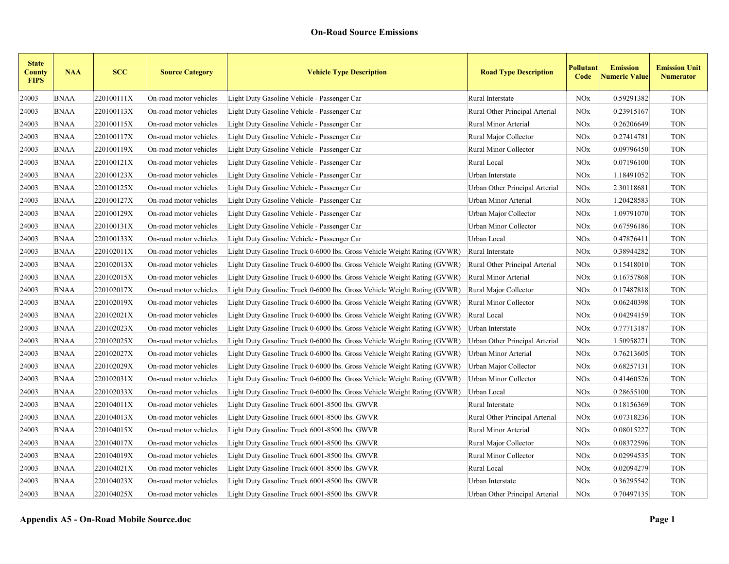| <b>State</b><br><b>County</b><br><b>FIPS</b> | <b>NAA</b>  | <b>SCC</b> | <b>Source Category</b> | <b>Vehicle Type Description</b>                                          | <b>Road Type Description</b>   | Pollutant<br>Code     | <b>Emission</b><br><b>Numeric Value</b> | <b>Emission Unit</b><br><b>Numerator</b> |
|----------------------------------------------|-------------|------------|------------------------|--------------------------------------------------------------------------|--------------------------------|-----------------------|-----------------------------------------|------------------------------------------|
| 24003                                        | <b>BNAA</b> | 220100111X | On-road motor vehicles | Light Duty Gasoline Vehicle - Passenger Car                              | Rural Interstate               | <b>NO<sub>x</sub></b> | 0.59291382                              | <b>TON</b>                               |
| 24003                                        | <b>BNAA</b> | 220100113X | On-road motor vehicles | Light Duty Gasoline Vehicle - Passenger Car                              | Rural Other Principal Arterial | <b>NOx</b>            | 0.23915167                              | <b>TON</b>                               |
| 24003                                        | <b>BNAA</b> | 220100115X | On-road motor vehicles | Light Duty Gasoline Vehicle - Passenger Car                              | Rural Minor Arterial           | <b>NO<sub>x</sub></b> | 0.26206649                              | <b>TON</b>                               |
| 24003                                        | <b>BNAA</b> | 220100117X | On-road motor vehicles | Light Duty Gasoline Vehicle - Passenger Car                              | Rural Major Collector          | <b>NO<sub>x</sub></b> | 0.27414781                              | <b>TON</b>                               |
| 24003                                        | <b>BNAA</b> | 220100119X | On-road motor vehicles | Light Duty Gasoline Vehicle - Passenger Car                              | Rural Minor Collector          | <b>NOx</b>            | 0.09796450                              | <b>TON</b>                               |
| 24003                                        | <b>BNAA</b> | 220100121X | On-road motor vehicles | Light Duty Gasoline Vehicle - Passenger Car                              | Rural Local                    | <b>NOx</b>            | 0.07196100                              | <b>TON</b>                               |
| 24003                                        | <b>BNAA</b> | 220100123X | On-road motor vehicles | Light Duty Gasoline Vehicle - Passenger Car                              | Urban Interstate               | <b>NO</b> x           | 1.18491052                              | <b>TON</b>                               |
| 24003                                        | <b>BNAA</b> | 220100125X | On-road motor vehicles | Light Duty Gasoline Vehicle - Passenger Car                              | Urban Other Principal Arterial | <b>NOx</b>            | 2.30118681                              | <b>TON</b>                               |
| 24003                                        | <b>BNAA</b> | 220100127X | On-road motor vehicles | Light Duty Gasoline Vehicle - Passenger Car                              | Urban Minor Arterial           | <b>NOx</b>            | 1.20428583                              | <b>TON</b>                               |
| 24003                                        | <b>BNAA</b> | 220100129X | On-road motor vehicles | Light Duty Gasoline Vehicle - Passenger Car                              | Urban Major Collector          | <b>NOx</b>            | 1.09791070                              | <b>TON</b>                               |
| 24003                                        | <b>BNAA</b> | 220100131X | On-road motor vehicles | Light Duty Gasoline Vehicle - Passenger Car                              | Urban Minor Collector          | <b>NOx</b>            | 0.67596186                              | <b>TON</b>                               |
| 24003                                        | <b>BNAA</b> | 220100133X | On-road motor vehicles | Light Duty Gasoline Vehicle - Passenger Car                              | Urban Local                    | <b>NOx</b>            | 0.47876411                              | <b>TON</b>                               |
| 24003                                        | <b>BNAA</b> | 220102011X | On-road motor vehicles | Light Duty Gasoline Truck 0-6000 lbs. Gross Vehicle Weight Rating (GVWR) | Rural Interstate               | <b>NOx</b>            | 0.38944282                              | <b>TON</b>                               |
| 24003                                        | <b>BNAA</b> | 220102013X | On-road motor vehicles | Light Duty Gasoline Truck 0-6000 lbs. Gross Vehicle Weight Rating (GVWR) | Rural Other Principal Arterial | <b>NOx</b>            | 0.15418010                              | <b>TON</b>                               |
| 24003                                        | <b>BNAA</b> | 220102015X | On-road motor vehicles | Light Duty Gasoline Truck 0-6000 lbs. Gross Vehicle Weight Rating (GVWR) | Rural Minor Arterial           | <b>NOx</b>            | 0.16757868                              | <b>TON</b>                               |
| 24003                                        | <b>BNAA</b> | 220102017X | On-road motor vehicles | Light Duty Gasoline Truck 0-6000 lbs. Gross Vehicle Weight Rating (GVWR) | Rural Major Collector          | <b>NOx</b>            | 0.17487818                              | <b>TON</b>                               |
| 24003                                        | <b>BNAA</b> | 220102019X | On-road motor vehicles | Light Duty Gasoline Truck 0-6000 lbs. Gross Vehicle Weight Rating (GVWR) | Rural Minor Collector          | <b>NOx</b>            | 0.06240398                              | <b>TON</b>                               |
| 24003                                        | <b>BNAA</b> | 220102021X | On-road motor vehicles | Light Duty Gasoline Truck 0-6000 lbs. Gross Vehicle Weight Rating (GVWR) | Rural Local                    | <b>NO<sub>x</sub></b> | 0.04294159                              | <b>TON</b>                               |
| 24003                                        | <b>BNAA</b> | 220102023X | On-road motor vehicles | Light Duty Gasoline Truck 0-6000 lbs. Gross Vehicle Weight Rating (GVWR) | Urban Interstate               | <b>NO<sub>x</sub></b> | 0.77713187                              | <b>TON</b>                               |
| 24003                                        | <b>BNAA</b> | 220102025X | On-road motor vehicles | Light Duty Gasoline Truck 0-6000 lbs. Gross Vehicle Weight Rating (GVWR) | Urban Other Principal Arterial | <b>NO<sub>x</sub></b> | 1.50958271                              | <b>TON</b>                               |
| 24003                                        | <b>BNAA</b> | 220102027X | On-road motor vehicles | Light Duty Gasoline Truck 0-6000 lbs. Gross Vehicle Weight Rating (GVWR) | Urban Minor Arterial           | <b>NO<sub>x</sub></b> | 0.76213605                              | <b>TON</b>                               |
| 24003                                        | <b>BNAA</b> | 220102029X | On-road motor vehicles | Light Duty Gasoline Truck 0-6000 lbs. Gross Vehicle Weight Rating (GVWR) | Urban Major Collector          | <b>NO<sub>x</sub></b> | 0.68257131                              | <b>TON</b>                               |
| 24003                                        | <b>BNAA</b> | 220102031X | On-road motor vehicles | Light Duty Gasoline Truck 0-6000 lbs. Gross Vehicle Weight Rating (GVWR) | Urban Minor Collector          | <b>NO<sub>x</sub></b> | 0.41460526                              | <b>TON</b>                               |
| 24003                                        | <b>BNAA</b> | 220102033X | On-road motor vehicles | Light Duty Gasoline Truck 0-6000 lbs. Gross Vehicle Weight Rating (GVWR) | Urban Local                    | <b>NO<sub>x</sub></b> | 0.28655100                              | <b>TON</b>                               |
| 24003                                        | <b>BNAA</b> | 220104011X | On-road motor vehicles | Light Duty Gasoline Truck 6001-8500 lbs. GWVR                            | Rural Interstate               | <b>NOx</b>            | 0.18156369                              | <b>TON</b>                               |
| 24003                                        | <b>BNAA</b> | 220104013X | On-road motor vehicles | Light Duty Gasoline Truck 6001-8500 lbs. GWVR                            | Rural Other Principal Arterial | <b>NOx</b>            | 0.07318236                              | <b>TON</b>                               |
| 24003                                        | <b>BNAA</b> | 220104015X | On-road motor vehicles | Light Duty Gasoline Truck 6001-8500 lbs. GWVR                            | Rural Minor Arterial           | <b>NOx</b>            | 0.08015227                              | <b>TON</b>                               |
| 24003                                        | <b>BNAA</b> | 220104017X | On-road motor vehicles | Light Duty Gasoline Truck 6001-8500 lbs. GWVR                            | Rural Major Collector          | <b>NOx</b>            | 0.08372596                              | <b>TON</b>                               |
| 24003                                        | <b>BNAA</b> | 220104019X | On-road motor vehicles | Light Duty Gasoline Truck 6001-8500 lbs. GWVR                            | Rural Minor Collector          | <b>NOx</b>            | 0.02994535                              | <b>TON</b>                               |
| 24003                                        | <b>BNAA</b> | 220104021X | On-road motor vehicles | Light Duty Gasoline Truck 6001-8500 lbs. GWVR                            | Rural Local                    | <b>NOx</b>            | 0.02094279                              | <b>TON</b>                               |
| 24003                                        | <b>BNAA</b> | 220104023X | On-road motor vehicles | Light Duty Gasoline Truck 6001-8500 lbs. GWVR                            | Urban Interstate               | <b>NOx</b>            | 0.36295542                              | <b>TON</b>                               |
| 24003                                        | <b>BNAA</b> | 220104025X | On-road motor vehicles | Light Duty Gasoline Truck 6001-8500 lbs. GWVR                            | Urban Other Principal Arterial | <b>NOx</b>            | 0.70497135                              | <b>TON</b>                               |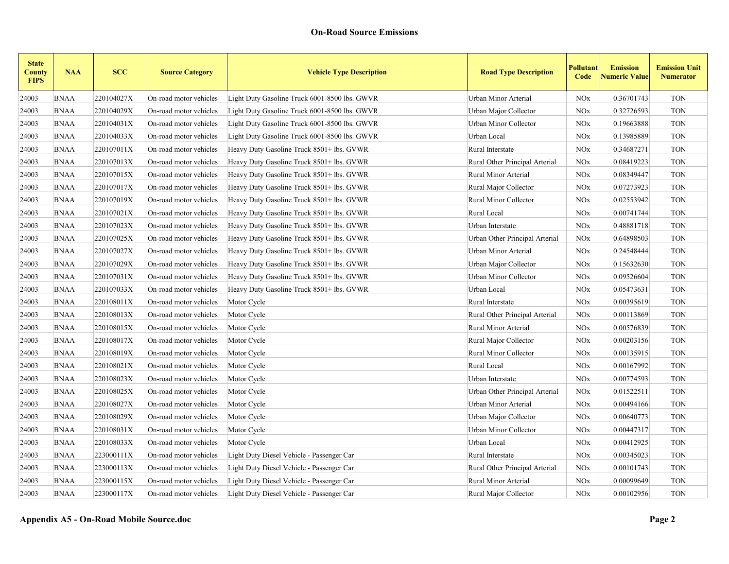| <b>State</b><br><b>County</b><br><b>FIPS</b> | <b>NAA</b>  | <b>SCC</b> | <b>Source Category</b> | <b>Vehicle Type Description</b>               | <b>Road Type Description</b>   | Pollutant<br>Code | <b>Emission</b><br><b>Numeric Value</b> | <b>Emission Unit</b><br><b>Numerator</b> |
|----------------------------------------------|-------------|------------|------------------------|-----------------------------------------------|--------------------------------|-------------------|-----------------------------------------|------------------------------------------|
| 24003                                        | <b>BNAA</b> | 220104027X | On-road motor vehicles | Light Duty Gasoline Truck 6001-8500 lbs. GWVR | Urban Minor Arterial           | <b>NOx</b>        | 0.36701743                              | <b>TON</b>                               |
| 24003                                        | <b>BNAA</b> | 220104029X | On-road motor vehicles | Light Duty Gasoline Truck 6001-8500 lbs. GWVR | Urban Major Collector          | <b>NOx</b>        | 0.32726593                              | <b>TON</b>                               |
| 24003                                        | <b>BNAA</b> | 220104031X | On-road motor vehicles | Light Duty Gasoline Truck 6001-8500 lbs. GWVR | Urban Minor Collector          | <b>NOx</b>        | 0.19663888                              | <b>TON</b>                               |
| 24003                                        | <b>BNAA</b> | 220104033X | On-road motor vehicles | Light Duty Gasoline Truck 6001-8500 lbs. GWVR | Urban Local                    | <b>NOx</b>        | 0.13985889                              | <b>TON</b>                               |
| 24003                                        | <b>BNAA</b> | 220107011X | On-road motor vehicles | Heavy Duty Gasoline Truck 8501+ lbs. GVWR     | Rural Interstate               | <b>NOx</b>        | 0.34687271                              | <b>TON</b>                               |
| 24003                                        | <b>BNAA</b> | 220107013X | On-road motor vehicles | Heavy Duty Gasoline Truck 8501+ lbs. GVWR     | Rural Other Principal Arterial | <b>NOx</b>        | 0.08419223                              | <b>TON</b>                               |
| 24003                                        | <b>BNAA</b> | 220107015X | On-road motor vehicles | Heavy Duty Gasoline Truck 8501+ lbs. GVWR     | Rural Minor Arterial           | <b>NOx</b>        | 0.08349447                              | <b>TON</b>                               |
| 24003                                        | <b>BNAA</b> | 220107017X | On-road motor vehicles | Heavy Duty Gasoline Truck 8501+ lbs. GVWR     | Rural Major Collector          | <b>NOx</b>        | 0.07273923                              | <b>TON</b>                               |
| 24003                                        | <b>BNAA</b> | 220107019X | On-road motor vehicles | Heavy Duty Gasoline Truck 8501+ lbs. GVWR     | Rural Minor Collector          | <b>NOx</b>        | 0.02553942                              | <b>TON</b>                               |
| 24003                                        | <b>BNAA</b> | 220107021X | On-road motor vehicles | Heavy Duty Gasoline Truck 8501+ lbs. GVWR     | Rural Local                    | <b>NOx</b>        | 0.00741744                              | <b>TON</b>                               |
| 24003                                        | <b>BNAA</b> | 220107023X | On-road motor vehicles | Heavy Duty Gasoline Truck 8501+ lbs. GVWR     | Urban Interstate               | <b>NOx</b>        | 0.48881718                              | <b>TON</b>                               |
| 24003                                        | <b>BNAA</b> | 220107025X | On-road motor vehicles | Heavy Duty Gasoline Truck 8501+ lbs. GVWR     | Urban Other Principal Arterial | <b>NOx</b>        | 0.64898503                              | <b>TON</b>                               |
| 24003                                        | <b>BNAA</b> | 220107027X | On-road motor vehicles | Heavy Duty Gasoline Truck 8501+ lbs. GVWR     | Urban Minor Arterial           | <b>NOx</b>        | 0.24548444                              | <b>TON</b>                               |
| 24003                                        | <b>BNAA</b> | 220107029X | On-road motor vehicles | Heavy Duty Gasoline Truck 8501+ lbs. GVWR     | Urban Major Collector          | <b>NOx</b>        | 0.15632630                              | <b>TON</b>                               |
| 24003                                        | <b>BNAA</b> | 220107031X | On-road motor vehicles | Heavy Duty Gasoline Truck 8501+ lbs. GVWR     | Urban Minor Collector          | <b>NOx</b>        | 0.09526604                              | <b>TON</b>                               |
| 24003                                        | <b>BNAA</b> | 220107033X | On-road motor vehicles | Heavy Duty Gasoline Truck 8501+ lbs. GVWR     | Urban Local                    | <b>NOx</b>        | 0.05473631                              | <b>TON</b>                               |
| 24003                                        | <b>BNAA</b> | 220108011X | On-road motor vehicles | Motor Cycle                                   | Rural Interstate               | <b>NOx</b>        | 0.00395619                              | <b>TON</b>                               |
| 24003                                        | <b>BNAA</b> | 220108013X | On-road motor vehicles | Motor Cycle                                   | Rural Other Principal Arterial | <b>NOx</b>        | 0.00113869                              | <b>TON</b>                               |
| 24003                                        | <b>BNAA</b> | 220108015X | On-road motor vehicles | Motor Cycle                                   | Rural Minor Arterial           | <b>NOx</b>        | 0.00576839                              | <b>TON</b>                               |
| 24003                                        | <b>BNAA</b> | 220108017X | On-road motor vehicles | Motor Cycle                                   | Rural Major Collector          | <b>NOx</b>        | 0.00203156                              | <b>TON</b>                               |
| 24003                                        | <b>BNAA</b> | 220108019X | On-road motor vehicles | Motor Cycle                                   | <b>Rural Minor Collector</b>   | <b>NOx</b>        | 0.00135915                              | <b>TON</b>                               |
| 24003                                        | <b>BNAA</b> | 220108021X | On-road motor vehicles | Motor Cycle                                   | Rural Local                    | <b>NOx</b>        | 0.00167992                              | <b>TON</b>                               |
| 24003                                        | <b>BNAA</b> | 220108023X | On-road motor vehicles | Motor Cycle                                   | Urban Interstate               | <b>NOx</b>        | 0.00774593                              | <b>TON</b>                               |
| 24003                                        | <b>BNAA</b> | 220108025X | On-road motor vehicles | Motor Cycle                                   | Urban Other Principal Arterial | <b>NOx</b>        | 0.01522511                              | <b>TON</b>                               |
| 24003                                        | <b>BNAA</b> | 220108027X | On-road motor vehicles | Motor Cycle                                   | Urban Minor Arterial           | <b>NOx</b>        | 0.00494166                              | <b>TON</b>                               |
| 24003                                        | <b>BNAA</b> | 220108029X | On-road motor vehicles | Motor Cycle                                   | Urban Major Collector          | <b>NOx</b>        | 0.00640773                              | <b>TON</b>                               |
| 24003                                        | <b>BNAA</b> | 220108031X | On-road motor vehicles | Motor Cycle                                   | Urban Minor Collector          | <b>NOx</b>        | 0.00447317                              | <b>TON</b>                               |
| 24003                                        | <b>BNAA</b> | 220108033X | On-road motor vehicles | Motor Cycle                                   | Urban Local                    | <b>NOx</b>        | 0.00412925                              | <b>TON</b>                               |
| 24003                                        | <b>BNAA</b> | 223000111X | On-road motor vehicles | Light Duty Diesel Vehicle - Passenger Car     | Rural Interstate               | <b>NOx</b>        | 0.00345023                              | <b>TON</b>                               |
| 24003                                        | <b>BNAA</b> | 223000113X | On-road motor vehicles | Light Duty Diesel Vehicle - Passenger Car     | Rural Other Principal Arterial | <b>NOx</b>        | 0.00101743                              | <b>TON</b>                               |
| 24003                                        | <b>BNAA</b> | 223000115X | On-road motor vehicles | Light Duty Diesel Vehicle - Passenger Car     | Rural Minor Arterial           | <b>NOx</b>        | 0.00099649                              | <b>TON</b>                               |
| 24003                                        | <b>BNAA</b> | 223000117X | On-road motor vehicles | Light Duty Diesel Vehicle - Passenger Car     | Rural Major Collector          | <b>NOx</b>        | 0.00102956                              | <b>TON</b>                               |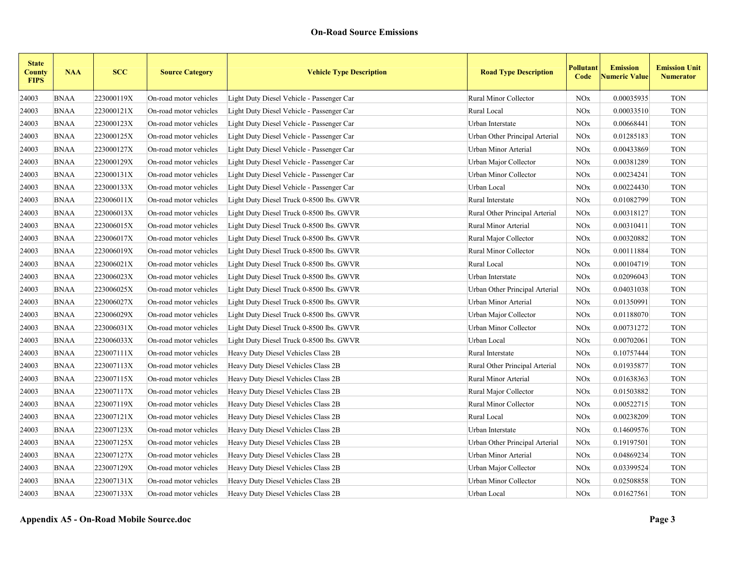| <b>State</b><br><b>County</b><br><b>FIPS</b> | <b>NAA</b>  | <b>SCC</b> | <b>Source Category</b> | <b>Vehicle Type Description</b>           | <b>Road Type Description</b>   | Pollutant<br>Code     | <b>Emission</b><br><b>Numeric Value</b> | <b>Emission Unit</b><br><b>Numerator</b> |
|----------------------------------------------|-------------|------------|------------------------|-------------------------------------------|--------------------------------|-----------------------|-----------------------------------------|------------------------------------------|
| 24003                                        | <b>BNAA</b> | 223000119X | On-road motor vehicles | Light Duty Diesel Vehicle - Passenger Car | <b>Rural Minor Collector</b>   | <b>NOx</b>            | 0.00035935                              | <b>TON</b>                               |
| 24003                                        | <b>BNAA</b> | 223000121X | On-road motor vehicles | Light Duty Diesel Vehicle - Passenger Car | Rural Local                    | <b>NOx</b>            | 0.00033510                              | <b>TON</b>                               |
| 24003                                        | <b>BNAA</b> | 223000123X | On-road motor vehicles | Light Duty Diesel Vehicle - Passenger Car | Urban Interstate               | <b>NO<sub>x</sub></b> | 0.00668441                              | <b>TON</b>                               |
| 24003                                        | <b>BNAA</b> | 223000125X | On-road motor vehicles | Light Duty Diesel Vehicle - Passenger Car | Urban Other Principal Arterial | <b>NOx</b>            | 0.01285183                              | <b>TON</b>                               |
| 24003                                        | <b>BNAA</b> | 223000127X | On-road motor vehicles | Light Duty Diesel Vehicle - Passenger Car | Urban Minor Arterial           | <b>NO<sub>x</sub></b> | 0.00433869                              | <b>TON</b>                               |
| 24003                                        | <b>BNAA</b> | 223000129X | On-road motor vehicles | Light Duty Diesel Vehicle - Passenger Car | Urban Major Collector          | <b>NO<sub>x</sub></b> | 0.00381289                              | <b>TON</b>                               |
| 24003                                        | <b>BNAA</b> | 223000131X | On-road motor vehicles | Light Duty Diesel Vehicle - Passenger Car | Urban Minor Collector          | <b>NO<sub>x</sub></b> | 0.00234241                              | <b>TON</b>                               |
| 24003                                        | <b>BNAA</b> | 223000133X | On-road motor vehicles | Light Duty Diesel Vehicle - Passenger Car | Urban Local                    | <b>NO<sub>x</sub></b> | 0.00224430                              | <b>TON</b>                               |
| 24003                                        | <b>BNAA</b> | 223006011X | On-road motor vehicles | Light Duty Diesel Truck 0-8500 lbs. GWVR  | Rural Interstate               | <b>NOx</b>            | 0.01082799                              | <b>TON</b>                               |
| 24003                                        | <b>BNAA</b> | 223006013X | On-road motor vehicles | Light Duty Diesel Truck 0-8500 lbs. GWVR  | Rural Other Principal Arterial | <b>NOx</b>            | 0.00318127                              | <b>TON</b>                               |
| 24003                                        | <b>BNAA</b> | 223006015X | On-road motor vehicles | Light Duty Diesel Truck 0-8500 lbs. GWVR  | Rural Minor Arterial           | <b>NO<sub>x</sub></b> | 0.00310411                              | <b>TON</b>                               |
| 24003                                        | <b>BNAA</b> | 223006017X | On-road motor vehicles | Light Duty Diesel Truck 0-8500 lbs. GWVR  | Rural Major Collector          | <b>NO<sub>x</sub></b> | 0.00320882                              | <b>TON</b>                               |
| 24003                                        | <b>BNAA</b> | 223006019X | On-road motor vehicles | Light Duty Diesel Truck 0-8500 lbs. GWVR  | Rural Minor Collector          | <b>NOx</b>            | 0.00111884                              | <b>TON</b>                               |
| 24003                                        | <b>BNAA</b> | 223006021X | On-road motor vehicles | Light Duty Diesel Truck 0-8500 lbs. GWVR  | Rural Local                    | <b>NOx</b>            | 0.00104719                              | <b>TON</b>                               |
| 24003                                        | <b>BNAA</b> | 223006023X | On-road motor vehicles | Light Duty Diesel Truck 0-8500 lbs. GWVR  | Urban Interstate               | <b>NOx</b>            | 0.02096043                              | <b>TON</b>                               |
| 24003                                        | <b>BNAA</b> | 223006025X | On-road motor vehicles | Light Duty Diesel Truck 0-8500 lbs. GWVR  | Urban Other Principal Arterial | <b>NOx</b>            | 0.04031038                              | <b>TON</b>                               |
| 24003                                        | <b>BNAA</b> | 223006027X | On-road motor vehicles | Light Duty Diesel Truck 0-8500 lbs. GWVR  | Urban Minor Arterial           | <b>NOx</b>            | 0.01350991                              | <b>TON</b>                               |
| 24003                                        | <b>BNAA</b> | 223006029X | On-road motor vehicles | Light Duty Diesel Truck 0-8500 lbs. GWVR  | Urban Major Collector          | <b>NOx</b>            | 0.01188070                              | <b>TON</b>                               |
| 24003                                        | <b>BNAA</b> | 223006031X | On-road motor vehicles | Light Duty Diesel Truck 0-8500 lbs. GWVR  | Urban Minor Collector          | <b>NOx</b>            | 0.00731272                              | <b>TON</b>                               |
| 24003                                        | <b>BNAA</b> | 223006033X | On-road motor vehicles | Light Duty Diesel Truck 0-8500 lbs. GWVR  | Urban Local                    | <b>NO<sub>x</sub></b> | 0.00702061                              | <b>TON</b>                               |
| 24003                                        | <b>BNAA</b> | 223007111X | On-road motor vehicles | Heavy Duty Diesel Vehicles Class 2B       | Rural Interstate               | <b>NO</b> x           | 0.10757444                              | <b>TON</b>                               |
| 24003                                        | <b>BNAA</b> | 223007113X | On-road motor vehicles | Heavy Duty Diesel Vehicles Class 2B       | Rural Other Principal Arterial | <b>NO</b> x           | 0.01935877                              | <b>TON</b>                               |
| 24003                                        | <b>BNAA</b> | 223007115X | On-road motor vehicles | Heavy Duty Diesel Vehicles Class 2B       | Rural Minor Arterial           | <b>NO</b> x           | 0.01638363                              | <b>TON</b>                               |
| 24003                                        | <b>BNAA</b> | 223007117X | On-road motor vehicles | Heavy Duty Diesel Vehicles Class 2B       | Rural Major Collector          | <b>NO</b> x           | 0.01503882                              | <b>TON</b>                               |
| 24003                                        | <b>BNAA</b> | 223007119X | On-road motor vehicles | Heavy Duty Diesel Vehicles Class 2B       | Rural Minor Collector          | <b>NOx</b>            | 0.00522715                              | <b>TON</b>                               |
| 24003                                        | <b>BNAA</b> | 223007121X | On-road motor vehicles | Heavy Duty Diesel Vehicles Class 2B       | Rural Local                    | <b>NO</b> x           | 0.00238209                              | <b>TON</b>                               |
| 24003                                        | <b>BNAA</b> | 223007123X | On-road motor vehicles | Heavy Duty Diesel Vehicles Class 2B       | Urban Interstate               | <b>NO</b> x           | 0.14609576                              | <b>TON</b>                               |
| 24003                                        | <b>BNAA</b> | 223007125X | On-road motor vehicles | Heavy Duty Diesel Vehicles Class 2B       | Urban Other Principal Arterial | NOx                   | 0.19197501                              | <b>TON</b>                               |
| 24003                                        | <b>BNAA</b> | 223007127X | On-road motor vehicles | Heavy Duty Diesel Vehicles Class 2B       | Urban Minor Arterial           | <b>NO</b> x           | 0.04869234                              | <b>TON</b>                               |
| 24003                                        | <b>BNAA</b> | 223007129X | On-road motor vehicles | Heavy Duty Diesel Vehicles Class 2B       | Urban Major Collector          | <b>NO</b> x           | 0.03399524                              | <b>TON</b>                               |
| 24003                                        | <b>BNAA</b> | 223007131X | On-road motor vehicles | Heavy Duty Diesel Vehicles Class 2B       | Urban Minor Collector          | <b>NOx</b>            | 0.02508858                              | <b>TON</b>                               |
| 24003                                        | <b>BNAA</b> | 223007133X | On-road motor vehicles | Heavy Duty Diesel Vehicles Class 2B       | Urban Local                    | <b>NOx</b>            | 0.01627561                              | <b>TON</b>                               |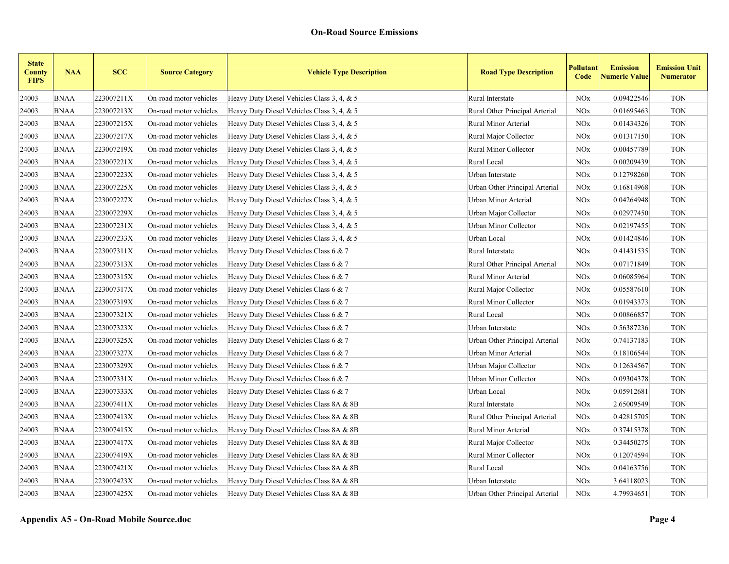| <b>State</b><br><b>County</b><br><b>FIPS</b> | <b>NAA</b>  | <b>SCC</b> | <b>Source Category</b> | <b>Vehicle Type Description</b>            | <b>Road Type Description</b>   | Pollutant<br>Code | <b>Emission</b><br><b>Numeric Value</b> | <b>Emission Unit</b><br><b>Numerator</b> |
|----------------------------------------------|-------------|------------|------------------------|--------------------------------------------|--------------------------------|-------------------|-----------------------------------------|------------------------------------------|
| 24003                                        | <b>BNAA</b> | 223007211X | On-road motor vehicles | Heavy Duty Diesel Vehicles Class 3, 4, & 5 | Rural Interstate               | <b>NOx</b>        | 0.09422546                              | <b>TON</b>                               |
| 24003                                        | <b>BNAA</b> | 223007213X | On-road motor vehicles | Heavy Duty Diesel Vehicles Class 3, 4, & 5 | Rural Other Principal Arterial | <b>NOx</b>        | 0.01695463                              | <b>TON</b>                               |
| 24003                                        | <b>BNAA</b> | 223007215X | On-road motor vehicles | Heavy Duty Diesel Vehicles Class 3, 4, & 5 | Rural Minor Arterial           | <b>NOx</b>        | 0.01434326                              | <b>TON</b>                               |
| 24003                                        | <b>BNAA</b> | 223007217X | On-road motor vehicles | Heavy Duty Diesel Vehicles Class 3, 4, & 5 | Rural Major Collector          | <b>NOx</b>        | 0.01317150                              | <b>TON</b>                               |
| 24003                                        | <b>BNAA</b> | 223007219X | On-road motor vehicles | Heavy Duty Diesel Vehicles Class 3, 4, & 5 | Rural Minor Collector          | <b>NOx</b>        | 0.00457789                              | <b>TON</b>                               |
| 24003                                        | <b>BNAA</b> | 223007221X | On-road motor vehicles | Heavy Duty Diesel Vehicles Class 3, 4, & 5 | Rural Local                    | <b>NOx</b>        | 0.00209439                              | <b>TON</b>                               |
| 24003                                        | <b>BNAA</b> | 223007223X | On-road motor vehicles | Heavy Duty Diesel Vehicles Class 3, 4, & 5 | Urban Interstate               | <b>NOx</b>        | 0.12798260                              | <b>TON</b>                               |
| 24003                                        | <b>BNAA</b> | 223007225X | On-road motor vehicles | Heavy Duty Diesel Vehicles Class 3, 4, & 5 | Urban Other Principal Arterial | <b>NOx</b>        | 0.16814968                              | <b>TON</b>                               |
| 24003                                        | <b>BNAA</b> | 223007227X | On-road motor vehicles | Heavy Duty Diesel Vehicles Class 3, 4, & 5 | Urban Minor Arterial           | <b>NOx</b>        | 0.04264948                              | <b>TON</b>                               |
| 24003                                        | <b>BNAA</b> | 223007229X | On-road motor vehicles | Heavy Duty Diesel Vehicles Class 3, 4, & 5 | Urban Major Collector          | <b>NOx</b>        | 0.02977450                              | <b>TON</b>                               |
| 24003                                        | <b>BNAA</b> | 223007231X | On-road motor vehicles | Heavy Duty Diesel Vehicles Class 3, 4, & 5 | Urban Minor Collector          | <b>NOx</b>        | 0.02197455                              | <b>TON</b>                               |
| 24003                                        | <b>BNAA</b> | 223007233X | On-road motor vehicles | Heavy Duty Diesel Vehicles Class 3, 4, & 5 | Urban Local                    | <b>NOx</b>        | 0.01424846                              | <b>TON</b>                               |
| 24003                                        | <b>BNAA</b> | 223007311X | On-road motor vehicles | Heavy Duty Diesel Vehicles Class 6 & 7     | Rural Interstate               | <b>NOx</b>        | 0.41431535                              | <b>TON</b>                               |
| 24003                                        | <b>BNAA</b> | 223007313X | On-road motor vehicles | Heavy Duty Diesel Vehicles Class 6 & 7     | Rural Other Principal Arterial | <b>NOx</b>        | 0.07171849                              | <b>TON</b>                               |
| 24003                                        | <b>BNAA</b> | 223007315X | On-road motor vehicles | Heavy Duty Diesel Vehicles Class 6 & 7     | Rural Minor Arterial           | <b>NOx</b>        | 0.06085964                              | <b>TON</b>                               |
| 24003                                        | <b>BNAA</b> | 223007317X | On-road motor vehicles | Heavy Duty Diesel Vehicles Class 6 & 7     | Rural Major Collector          | <b>NOx</b>        | 0.05587610                              | <b>TON</b>                               |
| 24003                                        | <b>BNAA</b> | 223007319X | On-road motor vehicles | Heavy Duty Diesel Vehicles Class 6 & 7     | <b>Rural Minor Collector</b>   | <b>NOx</b>        | 0.01943373                              | <b>TON</b>                               |
| 24003                                        | <b>BNAA</b> | 223007321X | On-road motor vehicles | Heavy Duty Diesel Vehicles Class 6 & 7     | Rural Local                    | <b>NOx</b>        | 0.00866857                              | <b>TON</b>                               |
| 24003                                        | <b>BNAA</b> | 223007323X | On-road motor vehicles | Heavy Duty Diesel Vehicles Class 6 & 7     | Urban Interstate               | <b>NOx</b>        | 0.56387236                              | <b>TON</b>                               |
| 24003                                        | <b>BNAA</b> | 223007325X | On-road motor vehicles | Heavy Duty Diesel Vehicles Class 6 & 7     | Urban Other Principal Arterial | <b>NOx</b>        | 0.74137183                              | <b>TON</b>                               |
| 24003                                        | <b>BNAA</b> | 223007327X | On-road motor vehicles | Heavy Duty Diesel Vehicles Class 6 & 7     | Urban Minor Arterial           | <b>NOx</b>        | 0.18106544                              | <b>TON</b>                               |
| 24003                                        | <b>BNAA</b> | 223007329X | On-road motor vehicles | Heavy Duty Diesel Vehicles Class 6 & 7     | Urban Major Collector          | <b>NOx</b>        | 0.12634567                              | <b>TON</b>                               |
| 24003                                        | <b>BNAA</b> | 223007331X | On-road motor vehicles | Heavy Duty Diesel Vehicles Class 6 & 7     | Urban Minor Collector          | <b>NOx</b>        | 0.09304378                              | <b>TON</b>                               |
| 24003                                        | <b>BNAA</b> | 223007333X | On-road motor vehicles | Heavy Duty Diesel Vehicles Class 6 & 7     | Urban Local                    | <b>NOx</b>        | 0.05912681                              | <b>TON</b>                               |
| 24003                                        | <b>BNAA</b> | 223007411X | On-road motor vehicles | Heavy Duty Diesel Vehicles Class 8A & 8B   | Rural Interstate               | <b>NOx</b>        | 2.65009549                              | <b>TON</b>                               |
| 24003                                        | <b>BNAA</b> | 223007413X | On-road motor vehicles | Heavy Duty Diesel Vehicles Class 8A & 8B   | Rural Other Principal Arterial | <b>NOx</b>        | 0.42815705                              | <b>TON</b>                               |
| 24003                                        | <b>BNAA</b> | 223007415X | On-road motor vehicles | Heavy Duty Diesel Vehicles Class 8A & 8B   | Rural Minor Arterial           | <b>NOx</b>        | 0.37415378                              | <b>TON</b>                               |
| 24003                                        | <b>BNAA</b> | 223007417X | On-road motor vehicles | Heavy Duty Diesel Vehicles Class 8A & 8B   | Rural Major Collector          | <b>NOx</b>        | 0.34450275                              | <b>TON</b>                               |
| 24003                                        | <b>BNAA</b> | 223007419X | On-road motor vehicles | Heavy Duty Diesel Vehicles Class 8A & 8B   | Rural Minor Collector          | <b>NOx</b>        | 0.12074594                              | <b>TON</b>                               |
| 24003                                        | <b>BNAA</b> | 223007421X | On-road motor vehicles | Heavy Duty Diesel Vehicles Class 8A & 8B   | Rural Local                    | <b>NOx</b>        | 0.04163756                              | <b>TON</b>                               |
| 24003                                        | <b>BNAA</b> | 223007423X | On-road motor vehicles | Heavy Duty Diesel Vehicles Class 8A & 8B   | Urban Interstate               | <b>NOx</b>        | 3.64118023                              | <b>TON</b>                               |
| 24003                                        | <b>BNAA</b> | 223007425X | On-road motor vehicles | Heavy Duty Diesel Vehicles Class 8A & 8B   | Urban Other Principal Arterial | <b>NOx</b>        | 4.79934651                              | <b>TON</b>                               |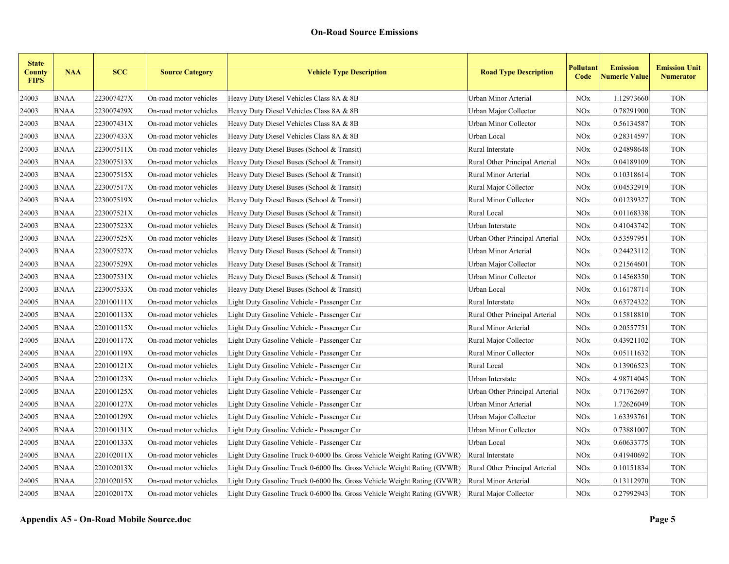| <b>State</b><br><b>County</b><br><b>FIPS</b> | <b>NAA</b>  | <b>SCC</b> | <b>Source Category</b> | <b>Vehicle Type Description</b>                                          | <b>Road Type Description</b>   | Pollutant<br>Code     | <b>Emission</b><br><b>Numeric Value</b> | <b>Emission Unit</b><br><b>Numerator</b> |
|----------------------------------------------|-------------|------------|------------------------|--------------------------------------------------------------------------|--------------------------------|-----------------------|-----------------------------------------|------------------------------------------|
| 24003                                        | <b>BNAA</b> | 223007427X | On-road motor vehicles | Heavy Duty Diesel Vehicles Class 8A & 8B                                 | Urban Minor Arterial           | <b>NOx</b>            | 1.12973660                              | <b>TON</b>                               |
| 24003                                        | <b>BNAA</b> | 223007429X | On-road motor vehicles | Heavy Duty Diesel Vehicles Class 8A & 8B                                 | Urban Major Collector          | <b>NOx</b>            | 0.78291900                              | <b>TON</b>                               |
| 24003                                        | <b>BNAA</b> | 223007431X | On-road motor vehicles | Heavy Duty Diesel Vehicles Class 8A & 8B                                 | Urban Minor Collector          | NOx                   | 0.56134587                              | <b>TON</b>                               |
| 24003                                        | <b>BNAA</b> | 223007433X | On-road motor vehicles | Heavy Duty Diesel Vehicles Class 8A & 8B                                 | Urban Local                    | <b>NO<sub>x</sub></b> | 0.28314597                              | <b>TON</b>                               |
| 24003                                        | <b>BNAA</b> | 223007511X | On-road motor vehicles | Heavy Duty Diesel Buses (School & Transit)                               | Rural Interstate               | <b>NO<sub>x</sub></b> | 0.24898648                              | <b>TON</b>                               |
| 24003                                        | <b>BNAA</b> | 223007513X | On-road motor vehicles | Heavy Duty Diesel Buses (School & Transit)                               | Rural Other Principal Arterial | <b>NO<sub>x</sub></b> | 0.04189109                              | <b>TON</b>                               |
| 24003                                        | <b>BNAA</b> | 223007515X | On-road motor vehicles | Heavy Duty Diesel Buses (School & Transit)                               | Rural Minor Arterial           | <b>NO<sub>x</sub></b> | 0.10318614                              | <b>TON</b>                               |
| 24003                                        | <b>BNAA</b> | 223007517X | On-road motor vehicles | Heavy Duty Diesel Buses (School & Transit)                               | Rural Major Collector          | <b>NO<sub>x</sub></b> | 0.04532919                              | <b>TON</b>                               |
| 24003                                        | <b>BNAA</b> | 223007519X | On-road motor vehicles | Heavy Duty Diesel Buses (School & Transit)                               | Rural Minor Collector          | <b>NOx</b>            | 0.01239327                              | <b>TON</b>                               |
| 24003                                        | <b>BNAA</b> | 223007521X | On-road motor vehicles | Heavy Duty Diesel Buses (School & Transit)                               | Rural Local                    | <b>NOx</b>            | 0.01168338                              | <b>TON</b>                               |
| 24003                                        | <b>BNAA</b> | 223007523X | On-road motor vehicles | Heavy Duty Diesel Buses (School & Transit)                               | Urban Interstate               | <b>NO<sub>x</sub></b> | 0.41043742                              | <b>TON</b>                               |
| 24003                                        | <b>BNAA</b> | 223007525X | On-road motor vehicles | Heavy Duty Diesel Buses (School & Transit)                               | Urban Other Principal Arterial | <b>NOx</b>            | 0.53597951                              | <b>TON</b>                               |
| 24003                                        | <b>BNAA</b> | 223007527X | On-road motor vehicles | Heavy Duty Diesel Buses (School & Transit)                               | Urban Minor Arterial           | <b>NOx</b>            | 0.24423112                              | <b>TON</b>                               |
| 24003                                        | <b>BNAA</b> | 223007529X | On-road motor vehicles | Heavy Duty Diesel Buses (School & Transit)                               | Urban Major Collector          | <b>NO<sub>x</sub></b> | 0.21564601                              | <b>TON</b>                               |
| 24003                                        | <b>BNAA</b> | 223007531X | On-road motor vehicles | Heavy Duty Diesel Buses (School & Transit)                               | Urban Minor Collector          | <b>NOx</b>            | 0.14568350                              | <b>TON</b>                               |
| 24003                                        | <b>BNAA</b> | 223007533X | On-road motor vehicles | Heavy Duty Diesel Buses (School & Transit)                               | Urban Local                    | <b>NOx</b>            | 0.16178714                              | <b>TON</b>                               |
| 24005                                        | <b>BNAA</b> | 220100111X | On-road motor vehicles | Light Duty Gasoline Vehicle - Passenger Car                              | Rural Interstate               | <b>NOx</b>            | 0.63724322                              | <b>TON</b>                               |
| 24005                                        | <b>BNAA</b> | 220100113X | On-road motor vehicles | Light Duty Gasoline Vehicle - Passenger Car                              | Rural Other Principal Arterial | <b>NOx</b>            | 0.15818810                              | <b>TON</b>                               |
| 24005                                        | <b>BNAA</b> | 220100115X | On-road motor vehicles | Light Duty Gasoline Vehicle - Passenger Car                              | Rural Minor Arterial           | <b>NOx</b>            | 0.20557751                              | <b>TON</b>                               |
| 24005                                        | <b>BNAA</b> | 220100117X | On-road motor vehicles | Light Duty Gasoline Vehicle - Passenger Car                              | Rural Major Collector          | <b>NOx</b>            | 0.43921102                              | <b>TON</b>                               |
| 24005                                        | <b>BNAA</b> | 220100119X | On-road motor vehicles | Light Duty Gasoline Vehicle - Passenger Car                              | Rural Minor Collector          | <b>NOx</b>            | 0.05111632                              | <b>TON</b>                               |
| 24005                                        | <b>BNAA</b> | 220100121X | On-road motor vehicles | Light Duty Gasoline Vehicle - Passenger Car                              | Rural Local                    | <b>NO</b> x           | 0.13906523                              | <b>TON</b>                               |
| 24005                                        | <b>BNAA</b> | 220100123X | On-road motor vehicles | Light Duty Gasoline Vehicle - Passenger Car                              | Urban Interstate               | <b>NO</b> x           | 4.98714045                              | <b>TON</b>                               |
| 24005                                        | <b>BNAA</b> | 220100125X | On-road motor vehicles | Light Duty Gasoline Vehicle - Passenger Car                              | Urban Other Principal Arterial | NOx                   | 0.71762697                              | <b>TON</b>                               |
| 24005                                        | <b>BNAA</b> | 220100127X | On-road motor vehicles | Light Duty Gasoline Vehicle - Passenger Car                              | Urban Minor Arterial           | <b>NO</b> x           | 1.72626049                              | <b>TON</b>                               |
| 24005                                        | <b>BNAA</b> | 220100129X | On-road motor vehicles | Light Duty Gasoline Vehicle - Passenger Car                              | Urban Major Collector          | <b>NOx</b>            | 1.63393761                              | <b>TON</b>                               |
| 24005                                        | <b>BNAA</b> | 220100131X | On-road motor vehicles | Light Duty Gasoline Vehicle - Passenger Car                              | Urban Minor Collector          | <b>NOx</b>            | 0.73881007                              | <b>TON</b>                               |
| 24005                                        | <b>BNAA</b> | 220100133X | On-road motor vehicles | Light Duty Gasoline Vehicle - Passenger Car                              | Urban Local                    | <b>NO</b> x           | 0.60633775                              | <b>TON</b>                               |
| 24005                                        | <b>BNAA</b> | 220102011X | On-road motor vehicles | Light Duty Gasoline Truck 0-6000 lbs. Gross Vehicle Weight Rating (GVWR) | Rural Interstate               | <b>NO</b> x           | 0.41940692                              | <b>TON</b>                               |
| 24005                                        | <b>BNAA</b> | 220102013X | On-road motor vehicles | Light Duty Gasoline Truck 0-6000 lbs. Gross Vehicle Weight Rating (GVWR) | Rural Other Principal Arterial | <b>NOx</b>            | 0.10151834                              | <b>TON</b>                               |
| 24005                                        | <b>BNAA</b> | 220102015X | On-road motor vehicles | Light Duty Gasoline Truck 0-6000 lbs. Gross Vehicle Weight Rating (GVWR) | Rural Minor Arterial           | <b>NOx</b>            | 0.13112970                              | <b>TON</b>                               |
| 24005                                        | <b>BNAA</b> | 220102017X | On-road motor vehicles | Light Duty Gasoline Truck 0-6000 lbs. Gross Vehicle Weight Rating (GVWR) | Rural Major Collector          | <b>NOx</b>            | 0.27992943                              | <b>TON</b>                               |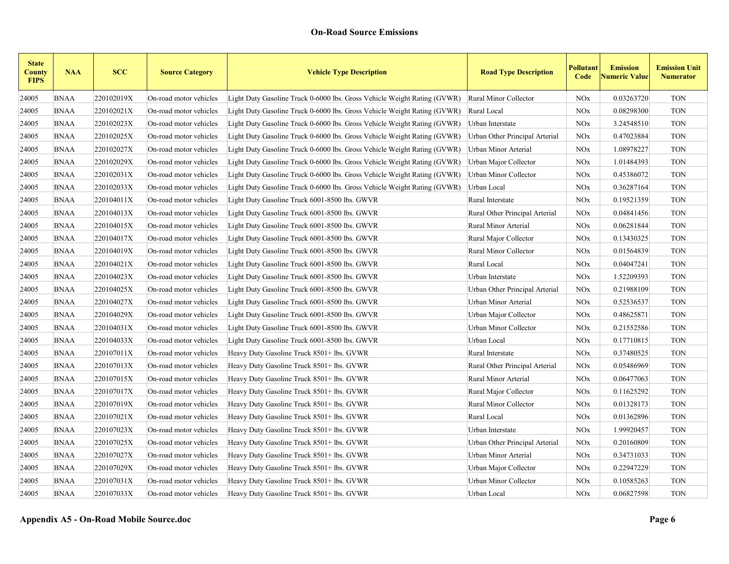| <b>State</b><br><b>County</b><br><b>FIPS</b> | <b>NAA</b>  | <b>SCC</b> | <b>Source Category</b> | <b>Vehicle Type Description</b>                                          | <b>Road Type Description</b>   | Pollutant<br>Code | <b>Emission</b><br><b>Numeric Value</b> | <b>Emission Unit</b><br><b>Numerator</b> |
|----------------------------------------------|-------------|------------|------------------------|--------------------------------------------------------------------------|--------------------------------|-------------------|-----------------------------------------|------------------------------------------|
| 24005                                        | <b>BNAA</b> | 220102019X | On-road motor vehicles | Light Duty Gasoline Truck 0-6000 lbs. Gross Vehicle Weight Rating (GVWR) | Rural Minor Collector          | <b>NOx</b>        | 0.03263720                              | <b>TON</b>                               |
| 24005                                        | <b>BNAA</b> | 220102021X | On-road motor vehicles | Light Duty Gasoline Truck 0-6000 lbs. Gross Vehicle Weight Rating (GVWR) | Rural Local                    | <b>NOx</b>        | 0.08298300                              | <b>TON</b>                               |
| 24005                                        | <b>BNAA</b> | 220102023X | On-road motor vehicles | Light Duty Gasoline Truck 0-6000 lbs. Gross Vehicle Weight Rating (GVWR) | Urban Interstate               | <b>NOx</b>        | 3.24548510                              | <b>TON</b>                               |
| 24005                                        | <b>BNAA</b> | 220102025X | On-road motor vehicles | Light Duty Gasoline Truck 0-6000 lbs. Gross Vehicle Weight Rating (GVWR) | Urban Other Principal Arterial | <b>NOx</b>        | 0.47023884                              | <b>TON</b>                               |
| 24005                                        | <b>BNAA</b> | 220102027X | On-road motor vehicles | Light Duty Gasoline Truck 0-6000 lbs. Gross Vehicle Weight Rating (GVWR) | Urban Minor Arterial           | <b>NOx</b>        | 1.08978227                              | <b>TON</b>                               |
| 24005                                        | <b>BNAA</b> | 220102029X | On-road motor vehicles | Light Duty Gasoline Truck 0-6000 lbs. Gross Vehicle Weight Rating (GVWR) | Urban Major Collector          | <b>NOx</b>        | 1.01484393                              | <b>TON</b>                               |
| 24005                                        | <b>BNAA</b> | 220102031X | On-road motor vehicles | Light Duty Gasoline Truck 0-6000 lbs. Gross Vehicle Weight Rating (GVWR) | Urban Minor Collector          | <b>NOx</b>        | 0.45386072                              | <b>TON</b>                               |
| 24005                                        | <b>BNAA</b> | 220102033X | On-road motor vehicles | Light Duty Gasoline Truck 0-6000 lbs. Gross Vehicle Weight Rating (GVWR) | Urban Local                    | <b>NOx</b>        | 0.36287164                              | <b>TON</b>                               |
| 24005                                        | <b>BNAA</b> | 220104011X | On-road motor vehicles | Light Duty Gasoline Truck 6001-8500 lbs. GWVR                            | Rural Interstate               | <b>NOx</b>        | 0.19521359                              | <b>TON</b>                               |
| 24005                                        | <b>BNAA</b> | 220104013X | On-road motor vehicles | Light Duty Gasoline Truck 6001-8500 lbs. GWVR                            | Rural Other Principal Arterial | <b>NOx</b>        | 0.04841456                              | <b>TON</b>                               |
| 24005                                        | <b>BNAA</b> | 220104015X | On-road motor vehicles | Light Duty Gasoline Truck 6001-8500 lbs. GWVR                            | Rural Minor Arterial           | <b>NOx</b>        | 0.06281844                              | <b>TON</b>                               |
| 24005                                        | <b>BNAA</b> | 220104017X | On-road motor vehicles | Light Duty Gasoline Truck 6001-8500 lbs. GWVR                            | Rural Major Collector          | <b>NOx</b>        | 0.13430325                              | <b>TON</b>                               |
| 24005                                        | <b>BNAA</b> | 220104019X | On-road motor vehicles | Light Duty Gasoline Truck 6001-8500 lbs. GWVR                            | <b>Rural Minor Collector</b>   | <b>NOx</b>        | 0.01564839                              | <b>TON</b>                               |
| 24005                                        | <b>BNAA</b> | 220104021X | On-road motor vehicles | Light Duty Gasoline Truck 6001-8500 lbs. GWVR                            | Rural Local                    | <b>NOx</b>        | 0.04047241                              | <b>TON</b>                               |
| 24005                                        | <b>BNAA</b> | 220104023X | On-road motor vehicles | Light Duty Gasoline Truck 6001-8500 lbs. GWVR                            | Urban Interstate               | <b>NOx</b>        | 1.52209393                              | <b>TON</b>                               |
| 24005                                        | <b>BNAA</b> | 220104025X | On-road motor vehicles | Light Duty Gasoline Truck 6001-8500 lbs. GWVR                            | Urban Other Principal Arterial | <b>NOx</b>        | 0.21988109                              | <b>TON</b>                               |
| 24005                                        | <b>BNAA</b> | 220104027X | On-road motor vehicles | Light Duty Gasoline Truck 6001-8500 lbs. GWVR                            | Urban Minor Arterial           | <b>NOx</b>        | 0.52536537                              | <b>TON</b>                               |
| 24005                                        | <b>BNAA</b> | 220104029X | On-road motor vehicles | Light Duty Gasoline Truck 6001-8500 lbs. GWVR                            | Urban Major Collector          | <b>NOx</b>        | 0.48625871                              | <b>TON</b>                               |
| 24005                                        | <b>BNAA</b> | 220104031X | On-road motor vehicles | Light Duty Gasoline Truck 6001-8500 lbs. GWVR                            | Urban Minor Collector          | <b>NOx</b>        | 0.21552586                              | <b>TON</b>                               |
| 24005                                        | <b>BNAA</b> | 220104033X | On-road motor vehicles | Light Duty Gasoline Truck 6001-8500 lbs. GWVR                            | Urban Local                    | <b>NOx</b>        | 0.17710815                              | <b>TON</b>                               |
| 24005                                        | <b>BNAA</b> | 220107011X | On-road motor vehicles | Heavy Duty Gasoline Truck 8501+ lbs. GVWR                                | Rural Interstate               | <b>NOx</b>        | 0.37480525                              | <b>TON</b>                               |
| 24005                                        | <b>BNAA</b> | 220107013X | On-road motor vehicles | Heavy Duty Gasoline Truck 8501+ lbs. GVWR                                | Rural Other Principal Arterial | <b>NOx</b>        | 0.05486969                              | <b>TON</b>                               |
| 24005                                        | <b>BNAA</b> | 220107015X | On-road motor vehicles | Heavy Duty Gasoline Truck 8501+ lbs. GVWR                                | Rural Minor Arterial           | <b>NOx</b>        | 0.06477063                              | <b>TON</b>                               |
| 24005                                        | <b>BNAA</b> | 220107017X | On-road motor vehicles | Heavy Duty Gasoline Truck 8501+ lbs. GVWR                                | Rural Major Collector          | <b>NOx</b>        | 0.11625292                              | <b>TON</b>                               |
| 24005                                        | <b>BNAA</b> | 220107019X | On-road motor vehicles | Heavy Duty Gasoline Truck 8501+ lbs. GVWR                                | <b>Rural Minor Collector</b>   | <b>NOx</b>        | 0.01328173                              | <b>TON</b>                               |
| 24005                                        | <b>BNAA</b> | 220107021X | On-road motor vehicles | Heavy Duty Gasoline Truck 8501+ lbs. GVWR                                | Rural Local                    | <b>NOx</b>        | 0.01362896                              | <b>TON</b>                               |
| 24005                                        | <b>BNAA</b> | 220107023X | On-road motor vehicles | Heavy Duty Gasoline Truck 8501+ lbs. GVWR                                | Urban Interstate               | <b>NOx</b>        | 1.99920457                              | <b>TON</b>                               |
| 24005                                        | <b>BNAA</b> | 220107025X | On-road motor vehicles | Heavy Duty Gasoline Truck 8501+ lbs. GVWR                                | Urban Other Principal Arterial | NOx               | 0.20160809                              | <b>TON</b>                               |
| 24005                                        | <b>BNAA</b> | 220107027X | On-road motor vehicles | Heavy Duty Gasoline Truck 8501+ lbs. GVWR                                | Urban Minor Arterial           | <b>NOx</b>        | 0.34731033                              | <b>TON</b>                               |
| 24005                                        | <b>BNAA</b> | 220107029X | On-road motor vehicles | Heavy Duty Gasoline Truck 8501+ lbs. GVWR                                | Urban Major Collector          | <b>NOx</b>        | 0.22947229                              | <b>TON</b>                               |
| 24005                                        | <b>BNAA</b> | 220107031X | On-road motor vehicles | Heavy Duty Gasoline Truck 8501+ lbs. GVWR                                | Urban Minor Collector          | <b>NOx</b>        | 0.10585263                              | <b>TON</b>                               |
| 24005                                        | <b>BNAA</b> | 220107033X | On-road motor vehicles | Heavy Duty Gasoline Truck 8501+ lbs. GVWR                                | Urban Local                    | <b>NOx</b>        | 0.06827598                              | <b>TON</b>                               |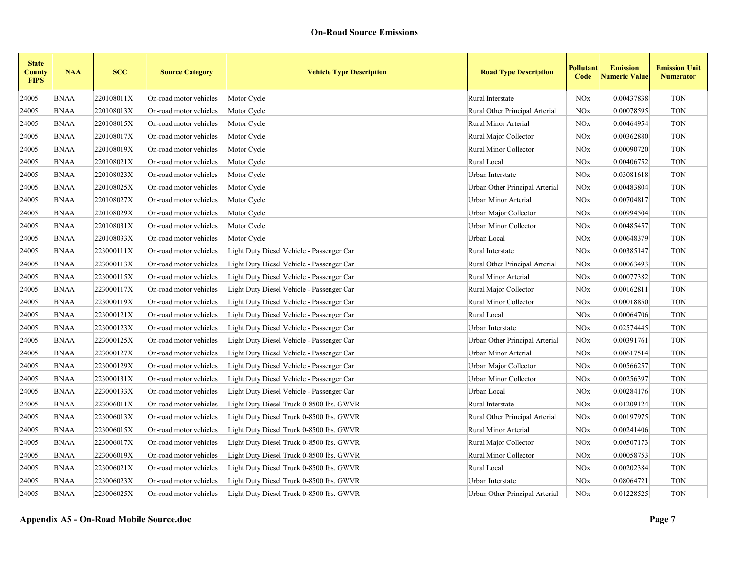| <b>State</b><br><b>County</b><br><b>FIPS</b> | <b>NAA</b>  | <b>SCC</b> | <b>Source Category</b> | <b>Vehicle Type Description</b>           | <b>Road Type Description</b>   | Pollutant<br>Code     | <b>Emission</b><br><b>Numeric Value</b> | <b>Emission Unit</b><br><b>Numerator</b> |
|----------------------------------------------|-------------|------------|------------------------|-------------------------------------------|--------------------------------|-----------------------|-----------------------------------------|------------------------------------------|
| 24005                                        | <b>BNAA</b> | 220108011X | On-road motor vehicles | Motor Cycle                               | Rural Interstate               | <b>NOx</b>            | 0.00437838                              | <b>TON</b>                               |
| 24005                                        | <b>BNAA</b> | 220108013X | On-road motor vehicles | Motor Cycle                               | Rural Other Principal Arterial | <b>NOx</b>            | 0.00078595                              | <b>TON</b>                               |
| 24005                                        | <b>BNAA</b> | 220108015X | On-road motor vehicles | Motor Cycle                               | Rural Minor Arterial           | <b>NOx</b>            | 0.00464954                              | <b>TON</b>                               |
| 24005                                        | BNAA        | 220108017X | On-road motor vehicles | Motor Cycle                               | Rural Major Collector          | <b>NOx</b>            | 0.00362880                              | <b>TON</b>                               |
| 24005                                        | <b>BNAA</b> | 220108019X | On-road motor vehicles | Motor Cycle                               | Rural Minor Collector          | <b>NOx</b>            | 0.00090720                              | <b>TON</b>                               |
| 24005                                        | BNAA        | 220108021X | On-road motor vehicles | Motor Cycle                               | Rural Local                    | <b>NOx</b>            | 0.00406752                              | <b>TON</b>                               |
| 24005                                        | <b>BNAA</b> | 220108023X | On-road motor vehicles | Motor Cycle                               | Urban Interstate               | <b>NOx</b>            | 0.03081618                              | <b>TON</b>                               |
| 24005                                        | <b>BNAA</b> | 220108025X | On-road motor vehicles | Motor Cycle                               | Urban Other Principal Arterial | <b>NOx</b>            | 0.00483804                              | <b>TON</b>                               |
| 24005                                        | <b>BNAA</b> | 220108027X | On-road motor vehicles | Motor Cycle                               | Urban Minor Arterial           | <b>NOx</b>            | 0.00704817                              | <b>TON</b>                               |
| 24005                                        | <b>BNAA</b> | 220108029X | On-road motor vehicles | Motor Cycle                               | Urban Major Collector          | <b>NOx</b>            | 0.00994504                              | <b>TON</b>                               |
| 24005                                        | <b>BNAA</b> | 220108031X | On-road motor vehicles | Motor Cycle                               | Urban Minor Collector          | <b>NOx</b>            | 0.00485457                              | <b>TON</b>                               |
| 24005                                        | <b>BNAA</b> | 220108033X | On-road motor vehicles | Motor Cycle                               | Urban Local                    | <b>NOx</b>            | 0.00648379                              | <b>TON</b>                               |
| 24005                                        | <b>BNAA</b> | 223000111X | On-road motor vehicles | Light Duty Diesel Vehicle - Passenger Car | Rural Interstate               | <b>NOx</b>            | 0.00385147                              | <b>TON</b>                               |
| 24005                                        | <b>BNAA</b> | 223000113X | On-road motor vehicles | Light Duty Diesel Vehicle - Passenger Car | Rural Other Principal Arterial | <b>NOx</b>            | 0.00063493                              | <b>TON</b>                               |
| 24005                                        | <b>BNAA</b> | 223000115X | On-road motor vehicles | Light Duty Diesel Vehicle - Passenger Car | Rural Minor Arterial           | <b>NOx</b>            | 0.00077382                              | <b>TON</b>                               |
| 24005                                        | <b>BNAA</b> | 223000117X | On-road motor vehicles | Light Duty Diesel Vehicle - Passenger Car | Rural Major Collector          | <b>NOx</b>            | 0.00162811                              | <b>TON</b>                               |
| 24005                                        | <b>BNAA</b> | 223000119X | On-road motor vehicles | Light Duty Diesel Vehicle - Passenger Car | Rural Minor Collector          | <b>NOx</b>            | 0.00018850                              | <b>TON</b>                               |
| 24005                                        | <b>BNAA</b> | 223000121X | On-road motor vehicles | Light Duty Diesel Vehicle - Passenger Car | Rural Local                    | <b>NOx</b>            | 0.00064706                              | <b>TON</b>                               |
| 24005                                        | <b>BNAA</b> | 223000123X | On-road motor vehicles | Light Duty Diesel Vehicle - Passenger Car | Urban Interstate               | <b>NOx</b>            | 0.02574445                              | <b>TON</b>                               |
| 24005                                        | <b>BNAA</b> | 223000125X | On-road motor vehicles | Light Duty Diesel Vehicle - Passenger Car | Urban Other Principal Arterial | <b>NOx</b>            | 0.00391761                              | <b>TON</b>                               |
| 24005                                        | <b>BNAA</b> | 223000127X | On-road motor vehicles | Light Duty Diesel Vehicle - Passenger Car | Urban Minor Arterial           | <b>NOx</b>            | 0.00617514                              | <b>TON</b>                               |
| 24005                                        | <b>BNAA</b> | 223000129X | On-road motor vehicles | Light Duty Diesel Vehicle - Passenger Car | Urban Major Collector          | <b>NOx</b>            | 0.00566257                              | <b>TON</b>                               |
| 24005                                        | <b>BNAA</b> | 223000131X | On-road motor vehicles | Light Duty Diesel Vehicle - Passenger Car | Urban Minor Collector          | <b>NOx</b>            | 0.00256397                              | <b>TON</b>                               |
| 24005                                        | <b>BNAA</b> | 223000133X | On-road motor vehicles | Light Duty Diesel Vehicle - Passenger Car | Urban Local                    | <b>NOx</b>            | 0.00284176                              | <b>TON</b>                               |
| 24005                                        | <b>BNAA</b> | 223006011X | On-road motor vehicles | Light Duty Diesel Truck 0-8500 lbs. GWVR  | Rural Interstate               | <b>NOx</b>            | 0.01209124                              | <b>TON</b>                               |
| 24005                                        | <b>BNAA</b> | 223006013X | On-road motor vehicles | Light Duty Diesel Truck 0-8500 lbs. GWVR  | Rural Other Principal Arterial | <b>NOx</b>            | 0.00197975                              | <b>TON</b>                               |
| 24005                                        | <b>BNAA</b> | 223006015X | On-road motor vehicles | Light Duty Diesel Truck 0-8500 lbs. GWVR  | Rural Minor Arterial           | <b>NOx</b>            | 0.00241406                              | <b>TON</b>                               |
| 24005                                        | <b>BNAA</b> | 223006017X | On-road motor vehicles | Light Duty Diesel Truck 0-8500 lbs. GWVR  | Rural Major Collector          | NO <sub>x</sub>       | 0.00507173                              | <b>TON</b>                               |
| 24005                                        | <b>BNAA</b> | 223006019X | On-road motor vehicles | Light Duty Diesel Truck 0-8500 lbs. GWVR  | Rural Minor Collector          | <b>NOx</b>            | 0.00058753                              | <b>TON</b>                               |
| 24005                                        | <b>BNAA</b> | 223006021X | On-road motor vehicles | Light Duty Diesel Truck 0-8500 lbs. GWVR  | Rural Local                    | <b>NOx</b>            | 0.00202384                              | <b>TON</b>                               |
| 24005                                        | BNAA        | 223006023X | On-road motor vehicles | Light Duty Diesel Truck 0-8500 lbs. GWVR  | Urban Interstate               | <b>NOx</b>            | 0.08064721                              | <b>TON</b>                               |
| 24005                                        | <b>BNAA</b> | 223006025X | On-road motor vehicles | Light Duty Diesel Truck 0-8500 lbs. GWVR  | Urban Other Principal Arterial | <b>NO<sub>x</sub></b> | 0.01228525                              | <b>TON</b>                               |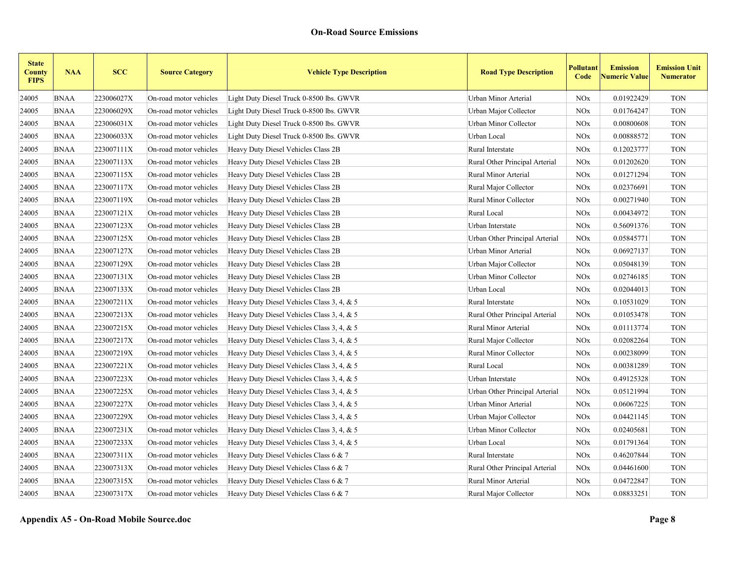| <b>State</b><br><b>County</b><br><b>FIPS</b> | <b>NAA</b>  | <b>SCC</b> | <b>Source Category</b> | <b>Vehicle Type Description</b>            | <b>Road Type Description</b>   | Pollutant<br>Code     | <b>Emission</b><br><b>Numeric Value</b> | <b>Emission Unit</b><br><b>Numerator</b> |
|----------------------------------------------|-------------|------------|------------------------|--------------------------------------------|--------------------------------|-----------------------|-----------------------------------------|------------------------------------------|
| 24005                                        | <b>BNAA</b> | 223006027X | On-road motor vehicles | Light Duty Diesel Truck 0-8500 lbs. GWVR   | Urban Minor Arterial           | <b>NOx</b>            | 0.01922429                              | <b>TON</b>                               |
| 24005                                        | <b>BNAA</b> | 223006029X | On-road motor vehicles | Light Duty Diesel Truck 0-8500 lbs. GWVR   | Urban Major Collector          | <b>NOx</b>            | 0.01764247                              | <b>TON</b>                               |
| 24005                                        | <b>BNAA</b> | 223006031X | On-road motor vehicles | Light Duty Diesel Truck 0-8500 lbs. GWVR   | Urban Minor Collector          | <b>NOx</b>            | 0.00800608                              | <b>TON</b>                               |
| 24005                                        | <b>BNAA</b> | 223006033X | On-road motor vehicles | Light Duty Diesel Truck 0-8500 lbs. GWVR   | Urban Local                    | <b>NO<sub>x</sub></b> | 0.00888572                              | <b>TON</b>                               |
| 24005                                        | <b>BNAA</b> | 223007111X | On-road motor vehicles | Heavy Duty Diesel Vehicles Class 2B        | Rural Interstate               | <b>NO<sub>x</sub></b> | 0.12023777                              | <b>TON</b>                               |
| 24005                                        | <b>BNAA</b> | 223007113X | On-road motor vehicles | Heavy Duty Diesel Vehicles Class 2B        | Rural Other Principal Arterial | <b>NO<sub>x</sub></b> | 0.01202620                              | <b>TON</b>                               |
| 24005                                        | <b>BNAA</b> | 223007115X | On-road motor vehicles | Heavy Duty Diesel Vehicles Class 2B        | Rural Minor Arterial           | <b>NO<sub>x</sub></b> | 0.01271294                              | <b>TON</b>                               |
| 24005                                        | <b>BNAA</b> | 223007117X | On-road motor vehicles | Heavy Duty Diesel Vehicles Class 2B        | Rural Major Collector          | <b>NO<sub>x</sub></b> | 0.02376691                              | <b>TON</b>                               |
| 24005                                        | <b>BNAA</b> | 223007119X | On-road motor vehicles | Heavy Duty Diesel Vehicles Class 2B        | Rural Minor Collector          | <b>NOx</b>            | 0.00271940                              | <b>TON</b>                               |
| 24005                                        | <b>BNAA</b> | 223007121X | On-road motor vehicles | Heavy Duty Diesel Vehicles Class 2B        | Rural Local                    | <b>NOx</b>            | 0.00434972                              | <b>TON</b>                               |
| 24005                                        | <b>BNAA</b> | 223007123X | On-road motor vehicles | Heavy Duty Diesel Vehicles Class 2B        | Urban Interstate               | <b>NOx</b>            | 0.56091376                              | <b>TON</b>                               |
| 24005                                        | <b>BNAA</b> | 223007125X | On-road motor vehicles | Heavy Duty Diesel Vehicles Class 2B        | Urban Other Principal Arterial | <b>NOx</b>            | 0.05845771                              | <b>TON</b>                               |
| 24005                                        | <b>BNAA</b> | 223007127X | On-road motor vehicles | Heavy Duty Diesel Vehicles Class 2B        | Urban Minor Arterial           | <b>NOx</b>            | 0.06927137                              | <b>TON</b>                               |
| 24005                                        | <b>BNAA</b> | 223007129X | On-road motor vehicles | Heavy Duty Diesel Vehicles Class 2B        | Urban Major Collector          | <b>NOx</b>            | 0.05048139                              | <b>TON</b>                               |
| 24005                                        | <b>BNAA</b> | 223007131X | On-road motor vehicles | Heavy Duty Diesel Vehicles Class 2B        | Urban Minor Collector          | <b>NOx</b>            | 0.02746185                              | <b>TON</b>                               |
| 24005                                        | <b>BNAA</b> | 223007133X | On-road motor vehicles | Heavy Duty Diesel Vehicles Class 2B        | Urban Local                    | <b>NOx</b>            | 0.02044013                              | <b>TON</b>                               |
| 24005                                        | <b>BNAA</b> | 223007211X | On-road motor vehicles | Heavy Duty Diesel Vehicles Class 3, 4, & 5 | Rural Interstate               | <b>NOx</b>            | 0.10531029                              | <b>TON</b>                               |
| 24005                                        | <b>BNAA</b> | 223007213X | On-road motor vehicles | Heavy Duty Diesel Vehicles Class 3, 4, & 5 | Rural Other Principal Arterial | <b>NOx</b>            | 0.01053478                              | <b>TON</b>                               |
| 24005                                        | <b>BNAA</b> | 223007215X | On-road motor vehicles | Heavy Duty Diesel Vehicles Class 3, 4, & 5 | Rural Minor Arterial           | <b>NOx</b>            | 0.01113774                              | <b>TON</b>                               |
| 24005                                        | <b>BNAA</b> | 223007217X | On-road motor vehicles | Heavy Duty Diesel Vehicles Class 3, 4, & 5 | Rural Major Collector          | <b>NOx</b>            | 0.02082264                              | <b>TON</b>                               |
| 24005                                        | <b>BNAA</b> | 223007219X | On-road motor vehicles | Heavy Duty Diesel Vehicles Class 3, 4, & 5 | Rural Minor Collector          | <b>NOx</b>            | 0.00238099                              | <b>TON</b>                               |
| 24005                                        | <b>BNAA</b> | 223007221X | On-road motor vehicles | Heavy Duty Diesel Vehicles Class 3, 4, & 5 | Rural Local                    | <b>NOx</b>            | 0.00381289                              | <b>TON</b>                               |
| 24005                                        | <b>BNAA</b> | 223007223X | On-road motor vehicles | Heavy Duty Diesel Vehicles Class 3, 4, & 5 | Urban Interstate               | <b>NOx</b>            | 0.49125328                              | <b>TON</b>                               |
| 24005                                        | <b>BNAA</b> | 223007225X | On-road motor vehicles | Heavy Duty Diesel Vehicles Class 3, 4, & 5 | Urban Other Principal Arterial | <b>NOx</b>            | 0.05121994                              | <b>TON</b>                               |
| 24005                                        | <b>BNAA</b> | 223007227X | On-road motor vehicles | Heavy Duty Diesel Vehicles Class 3, 4, & 5 | Urban Minor Arterial           | <b>NOx</b>            | 0.06067225                              | <b>TON</b>                               |
| 24005                                        | <b>BNAA</b> | 223007229X | On-road motor vehicles | Heavy Duty Diesel Vehicles Class 3, 4, & 5 | Urban Major Collector          | <b>NOx</b>            | 0.04421145                              | <b>TON</b>                               |
| 24005                                        | <b>BNAA</b> | 223007231X | On-road motor vehicles | Heavy Duty Diesel Vehicles Class 3, 4, & 5 | Urban Minor Collector          | <b>NOx</b>            | 0.02405681                              | <b>TON</b>                               |
| 24005                                        | <b>BNAA</b> | 223007233X | On-road motor vehicles | Heavy Duty Diesel Vehicles Class 3, 4, & 5 | Urban Local                    | <b>NOx</b>            | 0.01791364                              | <b>TON</b>                               |
| 24005                                        | <b>BNAA</b> | 223007311X | On-road motor vehicles | Heavy Duty Diesel Vehicles Class 6 & 7     | Rural Interstate               | <b>NOx</b>            | 0.46207844                              | <b>TON</b>                               |
| 24005                                        | <b>BNAA</b> | 223007313X | On-road motor vehicles | Heavy Duty Diesel Vehicles Class 6 & 7     | Rural Other Principal Arterial | <b>NOx</b>            | 0.04461600                              | <b>TON</b>                               |
| 24005                                        | <b>BNAA</b> | 223007315X | On-road motor vehicles | Heavy Duty Diesel Vehicles Class 6 & 7     | Rural Minor Arterial           | <b>NOx</b>            | 0.04722847                              | <b>TON</b>                               |
| 24005                                        | <b>BNAA</b> | 223007317X | On-road motor vehicles | Heavy Duty Diesel Vehicles Class 6 & 7     | Rural Major Collector          | <b>NOx</b>            | 0.08833251                              | <b>TON</b>                               |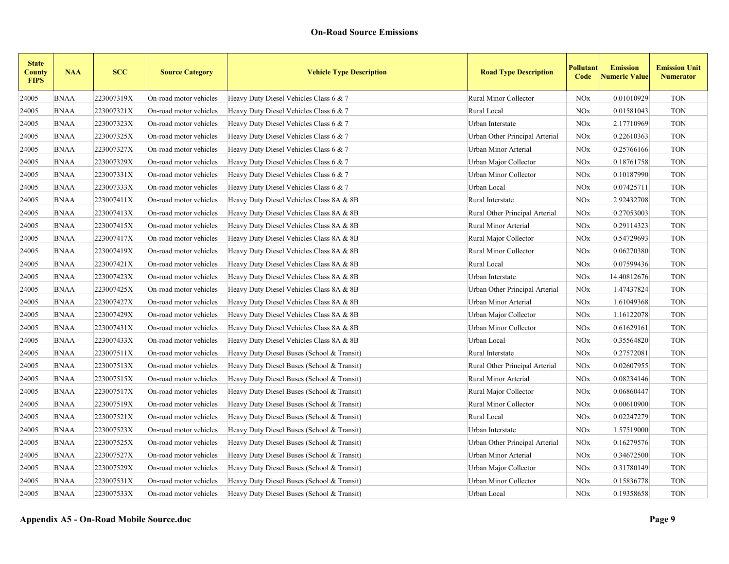| <b>State</b><br><b>County</b><br><b>FIPS</b> | <b>NAA</b>  | <b>SCC</b> | <b>Source Category</b> | <b>Vehicle Type Description</b>            | <b>Road Type Description</b>   | Pollutant<br>Code | <b>Emission</b><br><b>Numeric Value</b> | <b>Emission Unit</b><br><b>Numerator</b> |
|----------------------------------------------|-------------|------------|------------------------|--------------------------------------------|--------------------------------|-------------------|-----------------------------------------|------------------------------------------|
| 24005                                        | <b>BNAA</b> | 223007319X | On-road motor vehicles | Heavy Duty Diesel Vehicles Class 6 $& 7$   | <b>Rural Minor Collector</b>   | <b>NOx</b>        | 0.01010929                              | <b>TON</b>                               |
| 24005                                        | <b>BNAA</b> | 223007321X | On-road motor vehicles | Heavy Duty Diesel Vehicles Class 6 & 7     | Rural Local                    | <b>NOx</b>        | 0.01581043                              | <b>TON</b>                               |
| 24005                                        | <b>BNAA</b> | 223007323X | On-road motor vehicles | Heavy Duty Diesel Vehicles Class $6 & 7$   | Urban Interstate               | <b>NOx</b>        | 2.17710969                              | <b>TON</b>                               |
| 24005                                        | <b>BNAA</b> | 223007325X | On-road motor vehicles | Heavy Duty Diesel Vehicles Class 6 & 7     | Urban Other Principal Arterial | <b>NOx</b>        | 0.22610363                              | <b>TON</b>                               |
| 24005                                        | <b>BNAA</b> | 223007327X | On-road motor vehicles | Heavy Duty Diesel Vehicles Class 6 & 7     | Urban Minor Arterial           | <b>NOx</b>        | 0.25766166                              | <b>TON</b>                               |
| 24005                                        | <b>BNAA</b> | 223007329X | On-road motor vehicles | Heavy Duty Diesel Vehicles Class 6 $& 7$   | Urban Major Collector          | <b>NOx</b>        | 0.18761758                              | <b>TON</b>                               |
| 24005                                        | <b>BNAA</b> | 223007331X | On-road motor vehicles | Heavy Duty Diesel Vehicles Class 6 $& 7$   | Urban Minor Collector          | <b>NOx</b>        | 0.10187990                              | <b>TON</b>                               |
| 24005                                        | <b>BNAA</b> | 223007333X | On-road motor vehicles | Heavy Duty Diesel Vehicles Class 6 & 7     | Urban Local                    | <b>NOx</b>        | 0.07425711                              | <b>TON</b>                               |
| 24005                                        | <b>BNAA</b> | 223007411X | On-road motor vehicles | Heavy Duty Diesel Vehicles Class 8A & 8B   | Rural Interstate               | <b>NOx</b>        | 2.92432708                              | <b>TON</b>                               |
| 24005                                        | <b>BNAA</b> | 223007413X | On-road motor vehicles | Heavy Duty Diesel Vehicles Class 8A & 8B   | Rural Other Principal Arterial | <b>NOx</b>        | 0.27053003                              | <b>TON</b>                               |
| 24005                                        | <b>BNAA</b> | 223007415X | On-road motor vehicles | Heavy Duty Diesel Vehicles Class 8A & 8B   | Rural Minor Arterial           | <b>NOx</b>        | 0.29114323                              | <b>TON</b>                               |
| 24005                                        | <b>BNAA</b> | 223007417X | On-road motor vehicles | Heavy Duty Diesel Vehicles Class 8A & 8B   | Rural Major Collector          | <b>NOx</b>        | 0.54729693                              | <b>TON</b>                               |
| 24005                                        | <b>BNAA</b> | 223007419X | On-road motor vehicles | Heavy Duty Diesel Vehicles Class 8A & 8B   | Rural Minor Collector          | <b>NOx</b>        | 0.06270380                              | <b>TON</b>                               |
| 24005                                        | <b>BNAA</b> | 223007421X | On-road motor vehicles | Heavy Duty Diesel Vehicles Class 8A & 8B   | Rural Local                    | <b>NOx</b>        | 0.07599436                              | <b>TON</b>                               |
| 24005                                        | <b>BNAA</b> | 223007423X | On-road motor vehicles | Heavy Duty Diesel Vehicles Class 8A & 8B   | Urban Interstate               | <b>NOx</b>        | 14.40812676                             | <b>TON</b>                               |
| 24005                                        | <b>BNAA</b> | 223007425X | On-road motor vehicles | Heavy Duty Diesel Vehicles Class 8A & 8B   | Urban Other Principal Arterial | <b>NOx</b>        | 1.47437824                              | <b>TON</b>                               |
| 24005                                        | <b>BNAA</b> | 223007427X | On-road motor vehicles | Heavy Duty Diesel Vehicles Class 8A & 8B   | Urban Minor Arterial           | <b>NOx</b>        | 1.61049368                              | <b>TON</b>                               |
| 24005                                        | <b>BNAA</b> | 223007429X | On-road motor vehicles | Heavy Duty Diesel Vehicles Class 8A & 8B   | Urban Major Collector          | <b>NOx</b>        | 1.16122078                              | <b>TON</b>                               |
| 24005                                        | <b>BNAA</b> | 223007431X | On-road motor vehicles | Heavy Duty Diesel Vehicles Class 8A & 8B   | Urban Minor Collector          | <b>NOx</b>        | 0.61629161                              | <b>TON</b>                               |
| 24005                                        | <b>BNAA</b> | 223007433X | On-road motor vehicles | Heavy Duty Diesel Vehicles Class 8A & 8B   | Urban Local                    | <b>NOx</b>        | 0.35564820                              | <b>TON</b>                               |
| 24005                                        | <b>BNAA</b> | 223007511X | On-road motor vehicles | Heavy Duty Diesel Buses (School & Transit) | Rural Interstate               | <b>NOx</b>        | 0.27572081                              | <b>TON</b>                               |
| 24005                                        | <b>BNAA</b> | 223007513X | On-road motor vehicles | Heavy Duty Diesel Buses (School & Transit) | Rural Other Principal Arterial | <b>NOx</b>        | 0.02607955                              | <b>TON</b>                               |
| 24005                                        | <b>BNAA</b> | 223007515X | On-road motor vehicles | Heavy Duty Diesel Buses (School & Transit) | Rural Minor Arterial           | <b>NOx</b>        | 0.08234146                              | <b>TON</b>                               |
| 24005                                        | <b>BNAA</b> | 223007517X | On-road motor vehicles | Heavy Duty Diesel Buses (School & Transit) | Rural Major Collector          | <b>NOx</b>        | 0.06860447                              | <b>TON</b>                               |
| 24005                                        | <b>BNAA</b> | 223007519X | On-road motor vehicles | Heavy Duty Diesel Buses (School & Transit) | Rural Minor Collector          | <b>NOx</b>        | 0.00610900                              | <b>TON</b>                               |
| 24005                                        | <b>BNAA</b> | 223007521X | On-road motor vehicles | Heavy Duty Diesel Buses (School & Transit) | Rural Local                    | <b>NO</b> x       | 0.02247279                              | <b>TON</b>                               |
| 24005                                        | <b>BNAA</b> | 223007523X | On-road motor vehicles | Heavy Duty Diesel Buses (School & Transit) | Urban Interstate               | <b>NO</b> x       | 1.57519000                              | <b>TON</b>                               |
| 24005                                        | <b>BNAA</b> | 223007525X | On-road motor vehicles | Heavy Duty Diesel Buses (School & Transit) | Urban Other Principal Arterial | <b>NOx</b>        | 0.16279576                              | <b>TON</b>                               |
| 24005                                        | <b>BNAA</b> | 223007527X | On-road motor vehicles | Heavy Duty Diesel Buses (School & Transit) | Urban Minor Arterial           | <b>NOx</b>        | 0.34672500                              | <b>TON</b>                               |
| 24005                                        | <b>BNAA</b> | 223007529X | On-road motor vehicles | Heavy Duty Diesel Buses (School & Transit) | Urban Major Collector          | <b>NOx</b>        | 0.31780149                              | <b>TON</b>                               |
| 24005                                        | <b>BNAA</b> | 223007531X | On-road motor vehicles | Heavy Duty Diesel Buses (School & Transit) | <b>Urban Minor Collector</b>   | <b>NOx</b>        | 0.15836778                              | <b>TON</b>                               |
| 24005                                        | <b>BNAA</b> | 223007533X | On-road motor vehicles | Heavy Duty Diesel Buses (School & Transit) | Urban Local                    | <b>NOx</b>        | 0.19358658                              | <b>TON</b>                               |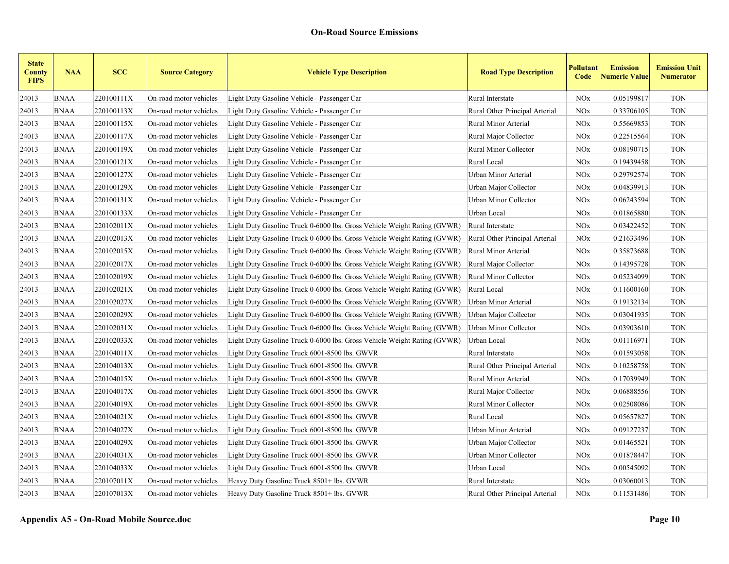| <b>State</b><br><b>County</b><br><b>FIPS</b> | <b>NAA</b>  | <b>SCC</b> | <b>Source Category</b> | <b>Vehicle Type Description</b>                                          | <b>Road Type Description</b>   | Pollutant<br>Code | <b>Emission</b><br><b>Numeric Value</b> | <b>Emission Unit</b><br><b>Numerator</b> |
|----------------------------------------------|-------------|------------|------------------------|--------------------------------------------------------------------------|--------------------------------|-------------------|-----------------------------------------|------------------------------------------|
| 24013                                        | <b>BNAA</b> | 220100111X | On-road motor vehicles | Light Duty Gasoline Vehicle - Passenger Car                              | Rural Interstate               | <b>NOx</b>        | 0.05199817                              | <b>TON</b>                               |
| 24013                                        | <b>BNAA</b> | 220100113X | On-road motor vehicles | Light Duty Gasoline Vehicle - Passenger Car                              | Rural Other Principal Arterial | <b>NOx</b>        | 0.33706105                              | <b>TON</b>                               |
| 24013                                        | <b>BNAA</b> | 220100115X | On-road motor vehicles | Light Duty Gasoline Vehicle - Passenger Car                              | Rural Minor Arterial           | <b>NOx</b>        | 0.55669853                              | <b>TON</b>                               |
| 24013                                        | <b>BNAA</b> | 220100117X | On-road motor vehicles | Light Duty Gasoline Vehicle - Passenger Car                              | Rural Major Collector          | <b>NOx</b>        | 0.22515564                              | <b>TON</b>                               |
| 24013                                        | <b>BNAA</b> | 220100119X | On-road motor vehicles | Light Duty Gasoline Vehicle - Passenger Car                              | Rural Minor Collector          | <b>NOx</b>        | 0.08190715                              | <b>TON</b>                               |
| 24013                                        | <b>BNAA</b> | 220100121X | On-road motor vehicles | Light Duty Gasoline Vehicle - Passenger Car                              | Rural Local                    | <b>NOx</b>        | 0.19439458                              | <b>TON</b>                               |
| 24013                                        | <b>BNAA</b> | 220100127X | On-road motor vehicles | Light Duty Gasoline Vehicle - Passenger Car                              | Urban Minor Arterial           | <b>NOx</b>        | 0.29792574                              | <b>TON</b>                               |
| 24013                                        | <b>BNAA</b> | 220100129X | On-road motor vehicles | Light Duty Gasoline Vehicle - Passenger Car                              | Urban Major Collector          | <b>NOx</b>        | 0.04839913                              | <b>TON</b>                               |
| 24013                                        | <b>BNAA</b> | 220100131X | On-road motor vehicles | Light Duty Gasoline Vehicle - Passenger Car                              | Urban Minor Collector          | <b>NOx</b>        | 0.06243594                              | <b>TON</b>                               |
| 24013                                        | <b>BNAA</b> | 220100133X | On-road motor vehicles | Light Duty Gasoline Vehicle - Passenger Car                              | Urban Local                    | <b>NOx</b>        | 0.01865880                              | <b>TON</b>                               |
| 24013                                        | <b>BNAA</b> | 220102011X | On-road motor vehicles | Light Duty Gasoline Truck 0-6000 lbs. Gross Vehicle Weight Rating (GVWR) | Rural Interstate               | <b>NOx</b>        | 0.03422452                              | <b>TON</b>                               |
| 24013                                        | <b>BNAA</b> | 220102013X | On-road motor vehicles | Light Duty Gasoline Truck 0-6000 lbs. Gross Vehicle Weight Rating (GVWR) | Rural Other Principal Arterial | <b>NOx</b>        | 0.21633496                              | <b>TON</b>                               |
| 24013                                        | <b>BNAA</b> | 220102015X | On-road motor vehicles | Light Duty Gasoline Truck 0-6000 lbs. Gross Vehicle Weight Rating (GVWR) | Rural Minor Arterial           | <b>NOx</b>        | 0.35873688                              | <b>TON</b>                               |
| 24013                                        | <b>BNAA</b> | 220102017X | On-road motor vehicles | Light Duty Gasoline Truck 0-6000 lbs. Gross Vehicle Weight Rating (GVWR) | Rural Major Collector          | <b>NOx</b>        | 0.14395728                              | <b>TON</b>                               |
| 24013                                        | <b>BNAA</b> | 220102019X | On-road motor vehicles | Light Duty Gasoline Truck 0-6000 lbs. Gross Vehicle Weight Rating (GVWR) | Rural Minor Collector          | <b>NOx</b>        | 0.05234099                              | <b>TON</b>                               |
| 24013                                        | <b>BNAA</b> | 220102021X | On-road motor vehicles | Light Duty Gasoline Truck 0-6000 lbs. Gross Vehicle Weight Rating (GVWR) | Rural Local                    | <b>NOx</b>        | 0.11600160                              | <b>TON</b>                               |
| 24013                                        | <b>BNAA</b> | 220102027X | On-road motor vehicles | Light Duty Gasoline Truck 0-6000 lbs. Gross Vehicle Weight Rating (GVWR) | Urban Minor Arterial           | <b>NOx</b>        | 0.19132134                              | <b>TON</b>                               |
| 24013                                        | <b>BNAA</b> | 220102029X | On-road motor vehicles | Light Duty Gasoline Truck 0-6000 lbs. Gross Vehicle Weight Rating (GVWR) | Urban Major Collector          | <b>NOx</b>        | 0.03041935                              | <b>TON</b>                               |
| 24013                                        | <b>BNAA</b> | 220102031X | On-road motor vehicles | Light Duty Gasoline Truck 0-6000 lbs. Gross Vehicle Weight Rating (GVWR) | Urban Minor Collector          | <b>NOx</b>        | 0.03903610                              | <b>TON</b>                               |
| 24013                                        | <b>BNAA</b> | 220102033X | On-road motor vehicles | Light Duty Gasoline Truck 0-6000 lbs. Gross Vehicle Weight Rating (GVWR) | Urban Local                    | <b>NOx</b>        | 0.01116971                              | <b>TON</b>                               |
| 24013                                        | <b>BNAA</b> | 220104011X | On-road motor vehicles | Light Duty Gasoline Truck 6001-8500 lbs. GWVR                            | Rural Interstate               | <b>NOx</b>        | 0.01593058                              | <b>TON</b>                               |
| 24013                                        | <b>BNAA</b> | 220104013X | On-road motor vehicles | Light Duty Gasoline Truck 6001-8500 lbs. GWVR                            | Rural Other Principal Arterial | <b>NOx</b>        | 0.10258758                              | <b>TON</b>                               |
| 24013                                        | <b>BNAA</b> | 220104015X | On-road motor vehicles | Light Duty Gasoline Truck 6001-8500 lbs. GWVR                            | Rural Minor Arterial           | <b>NOx</b>        | 0.17039949                              | <b>TON</b>                               |
| 24013                                        | <b>BNAA</b> | 220104017X | On-road motor vehicles | Light Duty Gasoline Truck 6001-8500 lbs. GWVR                            | Rural Major Collector          | <b>NOx</b>        | 0.06888556                              | <b>TON</b>                               |
| 24013                                        | <b>BNAA</b> | 220104019X | On-road motor vehicles | Light Duty Gasoline Truck 6001-8500 lbs. GWVR                            | <b>Rural Minor Collector</b>   | <b>NOx</b>        | 0.02508086                              | <b>TON</b>                               |
| 24013                                        | <b>BNAA</b> | 220104021X | On-road motor vehicles | Light Duty Gasoline Truck 6001-8500 lbs. GWVR                            | Rural Local                    | <b>NOx</b>        | 0.05657827                              | <b>TON</b>                               |
| 24013                                        | <b>BNAA</b> | 220104027X | On-road motor vehicles | Light Duty Gasoline Truck 6001-8500 lbs. GWVR                            | Urban Minor Arterial           | <b>NOx</b>        | 0.09127237                              | <b>TON</b>                               |
| 24013                                        | <b>BNAA</b> | 220104029X | On-road motor vehicles | Light Duty Gasoline Truck 6001-8500 lbs. GWVR                            | Urban Major Collector          | <b>NOx</b>        | 0.01465521                              | <b>TON</b>                               |
| 24013                                        | <b>BNAA</b> | 220104031X | On-road motor vehicles | Light Duty Gasoline Truck 6001-8500 lbs. GWVR                            | <b>Urban Minor Collector</b>   | <b>NOx</b>        | 0.01878447                              | <b>TON</b>                               |
| 24013                                        | <b>BNAA</b> | 220104033X | On-road motor vehicles | Light Duty Gasoline Truck 6001-8500 lbs. GWVR                            | Urban Local                    | <b>NOx</b>        | 0.00545092                              | <b>TON</b>                               |
| 24013                                        | <b>BNAA</b> | 220107011X | On-road motor vehicles | Heavy Duty Gasoline Truck 8501+ lbs. GVWR                                | Rural Interstate               | <b>NOx</b>        | 0.03060013                              | <b>TON</b>                               |
| 24013                                        | <b>BNAA</b> | 220107013X | On-road motor vehicles | Heavy Duty Gasoline Truck 8501+ lbs. GVWR                                | Rural Other Principal Arterial | <b>NOx</b>        | 0.11531486                              | <b>TON</b>                               |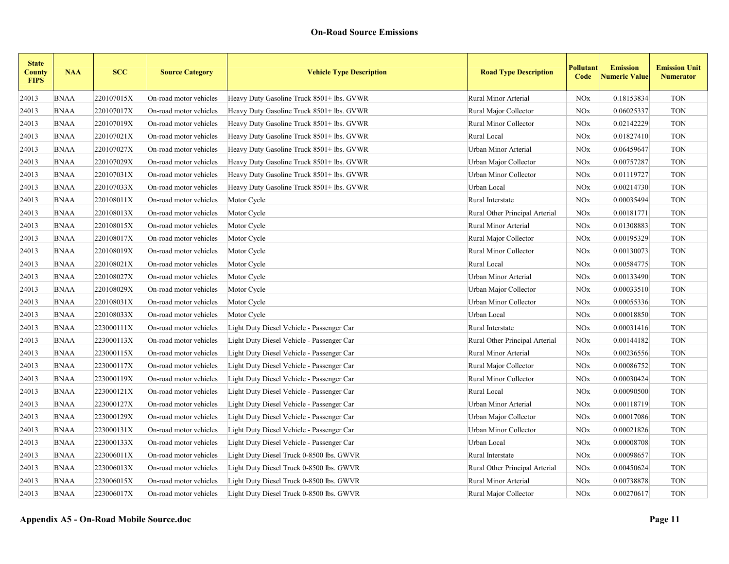| <b>State</b><br><b>County</b><br><b>FIPS</b> | <b>NAA</b>  | <b>SCC</b> | <b>Source Category</b> | <b>Vehicle Type Description</b>           | <b>Road Type Description</b>   | Pollutant<br>Code | <b>Emission</b><br><b>Numeric Value</b> | <b>Emission Unit</b><br><b>Numerator</b> |
|----------------------------------------------|-------------|------------|------------------------|-------------------------------------------|--------------------------------|-------------------|-----------------------------------------|------------------------------------------|
| 24013                                        | <b>BNAA</b> | 220107015X | On-road motor vehicles | Heavy Duty Gasoline Truck 8501+ lbs. GVWR | Rural Minor Arterial           | <b>NOx</b>        | 0.18153834                              | <b>TON</b>                               |
| 24013                                        | <b>BNAA</b> | 220107017X | On-road motor vehicles | Heavy Duty Gasoline Truck 8501+ lbs. GVWR | Rural Major Collector          | <b>NOx</b>        | 0.06025337                              | <b>TON</b>                               |
| 24013                                        | <b>BNAA</b> | 220107019X | On-road motor vehicles | Heavy Duty Gasoline Truck 8501+ lbs. GVWR | <b>Rural Minor Collector</b>   | <b>NOx</b>        | 0.02142229                              | <b>TON</b>                               |
| 24013                                        | <b>BNAA</b> | 220107021X | On-road motor vehicles | Heavy Duty Gasoline Truck 8501+ lbs. GVWR | Rural Local                    | <b>NOx</b>        | 0.01827410                              | <b>TON</b>                               |
| 24013                                        | <b>BNAA</b> | 220107027X | On-road motor vehicles | Heavy Duty Gasoline Truck 8501+ lbs. GVWR | Urban Minor Arterial           | <b>NOx</b>        | 0.06459647                              | <b>TON</b>                               |
| 24013                                        | <b>BNAA</b> | 220107029X | On-road motor vehicles | Heavy Duty Gasoline Truck 8501+ lbs. GVWR | Urban Major Collector          | <b>NOx</b>        | 0.00757287                              | <b>TON</b>                               |
| 24013                                        | <b>BNAA</b> | 220107031X | On-road motor vehicles | Heavy Duty Gasoline Truck 8501+ lbs. GVWR | Urban Minor Collector          | <b>NOx</b>        | 0.01119727                              | <b>TON</b>                               |
| 24013                                        | <b>BNAA</b> | 220107033X | On-road motor vehicles | Heavy Duty Gasoline Truck 8501+ lbs. GVWR | Urban Local                    | <b>NOx</b>        | 0.00214730                              | <b>TON</b>                               |
| 24013                                        | <b>BNAA</b> | 220108011X | On-road motor vehicles | Motor Cycle                               | Rural Interstate               | <b>NOx</b>        | 0.00035494                              | <b>TON</b>                               |
| 24013                                        | <b>BNAA</b> | 220108013X | On-road motor vehicles | Motor Cycle                               | Rural Other Principal Arterial | <b>NOx</b>        | 0.00181771                              | <b>TON</b>                               |
| 24013                                        | <b>BNAA</b> | 220108015X | On-road motor vehicles | Motor Cycle                               | Rural Minor Arterial           | <b>NOx</b>        | 0.01308883                              | <b>TON</b>                               |
| 24013                                        | <b>BNAA</b> | 220108017X | On-road motor vehicles | Motor Cycle                               | Rural Major Collector          | <b>NOx</b>        | 0.00195329                              | <b>TON</b>                               |
| 24013                                        | <b>BNAA</b> | 220108019X | On-road motor vehicles | Motor Cycle                               | <b>Rural Minor Collector</b>   | <b>NOx</b>        | 0.00130073                              | <b>TON</b>                               |
| 24013                                        | <b>BNAA</b> | 220108021X | On-road motor vehicles | Motor Cycle                               | Rural Local                    | <b>NOx</b>        | 0.00584775                              | <b>TON</b>                               |
| 24013                                        | <b>BNAA</b> | 220108027X | On-road motor vehicles | Motor Cycle                               | Urban Minor Arterial           | <b>NOx</b>        | 0.00133490                              | <b>TON</b>                               |
| 24013                                        | <b>BNAA</b> | 220108029X | On-road motor vehicles | Motor Cycle                               | Urban Major Collector          | <b>NOx</b>        | 0.00033510                              | <b>TON</b>                               |
| 24013                                        | <b>BNAA</b> | 220108031X | On-road motor vehicles | Motor Cycle                               | Urban Minor Collector          | <b>NOx</b>        | 0.00055336                              | <b>TON</b>                               |
| 24013                                        | <b>BNAA</b> | 220108033X | On-road motor vehicles | Motor Cycle                               | Urban Local                    | <b>NOx</b>        | 0.00018850                              | <b>TON</b>                               |
| 24013                                        | <b>BNAA</b> | 223000111X | On-road motor vehicles | Light Duty Diesel Vehicle - Passenger Car | Rural Interstate               | <b>NOx</b>        | 0.00031416                              | <b>TON</b>                               |
| 24013                                        | <b>BNAA</b> | 223000113X | On-road motor vehicles | Light Duty Diesel Vehicle - Passenger Car | Rural Other Principal Arterial | <b>NOx</b>        | 0.00144182                              | <b>TON</b>                               |
| 24013                                        | <b>BNAA</b> | 223000115X | On-road motor vehicles | Light Duty Diesel Vehicle - Passenger Car | Rural Minor Arterial           | <b>NOx</b>        | 0.00236556                              | <b>TON</b>                               |
| 24013                                        | <b>BNAA</b> | 223000117X | On-road motor vehicles | Light Duty Diesel Vehicle - Passenger Car | Rural Major Collector          | <b>NOx</b>        | 0.00086752                              | <b>TON</b>                               |
| 24013                                        | <b>BNAA</b> | 223000119X | On-road motor vehicles | Light Duty Diesel Vehicle - Passenger Car | Rural Minor Collector          | <b>NOx</b>        | 0.00030424                              | <b>TON</b>                               |
| 24013                                        | <b>BNAA</b> | 223000121X | On-road motor vehicles | Light Duty Diesel Vehicle - Passenger Car | Rural Local                    | <b>NOx</b>        | 0.00090500                              | <b>TON</b>                               |
| 24013                                        | <b>BNAA</b> | 223000127X | On-road motor vehicles | Light Duty Diesel Vehicle - Passenger Car | Urban Minor Arterial           | <b>NOx</b>        | 0.00118719                              | <b>TON</b>                               |
| 24013                                        | <b>BNAA</b> | 223000129X | On-road motor vehicles | Light Duty Diesel Vehicle - Passenger Car | Urban Major Collector          | <b>NOx</b>        | 0.00017086                              | <b>TON</b>                               |
| 24013                                        | <b>BNAA</b> | 223000131X | On-road motor vehicles | Light Duty Diesel Vehicle - Passenger Car | Urban Minor Collector          | <b>NOx</b>        | 0.00021826                              | <b>TON</b>                               |
| 24013                                        | <b>BNAA</b> | 223000133X | On-road motor vehicles | Light Duty Diesel Vehicle - Passenger Car | Urban Local                    | <b>NOx</b>        | 0.00008708                              | <b>TON</b>                               |
| 24013                                        | <b>BNAA</b> | 223006011X | On-road motor vehicles | Light Duty Diesel Truck 0-8500 lbs. GWVR  | Rural Interstate               | <b>NOx</b>        | 0.00098657                              | <b>TON</b>                               |
| 24013                                        | <b>BNAA</b> | 223006013X | On-road motor vehicles | Light Duty Diesel Truck 0-8500 lbs. GWVR  | Rural Other Principal Arterial | <b>NOx</b>        | 0.00450624                              | <b>TON</b>                               |
| 24013                                        | <b>BNAA</b> | 223006015X | On-road motor vehicles | Light Duty Diesel Truck 0-8500 lbs. GWVR  | Rural Minor Arterial           | <b>NOx</b>        | 0.00738878                              | <b>TON</b>                               |
| 24013                                        | <b>BNAA</b> | 223006017X | On-road motor vehicles | Light Duty Diesel Truck 0-8500 lbs. GWVR  | Rural Major Collector          | <b>NOx</b>        | 0.00270617                              | <b>TON</b>                               |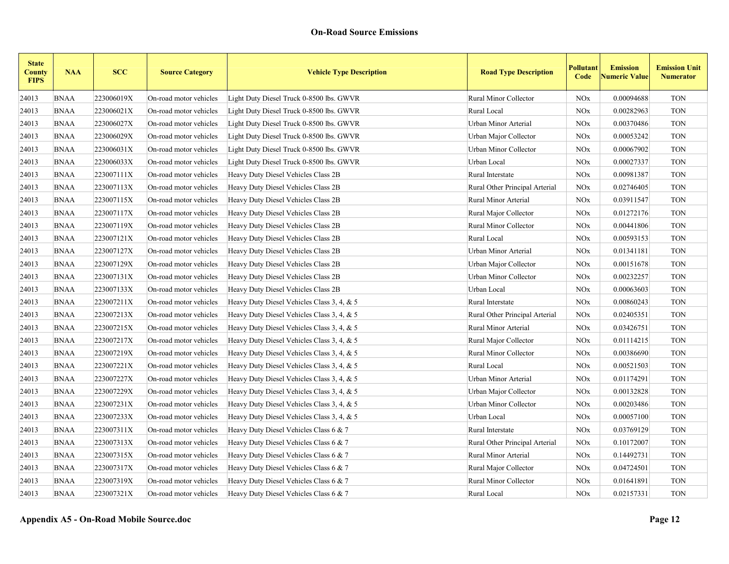| <b>State</b><br><b>County</b><br><b>FIPS</b> | <b>NAA</b>  | <b>SCC</b> | <b>Source Category</b> | <b>Vehicle Type Description</b>            | <b>Road Type Description</b>   | Pollutant<br>Code | <b>Emission</b><br><b>Numeric Value</b> | <b>Emission Unit</b><br><b>Numerator</b> |
|----------------------------------------------|-------------|------------|------------------------|--------------------------------------------|--------------------------------|-------------------|-----------------------------------------|------------------------------------------|
| 24013                                        | <b>BNAA</b> | 223006019X | On-road motor vehicles | Light Duty Diesel Truck 0-8500 lbs. GWVR   | <b>Rural Minor Collector</b>   | <b>NOx</b>        | 0.00094688                              | <b>TON</b>                               |
| 24013                                        | <b>BNAA</b> | 223006021X | On-road motor vehicles | Light Duty Diesel Truck 0-8500 lbs. GWVR   | Rural Local                    | <b>NOx</b>        | 0.00282963                              | <b>TON</b>                               |
| 24013                                        | <b>BNAA</b> | 223006027X | On-road motor vehicles | Light Duty Diesel Truck 0-8500 lbs. GWVR   | Urban Minor Arterial           | <b>NOx</b>        | 0.00370486                              | <b>TON</b>                               |
| 24013                                        | <b>BNAA</b> | 223006029X | On-road motor vehicles | Light Duty Diesel Truck 0-8500 lbs. GWVR   | Urban Major Collector          | <b>NOx</b>        | 0.00053242                              | <b>TON</b>                               |
| 24013                                        | <b>BNAA</b> | 223006031X | On-road motor vehicles | Light Duty Diesel Truck 0-8500 lbs. GWVR   | Urban Minor Collector          | <b>NOx</b>        | 0.00067902                              | <b>TON</b>                               |
| 24013                                        | <b>BNAA</b> | 223006033X | On-road motor vehicles | Light Duty Diesel Truck 0-8500 lbs. GWVR   | Urban Local                    | <b>NOx</b>        | 0.00027337                              | <b>TON</b>                               |
| 24013                                        | <b>BNAA</b> | 223007111X | On-road motor vehicles | Heavy Duty Diesel Vehicles Class 2B        | Rural Interstate               | <b>NOx</b>        | 0.00981387                              | <b>TON</b>                               |
| 24013                                        | <b>BNAA</b> | 223007113X | On-road motor vehicles | Heavy Duty Diesel Vehicles Class 2B        | Rural Other Principal Arterial | <b>NOx</b>        | 0.02746405                              | <b>TON</b>                               |
| 24013                                        | <b>BNAA</b> | 223007115X | On-road motor vehicles | Heavy Duty Diesel Vehicles Class 2B        | Rural Minor Arterial           | <b>NOx</b>        | 0.03911547                              | <b>TON</b>                               |
| 24013                                        | <b>BNAA</b> | 223007117X | On-road motor vehicles | Heavy Duty Diesel Vehicles Class 2B        | Rural Major Collector          | <b>NOx</b>        | 0.01272176                              | <b>TON</b>                               |
| 24013                                        | <b>BNAA</b> | 223007119X | On-road motor vehicles | Heavy Duty Diesel Vehicles Class 2B        | <b>Rural Minor Collector</b>   | <b>NOx</b>        | 0.00441806                              | <b>TON</b>                               |
| 24013                                        | <b>BNAA</b> | 223007121X | On-road motor vehicles | Heavy Duty Diesel Vehicles Class 2B        | Rural Local                    | <b>NOx</b>        | 0.00593153                              | <b>TON</b>                               |
| 24013                                        | <b>BNAA</b> | 223007127X | On-road motor vehicles | Heavy Duty Diesel Vehicles Class 2B        | Urban Minor Arterial           | <b>NOx</b>        | 0.01341181                              | <b>TON</b>                               |
| 24013                                        | <b>BNAA</b> | 223007129X | On-road motor vehicles | Heavy Duty Diesel Vehicles Class 2B        | Urban Major Collector          | <b>NOx</b>        | 0.00151678                              | <b>TON</b>                               |
| 24013                                        | <b>BNAA</b> | 223007131X | On-road motor vehicles | Heavy Duty Diesel Vehicles Class 2B        | Urban Minor Collector          | <b>NOx</b>        | 0.00232257                              | <b>TON</b>                               |
| 24013                                        | <b>BNAA</b> | 223007133X | On-road motor vehicles | Heavy Duty Diesel Vehicles Class 2B        | Urban Local                    | <b>NOx</b>        | 0.00063603                              | <b>TON</b>                               |
| 24013                                        | <b>BNAA</b> | 223007211X | On-road motor vehicles | Heavy Duty Diesel Vehicles Class 3, 4, & 5 | Rural Interstate               | <b>NOx</b>        | 0.00860243                              | <b>TON</b>                               |
| 24013                                        | <b>BNAA</b> | 223007213X | On-road motor vehicles | Heavy Duty Diesel Vehicles Class 3, 4, & 5 | Rural Other Principal Arterial | <b>NOx</b>        | 0.02405351                              | <b>TON</b>                               |
| 24013                                        | <b>BNAA</b> | 223007215X | On-road motor vehicles | Heavy Duty Diesel Vehicles Class 3, 4, & 5 | Rural Minor Arterial           | <b>NOx</b>        | 0.03426751                              | <b>TON</b>                               |
| 24013                                        | <b>BNAA</b> | 223007217X | On-road motor vehicles | Heavy Duty Diesel Vehicles Class 3, 4, & 5 | Rural Major Collector          | <b>NOx</b>        | 0.01114215                              | <b>TON</b>                               |
| 24013                                        | <b>BNAA</b> | 223007219X | On-road motor vehicles | Heavy Duty Diesel Vehicles Class 3, 4, & 5 | Rural Minor Collector          | <b>NOx</b>        | 0.00386690                              | <b>TON</b>                               |
| 24013                                        | <b>BNAA</b> | 223007221X | On-road motor vehicles | Heavy Duty Diesel Vehicles Class 3, 4, & 5 | Rural Local                    | <b>NOx</b>        | 0.00521503                              | <b>TON</b>                               |
| 24013                                        | <b>BNAA</b> | 223007227X | On-road motor vehicles | Heavy Duty Diesel Vehicles Class 3, 4, & 5 | Urban Minor Arterial           | <b>NOx</b>        | 0.01174291                              | <b>TON</b>                               |
| 24013                                        | <b>BNAA</b> | 223007229X | On-road motor vehicles | Heavy Duty Diesel Vehicles Class 3, 4, & 5 | Urban Major Collector          | <b>NOx</b>        | 0.00132828                              | <b>TON</b>                               |
| 24013                                        | <b>BNAA</b> | 223007231X | On-road motor vehicles | Heavy Duty Diesel Vehicles Class 3, 4, & 5 | Urban Minor Collector          | <b>NOx</b>        | 0.00203486                              | <b>TON</b>                               |
| 24013                                        | <b>BNAA</b> | 223007233X | On-road motor vehicles | Heavy Duty Diesel Vehicles Class 3, 4, & 5 | Urban Local                    | <b>NOx</b>        | 0.00057100                              | <b>TON</b>                               |
| 24013                                        | <b>BNAA</b> | 223007311X | On-road motor vehicles | Heavy Duty Diesel Vehicles Class 6 & 7     | Rural Interstate               | <b>NOx</b>        | 0.03769129                              | <b>TON</b>                               |
| 24013                                        | <b>BNAA</b> | 223007313X | On-road motor vehicles | Heavy Duty Diesel Vehicles Class 6 & 7     | Rural Other Principal Arterial | <b>NOx</b>        | 0.10172007                              | <b>TON</b>                               |
| 24013                                        | <b>BNAA</b> | 223007315X | On-road motor vehicles | Heavy Duty Diesel Vehicles Class 6 & 7     | Rural Minor Arterial           | <b>NOx</b>        | 0.14492731                              | <b>TON</b>                               |
| 24013                                        | <b>BNAA</b> | 223007317X | On-road motor vehicles | Heavy Duty Diesel Vehicles Class 6 & 7     | Rural Major Collector          | <b>NOx</b>        | 0.04724501                              | <b>TON</b>                               |
| 24013                                        | <b>BNAA</b> | 223007319X | On-road motor vehicles | Heavy Duty Diesel Vehicles Class 6 & 7     | Rural Minor Collector          | <b>NOx</b>        | 0.01641891                              | <b>TON</b>                               |
| 24013                                        | <b>BNAA</b> | 223007321X | On-road motor vehicles | Heavy Duty Diesel Vehicles Class 6 & 7     | Rural Local                    | <b>NOx</b>        | 0.02157331                              | <b>TON</b>                               |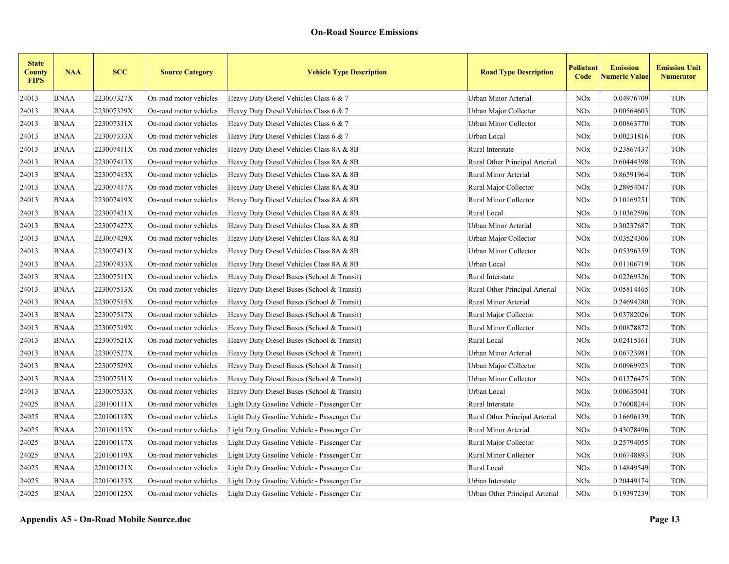| <b>State</b><br><b>County</b><br><b>FIPS</b> | <b>NAA</b>  | <b>SCC</b> | <b>Source Category</b> | <b>Vehicle Type Description</b>             | <b>Road Type Description</b>   | Pollutant<br>Code     | <b>Emission</b><br><b>Numeric Value</b> | <b>Emission Unit</b><br><b>Numerator</b> |
|----------------------------------------------|-------------|------------|------------------------|---------------------------------------------|--------------------------------|-----------------------|-----------------------------------------|------------------------------------------|
| 24013                                        | <b>BNAA</b> | 223007327X | On-road motor vehicles | Heavy Duty Diesel Vehicles Class 6 & 7      | Urban Minor Arterial           | <b>NOx</b>            | 0.04976709                              | <b>TON</b>                               |
| 24013                                        | <b>BNAA</b> | 223007329X | On-road motor vehicles | Heavy Duty Diesel Vehicles Class $6 & 7$    | Urban Major Collector          | <b>NOx</b>            | 0.00564603                              | <b>TON</b>                               |
| 24013                                        | <b>BNAA</b> | 223007331X | On-road motor vehicles | Heavy Duty Diesel Vehicles Class $6 & 7$    | Urban Minor Collector          | <b>NOx</b>            | 0.00863770                              | <b>TON</b>                               |
| 24013                                        | <b>BNAA</b> | 223007333X | On-road motor vehicles | Heavy Duty Diesel Vehicles Class 6 & 7      | Urban Local                    | <b>NOx</b>            | 0.00231816                              | <b>TON</b>                               |
| 24013                                        | <b>BNAA</b> | 223007411X | On-road motor vehicles | Heavy Duty Diesel Vehicles Class 8A & 8B    | Rural Interstate               | <b>NOx</b>            | 0.23867437                              | <b>TON</b>                               |
| 24013                                        | <b>BNAA</b> | 223007413X | On-road motor vehicles | Heavy Duty Diesel Vehicles Class 8A & 8B    | Rural Other Principal Arterial | <b>NOx</b>            | 0.60444398                              | <b>TON</b>                               |
| 24013                                        | <b>BNAA</b> | 223007415X | On-road motor vehicles | Heavy Duty Diesel Vehicles Class 8A & 8B    | Rural Minor Arterial           | <b>NO<sub>x</sub></b> | 0.86591964                              | <b>TON</b>                               |
| 24013                                        | <b>BNAA</b> | 223007417X | On-road motor vehicles | Heavy Duty Diesel Vehicles Class 8A & 8B    | Rural Major Collector          | <b>NO<sub>x</sub></b> | 0.28954047                              | <b>TON</b>                               |
| 24013                                        | <b>BNAA</b> | 223007419X | On-road motor vehicles | Heavy Duty Diesel Vehicles Class 8A & 8B    | Rural Minor Collector          | <b>NOx</b>            | 0.10169251                              | <b>TON</b>                               |
| 24013                                        | <b>BNAA</b> | 223007421X | On-road motor vehicles | Heavy Duty Diesel Vehicles Class 8A & 8B    | Rural Local                    | <b>NOx</b>            | 0.10362596                              | <b>TON</b>                               |
| 24013                                        | <b>BNAA</b> | 223007427X | On-road motor vehicles | Heavy Duty Diesel Vehicles Class 8A & 8B    | Urban Minor Arterial           | <b>NO<sub>x</sub></b> | 0.30237687                              | <b>TON</b>                               |
| 24013                                        | <b>BNAA</b> | 223007429X | On-road motor vehicles | Heavy Duty Diesel Vehicles Class 8A & 8B    | Urban Major Collector          | <b>NO<sub>x</sub></b> | 0.03524306                              | <b>TON</b>                               |
| 24013                                        | <b>BNAA</b> | 223007431X | On-road motor vehicles | Heavy Duty Diesel Vehicles Class 8A & 8B    | Urban Minor Collector          | <b>NOx</b>            | 0.05396359                              | <b>TON</b>                               |
| 24013                                        | <b>BNAA</b> | 223007433X | On-road motor vehicles | Heavy Duty Diesel Vehicles Class 8A & 8B    | Urban Local                    | <b>NOx</b>            | 0.01106719                              | <b>TON</b>                               |
| 24013                                        | <b>BNAA</b> | 223007511X | On-road motor vehicles | Heavy Duty Diesel Buses (School & Transit)  | Rural Interstate               | <b>NOx</b>            | 0.02269326                              | <b>TON</b>                               |
| 24013                                        | <b>BNAA</b> | 223007513X | On-road motor vehicles | Heavy Duty Diesel Buses (School & Transit)  | Rural Other Principal Arterial | <b>NOx</b>            | 0.05814465                              | <b>TON</b>                               |
| 24013                                        | <b>BNAA</b> | 223007515X | On-road motor vehicles | Heavy Duty Diesel Buses (School & Transit)  | Rural Minor Arterial           | <b>NOx</b>            | 0.24694280                              | <b>TON</b>                               |
| 24013                                        | <b>BNAA</b> | 223007517X | On-road motor vehicles | Heavy Duty Diesel Buses (School & Transit)  | Rural Major Collector          | <b>NOx</b>            | 0.03782026                              | <b>TON</b>                               |
| 24013                                        | <b>BNAA</b> | 223007519X | On-road motor vehicles | Heavy Duty Diesel Buses (School & Transit)  | Rural Minor Collector          | <b>NOx</b>            | 0.00878872                              | <b>TON</b>                               |
| 24013                                        | <b>BNAA</b> | 223007521X | On-road motor vehicles | Heavy Duty Diesel Buses (School & Transit)  | Rural Local                    | <b>NO<sub>x</sub></b> | 0.02415161                              | <b>TON</b>                               |
| 24013                                        | <b>BNAA</b> | 223007527X | On-road motor vehicles | Heavy Duty Diesel Buses (School & Transit)  | Urban Minor Arterial           | <b>NOx</b>            | 0.06723981                              | <b>TON</b>                               |
| 24013                                        | <b>BNAA</b> | 223007529X | On-road motor vehicles | Heavy Duty Diesel Buses (School & Transit)  | Urban Major Collector          | <b>NOx</b>            | 0.00969923                              | <b>TON</b>                               |
| 24013                                        | <b>BNAA</b> | 223007531X | On-road motor vehicles | Heavy Duty Diesel Buses (School & Transit)  | Urban Minor Collector          | <b>NOx</b>            | 0.01276475                              | <b>TON</b>                               |
| 24013                                        | <b>BNAA</b> | 223007533X | On-road motor vehicles | Heavy Duty Diesel Buses (School & Transit)  | Urban Local                    | <b>NO</b> x           | 0.00635041                              | <b>TON</b>                               |
| 24025                                        | <b>BNAA</b> | 220100111X | On-road motor vehicles | Light Duty Gasoline Vehicle - Passenger Car | Rural Interstate               | <b>NOx</b>            | 0.76008244                              | <b>TON</b>                               |
| 24025                                        | <b>BNAA</b> | 220100113X | On-road motor vehicles | Light Duty Gasoline Vehicle - Passenger Car | Rural Other Principal Arterial | <b>NOx</b>            | 0.16696139                              | <b>TON</b>                               |
| 24025                                        | <b>BNAA</b> | 220100115X | On-road motor vehicles | Light Duty Gasoline Vehicle - Passenger Car | Rural Minor Arterial           | <b>NOx</b>            | 0.43078496                              | <b>TON</b>                               |
| 24025                                        | <b>BNAA</b> | 220100117X | On-road motor vehicles | Light Duty Gasoline Vehicle - Passenger Car | Rural Major Collector          | <b>NOx</b>            | 0.25794055                              | <b>TON</b>                               |
| 24025                                        | <b>BNAA</b> | 220100119X | On-road motor vehicles | Light Duty Gasoline Vehicle - Passenger Car | Rural Minor Collector          | <b>NOx</b>            | 0.06748893                              | <b>TON</b>                               |
| 24025                                        | <b>BNAA</b> | 220100121X | On-road motor vehicles | Light Duty Gasoline Vehicle - Passenger Car | Rural Local                    | <b>NOx</b>            | 0.14849549                              | <b>TON</b>                               |
| 24025                                        | <b>BNAA</b> | 220100123X | On-road motor vehicles | Light Duty Gasoline Vehicle - Passenger Car | Urban Interstate               | <b>NOx</b>            | 0.20449174                              | <b>TON</b>                               |
| 24025                                        | <b>BNAA</b> | 220100125X | On-road motor vehicles | Light Duty Gasoline Vehicle - Passenger Car | Urban Other Principal Arterial | <b>NOx</b>            | 0.19397239                              | <b>TON</b>                               |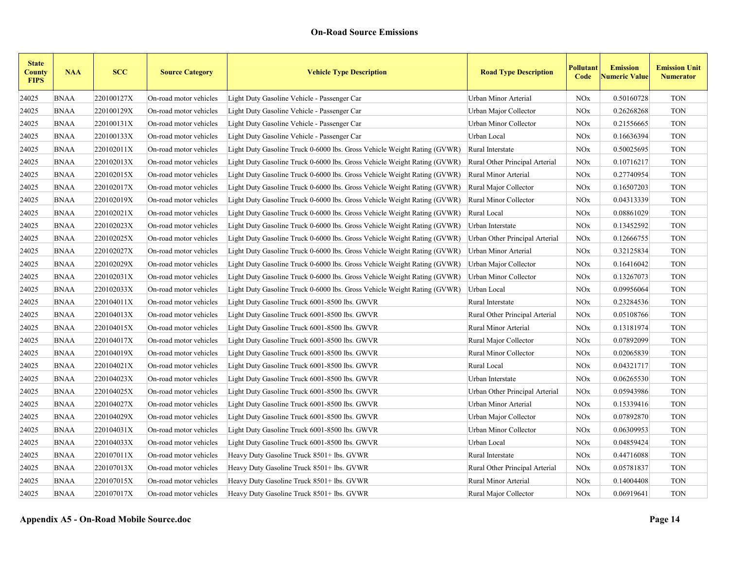| <b>State</b><br><b>County</b><br><b>FIPS</b> | <b>NAA</b>  | <b>SCC</b> | <b>Source Category</b> | <b>Vehicle Type Description</b>                                          | <b>Road Type Description</b>   | Pollutant<br>Code | <b>Emission</b><br><b>Numeric Value</b> | <b>Emission Unit</b><br><b>Numerator</b> |
|----------------------------------------------|-------------|------------|------------------------|--------------------------------------------------------------------------|--------------------------------|-------------------|-----------------------------------------|------------------------------------------|
| 24025                                        | <b>BNAA</b> | 220100127X | On-road motor vehicles | Light Duty Gasoline Vehicle - Passenger Car                              | Urban Minor Arterial           | <b>NOx</b>        | 0.50160728                              | <b>TON</b>                               |
| 24025                                        | <b>BNAA</b> | 220100129X | On-road motor vehicles | Light Duty Gasoline Vehicle - Passenger Car                              | Urban Major Collector          | <b>NOx</b>        | 0.26268268                              | <b>TON</b>                               |
| 24025                                        | <b>BNAA</b> | 220100131X | On-road motor vehicles | Light Duty Gasoline Vehicle - Passenger Car                              | Urban Minor Collector          | <b>NOx</b>        | 0.21556665                              | <b>TON</b>                               |
| 24025                                        | <b>BNAA</b> | 220100133X | On-road motor vehicles | Light Duty Gasoline Vehicle - Passenger Car                              | Urban Local                    | <b>NOx</b>        | 0.16636394                              | <b>TON</b>                               |
| 24025                                        | <b>BNAA</b> | 220102011X | On-road motor vehicles | Light Duty Gasoline Truck 0-6000 lbs. Gross Vehicle Weight Rating (GVWR) | Rural Interstate               | <b>NOx</b>        | 0.50025695                              | <b>TON</b>                               |
| 24025                                        | <b>BNAA</b> | 220102013X | On-road motor vehicles | Light Duty Gasoline Truck 0-6000 lbs. Gross Vehicle Weight Rating (GVWR) | Rural Other Principal Arterial | <b>NOx</b>        | 0.10716217                              | <b>TON</b>                               |
| 24025                                        | <b>BNAA</b> | 220102015X | On-road motor vehicles | Light Duty Gasoline Truck 0-6000 lbs. Gross Vehicle Weight Rating (GVWR) | Rural Minor Arterial           | <b>NOx</b>        | 0.27740954                              | <b>TON</b>                               |
| 24025                                        | <b>BNAA</b> | 220102017X | On-road motor vehicles | Light Duty Gasoline Truck 0-6000 lbs. Gross Vehicle Weight Rating (GVWR) | Rural Major Collector          | <b>NOx</b>        | 0.16507203                              | <b>TON</b>                               |
| 24025                                        | <b>BNAA</b> | 220102019X | On-road motor vehicles | Light Duty Gasoline Truck 0-6000 lbs. Gross Vehicle Weight Rating (GVWR) | Rural Minor Collector          | <b>NOx</b>        | 0.04313339                              | <b>TON</b>                               |
| 24025                                        | <b>BNAA</b> | 220102021X | On-road motor vehicles | Light Duty Gasoline Truck 0-6000 lbs. Gross Vehicle Weight Rating (GVWR) | Rural Local                    | <b>NOx</b>        | 0.08861029                              | <b>TON</b>                               |
| 24025                                        | <b>BNAA</b> | 220102023X | On-road motor vehicles | Light Duty Gasoline Truck 0-6000 lbs. Gross Vehicle Weight Rating (GVWR) | Urban Interstate               | <b>NOx</b>        | 0.13452592                              | <b>TON</b>                               |
| 24025                                        | <b>BNAA</b> | 220102025X | On-road motor vehicles | Light Duty Gasoline Truck 0-6000 lbs. Gross Vehicle Weight Rating (GVWR) | Urban Other Principal Arterial | <b>NOx</b>        | 0.12666755                              | <b>TON</b>                               |
| 24025                                        | <b>BNAA</b> | 220102027X | On-road motor vehicles | Light Duty Gasoline Truck 0-6000 lbs. Gross Vehicle Weight Rating (GVWR) | Urban Minor Arterial           | <b>NOx</b>        | 0.32125834                              | <b>TON</b>                               |
| 24025                                        | <b>BNAA</b> | 220102029X | On-road motor vehicles | Light Duty Gasoline Truck 0-6000 lbs. Gross Vehicle Weight Rating (GVWR) | Urban Major Collector          | <b>NOx</b>        | 0.16416042                              | <b>TON</b>                               |
| 24025                                        | <b>BNAA</b> | 220102031X | On-road motor vehicles | Light Duty Gasoline Truck 0-6000 lbs. Gross Vehicle Weight Rating (GVWR) | Urban Minor Collector          | <b>NOx</b>        | 0.13267073                              | <b>TON</b>                               |
| 24025                                        | <b>BNAA</b> | 220102033X | On-road motor vehicles | Light Duty Gasoline Truck 0-6000 lbs. Gross Vehicle Weight Rating (GVWR) | Urban Local                    | <b>NOx</b>        | 0.09956064                              | <b>TON</b>                               |
| 24025                                        | <b>BNAA</b> | 220104011X | On-road motor vehicles | Light Duty Gasoline Truck 6001-8500 lbs. GWVR                            | Rural Interstate               | <b>NOx</b>        | 0.23284536                              | <b>TON</b>                               |
| 24025                                        | <b>BNAA</b> | 220104013X | On-road motor vehicles | Light Duty Gasoline Truck 6001-8500 lbs. GWVR                            | Rural Other Principal Arterial | <b>NOx</b>        | 0.05108766                              | <b>TON</b>                               |
| 24025                                        | <b>BNAA</b> | 220104015X | On-road motor vehicles | Light Duty Gasoline Truck 6001-8500 lbs. GWVR                            | Rural Minor Arterial           | <b>NOx</b>        | 0.13181974                              | <b>TON</b>                               |
| 24025                                        | <b>BNAA</b> | 220104017X | On-road motor vehicles | Light Duty Gasoline Truck 6001-8500 lbs. GWVR                            | Rural Major Collector          | <b>NOx</b>        | 0.07892099                              | <b>TON</b>                               |
| 24025                                        | <b>BNAA</b> | 220104019X | On-road motor vehicles | Light Duty Gasoline Truck 6001-8500 lbs. GWVR                            | Rural Minor Collector          | <b>NOx</b>        | 0.02065839                              | <b>TON</b>                               |
| 24025                                        | <b>BNAA</b> | 220104021X | On-road motor vehicles | Light Duty Gasoline Truck 6001-8500 lbs. GWVR                            | Rural Local                    | <b>NOx</b>        | 0.04321717                              | <b>TON</b>                               |
| 24025                                        | <b>BNAA</b> | 220104023X | On-road motor vehicles | Light Duty Gasoline Truck 6001-8500 lbs. GWVR                            | Urban Interstate               | <b>NOx</b>        | 0.06265530                              | <b>TON</b>                               |
| 24025                                        | <b>BNAA</b> | 220104025X | On-road motor vehicles | Light Duty Gasoline Truck 6001-8500 lbs. GWVR                            | Urban Other Principal Arterial | <b>NOx</b>        | 0.05943986                              | <b>TON</b>                               |
| 24025                                        | <b>BNAA</b> | 220104027X | On-road motor vehicles | Light Duty Gasoline Truck 6001-8500 lbs. GWVR                            | Urban Minor Arterial           | <b>NOx</b>        | 0.15339416                              | <b>TON</b>                               |
| 24025                                        | <b>BNAA</b> | 220104029X | On-road motor vehicles | Light Duty Gasoline Truck 6001-8500 lbs. GWVR                            | Urban Major Collector          | <b>NOx</b>        | 0.07892870                              | <b>TON</b>                               |
| 24025                                        | <b>BNAA</b> | 220104031X | On-road motor vehicles | Light Duty Gasoline Truck 6001-8500 lbs. GWVR                            | Urban Minor Collector          | <b>NOx</b>        | 0.06309953                              | <b>TON</b>                               |
| 24025                                        | <b>BNAA</b> | 220104033X | On-road motor vehicles | Light Duty Gasoline Truck 6001-8500 lbs. GWVR                            | Urban Local                    | <b>NOx</b>        | 0.04859424                              | <b>TON</b>                               |
| 24025                                        | <b>BNAA</b> | 220107011X | On-road motor vehicles | Heavy Duty Gasoline Truck 8501+ lbs. GVWR                                | Rural Interstate               | <b>NOx</b>        | 0.44716088                              | <b>TON</b>                               |
| 24025                                        | <b>BNAA</b> | 220107013X | On-road motor vehicles | Heavy Duty Gasoline Truck 8501+ lbs. GVWR                                | Rural Other Principal Arterial | <b>NOx</b>        | 0.05781837                              | <b>TON</b>                               |
| 24025                                        | <b>BNAA</b> | 220107015X | On-road motor vehicles | Heavy Duty Gasoline Truck 8501+ lbs. GVWR                                | Rural Minor Arterial           | <b>NOx</b>        | 0.14004408                              | <b>TON</b>                               |
| 24025                                        | <b>BNAA</b> | 220107017X | On-road motor vehicles | Heavy Duty Gasoline Truck 8501+ lbs. GVWR                                | Rural Major Collector          | <b>NOx</b>        | 0.06919641                              | <b>TON</b>                               |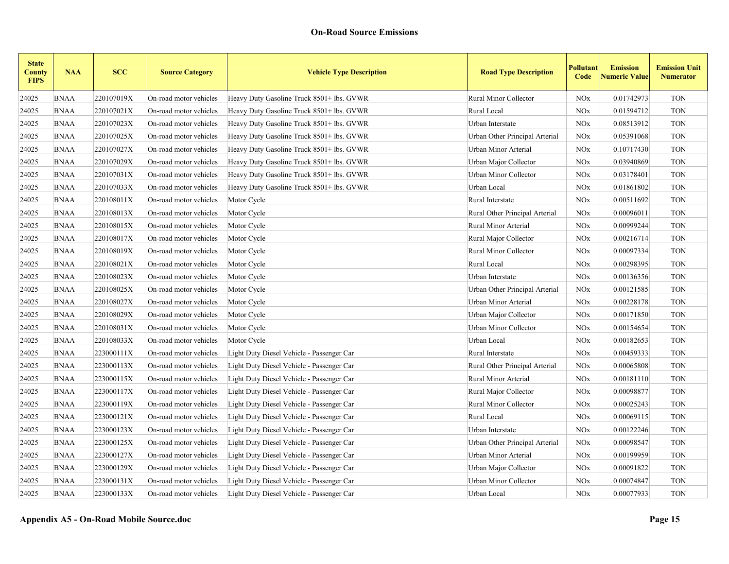| <b>State</b><br><b>County</b><br><b>FIPS</b> | <b>NAA</b>  | <b>SCC</b> | <b>Source Category</b> | <b>Vehicle Type Description</b>           | <b>Road Type Description</b>   | Pollutant<br>Code     | <b>Emission</b><br><b>Numeric Value</b> | <b>Emission Unit</b><br><b>Numerator</b> |
|----------------------------------------------|-------------|------------|------------------------|-------------------------------------------|--------------------------------|-----------------------|-----------------------------------------|------------------------------------------|
| 24025                                        | <b>BNAA</b> | 220107019X | On-road motor vehicles | Heavy Duty Gasoline Truck 8501+ lbs. GVWR | Rural Minor Collector          | <b>NOx</b>            | 0.01742973                              | <b>TON</b>                               |
| 24025                                        | <b>BNAA</b> | 220107021X | On-road motor vehicles | Heavy Duty Gasoline Truck 8501+ lbs. GVWR | Rural Local                    | <b>NOx</b>            | 0.01594712                              | <b>TON</b>                               |
| 24025                                        | <b>BNAA</b> | 220107023X | On-road motor vehicles | Heavy Duty Gasoline Truck 8501+ lbs. GVWR | Urban Interstate               | <b>NOx</b>            | 0.08513912                              | <b>TON</b>                               |
| 24025                                        | <b>BNAA</b> | 220107025X | On-road motor vehicles | Heavy Duty Gasoline Truck 8501+ lbs. GVWR | Urban Other Principal Arterial | <b>NOx</b>            | 0.05391068                              | <b>TON</b>                               |
| 24025                                        | <b>BNAA</b> | 220107027X | On-road motor vehicles | Heavy Duty Gasoline Truck 8501+ lbs. GVWR | Urban Minor Arterial           | <b>NOx</b>            | 0.10717430                              | <b>TON</b>                               |
| 24025                                        | <b>BNAA</b> | 220107029X | On-road motor vehicles | Heavy Duty Gasoline Truck 8501+ lbs. GVWR | Urban Major Collector          | <b>NOx</b>            | 0.03940869                              | <b>TON</b>                               |
| 24025                                        | <b>BNAA</b> | 220107031X | On-road motor vehicles | Heavy Duty Gasoline Truck 8501+ lbs. GVWR | <b>Urban Minor Collector</b>   | <b>NOx</b>            | 0.03178401                              | <b>TON</b>                               |
| 24025                                        | <b>BNAA</b> | 220107033X | On-road motor vehicles | Heavy Duty Gasoline Truck 8501+ lbs. GVWR | Urban Local                    | <b>NOx</b>            | 0.01861802                              | <b>TON</b>                               |
| 24025                                        | <b>BNAA</b> | 220108011X | On-road motor vehicles | Motor Cycle                               | Rural Interstate               | <b>NOx</b>            | 0.00511692                              | <b>TON</b>                               |
| 24025                                        | <b>BNAA</b> | 220108013X | On-road motor vehicles | Motor Cycle                               | Rural Other Principal Arterial | <b>NOx</b>            | 0.00096011                              | <b>TON</b>                               |
| 24025                                        | <b>BNAA</b> | 220108015X | On-road motor vehicles | Motor Cycle                               | Rural Minor Arterial           | <b>NOx</b>            | 0.00999244                              | <b>TON</b>                               |
| 24025                                        | <b>BNAA</b> | 220108017X | On-road motor vehicles | Motor Cycle                               | Rural Major Collector          | <b>NOx</b>            | 0.00216714                              | <b>TON</b>                               |
| 24025                                        | <b>BNAA</b> | 220108019X | On-road motor vehicles | Motor Cycle                               | Rural Minor Collector          | <b>NOx</b>            | 0.00097334                              | <b>TON</b>                               |
| 24025                                        | <b>BNAA</b> | 220108021X | On-road motor vehicles | Motor Cycle                               | Rural Local                    | <b>NOx</b>            | 0.00298395                              | <b>TON</b>                               |
| 24025                                        | <b>BNAA</b> | 220108023X | On-road motor vehicles | Motor Cycle                               | Urban Interstate               | <b>NOx</b>            | 0.00136356                              | <b>TON</b>                               |
| 24025                                        | <b>BNAA</b> | 220108025X | On-road motor vehicles | Motor Cycle                               | Urban Other Principal Arterial | <b>NOx</b>            | 0.00121585                              | <b>TON</b>                               |
| 24025                                        | <b>BNAA</b> | 220108027X | On-road motor vehicles | Motor Cycle                               | Urban Minor Arterial           | <b>NOx</b>            | 0.00228178                              | <b>TON</b>                               |
| 24025                                        | <b>BNAA</b> | 220108029X | On-road motor vehicles | Motor Cycle                               | Urban Major Collector          | <b>NOx</b>            | 0.00171850                              | <b>TON</b>                               |
| 24025                                        | <b>BNAA</b> | 220108031X | On-road motor vehicles | Motor Cycle                               | Urban Minor Collector          | <b>NO<sub>x</sub></b> | 0.00154654                              | <b>TON</b>                               |
| 24025                                        | <b>BNAA</b> | 220108033X | On-road motor vehicles | Motor Cycle                               | Urban Local                    | <b>NOx</b>            | 0.00182653                              | <b>TON</b>                               |
| 24025                                        | <b>BNAA</b> | 223000111X | On-road motor vehicles | Light Duty Diesel Vehicle - Passenger Car | Rural Interstate               | <b>NOx</b>            | 0.00459333                              | <b>TON</b>                               |
| 24025                                        | <b>BNAA</b> | 223000113X | On-road motor vehicles | Light Duty Diesel Vehicle - Passenger Car | Rural Other Principal Arterial | <b>NOx</b>            | 0.00065808                              | <b>TON</b>                               |
| 24025                                        | <b>BNAA</b> | 223000115X | On-road motor vehicles | Light Duty Diesel Vehicle - Passenger Car | Rural Minor Arterial           | <b>NOx</b>            | 0.00181110                              | <b>TON</b>                               |
| 24025                                        | <b>BNAA</b> | 223000117X | On-road motor vehicles | Light Duty Diesel Vehicle - Passenger Car | Rural Major Collector          | <b>NOx</b>            | 0.00098877                              | <b>TON</b>                               |
| 24025                                        | <b>BNAA</b> | 223000119X | On-road motor vehicles | Light Duty Diesel Vehicle - Passenger Car | Rural Minor Collector          | <b>NOx</b>            | 0.00025243                              | <b>TON</b>                               |
| 24025                                        | <b>BNAA</b> | 223000121X | On-road motor vehicles | Light Duty Diesel Vehicle - Passenger Car | Rural Local                    | <b>NOx</b>            | 0.00069115                              | <b>TON</b>                               |
| 24025                                        | <b>BNAA</b> | 223000123X | On-road motor vehicles | Light Duty Diesel Vehicle - Passenger Car | Urban Interstate               | <b>NOx</b>            | 0.00122246                              | <b>TON</b>                               |
| 24025                                        | <b>BNAA</b> | 223000125X | On-road motor vehicles | Light Duty Diesel Vehicle - Passenger Car | Urban Other Principal Arterial | <b>NOx</b>            | 0.00098547                              | <b>TON</b>                               |
| 24025                                        | <b>BNAA</b> | 223000127X | On-road motor vehicles | Light Duty Diesel Vehicle - Passenger Car | <b>Urban Minor Arterial</b>    | <b>NOx</b>            | 0.00199959                              | <b>TON</b>                               |
| 24025                                        | <b>BNAA</b> | 223000129X | On-road motor vehicles | Light Duty Diesel Vehicle - Passenger Car | Urban Major Collector          | <b>NOx</b>            | 0.00091822                              | <b>TON</b>                               |
| 24025                                        | <b>BNAA</b> | 223000131X | On-road motor vehicles | Light Duty Diesel Vehicle - Passenger Car | <b>Urban Minor Collector</b>   | <b>NOx</b>            | 0.00074847                              | <b>TON</b>                               |
| 24025                                        | <b>BNAA</b> | 223000133X | On-road motor vehicles | Light Duty Diesel Vehicle - Passenger Car | Urban Local                    | <b>NOx</b>            | 0.00077933                              | <b>TON</b>                               |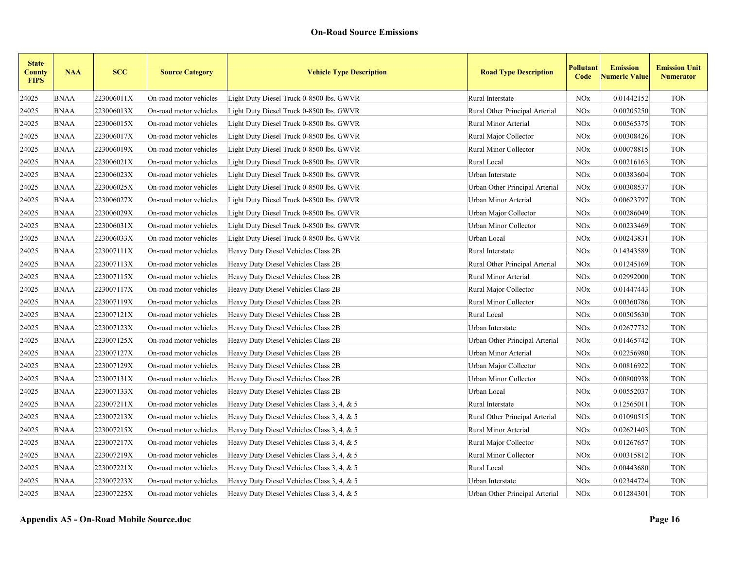| <b>State</b><br><b>County</b><br><b>FIPS</b> | <b>NAA</b>  | <b>SCC</b> | <b>Source Category</b> | <b>Vehicle Type Description</b>            | <b>Road Type Description</b>   | Pollutant<br>Code | <b>Emission</b><br><b>Numeric Value</b> | <b>Emission Unit</b><br><b>Numerator</b> |
|----------------------------------------------|-------------|------------|------------------------|--------------------------------------------|--------------------------------|-------------------|-----------------------------------------|------------------------------------------|
| 24025                                        | <b>BNAA</b> | 223006011X | On-road motor vehicles | Light Duty Diesel Truck 0-8500 lbs. GWVR   | Rural Interstate               | <b>NOx</b>        | 0.01442152                              | <b>TON</b>                               |
| 24025                                        | <b>BNAA</b> | 223006013X | On-road motor vehicles | Light Duty Diesel Truck 0-8500 lbs. GWVR   | Rural Other Principal Arterial | <b>NOx</b>        | 0.00205250                              | <b>TON</b>                               |
| 24025                                        | <b>BNAA</b> | 223006015X | On-road motor vehicles | Light Duty Diesel Truck 0-8500 lbs. GWVR   | Rural Minor Arterial           | <b>NOx</b>        | 0.00565375                              | <b>TON</b>                               |
| 24025                                        | <b>BNAA</b> | 223006017X | On-road motor vehicles | Light Duty Diesel Truck 0-8500 lbs. GWVR   | Rural Major Collector          | <b>NOx</b>        | 0.00308426                              | <b>TON</b>                               |
| 24025                                        | <b>BNAA</b> | 223006019X | On-road motor vehicles | Light Duty Diesel Truck 0-8500 lbs. GWVR   | Rural Minor Collector          | <b>NOx</b>        | 0.00078815                              | <b>TON</b>                               |
| 24025                                        | <b>BNAA</b> | 223006021X | On-road motor vehicles | Light Duty Diesel Truck 0-8500 lbs. GWVR   | Rural Local                    | <b>NOx</b>        | 0.00216163                              | <b>TON</b>                               |
| 24025                                        | <b>BNAA</b> | 223006023X | On-road motor vehicles | Light Duty Diesel Truck 0-8500 lbs. GWVR   | Urban Interstate               | <b>NOx</b>        | 0.00383604                              | <b>TON</b>                               |
| 24025                                        | <b>BNAA</b> | 223006025X | On-road motor vehicles | Light Duty Diesel Truck 0-8500 lbs. GWVR   | Urban Other Principal Arterial | <b>NOx</b>        | 0.00308537                              | <b>TON</b>                               |
| 24025                                        | <b>BNAA</b> | 223006027X | On-road motor vehicles | Light Duty Diesel Truck 0-8500 lbs. GWVR   | Urban Minor Arterial           | <b>NOx</b>        | 0.00623797                              | <b>TON</b>                               |
| 24025                                        | <b>BNAA</b> | 223006029X | On-road motor vehicles | Light Duty Diesel Truck 0-8500 lbs. GWVR   | Urban Major Collector          | <b>NOx</b>        | 0.00286049                              | <b>TON</b>                               |
| 24025                                        | <b>BNAA</b> | 223006031X | On-road motor vehicles | Light Duty Diesel Truck 0-8500 lbs. GWVR   | Urban Minor Collector          | <b>NOx</b>        | 0.00233469                              | <b>TON</b>                               |
| 24025                                        | <b>BNAA</b> | 223006033X | On-road motor vehicles | Light Duty Diesel Truck 0-8500 lbs. GWVR   | Urban Local                    | <b>NOx</b>        | 0.00243831                              | <b>TON</b>                               |
| 24025                                        | <b>BNAA</b> | 223007111X | On-road motor vehicles | Heavy Duty Diesel Vehicles Class 2B        | Rural Interstate               | <b>NOx</b>        | 0.14343589                              | <b>TON</b>                               |
| 24025                                        | <b>BNAA</b> | 223007113X | On-road motor vehicles | Heavy Duty Diesel Vehicles Class 2B        | Rural Other Principal Arterial | <b>NOx</b>        | 0.01245169                              | <b>TON</b>                               |
| 24025                                        | <b>BNAA</b> | 223007115X | On-road motor vehicles | Heavy Duty Diesel Vehicles Class 2B        | Rural Minor Arterial           | <b>NOx</b>        | 0.02992000                              | <b>TON</b>                               |
| 24025                                        | <b>BNAA</b> | 223007117X | On-road motor vehicles | Heavy Duty Diesel Vehicles Class 2B        | Rural Major Collector          | <b>NOx</b>        | 0.01447443                              | <b>TON</b>                               |
| 24025                                        | <b>BNAA</b> | 223007119X | On-road motor vehicles | Heavy Duty Diesel Vehicles Class 2B        | <b>Rural Minor Collector</b>   | <b>NOx</b>        | 0.00360786                              | <b>TON</b>                               |
| 24025                                        | <b>BNAA</b> | 223007121X | On-road motor vehicles | Heavy Duty Diesel Vehicles Class 2B        | Rural Local                    | <b>NOx</b>        | 0.00505630                              | <b>TON</b>                               |
| 24025                                        | <b>BNAA</b> | 223007123X | On-road motor vehicles | Heavy Duty Diesel Vehicles Class 2B        | Urban Interstate               | <b>NOx</b>        | 0.02677732                              | <b>TON</b>                               |
| 24025                                        | <b>BNAA</b> | 223007125X | On-road motor vehicles | Heavy Duty Diesel Vehicles Class 2B        | Urban Other Principal Arterial | <b>NOx</b>        | 0.01465742                              | <b>TON</b>                               |
| 24025                                        | <b>BNAA</b> | 223007127X | On-road motor vehicles | Heavy Duty Diesel Vehicles Class 2B        | Urban Minor Arterial           | <b>NOx</b>        | 0.02256980                              | <b>TON</b>                               |
| 24025                                        | <b>BNAA</b> | 223007129X | On-road motor vehicles | Heavy Duty Diesel Vehicles Class 2B        | Urban Major Collector          | <b>NOx</b>        | 0.00816922                              | <b>TON</b>                               |
| 24025                                        | <b>BNAA</b> | 223007131X | On-road motor vehicles | Heavy Duty Diesel Vehicles Class 2B        | Urban Minor Collector          | <b>NOx</b>        | 0.00800938                              | <b>TON</b>                               |
| 24025                                        | <b>BNAA</b> | 223007133X | On-road motor vehicles | Heavy Duty Diesel Vehicles Class 2B        | Urban Local                    | <b>NOx</b>        | 0.00552037                              | <b>TON</b>                               |
| 24025                                        | <b>BNAA</b> | 223007211X | On-road motor vehicles | Heavy Duty Diesel Vehicles Class 3, 4, & 5 | Rural Interstate               | <b>NOx</b>        | 0.12565011                              | <b>TON</b>                               |
| 24025                                        | <b>BNAA</b> | 223007213X | On-road motor vehicles | Heavy Duty Diesel Vehicles Class 3, 4, & 5 | Rural Other Principal Arterial | <b>NOx</b>        | 0.01090515                              | <b>TON</b>                               |
| 24025                                        | <b>BNAA</b> | 223007215X | On-road motor vehicles | Heavy Duty Diesel Vehicles Class 3, 4, & 5 | Rural Minor Arterial           | <b>NOx</b>        | 0.02621403                              | <b>TON</b>                               |
| 24025                                        | <b>BNAA</b> | 223007217X | On-road motor vehicles | Heavy Duty Diesel Vehicles Class 3, 4, & 5 | Rural Major Collector          | <b>NOx</b>        | 0.01267657                              | <b>TON</b>                               |
| 24025                                        | <b>BNAA</b> | 223007219X | On-road motor vehicles | Heavy Duty Diesel Vehicles Class 3, 4, & 5 | Rural Minor Collector          | <b>NOx</b>        | 0.00315812                              | <b>TON</b>                               |
| 24025                                        | <b>BNAA</b> | 223007221X | On-road motor vehicles | Heavy Duty Diesel Vehicles Class 3, 4, & 5 | Rural Local                    | <b>NOx</b>        | 0.00443680                              | <b>TON</b>                               |
| 24025                                        | <b>BNAA</b> | 223007223X | On-road motor vehicles | Heavy Duty Diesel Vehicles Class 3, 4, & 5 | Urban Interstate               | <b>NOx</b>        | 0.02344724                              | <b>TON</b>                               |
| 24025                                        | <b>BNAA</b> | 223007225X | On-road motor vehicles | Heavy Duty Diesel Vehicles Class 3, 4, & 5 | Urban Other Principal Arterial | <b>NOx</b>        | 0.01284301                              | <b>TON</b>                               |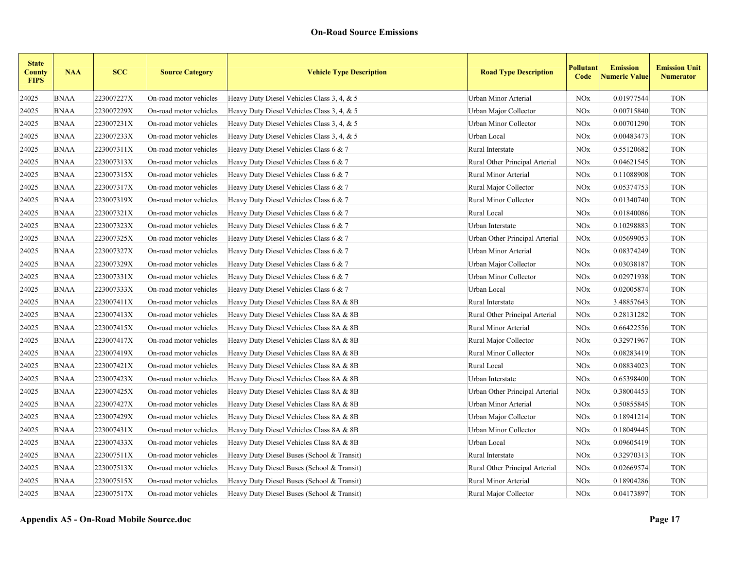| <b>State</b><br><b>County</b><br><b>FIPS</b> | <b>NAA</b>  | <b>SCC</b> | <b>Source Category</b> | <b>Vehicle Type Description</b>            | <b>Road Type Description</b>   | Pollutant<br>Code     | <b>Emission</b><br><b>Numeric Value</b> | <b>Emission Unit</b><br><b>Numerator</b> |
|----------------------------------------------|-------------|------------|------------------------|--------------------------------------------|--------------------------------|-----------------------|-----------------------------------------|------------------------------------------|
| 24025                                        | <b>BNAA</b> | 223007227X | On-road motor vehicles | Heavy Duty Diesel Vehicles Class 3, 4, & 5 | Urban Minor Arterial           | <b>NOx</b>            | 0.01977544                              | <b>TON</b>                               |
| 24025                                        | <b>BNAA</b> | 223007229X | On-road motor vehicles | Heavy Duty Diesel Vehicles Class 3, 4, & 5 | Urban Major Collector          | <b>NOx</b>            | 0.00715840                              | <b>TON</b>                               |
| 24025                                        | <b>BNAA</b> | 223007231X | On-road motor vehicles | Heavy Duty Diesel Vehicles Class 3, 4, & 5 | Urban Minor Collector          | <b>NOx</b>            | 0.00701290                              | <b>TON</b>                               |
| 24025                                        | <b>BNAA</b> | 223007233X | On-road motor vehicles | Heavy Duty Diesel Vehicles Class 3, 4, & 5 | Urban Local                    | <b>NOx</b>            | 0.00483473                              | <b>TON</b>                               |
| 24025                                        | <b>BNAA</b> | 223007311X | On-road motor vehicles | Heavy Duty Diesel Vehicles Class 6 & 7     | Rural Interstate               | <b>NOx</b>            | 0.55120682                              | <b>TON</b>                               |
| 24025                                        | <b>BNAA</b> | 223007313X | On-road motor vehicles | Heavy Duty Diesel Vehicles Class 6 & 7     | Rural Other Principal Arterial | <b>NOx</b>            | 0.04621545                              | <b>TON</b>                               |
| 24025                                        | <b>BNAA</b> | 223007315X | On-road motor vehicles | Heavy Duty Diesel Vehicles Class 6 $& 7$   | Rural Minor Arterial           | <b>NOx</b>            | 0.11088908                              | <b>TON</b>                               |
| 24025                                        | <b>BNAA</b> | 223007317X | On-road motor vehicles | Heavy Duty Diesel Vehicles Class 6 & 7     | Rural Major Collector          | NOx                   | 0.05374753                              | <b>TON</b>                               |
| 24025                                        | <b>BNAA</b> | 223007319X | On-road motor vehicles | Heavy Duty Diesel Vehicles Class 6 & 7     | Rural Minor Collector          | <b>NOx</b>            | 0.01340740                              | <b>TON</b>                               |
| 24025                                        | <b>BNAA</b> | 223007321X | On-road motor vehicles | Heavy Duty Diesel Vehicles Class 6 & 7     | Rural Local                    | <b>NOx</b>            | 0.01840086                              | <b>TON</b>                               |
| 24025                                        | <b>BNAA</b> | 223007323X | On-road motor vehicles | Heavy Duty Diesel Vehicles Class 6 & 7     | Urban Interstate               | <b>NOx</b>            | 0.10298883                              | <b>TON</b>                               |
| 24025                                        | <b>BNAA</b> | 223007325X | On-road motor vehicles | Heavy Duty Diesel Vehicles Class 6 & 7     | Urban Other Principal Arterial | <b>NO<sub>x</sub></b> | 0.05699053                              | <b>TON</b>                               |
| 24025                                        | <b>BNAA</b> | 223007327X | On-road motor vehicles | Heavy Duty Diesel Vehicles Class 6 & 7     | Urban Minor Arterial           | <b>NOx</b>            | 0.08374249                              | <b>TON</b>                               |
| 24025                                        | <b>BNAA</b> | 223007329X | On-road motor vehicles | Heavy Duty Diesel Vehicles Class 6 & 7     | Urban Major Collector          | <b>NOx</b>            | 0.03038187                              | <b>TON</b>                               |
| 24025                                        | <b>BNAA</b> | 223007331X | On-road motor vehicles | Heavy Duty Diesel Vehicles Class 6 & 7     | Urban Minor Collector          | <b>NOx</b>            | 0.02971938                              | <b>TON</b>                               |
| 24025                                        | <b>BNAA</b> | 223007333X | On-road motor vehicles | Heavy Duty Diesel Vehicles Class 6 & 7     | Urban Local                    | <b>NOx</b>            | 0.02005874                              | <b>TON</b>                               |
| 24025                                        | <b>BNAA</b> | 223007411X | On-road motor vehicles | Heavy Duty Diesel Vehicles Class 8A & 8B   | Rural Interstate               | <b>NOx</b>            | 3.48857643                              | <b>TON</b>                               |
| 24025                                        | <b>BNAA</b> | 223007413X | On-road motor vehicles | Heavy Duty Diesel Vehicles Class 8A & 8B   | Rural Other Principal Arterial | <b>NOx</b>            | 0.28131282                              | <b>TON</b>                               |
| 24025                                        | <b>BNAA</b> | 223007415X | On-road motor vehicles | Heavy Duty Diesel Vehicles Class 8A & 8B   | Rural Minor Arterial           | <b>NOx</b>            | 0.66422556                              | <b>TON</b>                               |
| 24025                                        | <b>BNAA</b> | 223007417X | On-road motor vehicles | Heavy Duty Diesel Vehicles Class 8A & 8B   | Rural Major Collector          | <b>NOx</b>            | 0.32971967                              | <b>TON</b>                               |
| 24025                                        | <b>BNAA</b> | 223007419X | On-road motor vehicles | Heavy Duty Diesel Vehicles Class 8A & 8B   | <b>Rural Minor Collector</b>   | <b>NOx</b>            | 0.08283419                              | <b>TON</b>                               |
| 24025                                        | <b>BNAA</b> | 223007421X | On-road motor vehicles | Heavy Duty Diesel Vehicles Class 8A & 8B   | Rural Local                    | <b>NOx</b>            | 0.08834023                              | <b>TON</b>                               |
| 24025                                        | <b>BNAA</b> | 223007423X | On-road motor vehicles | Heavy Duty Diesel Vehicles Class 8A & 8B   | Urban Interstate               | <b>NOx</b>            | 0.65398400                              | <b>TON</b>                               |
| 24025                                        | <b>BNAA</b> | 223007425X | On-road motor vehicles | Heavy Duty Diesel Vehicles Class 8A & 8B   | Urban Other Principal Arterial | <b>NOx</b>            | 0.38004453                              | <b>TON</b>                               |
| 24025                                        | <b>BNAA</b> | 223007427X | On-road motor vehicles | Heavy Duty Diesel Vehicles Class 8A & 8B   | Urban Minor Arterial           | <b>NOx</b>            | 0.50855845                              | <b>TON</b>                               |
| 24025                                        | <b>BNAA</b> | 223007429X | On-road motor vehicles | Heavy Duty Diesel Vehicles Class 8A & 8B   | Urban Major Collector          | <b>NOx</b>            | 0.18941214                              | <b>TON</b>                               |
| 24025                                        | <b>BNAA</b> | 223007431X | On-road motor vehicles | Heavy Duty Diesel Vehicles Class 8A & 8B   | Urban Minor Collector          | <b>NOx</b>            | 0.18049445                              | <b>TON</b>                               |
| 24025                                        | <b>BNAA</b> | 223007433X | On-road motor vehicles | Heavy Duty Diesel Vehicles Class 8A & 8B   | Urban Local                    | NOx                   | 0.09605419                              | <b>TON</b>                               |
| 24025                                        | <b>BNAA</b> | 223007511X | On-road motor vehicles | Heavy Duty Diesel Buses (School & Transit) | Rural Interstate               | <b>NOx</b>            | 0.32970313                              | <b>TON</b>                               |
| 24025                                        | <b>BNAA</b> | 223007513X | On-road motor vehicles | Heavy Duty Diesel Buses (School & Transit) | Rural Other Principal Arterial | <b>NOx</b>            | 0.02669574                              | <b>TON</b>                               |
| 24025                                        | <b>BNAA</b> | 223007515X | On-road motor vehicles | Heavy Duty Diesel Buses (School & Transit) | Rural Minor Arterial           | <b>NOx</b>            | 0.18904286                              | <b>TON</b>                               |
| 24025                                        | <b>BNAA</b> | 223007517X | On-road motor vehicles | Heavy Duty Diesel Buses (School & Transit) | Rural Major Collector          | <b>NOx</b>            | 0.04173897                              | <b>TON</b>                               |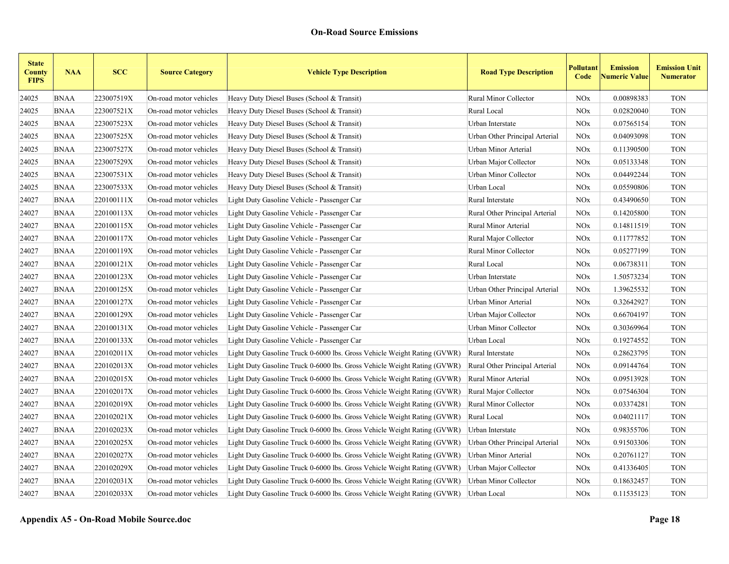| <b>State</b><br><b>County</b><br><b>FIPS</b> | <b>NAA</b>  | <b>SCC</b> | <b>Source Category</b> | <b>Vehicle Type Description</b>                                          | <b>Road Type Description</b>   | Pollutant<br>Code | <b>Emission</b><br><b>Numeric Value</b> | <b>Emission Unit</b><br><b>Numerator</b> |
|----------------------------------------------|-------------|------------|------------------------|--------------------------------------------------------------------------|--------------------------------|-------------------|-----------------------------------------|------------------------------------------|
| 24025                                        | <b>BNAA</b> | 223007519X | On-road motor vehicles | Heavy Duty Diesel Buses (School & Transit)                               | <b>Rural Minor Collector</b>   | <b>NOx</b>        | 0.00898383                              | <b>TON</b>                               |
| 24025                                        | <b>BNAA</b> | 223007521X | On-road motor vehicles | Heavy Duty Diesel Buses (School & Transit)                               | Rural Local                    | <b>NOx</b>        | 0.02820040                              | <b>TON</b>                               |
| 24025                                        | <b>BNAA</b> | 223007523X | On-road motor vehicles | Heavy Duty Diesel Buses (School & Transit)                               | Urban Interstate               | <b>NOx</b>        | 0.07565154                              | <b>TON</b>                               |
| 24025                                        | <b>BNAA</b> | 223007525X | On-road motor vehicles | Heavy Duty Diesel Buses (School & Transit)                               | Urban Other Principal Arterial | <b>NOx</b>        | 0.04093098                              | <b>TON</b>                               |
| 24025                                        | <b>BNAA</b> | 223007527X | On-road motor vehicles | Heavy Duty Diesel Buses (School & Transit)                               | Urban Minor Arterial           | <b>NOx</b>        | 0.11390500                              | <b>TON</b>                               |
| 24025                                        | <b>BNAA</b> | 223007529X | On-road motor vehicles | Heavy Duty Diesel Buses (School & Transit)                               | Urban Major Collector          | <b>NOx</b>        | 0.05133348                              | <b>TON</b>                               |
| 24025                                        | <b>BNAA</b> | 223007531X | On-road motor vehicles | Heavy Duty Diesel Buses (School & Transit)                               | Urban Minor Collector          | <b>NOx</b>        | 0.04492244                              | <b>TON</b>                               |
| 24025                                        | <b>BNAA</b> | 223007533X | On-road motor vehicles | Heavy Duty Diesel Buses (School & Transit)                               | Urban Local                    | <b>NOx</b>        | 0.05590806                              | <b>TON</b>                               |
| 24027                                        | <b>BNAA</b> | 220100111X | On-road motor vehicles | Light Duty Gasoline Vehicle - Passenger Car                              | Rural Interstate               | <b>NOx</b>        | 0.43490650                              | <b>TON</b>                               |
| 24027                                        | <b>BNAA</b> | 220100113X | On-road motor vehicles | Light Duty Gasoline Vehicle - Passenger Car                              | Rural Other Principal Arterial | <b>NOx</b>        | 0.14205800                              | <b>TON</b>                               |
| 24027                                        | <b>BNAA</b> | 220100115X | On-road motor vehicles | Light Duty Gasoline Vehicle - Passenger Car                              | Rural Minor Arterial           | <b>NOx</b>        | 0.14811519                              | <b>TON</b>                               |
| 24027                                        | <b>BNAA</b> | 220100117X | On-road motor vehicles | Light Duty Gasoline Vehicle - Passenger Car                              | Rural Major Collector          | <b>NOx</b>        | 0.11777852                              | <b>TON</b>                               |
| 24027                                        | <b>BNAA</b> | 220100119X | On-road motor vehicles | Light Duty Gasoline Vehicle - Passenger Car                              | Rural Minor Collector          | <b>NOx</b>        | 0.05277199                              | <b>TON</b>                               |
| 24027                                        | <b>BNAA</b> | 220100121X | On-road motor vehicles | Light Duty Gasoline Vehicle - Passenger Car                              | Rural Local                    | <b>NOx</b>        | 0.06738311                              | <b>TON</b>                               |
| 24027                                        | <b>BNAA</b> | 220100123X | On-road motor vehicles | Light Duty Gasoline Vehicle - Passenger Car                              | Urban Interstate               | <b>NOx</b>        | 1.50573234                              | <b>TON</b>                               |
| 24027                                        | <b>BNAA</b> | 220100125X | On-road motor vehicles | Light Duty Gasoline Vehicle - Passenger Car                              | Urban Other Principal Arterial | <b>NOx</b>        | 1.39625532                              | <b>TON</b>                               |
| 24027                                        | <b>BNAA</b> | 220100127X | On-road motor vehicles | Light Duty Gasoline Vehicle - Passenger Car                              | Urban Minor Arterial           | <b>NOx</b>        | 0.32642927                              | <b>TON</b>                               |
| 24027                                        | <b>BNAA</b> | 220100129X | On-road motor vehicles | Light Duty Gasoline Vehicle - Passenger Car                              | Urban Major Collector          | <b>NOx</b>        | 0.66704197                              | <b>TON</b>                               |
| 24027                                        | <b>BNAA</b> | 220100131X | On-road motor vehicles | Light Duty Gasoline Vehicle - Passenger Car                              | Urban Minor Collector          | <b>NOx</b>        | 0.30369964                              | <b>TON</b>                               |
| 24027                                        | <b>BNAA</b> | 220100133X | On-road motor vehicles | Light Duty Gasoline Vehicle - Passenger Car                              | Urban Local                    | <b>NOx</b>        | 0.19274552                              | <b>TON</b>                               |
| 24027                                        | <b>BNAA</b> | 220102011X | On-road motor vehicles | Light Duty Gasoline Truck 0-6000 lbs. Gross Vehicle Weight Rating (GVWR) | Rural Interstate               | <b>NOx</b>        | 0.28623795                              | <b>TON</b>                               |
| 24027                                        | <b>BNAA</b> | 220102013X | On-road motor vehicles | Light Duty Gasoline Truck 0-6000 lbs. Gross Vehicle Weight Rating (GVWR) | Rural Other Principal Arterial | <b>NOx</b>        | 0.09144764                              | <b>TON</b>                               |
| 24027                                        | <b>BNAA</b> | 220102015X | On-road motor vehicles | Light Duty Gasoline Truck 0-6000 lbs. Gross Vehicle Weight Rating (GVWR) | Rural Minor Arterial           | <b>NO</b> x       | 0.09513928                              | <b>TON</b>                               |
| 24027                                        | <b>BNAA</b> | 220102017X | On-road motor vehicles | Light Duty Gasoline Truck 0-6000 lbs. Gross Vehicle Weight Rating (GVWR) | Rural Major Collector          | <b>NOx</b>        | 0.07546304                              | <b>TON</b>                               |
| 24027                                        | <b>BNAA</b> | 220102019X | On-road motor vehicles | Light Duty Gasoline Truck 0-6000 lbs. Gross Vehicle Weight Rating (GVWR) | Rural Minor Collector          | <b>NOx</b>        | 0.03374281                              | <b>TON</b>                               |
| 24027                                        | <b>BNAA</b> | 220102021X | On-road motor vehicles | Light Duty Gasoline Truck 0-6000 lbs. Gross Vehicle Weight Rating (GVWR) | Rural Local                    | <b>NO</b> x       | 0.04021117                              | <b>TON</b>                               |
| 24027                                        | <b>BNAA</b> | 220102023X | On-road motor vehicles | Light Duty Gasoline Truck 0-6000 lbs. Gross Vehicle Weight Rating (GVWR) | Urban Interstate               | <b>NO</b> x       | 0.98355706                              | <b>TON</b>                               |
| 24027                                        | <b>BNAA</b> | 220102025X | On-road motor vehicles | Light Duty Gasoline Truck 0-6000 lbs. Gross Vehicle Weight Rating (GVWR) | Urban Other Principal Arterial | <b>NOx</b>        | 0.91503306                              | <b>TON</b>                               |
| 24027                                        | <b>BNAA</b> | 220102027X | On-road motor vehicles | Light Duty Gasoline Truck 0-6000 lbs. Gross Vehicle Weight Rating (GVWR) | Urban Minor Arterial           | <b>NOx</b>        | 0.20761127                              | <b>TON</b>                               |
| 24027                                        | <b>BNAA</b> | 220102029X | On-road motor vehicles | Light Duty Gasoline Truck 0-6000 lbs. Gross Vehicle Weight Rating (GVWR) | Urban Major Collector          | <b>NOx</b>        | 0.41336405                              | <b>TON</b>                               |
| 24027                                        | <b>BNAA</b> | 220102031X | On-road motor vehicles | Light Duty Gasoline Truck 0-6000 lbs. Gross Vehicle Weight Rating (GVWR) | Urban Minor Collector          | <b>NOx</b>        | 0.18632457                              | <b>TON</b>                               |
| 24027                                        | <b>BNAA</b> | 220102033X | On-road motor vehicles | Light Duty Gasoline Truck 0-6000 lbs. Gross Vehicle Weight Rating (GVWR) | Urban Local                    | <b>NOx</b>        | 0.11535123                              | <b>TON</b>                               |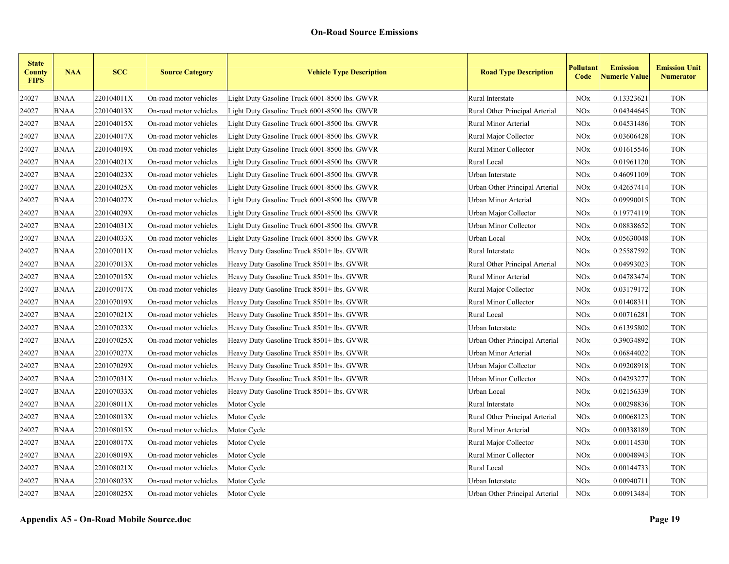| <b>State</b><br><b>County</b><br><b>FIPS</b> | <b>NAA</b>  | <b>SCC</b> | <b>Source Category</b> | <b>Vehicle Type Description</b>               | <b>Road Type Description</b>   | Pollutant<br>Code     | <b>Emission</b><br><b>Numeric Value</b> | <b>Emission Unit</b><br><b>Numerator</b> |
|----------------------------------------------|-------------|------------|------------------------|-----------------------------------------------|--------------------------------|-----------------------|-----------------------------------------|------------------------------------------|
| 24027                                        | <b>BNAA</b> | 220104011X | On-road motor vehicles | Light Duty Gasoline Truck 6001-8500 lbs. GWVR | Rural Interstate               | <b>NOx</b>            | 0.13323621                              | <b>TON</b>                               |
| 24027                                        | <b>BNAA</b> | 220104013X | On-road motor vehicles | Light Duty Gasoline Truck 6001-8500 lbs. GWVR | Rural Other Principal Arterial | <b>NOx</b>            | 0.04344645                              | <b>TON</b>                               |
| 24027                                        | <b>BNAA</b> | 220104015X | On-road motor vehicles | Light Duty Gasoline Truck 6001-8500 lbs. GWVR | Rural Minor Arterial           | <b>NOx</b>            | 0.04531486                              | <b>TON</b>                               |
| 24027                                        | <b>BNAA</b> | 220104017X | On-road motor vehicles | Light Duty Gasoline Truck 6001-8500 lbs. GWVR | Rural Major Collector          | <b>NOx</b>            | 0.03606428                              | <b>TON</b>                               |
| 24027                                        | <b>BNAA</b> | 220104019X | On-road motor vehicles | Light Duty Gasoline Truck 6001-8500 lbs. GWVR | <b>Rural Minor Collector</b>   | <b>NOx</b>            | 0.01615546                              | <b>TON</b>                               |
| 24027                                        | <b>BNAA</b> | 220104021X | On-road motor vehicles | Light Duty Gasoline Truck 6001-8500 lbs. GWVR | Rural Local                    | <b>NOx</b>            | 0.01961120                              | <b>TON</b>                               |
| 24027                                        | <b>BNAA</b> | 220104023X | On-road motor vehicles | Light Duty Gasoline Truck 6001-8500 lbs. GWVR | Urban Interstate               | <b>NOx</b>            | 0.46091109                              | <b>TON</b>                               |
| 24027                                        | <b>BNAA</b> | 220104025X | On-road motor vehicles | Light Duty Gasoline Truck 6001-8500 lbs. GWVR | Urban Other Principal Arterial | <b>NOx</b>            | 0.42657414                              | <b>TON</b>                               |
| 24027                                        | <b>BNAA</b> | 220104027X | On-road motor vehicles | Light Duty Gasoline Truck 6001-8500 lbs. GWVR | Urban Minor Arterial           | <b>NOx</b>            | 0.09990015                              | <b>TON</b>                               |
| 24027                                        | <b>BNAA</b> | 220104029X | On-road motor vehicles | Light Duty Gasoline Truck 6001-8500 lbs. GWVR | Urban Major Collector          | <b>NOx</b>            | 0.19774119                              | <b>TON</b>                               |
| 24027                                        | <b>BNAA</b> | 220104031X | On-road motor vehicles | Light Duty Gasoline Truck 6001-8500 lbs. GWVR | Urban Minor Collector          | <b>NOx</b>            | 0.08838652                              | <b>TON</b>                               |
| 24027                                        | <b>BNAA</b> | 220104033X | On-road motor vehicles | Light Duty Gasoline Truck 6001-8500 lbs. GWVR | Urban Local                    | <b>NOx</b>            | 0.05630048                              | <b>TON</b>                               |
| 24027                                        | <b>BNAA</b> | 220107011X | On-road motor vehicles | Heavy Duty Gasoline Truck 8501+ lbs. GVWR     | Rural Interstate               | <b>NOx</b>            | 0.25587592                              | <b>TON</b>                               |
| 24027                                        | <b>BNAA</b> | 220107013X | On-road motor vehicles | Heavy Duty Gasoline Truck 8501+ lbs. GVWR     | Rural Other Principal Arterial | <b>NOx</b>            | 0.04993023                              | <b>TON</b>                               |
| 24027                                        | <b>BNAA</b> | 220107015X | On-road motor vehicles | Heavy Duty Gasoline Truck 8501+ lbs. GVWR     | Rural Minor Arterial           | <b>NOx</b>            | 0.04783474                              | <b>TON</b>                               |
| 24027                                        | <b>BNAA</b> | 220107017X | On-road motor vehicles | Heavy Duty Gasoline Truck 8501+ lbs. GVWR     | Rural Major Collector          | <b>NOx</b>            | 0.03179172                              | <b>TON</b>                               |
| 24027                                        | <b>BNAA</b> | 220107019X | On-road motor vehicles | Heavy Duty Gasoline Truck 8501+ lbs. GVWR     | <b>Rural Minor Collector</b>   | <b>NOx</b>            | 0.01408311                              | <b>TON</b>                               |
| 24027                                        | <b>BNAA</b> | 220107021X | On-road motor vehicles | Heavy Duty Gasoline Truck 8501+ lbs. GVWR     | Rural Local                    | <b>NOx</b>            | 0.00716281                              | <b>TON</b>                               |
| 24027                                        | <b>BNAA</b> | 220107023X | On-road motor vehicles | Heavy Duty Gasoline Truck 8501+ lbs. GVWR     | Urban Interstate               | <b>NOx</b>            | 0.61395802                              | <b>TON</b>                               |
| 24027                                        | <b>BNAA</b> | 220107025X | On-road motor vehicles | Heavy Duty Gasoline Truck 8501+ lbs. GVWR     | Urban Other Principal Arterial | <b>NOx</b>            | 0.39034892                              | <b>TON</b>                               |
| 24027                                        | <b>BNAA</b> | 220107027X | On-road motor vehicles | Heavy Duty Gasoline Truck 8501+ lbs. GVWR     | Urban Minor Arterial           | <b>NOx</b>            | 0.06844022                              | <b>TON</b>                               |
| 24027                                        | <b>BNAA</b> | 220107029X | On-road motor vehicles | Heavy Duty Gasoline Truck 8501+ lbs. GVWR     | Urban Major Collector          | <b>NOx</b>            | 0.09208918                              | <b>TON</b>                               |
| 24027                                        | <b>BNAA</b> | 220107031X | On-road motor vehicles | Heavy Duty Gasoline Truck 8501+ lbs. GVWR     | Urban Minor Collector          | <b>NOx</b>            | 0.04293277                              | <b>TON</b>                               |
| 24027                                        | <b>BNAA</b> | 220107033X | On-road motor vehicles | Heavy Duty Gasoline Truck 8501+ lbs. GVWR     | Urban Local                    | <b>NO<sub>x</sub></b> | 0.02156339                              | <b>TON</b>                               |
| 24027                                        | <b>BNAA</b> | 220108011X | On-road motor vehicles | Motor Cycle                                   | Rural Interstate               | <b>NOx</b>            | 0.00298836                              | <b>TON</b>                               |
| 24027                                        | <b>BNAA</b> | 220108013X | On-road motor vehicles | Motor Cycle                                   | Rural Other Principal Arterial | <b>NOx</b>            | 0.00068123                              | <b>TON</b>                               |
| 24027                                        | <b>BNAA</b> | 220108015X | On-road motor vehicles | Motor Cycle                                   | Rural Minor Arterial           | <b>NOx</b>            | 0.00338189                              | <b>TON</b>                               |
| 24027                                        | <b>BNAA</b> | 220108017X | On-road motor vehicles | Motor Cycle                                   | Rural Major Collector          | <b>NOx</b>            | 0.00114530                              | <b>TON</b>                               |
| 24027                                        | <b>BNAA</b> | 220108019X | On-road motor vehicles | Motor Cycle                                   | <b>Rural Minor Collector</b>   | <b>NOx</b>            | 0.00048943                              | <b>TON</b>                               |
| 24027                                        | <b>BNAA</b> | 220108021X | On-road motor vehicles | Motor Cycle                                   | Rural Local                    | <b>NOx</b>            | 0.00144733                              | <b>TON</b>                               |
| 24027                                        | <b>BNAA</b> | 220108023X | On-road motor vehicles | Motor Cycle                                   | Urban Interstate               | <b>NOx</b>            | 0.00940711                              | <b>TON</b>                               |
| 24027                                        | <b>BNAA</b> | 220108025X | On-road motor vehicles | Motor Cycle                                   | Urban Other Principal Arterial | <b>NOx</b>            | 0.00913484                              | <b>TON</b>                               |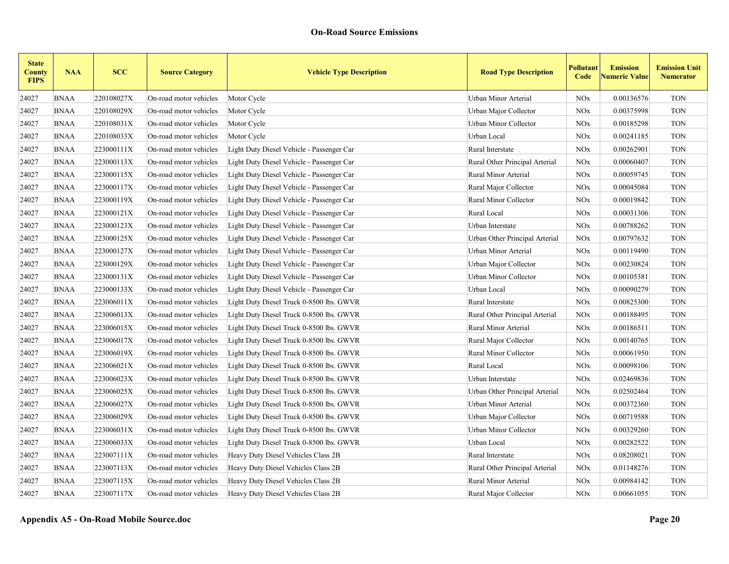| <b>State</b><br><b>County</b><br><b>FIPS</b> | <b>NAA</b>  | <b>SCC</b> | <b>Source Category</b> | <b>Vehicle Type Description</b>           | <b>Road Type Description</b>   | Pollutant<br>Code     | <b>Emission</b><br><b>Numeric Value</b> | <b>Emission Unit</b><br><b>Numerator</b> |
|----------------------------------------------|-------------|------------|------------------------|-------------------------------------------|--------------------------------|-----------------------|-----------------------------------------|------------------------------------------|
| 24027                                        | <b>BNAA</b> | 220108027X | On-road motor vehicles | Motor Cycle                               | Urban Minor Arterial           | <b>NOx</b>            | 0.00136576                              | <b>TON</b>                               |
| 24027                                        | <b>BNAA</b> | 220108029X | On-road motor vehicles | Motor Cycle                               | Urban Major Collector          | <b>NOx</b>            | 0.00375998                              | <b>TON</b>                               |
| 24027                                        | <b>BNAA</b> | 220108031X | On-road motor vehicles | Motor Cycle                               | Urban Minor Collector          | <b>NOx</b>            | 0.00185298                              | <b>TON</b>                               |
| 24027                                        | BNAA        | 220108033X | On-road motor vehicles | Motor Cycle                               | Urban Local                    | <b>NOx</b>            | 0.00241185                              | <b>TON</b>                               |
| 24027                                        | <b>BNAA</b> | 223000111X | On-road motor vehicles | Light Duty Diesel Vehicle - Passenger Car | Rural Interstate               | <b>NOx</b>            | 0.00262901                              | <b>TON</b>                               |
| 24027                                        | BNAA        | 223000113X | On-road motor vehicles | Light Duty Diesel Vehicle - Passenger Car | Rural Other Principal Arterial | <b>NOx</b>            | 0.00060407                              | <b>TON</b>                               |
| 24027                                        | <b>BNAA</b> | 223000115X | On-road motor vehicles | Light Duty Diesel Vehicle - Passenger Car | Rural Minor Arterial           | <b>NOx</b>            | 0.00059745                              | <b>TON</b>                               |
| 24027                                        | <b>BNAA</b> | 223000117X | On-road motor vehicles | Light Duty Diesel Vehicle - Passenger Car | Rural Major Collector          | <b>NOx</b>            | 0.00045084                              | <b>TON</b>                               |
| 24027                                        | <b>BNAA</b> | 223000119X | On-road motor vehicles | Light Duty Diesel Vehicle - Passenger Car | Rural Minor Collector          | <b>NOx</b>            | 0.00019842                              | <b>TON</b>                               |
| 24027                                        | <b>BNAA</b> | 223000121X | On-road motor vehicles | Light Duty Diesel Vehicle - Passenger Car | Rural Local                    | <b>NOx</b>            | 0.00031306                              | <b>TON</b>                               |
| 24027                                        | <b>BNAA</b> | 223000123X | On-road motor vehicles | Light Duty Diesel Vehicle - Passenger Car | Urban Interstate               | <b>NOx</b>            | 0.00788262                              | <b>TON</b>                               |
| 24027                                        | <b>BNAA</b> | 223000125X | On-road motor vehicles | Light Duty Diesel Vehicle - Passenger Car | Urban Other Principal Arterial | <b>NOx</b>            | 0.00797632                              | <b>TON</b>                               |
| 24027                                        | <b>BNAA</b> | 223000127X | On-road motor vehicles | Light Duty Diesel Vehicle - Passenger Car | Urban Minor Arterial           | <b>NOx</b>            | 0.00119490                              | <b>TON</b>                               |
| 24027                                        | <b>BNAA</b> | 223000129X | On-road motor vehicles | Light Duty Diesel Vehicle - Passenger Car | Urban Major Collector          | <b>NOx</b>            | 0.00230824                              | <b>TON</b>                               |
| 24027                                        | <b>BNAA</b> | 223000131X | On-road motor vehicles | Light Duty Diesel Vehicle - Passenger Car | Urban Minor Collector          | <b>NOx</b>            | 0.00105381                              | <b>TON</b>                               |
| 24027                                        | <b>BNAA</b> | 223000133X | On-road motor vehicles | Light Duty Diesel Vehicle - Passenger Car | Urban Local                    | <b>NOx</b>            | 0.00090279                              | <b>TON</b>                               |
| 24027                                        | <b>BNAA</b> | 223006011X | On-road motor vehicles | Light Duty Diesel Truck 0-8500 lbs. GWVR  | Rural Interstate               | <b>NOx</b>            | 0.00825300                              | <b>TON</b>                               |
| 24027                                        | <b>BNAA</b> | 223006013X | On-road motor vehicles | Light Duty Diesel Truck 0-8500 lbs. GWVR  | Rural Other Principal Arterial | <b>NOx</b>            | 0.00188495                              | <b>TON</b>                               |
| 24027                                        | <b>BNAA</b> | 223006015X | On-road motor vehicles | Light Duty Diesel Truck 0-8500 lbs. GWVR  | Rural Minor Arterial           | <b>NOx</b>            | 0.00186511                              | <b>TON</b>                               |
| 24027                                        | <b>BNAA</b> | 223006017X | On-road motor vehicles | Light Duty Diesel Truck 0-8500 lbs. GWVR  | Rural Major Collector          | <b>NOx</b>            | 0.00140765                              | <b>TON</b>                               |
| 24027                                        | <b>BNAA</b> | 223006019X | On-road motor vehicles | Light Duty Diesel Truck 0-8500 lbs. GWVR  | Rural Minor Collector          | <b>NOx</b>            | 0.00061950                              | <b>TON</b>                               |
| 24027                                        | <b>BNAA</b> | 223006021X | On-road motor vehicles | Light Duty Diesel Truck 0-8500 lbs. GWVR  | Rural Local                    | <b>NOx</b>            | 0.00098106                              | <b>TON</b>                               |
| 24027                                        | <b>BNAA</b> | 223006023X | On-road motor vehicles | Light Duty Diesel Truck 0-8500 lbs. GWVR  | Urban Interstate               | <b>NOx</b>            | 0.02469836                              | <b>TON</b>                               |
| 24027                                        | <b>BNAA</b> | 223006025X | On-road motor vehicles | Light Duty Diesel Truck 0-8500 lbs. GWVR  | Urban Other Principal Arterial | <b>NOx</b>            | 0.02502464                              | <b>TON</b>                               |
| 24027                                        | <b>BNAA</b> | 223006027X | On-road motor vehicles | Light Duty Diesel Truck 0-8500 lbs. GWVR  | Urban Minor Arterial           | <b>NOx</b>            | 0.00372360                              | <b>TON</b>                               |
| 24027                                        | <b>BNAA</b> | 223006029X | On-road motor vehicles | Light Duty Diesel Truck 0-8500 lbs. GWVR  | Urban Major Collector          | <b>NOx</b>            | 0.00719588                              | <b>TON</b>                               |
| 24027                                        | <b>BNAA</b> | 223006031X | On-road motor vehicles | Light Duty Diesel Truck 0-8500 lbs. GWVR  | Urban Minor Collector          | <b>NOx</b>            | 0.00329260                              | <b>TON</b>                               |
| 24027                                        | <b>BNAA</b> | 223006033X | On-road motor vehicles | Light Duty Diesel Truck 0-8500 lbs. GWVR  | Urban Local                    | <b>NOx</b>            | 0.00282522                              | <b>TON</b>                               |
| 24027                                        | BNAA        | 223007111X | On-road motor vehicles | Heavy Duty Diesel Vehicles Class 2B       | Rural Interstate               | <b>NOx</b>            | 0.08208021                              | <b>TON</b>                               |
| 24027                                        | BNAA        | 223007113X | On-road motor vehicles | Heavy Duty Diesel Vehicles Class 2B       | Rural Other Principal Arterial | NO <sub>x</sub>       | 0.01148276                              | <b>TON</b>                               |
| 24027                                        | BNAA        | 223007115X | On-road motor vehicles | Heavy Duty Diesel Vehicles Class 2B       | Rural Minor Arterial           | <b>NOx</b>            | 0.00984142                              | <b>TON</b>                               |
| 24027                                        | <b>BNAA</b> | 223007117X | On-road motor vehicles | Heavy Duty Diesel Vehicles Class 2B       | Rural Major Collector          | <b>NO<sub>x</sub></b> | 0.00661055                              | <b>TON</b>                               |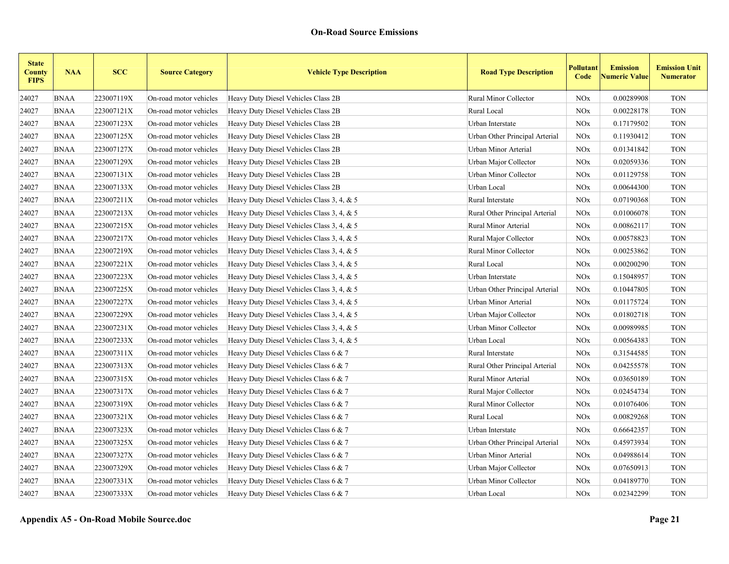| <b>State</b><br><b>County</b><br><b>FIPS</b> | <b>NAA</b>  | <b>SCC</b> | <b>Source Category</b> | <b>Vehicle Type Description</b>            | <b>Road Type Description</b>   | Pollutant<br>Code | <b>Emission</b><br><b>Numeric Value</b> | <b>Emission Unit</b><br><b>Numerator</b> |
|----------------------------------------------|-------------|------------|------------------------|--------------------------------------------|--------------------------------|-------------------|-----------------------------------------|------------------------------------------|
| 24027                                        | <b>BNAA</b> | 223007119X | On-road motor vehicles | Heavy Duty Diesel Vehicles Class 2B        | Rural Minor Collector          | <b>NOx</b>        | 0.00289908                              | <b>TON</b>                               |
| 24027                                        | <b>BNAA</b> | 223007121X | On-road motor vehicles | Heavy Duty Diesel Vehicles Class 2B        | Rural Local                    | <b>NOx</b>        | 0.00228178                              | <b>TON</b>                               |
| 24027                                        | <b>BNAA</b> | 223007123X | On-road motor vehicles | Heavy Duty Diesel Vehicles Class 2B        | Urban Interstate               | <b>NOx</b>        | 0.17179502                              | <b>TON</b>                               |
| 24027                                        | <b>BNAA</b> | 223007125X | On-road motor vehicles | Heavy Duty Diesel Vehicles Class 2B        | Urban Other Principal Arterial | <b>NOx</b>        | 0.11930412                              | <b>TON</b>                               |
| 24027                                        | <b>BNAA</b> | 223007127X | On-road motor vehicles | Heavy Duty Diesel Vehicles Class 2B        | Urban Minor Arterial           | <b>NOx</b>        | 0.01341842                              | <b>TON</b>                               |
| 24027                                        | <b>BNAA</b> | 223007129X | On-road motor vehicles | Heavy Duty Diesel Vehicles Class 2B        | Urban Major Collector          | <b>NOx</b>        | 0.02059336                              | <b>TON</b>                               |
| 24027                                        | <b>BNAA</b> | 223007131X | On-road motor vehicles | Heavy Duty Diesel Vehicles Class 2B        | <b>Urban Minor Collector</b>   | <b>NOx</b>        | 0.01129758                              | <b>TON</b>                               |
| 24027                                        | <b>BNAA</b> | 223007133X | On-road motor vehicles | Heavy Duty Diesel Vehicles Class 2B        | Urban Local                    | <b>NOx</b>        | 0.00644300                              | <b>TON</b>                               |
| 24027                                        | <b>BNAA</b> | 223007211X | On-road motor vehicles | Heavy Duty Diesel Vehicles Class 3, 4, & 5 | Rural Interstate               | <b>NOx</b>        | 0.07190368                              | <b>TON</b>                               |
| 24027                                        | <b>BNAA</b> | 223007213X | On-road motor vehicles | Heavy Duty Diesel Vehicles Class 3, 4, & 5 | Rural Other Principal Arterial | <b>NOx</b>        | 0.01006078                              | <b>TON</b>                               |
| 24027                                        | <b>BNAA</b> | 223007215X | On-road motor vehicles | Heavy Duty Diesel Vehicles Class 3, 4, & 5 | Rural Minor Arterial           | <b>NOx</b>        | 0.00862117                              | <b>TON</b>                               |
| 24027                                        | <b>BNAA</b> | 223007217X | On-road motor vehicles | Heavy Duty Diesel Vehicles Class 3, 4, & 5 | Rural Major Collector          | <b>NOx</b>        | 0.00578823                              | <b>TON</b>                               |
| 24027                                        | <b>BNAA</b> | 223007219X | On-road motor vehicles | Heavy Duty Diesel Vehicles Class 3, 4, & 5 | Rural Minor Collector          | <b>NOx</b>        | 0.00253862                              | <b>TON</b>                               |
| 24027                                        | <b>BNAA</b> | 223007221X | On-road motor vehicles | Heavy Duty Diesel Vehicles Class 3, 4, & 5 | Rural Local                    | <b>NOx</b>        | 0.00200290                              | <b>TON</b>                               |
| 24027                                        | <b>BNAA</b> | 223007223X | On-road motor vehicles | Heavy Duty Diesel Vehicles Class 3, 4, & 5 | Urban Interstate               | <b>NOx</b>        | 0.15048957                              | <b>TON</b>                               |
| 24027                                        | <b>BNAA</b> | 223007225X | On-road motor vehicles | Heavy Duty Diesel Vehicles Class 3, 4, & 5 | Urban Other Principal Arterial | <b>NOx</b>        | 0.10447805                              | <b>TON</b>                               |
| 24027                                        | <b>BNAA</b> | 223007227X | On-road motor vehicles | Heavy Duty Diesel Vehicles Class 3, 4, & 5 | Urban Minor Arterial           | <b>NOx</b>        | 0.01175724                              | <b>TON</b>                               |
| 24027                                        | <b>BNAA</b> | 223007229X | On-road motor vehicles | Heavy Duty Diesel Vehicles Class 3, 4, & 5 | Urban Major Collector          | <b>NOx</b>        | 0.01802718                              | <b>TON</b>                               |
| 24027                                        | <b>BNAA</b> | 223007231X | On-road motor vehicles | Heavy Duty Diesel Vehicles Class 3, 4, & 5 | Urban Minor Collector          | <b>NOx</b>        | 0.00989985                              | <b>TON</b>                               |
| 24027                                        | <b>BNAA</b> | 223007233X | On-road motor vehicles | Heavy Duty Diesel Vehicles Class 3, 4, & 5 | Urban Local                    | <b>NOx</b>        | 0.00564383                              | <b>TON</b>                               |
| 24027                                        | <b>BNAA</b> | 223007311X | On-road motor vehicles | Heavy Duty Diesel Vehicles Class 6 & 7     | Rural Interstate               | <b>NOx</b>        | 0.31544585                              | <b>TON</b>                               |
| 24027                                        | <b>BNAA</b> | 223007313X | On-road motor vehicles | Heavy Duty Diesel Vehicles Class 6 & 7     | Rural Other Principal Arterial | <b>NOx</b>        | 0.04255578                              | <b>TON</b>                               |
| 24027                                        | <b>BNAA</b> | 223007315X | On-road motor vehicles | Heavy Duty Diesel Vehicles Class 6 & 7     | Rural Minor Arterial           | <b>NOx</b>        | 0.03650189                              | <b>TON</b>                               |
| 24027                                        | <b>BNAA</b> | 223007317X | On-road motor vehicles | Heavy Duty Diesel Vehicles Class 6 $& 7$   | Rural Major Collector          | <b>NOx</b>        | 0.02454734                              | <b>TON</b>                               |
| 24027                                        | <b>BNAA</b> | 223007319X | On-road motor vehicles | Heavy Duty Diesel Vehicles Class 6 & 7     | Rural Minor Collector          | <b>NOx</b>        | 0.01076406                              | <b>TON</b>                               |
| 24027                                        | <b>BNAA</b> | 223007321X | On-road motor vehicles | Heavy Duty Diesel Vehicles Class 6 $& 7$   | Rural Local                    | <b>NOx</b>        | 0.00829268                              | <b>TON</b>                               |
| 24027                                        | <b>BNAA</b> | 223007323X | On-road motor vehicles | Heavy Duty Diesel Vehicles Class 6 $& 7$   | Urban Interstate               | <b>NOx</b>        | 0.66642357                              | <b>TON</b>                               |
| 24027                                        | <b>BNAA</b> | 223007325X | On-road motor vehicles | Heavy Duty Diesel Vehicles Class 6 $& 7$   | Urban Other Principal Arterial | <b>NOx</b>        | 0.45973934                              | <b>TON</b>                               |
| 24027                                        | <b>BNAA</b> | 223007327X | On-road motor vehicles | Heavy Duty Diesel Vehicles Class 6 & 7     | <b>Urban Minor Arterial</b>    | <b>NOx</b>        | 0.04988614                              | <b>TON</b>                               |
| 24027                                        | <b>BNAA</b> | 223007329X | On-road motor vehicles | Heavy Duty Diesel Vehicles Class 6 $& 7$   | Urban Major Collector          | <b>NOx</b>        | 0.07650913                              | <b>TON</b>                               |
| 24027                                        | <b>BNAA</b> | 223007331X | On-road motor vehicles | Heavy Duty Diesel Vehicles Class 6 & 7     | <b>Urban Minor Collector</b>   | <b>NOx</b>        | 0.04189770                              | <b>TON</b>                               |
| 24027                                        | <b>BNAA</b> | 223007333X | On-road motor vehicles | Heavy Duty Diesel Vehicles Class 6 & 7     | Urban Local                    | <b>NOx</b>        | 0.02342299                              | <b>TON</b>                               |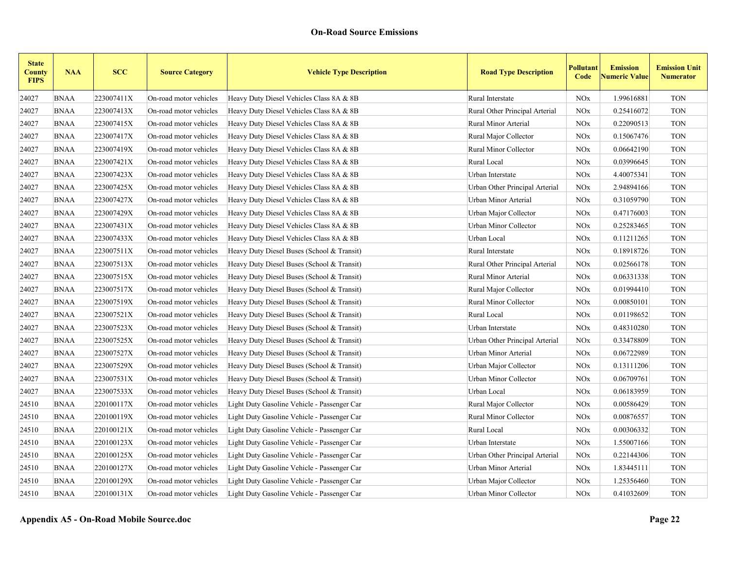| <b>State</b><br><b>County</b><br><b>FIPS</b> | <b>NAA</b>  | <b>SCC</b> | <b>Source Category</b> | <b>Vehicle Type Description</b>             | <b>Road Type Description</b>   | Pollutant<br>Code | <b>Emission</b><br><b>Numeric Value</b> | <b>Emission Unit</b><br><b>Numerator</b> |
|----------------------------------------------|-------------|------------|------------------------|---------------------------------------------|--------------------------------|-------------------|-----------------------------------------|------------------------------------------|
| 24027                                        | <b>BNAA</b> | 223007411X | On-road motor vehicles | Heavy Duty Diesel Vehicles Class 8A & 8B    | Rural Interstate               | <b>NOx</b>        | 1.99616881                              | <b>TON</b>                               |
| 24027                                        | <b>BNAA</b> | 223007413X | On-road motor vehicles | Heavy Duty Diesel Vehicles Class 8A & 8B    | Rural Other Principal Arterial | <b>NOx</b>        | 0.25416072                              | <b>TON</b>                               |
| 24027                                        | <b>BNAA</b> | 223007415X | On-road motor vehicles | Heavy Duty Diesel Vehicles Class 8A & 8B    | Rural Minor Arterial           | <b>NOx</b>        | 0.22090513                              | <b>TON</b>                               |
| 24027                                        | <b>BNAA</b> | 223007417X | On-road motor vehicles | Heavy Duty Diesel Vehicles Class 8A & 8B    | Rural Major Collector          | <b>NOx</b>        | 0.15067476                              | <b>TON</b>                               |
| 24027                                        | <b>BNAA</b> | 223007419X | On-road motor vehicles | Heavy Duty Diesel Vehicles Class 8A & 8B    | Rural Minor Collector          | <b>NOx</b>        | 0.06642190                              | <b>TON</b>                               |
| 24027                                        | <b>BNAA</b> | 223007421X | On-road motor vehicles | Heavy Duty Diesel Vehicles Class 8A & 8B    | Rural Local                    | <b>NOx</b>        | 0.03996645                              | <b>TON</b>                               |
| 24027                                        | <b>BNAA</b> | 223007423X | On-road motor vehicles | Heavy Duty Diesel Vehicles Class 8A & 8B    | Urban Interstate               | <b>NOx</b>        | 4.40075341                              | <b>TON</b>                               |
| 24027                                        | <b>BNAA</b> | 223007425X | On-road motor vehicles | Heavy Duty Diesel Vehicles Class 8A & 8B    | Urban Other Principal Arterial | <b>NOx</b>        | 2.94894166                              | <b>TON</b>                               |
| 24027                                        | <b>BNAA</b> | 223007427X | On-road motor vehicles | Heavy Duty Diesel Vehicles Class 8A & 8B    | Urban Minor Arterial           | <b>NOx</b>        | 0.31059790                              | <b>TON</b>                               |
| 24027                                        | <b>BNAA</b> | 223007429X | On-road motor vehicles | Heavy Duty Diesel Vehicles Class 8A & 8B    | Urban Major Collector          | <b>NOx</b>        | 0.47176003                              | <b>TON</b>                               |
| 24027                                        | <b>BNAA</b> | 223007431X | On-road motor vehicles | Heavy Duty Diesel Vehicles Class 8A & 8B    | Urban Minor Collector          | <b>NOx</b>        | 0.25283465                              | <b>TON</b>                               |
| 24027                                        | <b>BNAA</b> | 223007433X | On-road motor vehicles | Heavy Duty Diesel Vehicles Class 8A & 8B    | Urban Local                    | <b>NOx</b>        | 0.11211265                              | <b>TON</b>                               |
| 24027                                        | <b>BNAA</b> | 223007511X | On-road motor vehicles | Heavy Duty Diesel Buses (School & Transit)  | Rural Interstate               | <b>NOx</b>        | 0.18918726                              | <b>TON</b>                               |
| 24027                                        | <b>BNAA</b> | 223007513X | On-road motor vehicles | Heavy Duty Diesel Buses (School & Transit)  | Rural Other Principal Arterial | <b>NOx</b>        | 0.02566178                              | <b>TON</b>                               |
| 24027                                        | <b>BNAA</b> | 223007515X | On-road motor vehicles | Heavy Duty Diesel Buses (School & Transit)  | Rural Minor Arterial           | <b>NOx</b>        | 0.06331338                              | <b>TON</b>                               |
| 24027                                        | <b>BNAA</b> | 223007517X | On-road motor vehicles | Heavy Duty Diesel Buses (School & Transit)  | Rural Major Collector          | <b>NOx</b>        | 0.01994410                              | <b>TON</b>                               |
| 24027                                        | <b>BNAA</b> | 223007519X | On-road motor vehicles | Heavy Duty Diesel Buses (School & Transit)  | <b>Rural Minor Collector</b>   | <b>NOx</b>        | 0.00850101                              | <b>TON</b>                               |
| 24027                                        | <b>BNAA</b> | 223007521X | On-road motor vehicles | Heavy Duty Diesel Buses (School & Transit)  | Rural Local                    | <b>NOx</b>        | 0.01198652                              | <b>TON</b>                               |
| 24027                                        | <b>BNAA</b> | 223007523X | On-road motor vehicles | Heavy Duty Diesel Buses (School & Transit)  | Urban Interstate               | <b>NOx</b>        | 0.48310280                              | <b>TON</b>                               |
| 24027                                        | <b>BNAA</b> | 223007525X | On-road motor vehicles | Heavy Duty Diesel Buses (School & Transit)  | Urban Other Principal Arterial | <b>NOx</b>        | 0.33478809                              | <b>TON</b>                               |
| 24027                                        | <b>BNAA</b> | 223007527X | On-road motor vehicles | Heavy Duty Diesel Buses (School & Transit)  | Urban Minor Arterial           | <b>NOx</b>        | 0.06722989                              | <b>TON</b>                               |
| 24027                                        | <b>BNAA</b> | 223007529X | On-road motor vehicles | Heavy Duty Diesel Buses (School & Transit)  | Urban Major Collector          | <b>NOx</b>        | 0.13111206                              | <b>TON</b>                               |
| 24027                                        | <b>BNAA</b> | 223007531X | On-road motor vehicles | Heavy Duty Diesel Buses (School & Transit)  | Urban Minor Collector          | <b>NOx</b>        | 0.06709761                              | <b>TON</b>                               |
| 24027                                        | <b>BNAA</b> | 223007533X | On-road motor vehicles | Heavy Duty Diesel Buses (School & Transit)  | Urban Local                    | <b>NOx</b>        | 0.06183959                              | <b>TON</b>                               |
| 24510                                        | <b>BNAA</b> | 220100117X | On-road motor vehicles | Light Duty Gasoline Vehicle - Passenger Car | Rural Major Collector          | <b>NOx</b>        | 0.00586429                              | <b>TON</b>                               |
| 24510                                        | <b>BNAA</b> | 220100119X | On-road motor vehicles | Light Duty Gasoline Vehicle - Passenger Car | Rural Minor Collector          | <b>NOx</b>        | 0.00876557                              | <b>TON</b>                               |
| 24510                                        | <b>BNAA</b> | 220100121X | On-road motor vehicles | Light Duty Gasoline Vehicle - Passenger Car | Rural Local                    | <b>NOx</b>        | 0.00306332                              | <b>TON</b>                               |
| 24510                                        | <b>BNAA</b> | 220100123X | On-road motor vehicles | Light Duty Gasoline Vehicle - Passenger Car | Urban Interstate               | <b>NOx</b>        | 1.55007166                              | <b>TON</b>                               |
| 24510                                        | <b>BNAA</b> | 220100125X | On-road motor vehicles | Light Duty Gasoline Vehicle - Passenger Car | Urban Other Principal Arterial | <b>NOx</b>        | 0.22144306                              | <b>TON</b>                               |
| 24510                                        | <b>BNAA</b> | 220100127X | On-road motor vehicles | Light Duty Gasoline Vehicle - Passenger Car | Urban Minor Arterial           | <b>NOx</b>        | 1.83445111                              | <b>TON</b>                               |
| 24510                                        | <b>BNAA</b> | 220100129X | On-road motor vehicles | Light Duty Gasoline Vehicle - Passenger Car | Urban Major Collector          | <b>NOx</b>        | 1.25356460                              | <b>TON</b>                               |
| 24510                                        | <b>BNAA</b> | 220100131X | On-road motor vehicles | Light Duty Gasoline Vehicle - Passenger Car | Urban Minor Collector          | <b>NOx</b>        | 0.41032609                              | <b>TON</b>                               |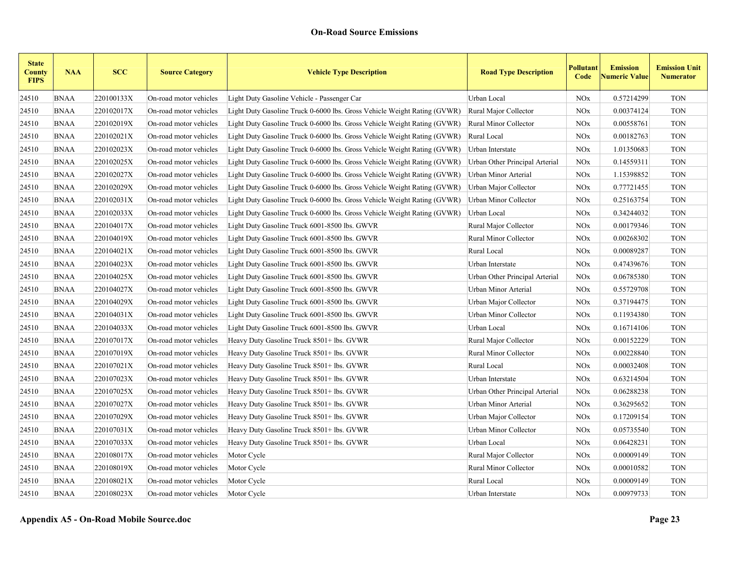| <b>State</b><br><b>County</b><br><b>FIPS</b> | <b>NAA</b>  | <b>SCC</b> | <b>Source Category</b> | <b>Vehicle Type Description</b>                                          | <b>Road Type Description</b>   | Pollutant<br>Code     | <b>Emission</b><br><b>Numeric Value</b> | <b>Emission Unit</b><br><b>Numerator</b> |
|----------------------------------------------|-------------|------------|------------------------|--------------------------------------------------------------------------|--------------------------------|-----------------------|-----------------------------------------|------------------------------------------|
| 24510                                        | <b>BNAA</b> | 220100133X | On-road motor vehicles | Light Duty Gasoline Vehicle - Passenger Car                              | Urban Local                    | <b>NOx</b>            | 0.57214299                              | <b>TON</b>                               |
| 24510                                        | <b>BNAA</b> | 220102017X | On-road motor vehicles | Light Duty Gasoline Truck 0-6000 lbs. Gross Vehicle Weight Rating (GVWR) | Rural Major Collector          | <b>NOx</b>            | 0.00374124                              | <b>TON</b>                               |
| 24510                                        | <b>BNAA</b> | 220102019X | On-road motor vehicles | Light Duty Gasoline Truck 0-6000 lbs. Gross Vehicle Weight Rating (GVWR) | Rural Minor Collector          | <b>NOx</b>            | 0.00558761                              | <b>TON</b>                               |
| 24510                                        | <b>BNAA</b> | 220102021X | On-road motor vehicles | Light Duty Gasoline Truck 0-6000 lbs. Gross Vehicle Weight Rating (GVWR) | Rural Local                    | <b>NO<sub>x</sub></b> | 0.00182763                              | <b>TON</b>                               |
| 24510                                        | <b>BNAA</b> | 220102023X | On-road motor vehicles | Light Duty Gasoline Truck 0-6000 lbs. Gross Vehicle Weight Rating (GVWR) | Urban Interstate               | <b>NO<sub>x</sub></b> | 1.01350683                              | <b>TON</b>                               |
| 24510                                        | <b>BNAA</b> | 220102025X | On-road motor vehicles | Light Duty Gasoline Truck 0-6000 lbs. Gross Vehicle Weight Rating (GVWR) | Urban Other Principal Arterial | <b>NO<sub>x</sub></b> | 0.14559311                              | <b>TON</b>                               |
| 24510                                        | <b>BNAA</b> | 220102027X | On-road motor vehicles | Light Duty Gasoline Truck 0-6000 lbs. Gross Vehicle Weight Rating (GVWR) | Urban Minor Arterial           | <b>NO<sub>x</sub></b> | 1.15398852                              | <b>TON</b>                               |
| 24510                                        | <b>BNAA</b> | 220102029X | On-road motor vehicles | Light Duty Gasoline Truck 0-6000 lbs. Gross Vehicle Weight Rating (GVWR) | Urban Major Collector          | <b>NO<sub>x</sub></b> | 0.77721455                              | <b>TON</b>                               |
| 24510                                        | <b>BNAA</b> | 220102031X | On-road motor vehicles | Light Duty Gasoline Truck 0-6000 lbs. Gross Vehicle Weight Rating (GVWR) | Urban Minor Collector          | <b>NOx</b>            | 0.25163754                              | <b>TON</b>                               |
| 24510                                        | <b>BNAA</b> | 220102033X | On-road motor vehicles | Light Duty Gasoline Truck 0-6000 lbs. Gross Vehicle Weight Rating (GVWR) | Urban Local                    | <b>NO<sub>x</sub></b> | 0.34244032                              | <b>TON</b>                               |
| 24510                                        | <b>BNAA</b> | 220104017X | On-road motor vehicles | Light Duty Gasoline Truck 6001-8500 lbs. GWVR                            | Rural Major Collector          | <b>NO<sub>x</sub></b> | 0.00179346                              | <b>TON</b>                               |
| 24510                                        | <b>BNAA</b> | 220104019X | On-road motor vehicles | Light Duty Gasoline Truck 6001-8500 lbs. GWVR                            | Rural Minor Collector          | <b>NO<sub>x</sub></b> | 0.00268302                              | <b>TON</b>                               |
| 24510                                        | <b>BNAA</b> | 220104021X | On-road motor vehicles | Light Duty Gasoline Truck 6001-8500 lbs. GWVR                            | Rural Local                    | <b>NO<sub>x</sub></b> | 0.00089287                              | <b>TON</b>                               |
| 24510                                        | <b>BNAA</b> | 220104023X | On-road motor vehicles | Light Duty Gasoline Truck 6001-8500 lbs. GWVR                            | Urban Interstate               | <b>NO<sub>x</sub></b> | 0.47439676                              | <b>TON</b>                               |
| 24510                                        | <b>BNAA</b> | 220104025X | On-road motor vehicles | Light Duty Gasoline Truck 6001-8500 lbs. GWVR                            | Urban Other Principal Arterial | <b>NOx</b>            | 0.06785380                              | <b>TON</b>                               |
| 24510                                        | <b>BNAA</b> | 220104027X | On-road motor vehicles | Light Duty Gasoline Truck 6001-8500 lbs. GWVR                            | Urban Minor Arterial           | <b>NOx</b>            | 0.55729708                              | <b>TON</b>                               |
| 24510                                        | <b>BNAA</b> | 220104029X | On-road motor vehicles | Light Duty Gasoline Truck 6001-8500 lbs. GWVR                            | Urban Major Collector          | <b>NOx</b>            | 0.37194475                              | <b>TON</b>                               |
| 24510                                        | <b>BNAA</b> | 220104031X | On-road motor vehicles | Light Duty Gasoline Truck 6001-8500 lbs. GWVR                            | Urban Minor Collector          | <b>NOx</b>            | 0.11934380                              | <b>TON</b>                               |
| 24510                                        | <b>BNAA</b> | 220104033X | On-road motor vehicles | Light Duty Gasoline Truck 6001-8500 lbs. GWVR                            | Urban Local                    | <b>NOx</b>            | 0.16714106                              | <b>TON</b>                               |
| 24510                                        | <b>BNAA</b> | 220107017X | On-road motor vehicles | Heavy Duty Gasoline Truck 8501+ lbs. GVWR                                | Rural Major Collector          | <b>NO<sub>x</sub></b> | 0.00152229                              | <b>TON</b>                               |
| 24510                                        | <b>BNAA</b> | 220107019X | On-road motor vehicles | Heavy Duty Gasoline Truck 8501+ lbs. GVWR                                | Rural Minor Collector          | <b>NOx</b>            | 0.00228840                              | <b>TON</b>                               |
| 24510                                        | <b>BNAA</b> | 220107021X | On-road motor vehicles | Heavy Duty Gasoline Truck 8501+ lbs. GVWR                                | Rural Local                    | <b>NOx</b>            | 0.00032408                              | <b>TON</b>                               |
| 24510                                        | <b>BNAA</b> | 220107023X | On-road motor vehicles | Heavy Duty Gasoline Truck 8501+ lbs. GVWR                                | Urban Interstate               | <b>NOx</b>            | 0.63214504                              | <b>TON</b>                               |
| 24510                                        | <b>BNAA</b> | 220107025X | On-road motor vehicles | Heavy Duty Gasoline Truck 8501+ lbs. GVWR                                | Urban Other Principal Arterial | <b>NOx</b>            | 0.06288238                              | <b>TON</b>                               |
| 24510                                        | <b>BNAA</b> | 220107027X | On-road motor vehicles | Heavy Duty Gasoline Truck 8501+ lbs. GVWR                                | Urban Minor Arterial           | <b>NOx</b>            | 0.36295652                              | <b>TON</b>                               |
| 24510                                        | <b>BNAA</b> | 220107029X | On-road motor vehicles | Heavy Duty Gasoline Truck 8501+ lbs. GVWR                                | Urban Major Collector          | <b>NOx</b>            | 0.17209154                              | <b>TON</b>                               |
| 24510                                        | <b>BNAA</b> | 220107031X | On-road motor vehicles | Heavy Duty Gasoline Truck 8501+ lbs. GVWR                                | Urban Minor Collector          | <b>NOx</b>            | 0.05735540                              | <b>TON</b>                               |
| 24510                                        | <b>BNAA</b> | 220107033X | On-road motor vehicles | Heavy Duty Gasoline Truck 8501+ lbs. GVWR                                | Urban Local                    | <b>NOx</b>            | 0.06428231                              | <b>TON</b>                               |
| 24510                                        | <b>BNAA</b> | 220108017X | On-road motor vehicles | Motor Cycle                                                              | Rural Major Collector          | <b>NOx</b>            | 0.00009149                              | <b>TON</b>                               |
| 24510                                        | <b>BNAA</b> | 220108019X | On-road motor vehicles | Motor Cycle                                                              | Rural Minor Collector          | <b>NOx</b>            | 0.00010582                              | <b>TON</b>                               |
| 24510                                        | <b>BNAA</b> | 220108021X | On-road motor vehicles | Motor Cycle                                                              | Rural Local                    | <b>NOx</b>            | 0.00009149                              | <b>TON</b>                               |
| 24510                                        | <b>BNAA</b> | 220108023X | On-road motor vehicles | Motor Cycle                                                              | Urban Interstate               | <b>NOx</b>            | 0.00979733                              | <b>TON</b>                               |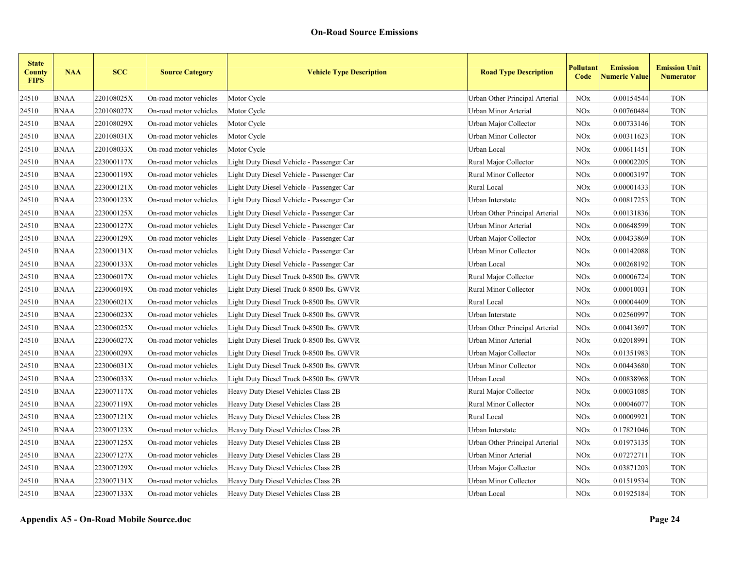| <b>State</b><br><b>County</b><br><b>FIPS</b> | <b>NAA</b>  | <b>SCC</b> | <b>Source Category</b> | <b>Vehicle Type Description</b>           | <b>Road Type Description</b>   | Pollutant<br>Code     | <b>Emission</b><br><b>Numeric Value</b> | <b>Emission Unit</b><br><b>Numerator</b> |
|----------------------------------------------|-------------|------------|------------------------|-------------------------------------------|--------------------------------|-----------------------|-----------------------------------------|------------------------------------------|
| 24510                                        | <b>BNAA</b> | 220108025X | On-road motor vehicles | Motor Cycle                               | Urban Other Principal Arterial | <b>NOx</b>            | 0.00154544                              | <b>TON</b>                               |
| 24510                                        | <b>BNAA</b> | 220108027X | On-road motor vehicles | Motor Cycle                               | Urban Minor Arterial           | NOx                   | 0.00760484                              | <b>TON</b>                               |
| 24510                                        | <b>BNAA</b> | 220108029X | On-road motor vehicles | Motor Cycle                               | Urban Major Collector          | <b>NOx</b>            | 0.00733146                              | <b>TON</b>                               |
| 24510                                        | <b>BNAA</b> | 220108031X | On-road motor vehicles | Motor Cycle                               | Urban Minor Collector          | NOx                   | 0.00311623                              | <b>TON</b>                               |
| 24510                                        | <b>BNAA</b> | 220108033X | On-road motor vehicles | Motor Cycle                               | Urban Local                    | <b>NOx</b>            | 0.00611451                              | <b>TON</b>                               |
| 24510                                        | <b>BNAA</b> | 223000117X | On-road motor vehicles | Light Duty Diesel Vehicle - Passenger Car | Rural Major Collector          | NOx                   | 0.00002205                              | <b>TON</b>                               |
| 24510                                        | <b>BNAA</b> | 223000119X | On-road motor vehicles | Light Duty Diesel Vehicle - Passenger Car | <b>Rural Minor Collector</b>   | <b>NOx</b>            | 0.00003197                              | <b>TON</b>                               |
| 24510                                        | <b>BNAA</b> | 223000121X | On-road motor vehicles | Light Duty Diesel Vehicle - Passenger Car | Rural Local                    | <b>NOx</b>            | 0.00001433                              | <b>TON</b>                               |
| 24510                                        | <b>BNAA</b> | 223000123X | On-road motor vehicles | Light Duty Diesel Vehicle - Passenger Car | Urban Interstate               | NOx                   | 0.00817253                              | <b>TON</b>                               |
| 24510                                        | <b>BNAA</b> | 223000125X | On-road motor vehicles | Light Duty Diesel Vehicle - Passenger Car | Urban Other Principal Arterial | <b>NOx</b>            | 0.00131836                              | <b>TON</b>                               |
| 24510                                        | <b>BNAA</b> | 223000127X | On-road motor vehicles | Light Duty Diesel Vehicle - Passenger Car | Urban Minor Arterial           | <b>NOx</b>            | 0.00648599                              | <b>TON</b>                               |
| 24510                                        | <b>BNAA</b> | 223000129X | On-road motor vehicles | Light Duty Diesel Vehicle - Passenger Car | Urban Major Collector          | <b>NOx</b>            | 0.00433869                              | <b>TON</b>                               |
| 24510                                        | <b>BNAA</b> | 223000131X | On-road motor vehicles | Light Duty Diesel Vehicle - Passenger Car | Urban Minor Collector          | <b>NOx</b>            | 0.00142088                              | <b>TON</b>                               |
| 24510                                        | <b>BNAA</b> | 223000133X | On-road motor vehicles | Light Duty Diesel Vehicle - Passenger Car | Urban Local                    | <b>NOx</b>            | 0.00268192                              | <b>TON</b>                               |
| 24510                                        | BNAA        | 223006017X | On-road motor vehicles | Light Duty Diesel Truck 0-8500 lbs. GWVR  | Rural Major Collector          | <b>NOx</b>            | 0.00006724                              | <b>TON</b>                               |
| 24510                                        | <b>BNAA</b> | 223006019X | On-road motor vehicles | Light Duty Diesel Truck 0-8500 lbs. GWVR  | <b>Rural Minor Collector</b>   | NOx                   | 0.00010031                              | <b>TON</b>                               |
| 24510                                        | <b>BNAA</b> | 223006021X | On-road motor vehicles | Light Duty Diesel Truck 0-8500 lbs. GWVR  | Rural Local                    | <b>NOx</b>            | 0.00004409                              | <b>TON</b>                               |
| 24510                                        | <b>BNAA</b> | 223006023X | On-road motor vehicles | Light Duty Diesel Truck 0-8500 lbs. GWVR  | Urban Interstate               | <b>NO<sub>x</sub></b> | 0.02560997                              | <b>TON</b>                               |
| 24510                                        | <b>BNAA</b> | 223006025X | On-road motor vehicles | Light Duty Diesel Truck 0-8500 lbs. GWVR  | Urban Other Principal Arterial | NOx                   | 0.00413697                              | <b>TON</b>                               |
| 24510                                        | <b>BNAA</b> | 223006027X | On-road motor vehicles | Light Duty Diesel Truck 0-8500 lbs. GWVR  | Urban Minor Arterial           | <b>NOx</b>            | 0.02018991                              | <b>TON</b>                               |
| 24510                                        | <b>BNAA</b> | 223006029X | On-road motor vehicles | Light Duty Diesel Truck 0-8500 lbs. GWVR  | Urban Major Collector          | <b>NOx</b>            | 0.01351983                              | <b>TON</b>                               |
| 24510                                        | <b>BNAA</b> | 223006031X | On-road motor vehicles | Light Duty Diesel Truck 0-8500 lbs. GWVR  | Urban Minor Collector          | <b>NOx</b>            | 0.00443680                              | <b>TON</b>                               |
| 24510                                        | <b>BNAA</b> | 223006033X | On-road motor vehicles | Light Duty Diesel Truck 0-8500 lbs. GWVR  | Urban Local                    | <b>NOx</b>            | 0.00838968                              | <b>TON</b>                               |
| 24510                                        | <b>BNAA</b> | 223007117X | On-road motor vehicles | Heavy Duty Diesel Vehicles Class 2B       | Rural Major Collector          | <b>NOx</b>            | 0.00031085                              | <b>TON</b>                               |
| 24510                                        | <b>BNAA</b> | 223007119X | On-road motor vehicles | Heavy Duty Diesel Vehicles Class 2B       | Rural Minor Collector          | <b>NOx</b>            | 0.00046077                              | <b>TON</b>                               |
| 24510                                        | <b>BNAA</b> | 223007121X | On-road motor vehicles | Heavy Duty Diesel Vehicles Class 2B       | Rural Local                    | <b>NOx</b>            | 0.00009921                              | <b>TON</b>                               |
| 24510                                        | BNAA        | 223007123X | On-road motor vehicles | Heavy Duty Diesel Vehicles Class 2B       | Urban Interstate               | <b>NOx</b>            | 0.17821046                              | <b>TON</b>                               |
| 24510                                        | <b>BNAA</b> | 223007125X | On-road motor vehicles | Heavy Duty Diesel Vehicles Class 2B       | Urban Other Principal Arterial | NOx                   | 0.01973135                              | <b>TON</b>                               |
| 24510                                        | <b>BNAA</b> | 223007127X | On-road motor vehicles | Heavy Duty Diesel Vehicles Class 2B       | Urban Minor Arterial           | NOx                   | 0.07272711                              | <b>TON</b>                               |
| 24510                                        | <b>BNAA</b> | 223007129X | On-road motor vehicles | Heavy Duty Diesel Vehicles Class 2B       | Urban Major Collector          | <b>NOx</b>            | 0.03871203                              | <b>TON</b>                               |
| 24510                                        | <b>BNAA</b> | 223007131X | On-road motor vehicles | Heavy Duty Diesel Vehicles Class 2B       | Urban Minor Collector          | <b>NOx</b>            | 0.01519534                              | <b>TON</b>                               |
| 24510                                        | <b>BNAA</b> | 223007133X | On-road motor vehicles | Heavy Duty Diesel Vehicles Class 2B       | Urban Local                    | <b>NOx</b>            | 0.01925184                              | <b>TON</b>                               |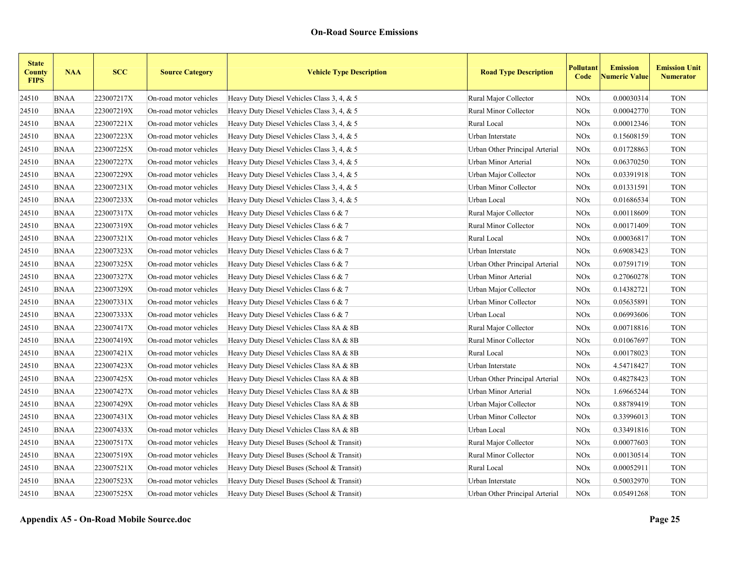| <b>State</b><br><b>County</b><br><b>FIPS</b> | <b>NAA</b>  | <b>SCC</b> | <b>Source Category</b> | <b>Vehicle Type Description</b>            | <b>Road Type Description</b>   | Pollutant<br>Code     | <b>Emission</b><br><b>Numeric Value</b> | <b>Emission Unit</b><br><b>Numerator</b> |
|----------------------------------------------|-------------|------------|------------------------|--------------------------------------------|--------------------------------|-----------------------|-----------------------------------------|------------------------------------------|
| 24510                                        | <b>BNAA</b> | 223007217X | On-road motor vehicles | Heavy Duty Diesel Vehicles Class 3, 4, & 5 | Rural Major Collector          | <b>NOx</b>            | 0.00030314                              | <b>TON</b>                               |
| 24510                                        | <b>BNAA</b> | 223007219X | On-road motor vehicles | Heavy Duty Diesel Vehicles Class 3, 4, & 5 | Rural Minor Collector          | <b>NOx</b>            | 0.00042770                              | <b>TON</b>                               |
| 24510                                        | <b>BNAA</b> | 223007221X | On-road motor vehicles | Heavy Duty Diesel Vehicles Class 3, 4, & 5 | Rural Local                    | <b>NOx</b>            | 0.00012346                              | <b>TON</b>                               |
| 24510                                        | <b>BNAA</b> | 223007223X | On-road motor vehicles | Heavy Duty Diesel Vehicles Class 3, 4, & 5 | Urban Interstate               | <b>NO<sub>x</sub></b> | 0.15608159                              | <b>TON</b>                               |
| 24510                                        | <b>BNAA</b> | 223007225X | On-road motor vehicles | Heavy Duty Diesel Vehicles Class 3, 4, & 5 | Urban Other Principal Arterial | <b>NOx</b>            | 0.01728863                              | <b>TON</b>                               |
| 24510                                        | <b>BNAA</b> | 223007227X | On-road motor vehicles | Heavy Duty Diesel Vehicles Class 3, 4, & 5 | Urban Minor Arterial           | <b>NO<sub>x</sub></b> | 0.06370250                              | <b>TON</b>                               |
| 24510                                        | <b>BNAA</b> | 223007229X | On-road motor vehicles | Heavy Duty Diesel Vehicles Class 3, 4, & 5 | Urban Major Collector          | <b>NO<sub>x</sub></b> | 0.03391918                              | <b>TON</b>                               |
| 24510                                        | <b>BNAA</b> | 223007231X | On-road motor vehicles | Heavy Duty Diesel Vehicles Class 3, 4, & 5 | Urban Minor Collector          | <b>NO<sub>x</sub></b> | 0.01331591                              | <b>TON</b>                               |
| 24510                                        | <b>BNAA</b> | 223007233X | On-road motor vehicles | Heavy Duty Diesel Vehicles Class 3, 4, & 5 | Urban Local                    | <b>NO<sub>x</sub></b> | 0.01686534                              | <b>TON</b>                               |
| 24510                                        | <b>BNAA</b> | 223007317X | On-road motor vehicles | Heavy Duty Diesel Vehicles Class 6 & 7     | Rural Major Collector          | <b>NO<sub>x</sub></b> | 0.00118609                              | <b>TON</b>                               |
| 24510                                        | <b>BNAA</b> | 223007319X | On-road motor vehicles | Heavy Duty Diesel Vehicles Class 6 & 7     | Rural Minor Collector          | <b>NOx</b>            | 0.00171409                              | <b>TON</b>                               |
| 24510                                        | <b>BNAA</b> | 223007321X | On-road motor vehicles | Heavy Duty Diesel Vehicles Class 6 & 7     | Rural Local                    | <b>NO<sub>x</sub></b> | 0.00036817                              | <b>TON</b>                               |
| 24510                                        | <b>BNAA</b> | 223007323X | On-road motor vehicles | Heavy Duty Diesel Vehicles Class 6 & 7     | Urban Interstate               | <b>NO<sub>x</sub></b> | 0.69083423                              | <b>TON</b>                               |
| 24510                                        | <b>BNAA</b> | 223007325X | On-road motor vehicles | Heavy Duty Diesel Vehicles Class 6 & 7     | Urban Other Principal Arterial | <b>NOx</b>            | 0.07591719                              | <b>TON</b>                               |
| 24510                                        | <b>BNAA</b> | 223007327X | On-road motor vehicles | Heavy Duty Diesel Vehicles Class 6 $& 7$   | Urban Minor Arterial           | <b>NOx</b>            | 0.27060278                              | <b>TON</b>                               |
| 24510                                        | <b>BNAA</b> | 223007329X | On-road motor vehicles | Heavy Duty Diesel Vehicles Class 6 & 7     | Urban Major Collector          | <b>NOx</b>            | 0.14382721                              | <b>TON</b>                               |
| 24510                                        | <b>BNAA</b> | 223007331X | On-road motor vehicles | Heavy Duty Diesel Vehicles Class 6 & 7     | Urban Minor Collector          | <b>NOx</b>            | 0.05635891                              | <b>TON</b>                               |
| 24510                                        | <b>BNAA</b> | 223007333X | On-road motor vehicles | Heavy Duty Diesel Vehicles Class 6 $& 7$   | Urban Local                    | <b>NOx</b>            | 0.06993606                              | <b>TON</b>                               |
| 24510                                        | <b>BNAA</b> | 223007417X | On-road motor vehicles | Heavy Duty Diesel Vehicles Class 8A & 8B   | Rural Major Collector          | <b>NOx</b>            | 0.00718816                              | <b>TON</b>                               |
| 24510                                        | <b>BNAA</b> | 223007419X | On-road motor vehicles | Heavy Duty Diesel Vehicles Class 8A & 8B   | Rural Minor Collector          | <b>NOx</b>            | 0.01067697                              | <b>TON</b>                               |
| 24510                                        | <b>BNAA</b> | 223007421X | On-road motor vehicles | Heavy Duty Diesel Vehicles Class 8A & 8B   | Rural Local                    | <b>NOx</b>            | 0.00178023                              | <b>TON</b>                               |
| 24510                                        | <b>BNAA</b> | 223007423X | On-road motor vehicles | Heavy Duty Diesel Vehicles Class 8A & 8B   | Urban Interstate               | <b>NOx</b>            | 4.54718427                              | <b>TON</b>                               |
| 24510                                        | <b>BNAA</b> | 223007425X | On-road motor vehicles | Heavy Duty Diesel Vehicles Class 8A & 8B   | Urban Other Principal Arterial | <b>NOx</b>            | 0.48278423                              | <b>TON</b>                               |
| 24510                                        | <b>BNAA</b> | 223007427X | On-road motor vehicles | Heavy Duty Diesel Vehicles Class 8A & 8B   | Urban Minor Arterial           | <b>NOx</b>            | 1.69665244                              | <b>TON</b>                               |
| 24510                                        | <b>BNAA</b> | 223007429X | On-road motor vehicles | Heavy Duty Diesel Vehicles Class 8A & 8B   | Urban Major Collector          | <b>NOx</b>            | 0.88789419                              | <b>TON</b>                               |
| 24510                                        | <b>BNAA</b> | 223007431X | On-road motor vehicles | Heavy Duty Diesel Vehicles Class 8A & 8B   | Urban Minor Collector          | <b>NOx</b>            | 0.33996013                              | <b>TON</b>                               |
| 24510                                        | <b>BNAA</b> | 223007433X | On-road motor vehicles | Heavy Duty Diesel Vehicles Class 8A & 8B   | Urban Local                    | <b>NO</b> x           | 0.33491816                              | <b>TON</b>                               |
| 24510                                        | <b>BNAA</b> | 223007517X | On-road motor vehicles | Heavy Duty Diesel Buses (School & Transit) | Rural Major Collector          | <b>NOx</b>            | 0.00077603                              | <b>TON</b>                               |
| 24510                                        | <b>BNAA</b> | 223007519X | On-road motor vehicles | Heavy Duty Diesel Buses (School & Transit) | Rural Minor Collector          | <b>NOx</b>            | 0.00130514                              | <b>TON</b>                               |
| 24510                                        | <b>BNAA</b> | 223007521X | On-road motor vehicles | Heavy Duty Diesel Buses (School & Transit) | Rural Local                    | <b>NO</b> x           | 0.00052911                              | <b>TON</b>                               |
| 24510                                        | <b>BNAA</b> | 223007523X | On-road motor vehicles | Heavy Duty Diesel Buses (School & Transit) | Urban Interstate               | <b>NOx</b>            | 0.50032970                              | <b>TON</b>                               |
| 24510                                        | <b>BNAA</b> | 223007525X | On-road motor vehicles | Heavy Duty Diesel Buses (School & Transit) | Urban Other Principal Arterial | <b>NOx</b>            | 0.05491268                              | <b>TON</b>                               |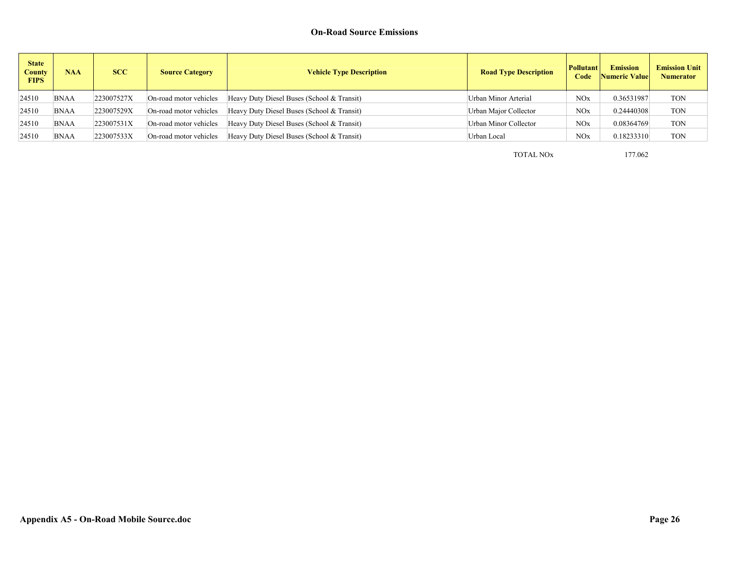| <b>State</b><br><b>County</b><br><b>FIPS</b> | <b>NAA</b>  | <b>SCC</b> | <b>Source Category</b> | <b>Vehicle Type Description</b>            | <b>Road Type Description</b> | <b>Pollutant</b><br>Code | <b>Emission</b><br><b>Numeric Value</b> | <b>Emission Unit</b><br><b>Numerator</b> |
|----------------------------------------------|-------------|------------|------------------------|--------------------------------------------|------------------------------|--------------------------|-----------------------------------------|------------------------------------------|
| 24510                                        | <b>BNAA</b> | 223007527X | On-road motor vehicles | Heavy Duty Diesel Buses (School & Transit) | Urban Minor Arterial         | NOx                      | 0.36531987                              | <b>TON</b>                               |
| 24510                                        | <b>BNAA</b> | 223007529X | On-road motor vehicles | Heavy Duty Diesel Buses (School & Transit) | Urban Major Collector        | NOx                      | 0.24440308                              | <b>TON</b>                               |
| 24510                                        | <b>BNAA</b> | 223007531X | On-road motor vehicles | Heavy Duty Diesel Buses (School & Transit) | Urban Minor Collector        | NOx                      | 0.08364769                              | <b>TON</b>                               |
| 24510                                        | <b>BNAA</b> | 223007533X | On-road motor vehicles | Heavy Duty Diesel Buses (School & Transit) | Urban Local                  | NOx                      | 0.18233310                              | <b>TON</b>                               |

TOTAL NOx 177.062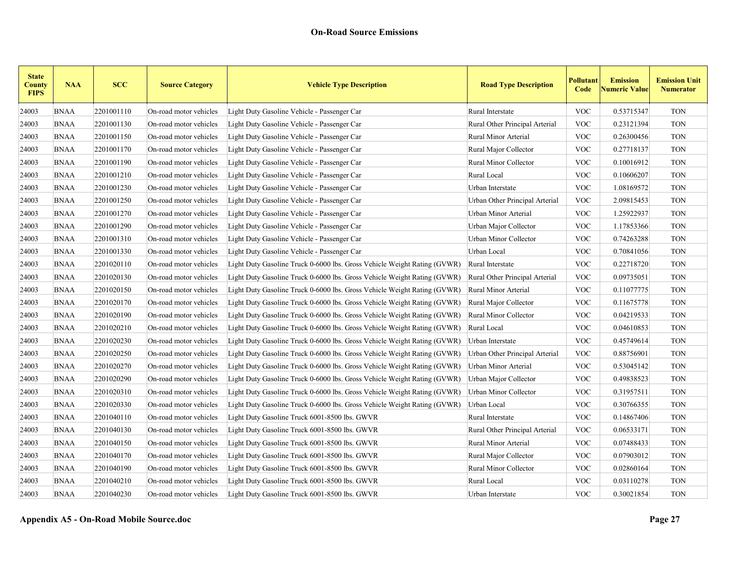| <b>State</b><br><b>County</b><br><b>FIPS</b> | <b>NAA</b>  | <b>SCC</b> | <b>Source Category</b> | <b>Vehicle Type Description</b>                                          | <b>Road Type Description</b>   | <b>Pollutant</b><br>Code | <b>Emission</b><br><b>Jumeric Value</b> | <b>Emission Unit</b><br><b>Numerator</b> |
|----------------------------------------------|-------------|------------|------------------------|--------------------------------------------------------------------------|--------------------------------|--------------------------|-----------------------------------------|------------------------------------------|
| 24003                                        | <b>BNAA</b> | 2201001110 | On-road motor vehicles | Light Duty Gasoline Vehicle - Passenger Car                              | Rural Interstate               | <b>VOC</b>               | 0.53715347                              | <b>TON</b>                               |
| 24003                                        | <b>BNAA</b> | 2201001130 | On-road motor vehicles | Light Duty Gasoline Vehicle - Passenger Car                              | Rural Other Principal Arterial | <b>VOC</b>               | 0.23121394                              | <b>TON</b>                               |
| 24003                                        | <b>BNAA</b> | 2201001150 | On-road motor vehicles | Light Duty Gasoline Vehicle - Passenger Car                              | Rural Minor Arterial           | <b>VOC</b>               | 0.26300456                              | <b>TON</b>                               |
| 24003                                        | <b>BNAA</b> | 2201001170 | On-road motor vehicles | Light Duty Gasoline Vehicle - Passenger Car                              | Rural Major Collector          | <b>VOC</b>               | 0.27718137                              | <b>TON</b>                               |
| 24003                                        | <b>BNAA</b> | 2201001190 | On-road motor vehicles | Light Duty Gasoline Vehicle - Passenger Car                              | Rural Minor Collector          | <b>VOC</b>               | 0.10016912                              | <b>TON</b>                               |
| 24003                                        | <b>BNAA</b> | 2201001210 | On-road motor vehicles | Light Duty Gasoline Vehicle - Passenger Car                              | Rural Local                    | <b>VOC</b>               | 0.10606207                              | <b>TON</b>                               |
| 24003                                        | <b>BNAA</b> | 2201001230 | On-road motor vehicles | Light Duty Gasoline Vehicle - Passenger Car                              | Urban Interstate               | <b>VOC</b>               | 1.08169572                              | <b>TON</b>                               |
| 24003                                        | <b>BNAA</b> | 2201001250 | On-road motor vehicles | Light Duty Gasoline Vehicle - Passenger Car                              | Urban Other Principal Arterial | <b>VOC</b>               | 2.09815453                              | <b>TON</b>                               |
| 24003                                        | <b>BNAA</b> | 2201001270 | On-road motor vehicles | Light Duty Gasoline Vehicle - Passenger Car                              | Urban Minor Arterial           | <b>VOC</b>               | 1.25922937                              | <b>TON</b>                               |
| 24003                                        | <b>BNAA</b> | 2201001290 | On-road motor vehicles | Light Duty Gasoline Vehicle - Passenger Car                              | Urban Major Collector          | <b>VOC</b>               | 1.17853366                              | <b>TON</b>                               |
| 24003                                        | <b>BNAA</b> | 2201001310 | On-road motor vehicles | Light Duty Gasoline Vehicle - Passenger Car                              | Urban Minor Collector          | <b>VOC</b>               | 0.74263288                              | <b>TON</b>                               |
| 24003                                        | <b>BNAA</b> | 2201001330 | On-road motor vehicles | Light Duty Gasoline Vehicle - Passenger Car                              | Urban Local                    | <b>VOC</b>               | 0.70841056                              | <b>TON</b>                               |
| 24003                                        | <b>BNAA</b> | 2201020110 | On-road motor vehicles | Light Duty Gasoline Truck 0-6000 lbs. Gross Vehicle Weight Rating (GVWR) | Rural Interstate               | <b>VOC</b>               | 0.22718720                              | <b>TON</b>                               |
| 24003                                        | <b>BNAA</b> | 2201020130 | On-road motor vehicles | Light Duty Gasoline Truck 0-6000 lbs. Gross Vehicle Weight Rating (GVWR) | Rural Other Principal Arterial | <b>VOC</b>               | 0.09735051                              | <b>TON</b>                               |
| 24003                                        | <b>BNAA</b> | 2201020150 | On-road motor vehicles | Light Duty Gasoline Truck 0-6000 lbs. Gross Vehicle Weight Rating (GVWR) | Rural Minor Arterial           | <b>VOC</b>               | 0.11077775                              | <b>TON</b>                               |
| 24003                                        | <b>BNAA</b> | 2201020170 | On-road motor vehicles | Light Duty Gasoline Truck 0-6000 lbs. Gross Vehicle Weight Rating (GVWR) | Rural Major Collector          | <b>VOC</b>               | 0.11675778                              | <b>TON</b>                               |
| 24003                                        | <b>BNAA</b> | 2201020190 | On-road motor vehicles | Light Duty Gasoline Truck 0-6000 lbs. Gross Vehicle Weight Rating (GVWR) | Rural Minor Collector          | <b>VOC</b>               | 0.04219533                              | <b>TON</b>                               |
| 24003                                        | <b>BNAA</b> | 2201020210 | On-road motor vehicles | Light Duty Gasoline Truck 0-6000 lbs. Gross Vehicle Weight Rating (GVWR) | Rural Local                    | <b>VOC</b>               | 0.04610853                              | <b>TON</b>                               |
| 24003                                        | <b>BNAA</b> | 2201020230 | On-road motor vehicles | Light Duty Gasoline Truck 0-6000 lbs. Gross Vehicle Weight Rating (GVWR) | Urban Interstate               | <b>VOC</b>               | 0.45749614                              | <b>TON</b>                               |
| 24003                                        | <b>BNAA</b> | 2201020250 | On-road motor vehicles | Light Duty Gasoline Truck 0-6000 lbs. Gross Vehicle Weight Rating (GVWR) | Urban Other Principal Arterial | <b>VOC</b>               | 0.88756901                              | <b>TON</b>                               |
| 24003                                        | <b>BNAA</b> | 2201020270 | On-road motor vehicles | Light Duty Gasoline Truck 0-6000 lbs. Gross Vehicle Weight Rating (GVWR) | Urban Minor Arterial           | <b>VOC</b>               | 0.53045142                              | <b>TON</b>                               |
| 24003                                        | <b>BNAA</b> | 2201020290 | On-road motor vehicles | Light Duty Gasoline Truck 0-6000 lbs. Gross Vehicle Weight Rating (GVWR) | Urban Major Collector          | <b>VOC</b>               | 0.49838523                              | <b>TON</b>                               |
| 24003                                        | <b>BNAA</b> | 2201020310 | On-road motor vehicles | Light Duty Gasoline Truck 0-6000 lbs. Gross Vehicle Weight Rating (GVWR) | Urban Minor Collector          | <b>VOC</b>               | 0.31957511                              | <b>TON</b>                               |
| 24003                                        | <b>BNAA</b> | 2201020330 | On-road motor vehicles | Light Duty Gasoline Truck 0-6000 lbs. Gross Vehicle Weight Rating (GVWR) | Urban Local                    | <b>VOC</b>               | 0.30766355                              | <b>TON</b>                               |
| 24003                                        | <b>BNAA</b> | 2201040110 | On-road motor vehicles | Light Duty Gasoline Truck 6001-8500 lbs. GWVR                            | Rural Interstate               | <b>VOC</b>               | 0.14867406                              | <b>TON</b>                               |
| 24003                                        | <b>BNAA</b> | 2201040130 | On-road motor vehicles | Light Duty Gasoline Truck 6001-8500 lbs. GWVR                            | Rural Other Principal Arterial | <b>VOC</b>               | 0.06533171                              | <b>TON</b>                               |
| 24003                                        | <b>BNAA</b> | 2201040150 | On-road motor vehicles | Light Duty Gasoline Truck 6001-8500 lbs. GWVR                            | Rural Minor Arterial           | <b>VOC</b>               | 0.07488433                              | <b>TON</b>                               |
| 24003                                        | <b>BNAA</b> | 2201040170 | On-road motor vehicles | Light Duty Gasoline Truck 6001-8500 lbs. GWVR                            | Rural Major Collector          | <b>VOC</b>               | 0.07903012                              | <b>TON</b>                               |
| 24003                                        | <b>BNAA</b> | 2201040190 | On-road motor vehicles | Light Duty Gasoline Truck 6001-8500 lbs. GWVR                            | Rural Minor Collector          | <b>VOC</b>               | 0.02860164                              | <b>TON</b>                               |
| 24003                                        | <b>BNAA</b> | 2201040210 | On-road motor vehicles | Light Duty Gasoline Truck 6001-8500 lbs. GWVR                            | Rural Local                    | <b>VOC</b>               | 0.03110278                              | <b>TON</b>                               |
| 24003                                        | <b>BNAA</b> | 2201040230 | On-road motor vehicles | Light Duty Gasoline Truck 6001-8500 lbs. GWVR                            | Urban Interstate               | <b>VOC</b>               | 0.30021854                              | <b>TON</b>                               |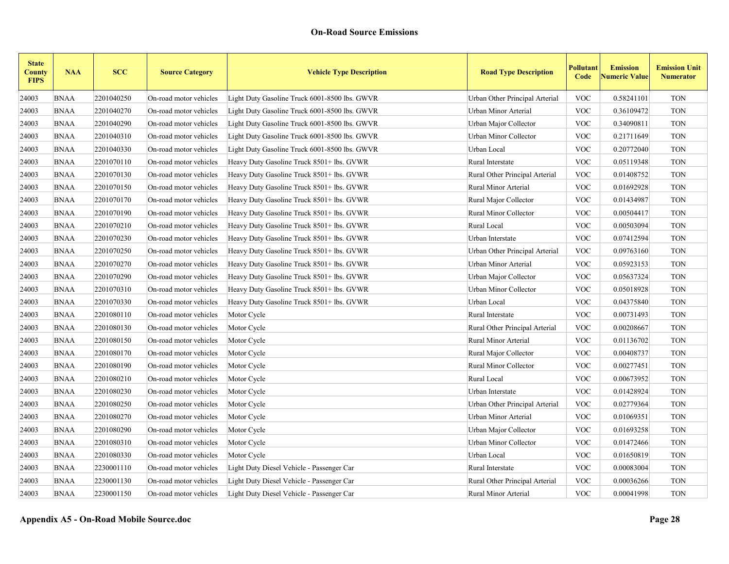| <b>State</b><br><b>County</b><br><b>FIPS</b> | <b>NAA</b>  | <b>SCC</b> | <b>Source Category</b> | <b>Vehicle Type Description</b>               | <b>Road Type Description</b>   | Pollutant<br>Code         | <b>Emission</b><br><b>Numeric Value</b> | <b>Emission Unit</b><br><b>Numerator</b> |
|----------------------------------------------|-------------|------------|------------------------|-----------------------------------------------|--------------------------------|---------------------------|-----------------------------------------|------------------------------------------|
| 24003                                        | <b>BNAA</b> | 2201040250 | On-road motor vehicles | Light Duty Gasoline Truck 6001-8500 lbs. GWVR | Urban Other Principal Arterial | <b>VOC</b>                | 0.58241101                              | <b>TON</b>                               |
| 24003                                        | <b>BNAA</b> | 2201040270 | On-road motor vehicles | Light Duty Gasoline Truck 6001-8500 lbs. GWVR | Urban Minor Arterial           | <b>VOC</b>                | 0.36109472                              | <b>TON</b>                               |
| 24003                                        | <b>BNAA</b> | 2201040290 | On-road motor vehicles | Light Duty Gasoline Truck 6001-8500 lbs. GWVR | Urban Major Collector          | <b>VOC</b>                | 0.34090811                              | <b>TON</b>                               |
| 24003                                        | <b>BNAA</b> | 2201040310 | On-road motor vehicles | Light Duty Gasoline Truck 6001-8500 lbs. GWVR | Urban Minor Collector          | <b>VOC</b>                | 0.21711649                              | <b>TON</b>                               |
| 24003                                        | <b>BNAA</b> | 2201040330 | On-road motor vehicles | Light Duty Gasoline Truck 6001-8500 lbs. GWVR | Urban Local                    | <b>VOC</b>                | 0.20772040                              | <b>TON</b>                               |
| 24003                                        | <b>BNAA</b> | 2201070110 | On-road motor vehicles | Heavy Duty Gasoline Truck 8501+ lbs. GVWR     | Rural Interstate               | <b>VOC</b>                | 0.05119348                              | <b>TON</b>                               |
| 24003                                        | <b>BNAA</b> | 2201070130 | On-road motor vehicles | Heavy Duty Gasoline Truck 8501+ lbs. GVWR     | Rural Other Principal Arterial | <b>VOC</b>                | 0.01408752                              | <b>TON</b>                               |
| 24003                                        | <b>BNAA</b> | 2201070150 | On-road motor vehicles | Heavy Duty Gasoline Truck 8501+ lbs. GVWR     | Rural Minor Arterial           | <b>VOC</b>                | 0.01692928                              | <b>TON</b>                               |
| 24003                                        | <b>BNAA</b> | 2201070170 | On-road motor vehicles | Heavy Duty Gasoline Truck 8501+ lbs. GVWR     | Rural Major Collector          | <b>VOC</b>                | 0.01434987                              | <b>TON</b>                               |
| 24003                                        | <b>BNAA</b> | 2201070190 | On-road motor vehicles | Heavy Duty Gasoline Truck 8501+ lbs. GVWR     | Rural Minor Collector          | <b>VOC</b>                | 0.00504417                              | <b>TON</b>                               |
| 24003                                        | <b>BNAA</b> | 2201070210 | On-road motor vehicles | Heavy Duty Gasoline Truck 8501+ lbs. GVWR     | Rural Local                    | <b>VOC</b>                | 0.00503094                              | <b>TON</b>                               |
| 24003                                        | <b>BNAA</b> | 2201070230 | On-road motor vehicles | Heavy Duty Gasoline Truck 8501+ lbs. GVWR     | Urban Interstate               | <b>VOC</b>                | 0.07412594                              | <b>TON</b>                               |
| 24003                                        | <b>BNAA</b> | 2201070250 | On-road motor vehicles | Heavy Duty Gasoline Truck 8501+ lbs. GVWR     | Urban Other Principal Arterial | <b>VOC</b>                | 0.09763160                              | <b>TON</b>                               |
| 24003                                        | <b>BNAA</b> | 2201070270 | On-road motor vehicles | Heavy Duty Gasoline Truck 8501+ lbs. GVWR     | Urban Minor Arterial           | <b>VOC</b>                | 0.05923153                              | <b>TON</b>                               |
| 24003                                        | <b>BNAA</b> | 2201070290 | On-road motor vehicles | Heavy Duty Gasoline Truck 8501+ lbs. GVWR     | Urban Major Collector          | <b>VOC</b>                | 0.05637324                              | <b>TON</b>                               |
| 24003                                        | <b>BNAA</b> | 2201070310 | On-road motor vehicles | Heavy Duty Gasoline Truck 8501+ lbs. GVWR     | Urban Minor Collector          | <b>VOC</b>                | 0.05018928                              | <b>TON</b>                               |
| 24003                                        | <b>BNAA</b> | 2201070330 | On-road motor vehicles | Heavy Duty Gasoline Truck 8501+ lbs. GVWR     | Urban Local                    | <b>VOC</b>                | 0.04375840                              | <b>TON</b>                               |
| 24003                                        | <b>BNAA</b> | 2201080110 | On-road motor vehicles | Motor Cycle                                   | Rural Interstate               | <b>VOC</b>                | 0.00731493                              | <b>TON</b>                               |
| 24003                                        | <b>BNAA</b> | 2201080130 | On-road motor vehicles | Motor Cycle                                   | Rural Other Principal Arterial | <b>VOC</b>                | 0.00208667                              | <b>TON</b>                               |
| 24003                                        | <b>BNAA</b> | 2201080150 | On-road motor vehicles | Motor Cycle                                   | Rural Minor Arterial           | <b>VOC</b>                | 0.01136702                              | <b>TON</b>                               |
| 24003                                        | <b>BNAA</b> | 2201080170 | On-road motor vehicles | Motor Cycle                                   | Rural Major Collector          | <b>VOC</b>                | 0.00408737                              | <b>TON</b>                               |
| 24003                                        | <b>BNAA</b> | 2201080190 | On-road motor vehicles | Motor Cycle                                   | Rural Minor Collector          | <b>VOC</b>                | 0.00277451                              | <b>TON</b>                               |
| 24003                                        | <b>BNAA</b> | 2201080210 | On-road motor vehicles | Motor Cycle                                   | Rural Local                    | <b>VOC</b>                | 0.00673952                              | <b>TON</b>                               |
| 24003                                        | <b>BNAA</b> | 2201080230 | On-road motor vehicles | Motor Cycle                                   | Urban Interstate               | <b>VOC</b>                | 0.01428924                              | <b>TON</b>                               |
| 24003                                        | <b>BNAA</b> | 2201080250 | On-road motor vehicles | Motor Cycle                                   | Urban Other Principal Arterial | <b>VOC</b>                | 0.02779364                              | <b>TON</b>                               |
| 24003                                        | <b>BNAA</b> | 2201080270 | On-road motor vehicles | Motor Cycle                                   | Urban Minor Arterial           | $\ensuremath{\text{VOC}}$ | 0.01069351                              | <b>TON</b>                               |
| 24003                                        | <b>BNAA</b> | 2201080290 | On-road motor vehicles | Motor Cycle                                   | Urban Major Collector          | <b>VOC</b>                | 0.01693258                              | <b>TON</b>                               |
| 24003                                        | <b>BNAA</b> | 2201080310 | On-road motor vehicles | Motor Cycle                                   | Urban Minor Collector          | $\ensuremath{\text{VOC}}$ | 0.01472466                              | <b>TON</b>                               |
| 24003                                        | <b>BNAA</b> | 2201080330 | On-road motor vehicles | Motor Cycle                                   | Urban Local                    | <b>VOC</b>                | 0.01650819                              | <b>TON</b>                               |
| 24003                                        | <b>BNAA</b> | 2230001110 | On-road motor vehicles | Light Duty Diesel Vehicle - Passenger Car     | Rural Interstate               | <b>VOC</b>                | 0.00083004                              | <b>TON</b>                               |
| 24003                                        | <b>BNAA</b> | 2230001130 | On-road motor vehicles | Light Duty Diesel Vehicle - Passenger Car     | Rural Other Principal Arterial | <b>VOC</b>                | 0.00036266                              | <b>TON</b>                               |
| 24003                                        | <b>BNAA</b> | 2230001150 | On-road motor vehicles | Light Duty Diesel Vehicle - Passenger Car     | Rural Minor Arterial           | <b>VOC</b>                | 0.00041998                              | <b>TON</b>                               |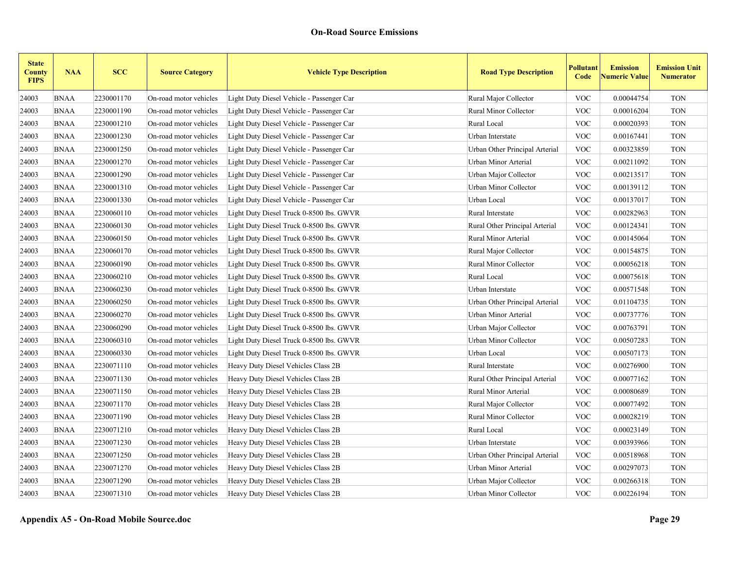| <b>State</b><br><b>County</b><br><b>FIPS</b> | <b>NAA</b>  | <b>SCC</b> | <b>Source Category</b> | <b>Vehicle Type Description</b>           | <b>Road Type Description</b>   | Pollutant<br>Code         | <b>Emission</b><br><b>Numeric Value</b> | <b>Emission Unit</b><br><b>Numerator</b> |
|----------------------------------------------|-------------|------------|------------------------|-------------------------------------------|--------------------------------|---------------------------|-----------------------------------------|------------------------------------------|
| 24003                                        | <b>BNAA</b> | 2230001170 | On-road motor vehicles | Light Duty Diesel Vehicle - Passenger Car | Rural Major Collector          | <b>VOC</b>                | 0.00044754                              | <b>TON</b>                               |
| 24003                                        | <b>BNAA</b> | 2230001190 | On-road motor vehicles | Light Duty Diesel Vehicle - Passenger Car | Rural Minor Collector          | <b>VOC</b>                | 0.00016204                              | <b>TON</b>                               |
| 24003                                        | <b>BNAA</b> | 2230001210 | On-road motor vehicles | Light Duty Diesel Vehicle - Passenger Car | Rural Local                    | <b>VOC</b>                | 0.00020393                              | <b>TON</b>                               |
| 24003                                        | <b>BNAA</b> | 2230001230 | On-road motor vehicles | Light Duty Diesel Vehicle - Passenger Car | Urban Interstate               | <b>VOC</b>                | 0.00167441                              | <b>TON</b>                               |
| 24003                                        | <b>BNAA</b> | 2230001250 | On-road motor vehicles | Light Duty Diesel Vehicle - Passenger Car | Urban Other Principal Arterial | <b>VOC</b>                | 0.00323859                              | <b>TON</b>                               |
| 24003                                        | <b>BNAA</b> | 2230001270 | On-road motor vehicles | Light Duty Diesel Vehicle - Passenger Car | Urban Minor Arterial           | <b>VOC</b>                | 0.00211092                              | <b>TON</b>                               |
| 24003                                        | <b>BNAA</b> | 2230001290 | On-road motor vehicles | Light Duty Diesel Vehicle - Passenger Car | Urban Major Collector          | <b>VOC</b>                | 0.00213517                              | <b>TON</b>                               |
| 24003                                        | <b>BNAA</b> | 2230001310 | On-road motor vehicles | Light Duty Diesel Vehicle - Passenger Car | Urban Minor Collector          | <b>VOC</b>                | 0.00139112                              | <b>TON</b>                               |
| 24003                                        | <b>BNAA</b> | 2230001330 | On-road motor vehicles | Light Duty Diesel Vehicle - Passenger Car | Urban Local                    | <b>VOC</b>                | 0.00137017                              | <b>TON</b>                               |
| 24003                                        | <b>BNAA</b> | 2230060110 | On-road motor vehicles | Light Duty Diesel Truck 0-8500 lbs. GWVR  | Rural Interstate               | <b>VOC</b>                | 0.00282963                              | <b>TON</b>                               |
| 24003                                        | <b>BNAA</b> | 2230060130 | On-road motor vehicles | Light Duty Diesel Truck 0-8500 lbs. GWVR  | Rural Other Principal Arterial | <b>VOC</b>                | 0.00124341                              | <b>TON</b>                               |
| 24003                                        | <b>BNAA</b> | 2230060150 | On-road motor vehicles | Light Duty Diesel Truck 0-8500 lbs. GWVR  | Rural Minor Arterial           | <b>VOC</b>                | 0.00145064                              | <b>TON</b>                               |
| 24003                                        | <b>BNAA</b> | 2230060170 | On-road motor vehicles | Light Duty Diesel Truck 0-8500 lbs. GWVR  | Rural Major Collector          | <b>VOC</b>                | 0.00154875                              | <b>TON</b>                               |
| 24003                                        | <b>BNAA</b> | 2230060190 | On-road motor vehicles | Light Duty Diesel Truck 0-8500 lbs. GWVR  | Rural Minor Collector          | <b>VOC</b>                | 0.00056218                              | <b>TON</b>                               |
| 24003                                        | <b>BNAA</b> | 2230060210 | On-road motor vehicles | Light Duty Diesel Truck 0-8500 lbs. GWVR  | Rural Local                    | <b>VOC</b>                | 0.00075618                              | <b>TON</b>                               |
| 24003                                        | <b>BNAA</b> | 2230060230 | On-road motor vehicles | Light Duty Diesel Truck 0-8500 lbs. GWVR  | Urban Interstate               | <b>VOC</b>                | 0.00571548                              | <b>TON</b>                               |
| 24003                                        | <b>BNAA</b> | 2230060250 | On-road motor vehicles | Light Duty Diesel Truck 0-8500 lbs. GWVR  | Urban Other Principal Arterial | <b>VOC</b>                | 0.01104735                              | <b>TON</b>                               |
| 24003                                        | <b>BNAA</b> | 2230060270 | On-road motor vehicles | Light Duty Diesel Truck 0-8500 lbs. GWVR  | Urban Minor Arterial           | <b>VOC</b>                | 0.00737776                              | <b>TON</b>                               |
| 24003                                        | <b>BNAA</b> | 2230060290 | On-road motor vehicles | Light Duty Diesel Truck 0-8500 lbs. GWVR  | Urban Major Collector          | <b>VOC</b>                | 0.00763791                              | <b>TON</b>                               |
| 24003                                        | <b>BNAA</b> | 2230060310 | On-road motor vehicles | Light Duty Diesel Truck 0-8500 lbs. GWVR  | <b>Urban Minor Collector</b>   | <b>VOC</b>                | 0.00507283                              | <b>TON</b>                               |
| 24003                                        | <b>BNAA</b> | 2230060330 | On-road motor vehicles | Light Duty Diesel Truck 0-8500 lbs. GWVR  | Urban Local                    | <b>VOC</b>                | 0.00507173                              | <b>TON</b>                               |
| 24003                                        | <b>BNAA</b> | 2230071110 | On-road motor vehicles | Heavy Duty Diesel Vehicles Class 2B       | Rural Interstate               | <b>VOC</b>                | 0.00276900                              | <b>TON</b>                               |
| 24003                                        | <b>BNAA</b> | 2230071130 | On-road motor vehicles | Heavy Duty Diesel Vehicles Class 2B       | Rural Other Principal Arterial | <b>VOC</b>                | 0.00077162                              | <b>TON</b>                               |
| 24003                                        | <b>BNAA</b> | 2230071150 | On-road motor vehicles | Heavy Duty Diesel Vehicles Class 2B       | Rural Minor Arterial           | $\ensuremath{\text{VOC}}$ | 0.00080689                              | <b>TON</b>                               |
| 24003                                        | <b>BNAA</b> | 2230071170 | On-road motor vehicles | Heavy Duty Diesel Vehicles Class 2B       | Rural Major Collector          | <b>VOC</b>                | 0.00077492                              | <b>TON</b>                               |
| 24003                                        | <b>BNAA</b> | 2230071190 | On-road motor vehicles | Heavy Duty Diesel Vehicles Class 2B       | Rural Minor Collector          | $\ensuremath{\text{VOC}}$ | 0.00028219                              | <b>TON</b>                               |
| 24003                                        | <b>BNAA</b> | 2230071210 | On-road motor vehicles | Heavy Duty Diesel Vehicles Class 2B       | Rural Local                    | <b>VOC</b>                | 0.00023149                              | <b>TON</b>                               |
| 24003                                        | <b>BNAA</b> | 2230071230 | On-road motor vehicles | Heavy Duty Diesel Vehicles Class 2B       | Urban Interstate               | <b>VOC</b>                | 0.00393966                              | <b>TON</b>                               |
| 24003                                        | <b>BNAA</b> | 2230071250 | On-road motor vehicles | Heavy Duty Diesel Vehicles Class 2B       | Urban Other Principal Arterial | <b>VOC</b>                | 0.00518968                              | <b>TON</b>                               |
| 24003                                        | <b>BNAA</b> | 2230071270 | On-road motor vehicles | Heavy Duty Diesel Vehicles Class 2B       | Urban Minor Arterial           | <b>VOC</b>                | 0.00297073                              | <b>TON</b>                               |
| 24003                                        | <b>BNAA</b> | 2230071290 | On-road motor vehicles | Heavy Duty Diesel Vehicles Class 2B       | Urban Major Collector          | <b>VOC</b>                | 0.00266318                              | <b>TON</b>                               |
| 24003                                        | <b>BNAA</b> | 2230071310 | On-road motor vehicles | Heavy Duty Diesel Vehicles Class 2B       | Urban Minor Collector          | <b>VOC</b>                | 0.00226194                              | <b>TON</b>                               |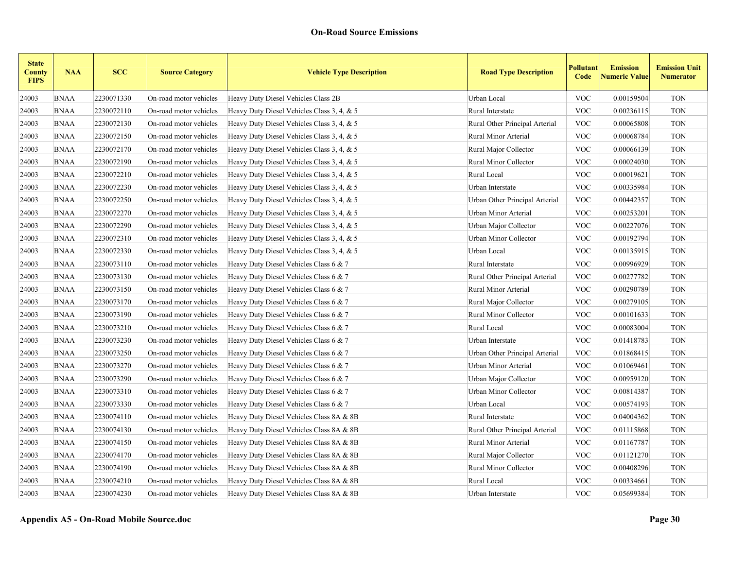| <b>State</b><br><b>County</b><br><b>FIPS</b> | <b>NAA</b>  | <b>SCC</b> | <b>Source Category</b> | <b>Vehicle Type Description</b>            | <b>Road Type Description</b>   | Pollutant<br>Code | <b>Emission</b><br><b>Numeric Value</b> | <b>Emission Unit</b><br><b>Numerator</b> |
|----------------------------------------------|-------------|------------|------------------------|--------------------------------------------|--------------------------------|-------------------|-----------------------------------------|------------------------------------------|
| 24003                                        | <b>BNAA</b> | 2230071330 | On-road motor vehicles | Heavy Duty Diesel Vehicles Class 2B        | Urban Local                    | <b>VOC</b>        | 0.00159504                              | <b>TON</b>                               |
| 24003                                        | <b>BNAA</b> | 2230072110 | On-road motor vehicles | Heavy Duty Diesel Vehicles Class 3, 4, & 5 | Rural Interstate               | <b>VOC</b>        | 0.00236115                              | <b>TON</b>                               |
| 24003                                        | <b>BNAA</b> | 2230072130 | On-road motor vehicles | Heavy Duty Diesel Vehicles Class 3, 4, & 5 | Rural Other Principal Arterial | <b>VOC</b>        | 0.00065808                              | <b>TON</b>                               |
| 24003                                        | <b>BNAA</b> | 2230072150 | On-road motor vehicles | Heavy Duty Diesel Vehicles Class 3, 4, & 5 | Rural Minor Arterial           | <b>VOC</b>        | 0.00068784                              | <b>TON</b>                               |
| 24003                                        | <b>BNAA</b> | 2230072170 | On-road motor vehicles | Heavy Duty Diesel Vehicles Class 3, 4, & 5 | Rural Major Collector          | <b>VOC</b>        | 0.00066139                              | <b>TON</b>                               |
| 24003                                        | <b>BNAA</b> | 2230072190 | On-road motor vehicles | Heavy Duty Diesel Vehicles Class 3, 4, & 5 | Rural Minor Collector          | <b>VOC</b>        | 0.00024030                              | <b>TON</b>                               |
| 24003                                        | <b>BNAA</b> | 2230072210 | On-road motor vehicles | Heavy Duty Diesel Vehicles Class 3, 4, & 5 | Rural Local                    | <b>VOC</b>        | 0.00019621                              | <b>TON</b>                               |
| 24003                                        | <b>BNAA</b> | 2230072230 | On-road motor vehicles | Heavy Duty Diesel Vehicles Class 3, 4, & 5 | Urban Interstate               | <b>VOC</b>        | 0.00335984                              | <b>TON</b>                               |
| 24003                                        | <b>BNAA</b> | 2230072250 | On-road motor vehicles | Heavy Duty Diesel Vehicles Class 3, 4, & 5 | Urban Other Principal Arterial | <b>VOC</b>        | 0.00442357                              | <b>TON</b>                               |
| 24003                                        | <b>BNAA</b> | 2230072270 | On-road motor vehicles | Heavy Duty Diesel Vehicles Class 3, 4, & 5 | Urban Minor Arterial           | <b>VOC</b>        | 0.00253201                              | <b>TON</b>                               |
| 24003                                        | <b>BNAA</b> | 2230072290 | On-road motor vehicles | Heavy Duty Diesel Vehicles Class 3, 4, & 5 | Urban Major Collector          | <b>VOC</b>        | 0.00227076                              | <b>TON</b>                               |
| 24003                                        | <b>BNAA</b> | 2230072310 | On-road motor vehicles | Heavy Duty Diesel Vehicles Class 3, 4, & 5 | Urban Minor Collector          | <b>VOC</b>        | 0.00192794                              | <b>TON</b>                               |
| 24003                                        | <b>BNAA</b> | 2230072330 | On-road motor vehicles | Heavy Duty Diesel Vehicles Class 3, 4, & 5 | Urban Local                    | <b>VOC</b>        | 0.00135915                              | <b>TON</b>                               |
| 24003                                        | <b>BNAA</b> | 2230073110 | On-road motor vehicles | Heavy Duty Diesel Vehicles Class 6 & 7     | Rural Interstate               | <b>VOC</b>        | 0.00996929                              | <b>TON</b>                               |
| 24003                                        | <b>BNAA</b> | 2230073130 | On-road motor vehicles | Heavy Duty Diesel Vehicles Class 6 $& 7$   | Rural Other Principal Arterial | <b>VOC</b>        | 0.00277782                              | <b>TON</b>                               |
| 24003                                        | <b>BNAA</b> | 2230073150 | On-road motor vehicles | Heavy Duty Diesel Vehicles Class 6 & 7     | Rural Minor Arterial           | <b>VOC</b>        | 0.00290789                              | <b>TON</b>                               |
| 24003                                        | <b>BNAA</b> | 2230073170 | On-road motor vehicles | Heavy Duty Diesel Vehicles Class 6 & 7     | Rural Major Collector          | <b>VOC</b>        | 0.00279105                              | <b>TON</b>                               |
| 24003                                        | <b>BNAA</b> | 2230073190 | On-road motor vehicles | Heavy Duty Diesel Vehicles Class 6 $& 7$   | Rural Minor Collector          | <b>VOC</b>        | 0.00101633                              | <b>TON</b>                               |
| 24003                                        | <b>BNAA</b> | 2230073210 | On-road motor vehicles | Heavy Duty Diesel Vehicles Class $6 & 7$   | Rural Local                    | <b>VOC</b>        | 0.00083004                              | <b>TON</b>                               |
| 24003                                        | <b>BNAA</b> | 2230073230 | On-road motor vehicles | Heavy Duty Diesel Vehicles Class 6 & 7     | Urban Interstate               | <b>VOC</b>        | 0.01418783                              | <b>TON</b>                               |
| 24003                                        | <b>BNAA</b> | 2230073250 | On-road motor vehicles | Heavy Duty Diesel Vehicles Class 6 & 7     | Urban Other Principal Arterial | <b>VOC</b>        | 0.01868415                              | <b>TON</b>                               |
| 24003                                        | <b>BNAA</b> | 2230073270 | On-road motor vehicles | Heavy Duty Diesel Vehicles Class 6 & 7     | Urban Minor Arterial           | <b>VOC</b>        | 0.01069461                              | <b>TON</b>                               |
| 24003                                        | <b>BNAA</b> | 2230073290 | On-road motor vehicles | Heavy Duty Diesel Vehicles Class 6 & 7     | Urban Major Collector          | <b>VOC</b>        | 0.00959120                              | <b>TON</b>                               |
| 24003                                        | <b>BNAA</b> | 2230073310 | On-road motor vehicles | Heavy Duty Diesel Vehicles Class 6 & 7     | Urban Minor Collector          | <b>VOC</b>        | 0.00814387                              | <b>TON</b>                               |
| 24003                                        | <b>BNAA</b> | 2230073330 | On-road motor vehicles | Heavy Duty Diesel Vehicles Class 6 & 7     | Urban Local                    | <b>VOC</b>        | 0.00574193                              | <b>TON</b>                               |
| 24003                                        | <b>BNAA</b> | 2230074110 | On-road motor vehicles | Heavy Duty Diesel Vehicles Class 8A & 8B   | Rural Interstate               | <b>VOC</b>        | 0.04004362                              | <b>TON</b>                               |
| 24003                                        | <b>BNAA</b> | 2230074130 | On-road motor vehicles | Heavy Duty Diesel Vehicles Class 8A & 8B   | Rural Other Principal Arterial | <b>VOC</b>        | 0.01115868                              | <b>TON</b>                               |
| 24003                                        | <b>BNAA</b> | 2230074150 | On-road motor vehicles | Heavy Duty Diesel Vehicles Class 8A & 8B   | Rural Minor Arterial           | <b>VOC</b>        | 0.01167787                              | <b>TON</b>                               |
| 24003                                        | <b>BNAA</b> | 2230074170 | On-road motor vehicles | Heavy Duty Diesel Vehicles Class 8A & 8B   | Rural Major Collector          | <b>VOC</b>        | 0.01121270                              | <b>TON</b>                               |
| 24003                                        | <b>BNAA</b> | 2230074190 | On-road motor vehicles | Heavy Duty Diesel Vehicles Class 8A & 8B   | Rural Minor Collector          | <b>VOC</b>        | 0.00408296                              | <b>TON</b>                               |
| 24003                                        | <b>BNAA</b> | 2230074210 | On-road motor vehicles | Heavy Duty Diesel Vehicles Class 8A & 8B   | Rural Local                    | <b>VOC</b>        | 0.00334661                              | <b>TON</b>                               |
| 24003                                        | <b>BNAA</b> | 2230074230 | On-road motor vehicles | Heavy Duty Diesel Vehicles Class 8A & 8B   | Urban Interstate               | <b>VOC</b>        | 0.05699384                              | <b>TON</b>                               |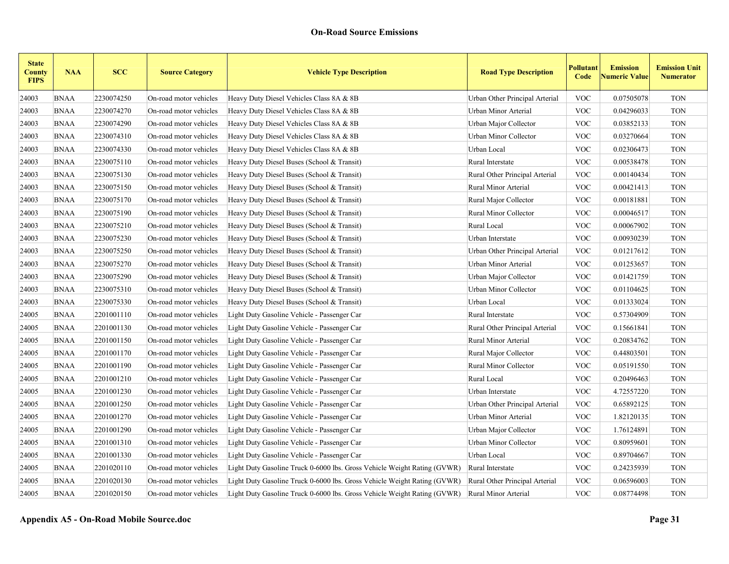| <b>State</b><br><b>County</b><br><b>FIPS</b> | <b>NAA</b>  | <b>SCC</b> | <b>Source Category</b> | <b>Vehicle Type Description</b>                                          | <b>Road Type Description</b>   | Pollutant<br>Code         | <b>Emission</b><br><b>Numeric Value</b> | <b>Emission Unit</b><br><b>Numerator</b> |
|----------------------------------------------|-------------|------------|------------------------|--------------------------------------------------------------------------|--------------------------------|---------------------------|-----------------------------------------|------------------------------------------|
| 24003                                        | <b>BNAA</b> | 2230074250 | On-road motor vehicles | Heavy Duty Diesel Vehicles Class 8A & 8B                                 | Urban Other Principal Arterial | <b>VOC</b>                | 0.07505078                              | <b>TON</b>                               |
| 24003                                        | <b>BNAA</b> | 2230074270 | On-road motor vehicles | Heavy Duty Diesel Vehicles Class 8A & 8B                                 | Urban Minor Arterial           | <b>VOC</b>                | 0.04296033                              | <b>TON</b>                               |
| 24003                                        | <b>BNAA</b> | 2230074290 | On-road motor vehicles | Heavy Duty Diesel Vehicles Class 8A & 8B                                 | Urban Major Collector          | <b>VOC</b>                | 0.03852133                              | <b>TON</b>                               |
| 24003                                        | <b>BNAA</b> | 2230074310 | On-road motor vehicles | Heavy Duty Diesel Vehicles Class 8A & 8B                                 | Urban Minor Collector          | <b>VOC</b>                | 0.03270664                              | <b>TON</b>                               |
| 24003                                        | <b>BNAA</b> | 2230074330 | On-road motor vehicles | Heavy Duty Diesel Vehicles Class 8A & 8B                                 | Urban Local                    | <b>VOC</b>                | 0.02306473                              | <b>TON</b>                               |
| 24003                                        | <b>BNAA</b> | 2230075110 | On-road motor vehicles | Heavy Duty Diesel Buses (School & Transit)                               | Rural Interstate               | <b>VOC</b>                | 0.00538478                              | <b>TON</b>                               |
| 24003                                        | <b>BNAA</b> | 2230075130 | On-road motor vehicles | Heavy Duty Diesel Buses (School & Transit)                               | Rural Other Principal Arterial | <b>VOC</b>                | 0.00140434                              | <b>TON</b>                               |
| 24003                                        | <b>BNAA</b> | 2230075150 | On-road motor vehicles | Heavy Duty Diesel Buses (School & Transit)                               | Rural Minor Arterial           | <b>VOC</b>                | 0.00421413                              | <b>TON</b>                               |
| 24003                                        | <b>BNAA</b> | 2230075170 | On-road motor vehicles | Heavy Duty Diesel Buses (School & Transit)                               | Rural Major Collector          | <b>VOC</b>                | 0.00181881                              | <b>TON</b>                               |
| 24003                                        | <b>BNAA</b> | 2230075190 | On-road motor vehicles | Heavy Duty Diesel Buses (School & Transit)                               | Rural Minor Collector          | <b>VOC</b>                | 0.00046517                              | <b>TON</b>                               |
| 24003                                        | <b>BNAA</b> | 2230075210 | On-road motor vehicles | Heavy Duty Diesel Buses (School & Transit)                               | Rural Local                    | <b>VOC</b>                | 0.00067902                              | <b>TON</b>                               |
| 24003                                        | <b>BNAA</b> | 2230075230 | On-road motor vehicles | Heavy Duty Diesel Buses (School & Transit)                               | Urban Interstate               | <b>VOC</b>                | 0.00930239                              | <b>TON</b>                               |
| 24003                                        | <b>BNAA</b> | 2230075250 | On-road motor vehicles | Heavy Duty Diesel Buses (School & Transit)                               | Urban Other Principal Arterial | <b>VOC</b>                | 0.01217612                              | <b>TON</b>                               |
| 24003                                        | <b>BNAA</b> | 2230075270 | On-road motor vehicles | Heavy Duty Diesel Buses (School & Transit)                               | Urban Minor Arterial           | <b>VOC</b>                | 0.01253657                              | <b>TON</b>                               |
| 24003                                        | <b>BNAA</b> | 2230075290 | On-road motor vehicles | Heavy Duty Diesel Buses (School & Transit)                               | Urban Major Collector          | <b>VOC</b>                | 0.01421759                              | <b>TON</b>                               |
| 24003                                        | <b>BNAA</b> | 2230075310 | On-road motor vehicles | Heavy Duty Diesel Buses (School & Transit)                               | Urban Minor Collector          | <b>VOC</b>                | 0.01104625                              | <b>TON</b>                               |
| 24003                                        | <b>BNAA</b> | 2230075330 | On-road motor vehicles | Heavy Duty Diesel Buses (School & Transit)                               | Urban Local                    | <b>VOC</b>                | 0.01333024                              | <b>TON</b>                               |
| 24005                                        | <b>BNAA</b> | 2201001110 | On-road motor vehicles | Light Duty Gasoline Vehicle - Passenger Car                              | Rural Interstate               | <b>VOC</b>                | 0.57304909                              | <b>TON</b>                               |
| 24005                                        | <b>BNAA</b> | 2201001130 | On-road motor vehicles | Light Duty Gasoline Vehicle - Passenger Car                              | Rural Other Principal Arterial | <b>VOC</b>                | 0.15661841                              | <b>TON</b>                               |
| 24005                                        | <b>BNAA</b> | 2201001150 | On-road motor vehicles | Light Duty Gasoline Vehicle - Passenger Car                              | Rural Minor Arterial           | <b>VOC</b>                | 0.20834762                              | <b>TON</b>                               |
| 24005                                        | <b>BNAA</b> | 2201001170 | On-road motor vehicles | Light Duty Gasoline Vehicle - Passenger Car                              | Rural Major Collector          | <b>VOC</b>                | 0.44803501                              | <b>TON</b>                               |
| 24005                                        | <b>BNAA</b> | 2201001190 | On-road motor vehicles | Light Duty Gasoline Vehicle - Passenger Car                              | Rural Minor Collector          | <b>VOC</b>                | 0.05191550                              | <b>TON</b>                               |
| 24005                                        | <b>BNAA</b> | 2201001210 | On-road motor vehicles | Light Duty Gasoline Vehicle - Passenger Car                              | Rural Local                    | <b>VOC</b>                | 0.20496463                              | <b>TON</b>                               |
| 24005                                        | <b>BNAA</b> | 2201001230 | On-road motor vehicles | Light Duty Gasoline Vehicle - Passenger Car                              | Urban Interstate               | <b>VOC</b>                | 4.72557220                              | <b>TON</b>                               |
| 24005                                        | <b>BNAA</b> | 2201001250 | On-road motor vehicles | Light Duty Gasoline Vehicle - Passenger Car                              | Urban Other Principal Arterial | <b>VOC</b>                | 0.65892125                              | <b>TON</b>                               |
| 24005                                        | <b>BNAA</b> | 2201001270 | On-road motor vehicles | Light Duty Gasoline Vehicle - Passenger Car                              | Urban Minor Arterial           | $\ensuremath{\text{VOC}}$ | 1.82120135                              | <b>TON</b>                               |
| 24005                                        | <b>BNAA</b> | 2201001290 | On-road motor vehicles | Light Duty Gasoline Vehicle - Passenger Car                              | Urban Major Collector          | <b>VOC</b>                | 1.76124891                              | <b>TON</b>                               |
| 24005                                        | <b>BNAA</b> | 2201001310 | On-road motor vehicles | Light Duty Gasoline Vehicle - Passenger Car                              | Urban Minor Collector          | $\ensuremath{\text{VOC}}$ | 0.80959601                              | <b>TON</b>                               |
| 24005                                        | <b>BNAA</b> | 2201001330 | On-road motor vehicles | Light Duty Gasoline Vehicle - Passenger Car                              | Urban Local                    | <b>VOC</b>                | 0.89704667                              | <b>TON</b>                               |
| 24005                                        | <b>BNAA</b> | 2201020110 | On-road motor vehicles | Light Duty Gasoline Truck 0-6000 lbs. Gross Vehicle Weight Rating (GVWR) | Rural Interstate               | <b>VOC</b>                | 0.24235939                              | <b>TON</b>                               |
| 24005                                        | <b>BNAA</b> | 2201020130 | On-road motor vehicles | Light Duty Gasoline Truck 0-6000 lbs. Gross Vehicle Weight Rating (GVWR) | Rural Other Principal Arterial | <b>VOC</b>                | 0.06596003                              | <b>TON</b>                               |
| 24005                                        | <b>BNAA</b> | 2201020150 | On-road motor vehicles | Light Duty Gasoline Truck 0-6000 lbs. Gross Vehicle Weight Rating (GVWR) | Rural Minor Arterial           | <b>VOC</b>                | 0.08774498                              | <b>TON</b>                               |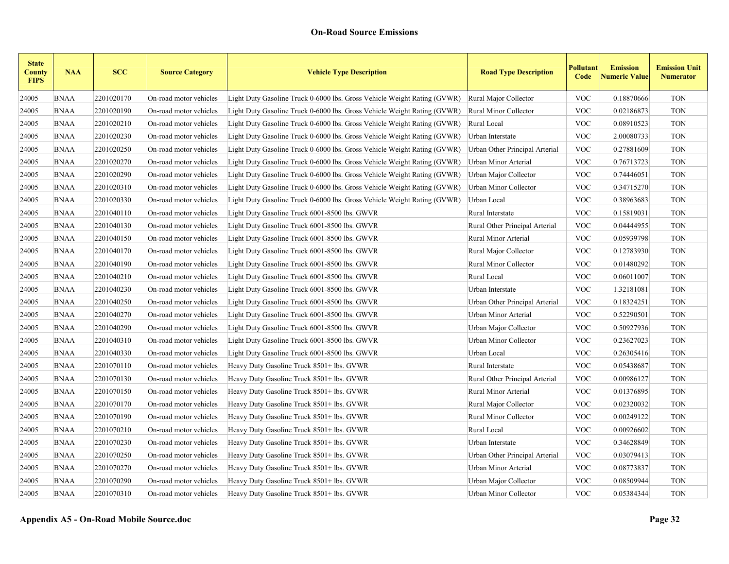| <b>State</b><br><b>County</b><br><b>FIPS</b> | <b>NAA</b>  | <b>SCC</b> | <b>Source Category</b> | <b>Vehicle Type Description</b>                                          | <b>Road Type Description</b>   | Pollutant<br>Code | <b>Emission</b><br><b>Numeric Value</b> | <b>Emission Unit</b><br><b>Numerator</b> |
|----------------------------------------------|-------------|------------|------------------------|--------------------------------------------------------------------------|--------------------------------|-------------------|-----------------------------------------|------------------------------------------|
| 24005                                        | <b>BNAA</b> | 2201020170 | On-road motor vehicles | Light Duty Gasoline Truck 0-6000 lbs. Gross Vehicle Weight Rating (GVWR) | Rural Major Collector          | <b>VOC</b>        | 0.18870666                              | <b>TON</b>                               |
| 24005                                        | <b>BNAA</b> | 2201020190 | On-road motor vehicles | Light Duty Gasoline Truck 0-6000 lbs. Gross Vehicle Weight Rating (GVWR) | Rural Minor Collector          | <b>VOC</b>        | 0.02186873                              | <b>TON</b>                               |
| 24005                                        | <b>BNAA</b> | 2201020210 | On-road motor vehicles | Light Duty Gasoline Truck 0-6000 lbs. Gross Vehicle Weight Rating (GVWR) | Rural Local                    | <b>VOC</b>        | 0.08910523                              | <b>TON</b>                               |
| 24005                                        | <b>BNAA</b> | 2201020230 | On-road motor vehicles | Light Duty Gasoline Truck 0-6000 lbs. Gross Vehicle Weight Rating (GVWR) | Urban Interstate               | <b>VOC</b>        | 2.00080733                              | <b>TON</b>                               |
| 24005                                        | <b>BNAA</b> | 2201020250 | On-road motor vehicles | Light Duty Gasoline Truck 0-6000 lbs. Gross Vehicle Weight Rating (GVWR) | Urban Other Principal Arterial | <b>VOC</b>        | 0.27881609                              | <b>TON</b>                               |
| 24005                                        | <b>BNAA</b> | 2201020270 | On-road motor vehicles | Light Duty Gasoline Truck 0-6000 lbs. Gross Vehicle Weight Rating (GVWR) | Urban Minor Arterial           | <b>VOC</b>        | 0.76713723                              | <b>TON</b>                               |
| 24005                                        | <b>BNAA</b> | 2201020290 | On-road motor vehicles | Light Duty Gasoline Truck 0-6000 lbs. Gross Vehicle Weight Rating (GVWR) | Urban Major Collector          | <b>VOC</b>        | 0.74446051                              | <b>TON</b>                               |
| 24005                                        | <b>BNAA</b> | 2201020310 | On-road motor vehicles | Light Duty Gasoline Truck 0-6000 lbs. Gross Vehicle Weight Rating (GVWR) | Urban Minor Collector          | <b>VOC</b>        | 0.34715270                              | <b>TON</b>                               |
| 24005                                        | <b>BNAA</b> | 2201020330 | On-road motor vehicles | Light Duty Gasoline Truck 0-6000 lbs. Gross Vehicle Weight Rating (GVWR) | Urban Local                    | <b>VOC</b>        | 0.38963683                              | <b>TON</b>                               |
| 24005                                        | <b>BNAA</b> | 2201040110 | On-road motor vehicles | Light Duty Gasoline Truck 6001-8500 lbs. GWVR                            | Rural Interstate               | <b>VOC</b>        | 0.15819031                              | <b>TON</b>                               |
| 24005                                        | <b>BNAA</b> | 2201040130 | On-road motor vehicles | Light Duty Gasoline Truck 6001-8500 lbs. GWVR                            | Rural Other Principal Arterial | <b>VOC</b>        | 0.04444955                              | <b>TON</b>                               |
| 24005                                        | <b>BNAA</b> | 2201040150 | On-road motor vehicles | Light Duty Gasoline Truck 6001-8500 lbs. GWVR                            | Rural Minor Arterial           | <b>VOC</b>        | 0.05939798                              | <b>TON</b>                               |
| 24005                                        | <b>BNAA</b> | 2201040170 | On-road motor vehicles | Light Duty Gasoline Truck 6001-8500 lbs. GWVR                            | Rural Major Collector          | <b>VOC</b>        | 0.12783930                              | <b>TON</b>                               |
| 24005                                        | <b>BNAA</b> | 2201040190 | On-road motor vehicles | Light Duty Gasoline Truck 6001-8500 lbs. GWVR                            | Rural Minor Collector          | <b>VOC</b>        | 0.01480292                              | <b>TON</b>                               |
| 24005                                        | <b>BNAA</b> | 2201040210 | On-road motor vehicles | Light Duty Gasoline Truck 6001-8500 lbs. GWVR                            | Rural Local                    | <b>VOC</b>        | 0.06011007                              | <b>TON</b>                               |
| 24005                                        | <b>BNAA</b> | 2201040230 | On-road motor vehicles | Light Duty Gasoline Truck 6001-8500 lbs. GWVR                            | Urban Interstate               | <b>VOC</b>        | 1.32181081                              | <b>TON</b>                               |
| 24005                                        | <b>BNAA</b> | 2201040250 | On-road motor vehicles | Light Duty Gasoline Truck 6001-8500 lbs. GWVR                            | Urban Other Principal Arterial | <b>VOC</b>        | 0.18324251                              | <b>TON</b>                               |
| 24005                                        | <b>BNAA</b> | 2201040270 | On-road motor vehicles | Light Duty Gasoline Truck 6001-8500 lbs. GWVR                            | Urban Minor Arterial           | <b>VOC</b>        | 0.52290501                              | <b>TON</b>                               |
| 24005                                        | <b>BNAA</b> | 2201040290 | On-road motor vehicles | Light Duty Gasoline Truck 6001-8500 lbs. GWVR                            | Urban Major Collector          | <b>VOC</b>        | 0.50927936                              | <b>TON</b>                               |
| 24005                                        | <b>BNAA</b> | 2201040310 | On-road motor vehicles | Light Duty Gasoline Truck 6001-8500 lbs. GWVR                            | Urban Minor Collector          | <b>VOC</b>        | 0.23627023                              | <b>TON</b>                               |
| 24005                                        | <b>BNAA</b> | 2201040330 | On-road motor vehicles | Light Duty Gasoline Truck 6001-8500 lbs. GWVR                            | Urban Local                    | <b>VOC</b>        | 0.26305416                              | <b>TON</b>                               |
| 24005                                        | <b>BNAA</b> | 2201070110 | On-road motor vehicles | Heavy Duty Gasoline Truck 8501+ lbs. GVWR                                | Rural Interstate               | <b>VOC</b>        | 0.05438687                              | <b>TON</b>                               |
| 24005                                        | <b>BNAA</b> | 2201070130 | On-road motor vehicles | Heavy Duty Gasoline Truck 8501+ lbs. GVWR                                | Rural Other Principal Arterial | <b>VOC</b>        | 0.00986127                              | <b>TON</b>                               |
| 24005                                        | <b>BNAA</b> | 2201070150 | On-road motor vehicles | Heavy Duty Gasoline Truck 8501+ lbs. GVWR                                | Rural Minor Arterial           | <b>VOC</b>        | 0.01376895                              | <b>TON</b>                               |
| 24005                                        | <b>BNAA</b> | 2201070170 | On-road motor vehicles | Heavy Duty Gasoline Truck 8501+ lbs. GVWR                                | Rural Major Collector          | <b>VOC</b>        | 0.02320032                              | <b>TON</b>                               |
| 24005                                        | <b>BNAA</b> | 2201070190 | On-road motor vehicles | Heavy Duty Gasoline Truck 8501+ lbs. GVWR                                | <b>Rural Minor Collector</b>   | <b>VOC</b>        | 0.00249122                              | <b>TON</b>                               |
| 24005                                        | <b>BNAA</b> | 2201070210 | On-road motor vehicles | Heavy Duty Gasoline Truck 8501+ lbs. GVWR                                | Rural Local                    | <b>VOC</b>        | 0.00926602                              | <b>TON</b>                               |
| 24005                                        | <b>BNAA</b> | 2201070230 | On-road motor vehicles | Heavy Duty Gasoline Truck 8501+ lbs. GVWR                                | Urban Interstate               | <b>VOC</b>        | 0.34628849                              | <b>TON</b>                               |
| 24005                                        | <b>BNAA</b> | 2201070250 | On-road motor vehicles | Heavy Duty Gasoline Truck 8501+ lbs. GVWR                                | Urban Other Principal Arterial | <b>VOC</b>        | 0.03079413                              | <b>TON</b>                               |
| 24005                                        | <b>BNAA</b> | 2201070270 | On-road motor vehicles | Heavy Duty Gasoline Truck 8501+ lbs. GVWR                                | Urban Minor Arterial           | <b>VOC</b>        | 0.08773837                              | <b>TON</b>                               |
| 24005                                        | <b>BNAA</b> | 2201070290 | On-road motor vehicles | Heavy Duty Gasoline Truck 8501+ lbs. GVWR                                | Urban Major Collector          | <b>VOC</b>        | 0.08509944                              | <b>TON</b>                               |
| 24005                                        | <b>BNAA</b> | 2201070310 | On-road motor vehicles | Heavy Duty Gasoline Truck 8501+ lbs. GVWR                                | Urban Minor Collector          | <b>VOC</b>        | 0.05384344                              | <b>TON</b>                               |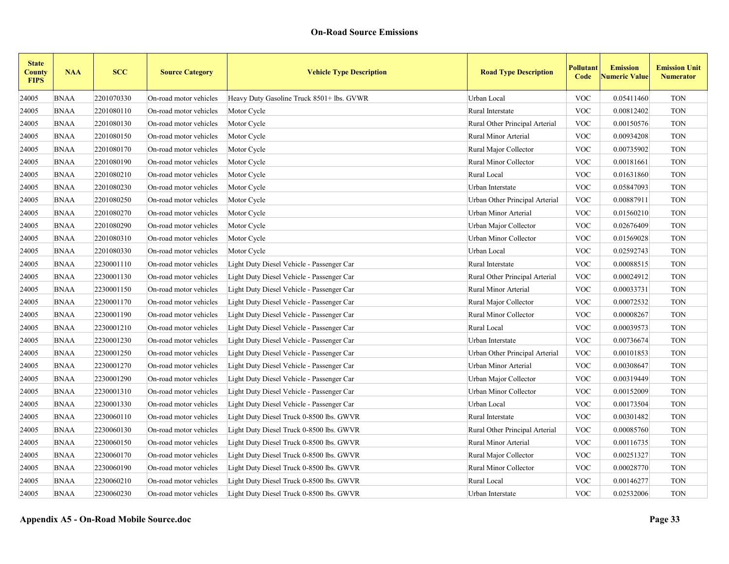| <b>State</b><br><b>County</b><br><b>FIPS</b> | <b>NAA</b>  | <b>SCC</b> | <b>Source Category</b> | <b>Vehicle Type Description</b>           | <b>Road Type Description</b>   | Pollutant<br>Code | <b>Emission</b><br><b>Numeric Value</b> | <b>Emission Unit</b><br><b>Numerator</b> |
|----------------------------------------------|-------------|------------|------------------------|-------------------------------------------|--------------------------------|-------------------|-----------------------------------------|------------------------------------------|
| 24005                                        | <b>BNAA</b> | 2201070330 | On-road motor vehicles | Heavy Duty Gasoline Truck 8501+ lbs. GVWR | Urban Local                    | <b>VOC</b>        | 0.05411460                              | <b>TON</b>                               |
| 24005                                        | <b>BNAA</b> | 2201080110 | On-road motor vehicles | Motor Cycle                               | Rural Interstate               | <b>VOC</b>        | 0.00812402                              | <b>TON</b>                               |
| 24005                                        | BNAA        | 2201080130 | On-road motor vehicles | Motor Cycle                               | Rural Other Principal Arterial | <b>VOC</b>        | 0.00150576                              | <b>TON</b>                               |
| 24005                                        | BNAA        | 2201080150 | On-road motor vehicles | Motor Cycle                               | Rural Minor Arterial           | <b>VOC</b>        | 0.00934208                              | <b>TON</b>                               |
| 24005                                        | <b>BNAA</b> | 2201080170 | On-road motor vehicles | Motor Cycle                               | Rural Major Collector          | <b>VOC</b>        | 0.00735902                              | <b>TON</b>                               |
| 24005                                        | BNAA        | 2201080190 | On-road motor vehicles | Motor Cycle                               | Rural Minor Collector          | <b>VOC</b>        | 0.00181661                              | <b>TON</b>                               |
| 24005                                        | <b>BNAA</b> | 2201080210 | On-road motor vehicles | Motor Cycle                               | Rural Local                    | <b>VOC</b>        | 0.01631860                              | <b>TON</b>                               |
| 24005                                        | <b>BNAA</b> | 2201080230 | On-road motor vehicles | Motor Cycle                               | Urban Interstate               | <b>VOC</b>        | 0.05847093                              | <b>TON</b>                               |
| 24005                                        | <b>BNAA</b> | 2201080250 | On-road motor vehicles | Motor Cycle                               | Urban Other Principal Arterial | <b>VOC</b>        | 0.00887911                              | <b>TON</b>                               |
| 24005                                        | <b>BNAA</b> | 2201080270 | On-road motor vehicles | Motor Cycle                               | Urban Minor Arterial           | <b>VOC</b>        | 0.01560210                              | <b>TON</b>                               |
| 24005                                        | <b>BNAA</b> | 2201080290 | On-road motor vehicles | Motor Cycle                               | Urban Major Collector          | <b>VOC</b>        | 0.02676409                              | <b>TON</b>                               |
| 24005                                        | <b>BNAA</b> | 2201080310 | On-road motor vehicles | Motor Cycle                               | Urban Minor Collector          | <b>VOC</b>        | 0.01569028                              | <b>TON</b>                               |
| 24005                                        | <b>BNAA</b> | 2201080330 | On-road motor vehicles | Motor Cycle                               | Urban Local                    | <b>VOC</b>        | 0.02592743                              | <b>TON</b>                               |
| 24005                                        | <b>BNAA</b> | 2230001110 | On-road motor vehicles | Light Duty Diesel Vehicle - Passenger Car | Rural Interstate               | <b>VOC</b>        | 0.00088515                              | <b>TON</b>                               |
| 24005                                        | <b>BNAA</b> | 2230001130 | On-road motor vehicles | Light Duty Diesel Vehicle - Passenger Car | Rural Other Principal Arterial | <b>VOC</b>        | 0.00024912                              | <b>TON</b>                               |
| 24005                                        | <b>BNAA</b> | 2230001150 | On-road motor vehicles | Light Duty Diesel Vehicle - Passenger Car | Rural Minor Arterial           | <b>VOC</b>        | 0.00033731                              | <b>TON</b>                               |
| 24005                                        | <b>BNAA</b> | 2230001170 | On-road motor vehicles | Light Duty Diesel Vehicle - Passenger Car | Rural Major Collector          | <b>VOC</b>        | 0.00072532                              | <b>TON</b>                               |
| 24005                                        | <b>BNAA</b> | 2230001190 | On-road motor vehicles | Light Duty Diesel Vehicle - Passenger Car | Rural Minor Collector          | <b>VOC</b>        | 0.00008267                              | <b>TON</b>                               |
| 24005                                        | <b>BNAA</b> | 2230001210 | On-road motor vehicles | Light Duty Diesel Vehicle - Passenger Car | Rural Local                    | <b>VOC</b>        | 0.00039573                              | <b>TON</b>                               |
| 24005                                        | <b>BNAA</b> | 2230001230 | On-road motor vehicles | Light Duty Diesel Vehicle - Passenger Car | Urban Interstate               | <b>VOC</b>        | 0.00736674                              | <b>TON</b>                               |
| 24005                                        | <b>BNAA</b> | 2230001250 | On-road motor vehicles | Light Duty Diesel Vehicle - Passenger Car | Urban Other Principal Arterial | <b>VOC</b>        | 0.00101853                              | <b>TON</b>                               |
| 24005                                        | <b>BNAA</b> | 2230001270 | On-road motor vehicles | Light Duty Diesel Vehicle - Passenger Car | Urban Minor Arterial           | <b>VOC</b>        | 0.00308647                              | <b>TON</b>                               |
| 24005                                        | <b>BNAA</b> | 2230001290 | On-road motor vehicles | Light Duty Diesel Vehicle - Passenger Car | Urban Major Collector          | <b>VOC</b>        | 0.00319449                              | <b>TON</b>                               |
| 24005                                        | <b>BNAA</b> | 2230001310 | On-road motor vehicles | Light Duty Diesel Vehicle - Passenger Car | Urban Minor Collector          | <b>VOC</b>        | 0.00152009                              | <b>TON</b>                               |
| 24005                                        | <b>BNAA</b> | 2230001330 | On-road motor vehicles | Light Duty Diesel Vehicle - Passenger Car | Urban Local                    | <b>VOC</b>        | 0.00173504                              | <b>TON</b>                               |
| 24005                                        | <b>BNAA</b> | 2230060110 | On-road motor vehicles | Light Duty Diesel Truck 0-8500 lbs. GWVR  | Rural Interstate               | <b>VOC</b>        | 0.00301482                              | <b>TON</b>                               |
| 24005                                        | <b>BNAA</b> | 2230060130 | On-road motor vehicles | Light Duty Diesel Truck 0-8500 lbs. GWVR  | Rural Other Principal Arterial | <b>VOC</b>        | 0.00085760                              | <b>TON</b>                               |
| 24005                                        | BNAA        | 2230060150 | On-road motor vehicles | Light Duty Diesel Truck 0-8500 lbs. GWVR  | Rural Minor Arterial           | <b>VOC</b>        | 0.00116735                              | <b>TON</b>                               |
| 24005                                        | <b>BNAA</b> | 2230060170 | On-road motor vehicles | Light Duty Diesel Truck 0-8500 lbs. GWVR  | Rural Major Collector          | <b>VOC</b>        | 0.00251327                              | <b>TON</b>                               |
| 24005                                        | BNAA        | 2230060190 | On-road motor vehicles | Light Duty Diesel Truck 0-8500 lbs. GWVR  | Rural Minor Collector          | <b>VOC</b>        | 0.00028770                              | <b>TON</b>                               |
| 24005                                        | BNAA        | 2230060210 | On-road motor vehicles | Light Duty Diesel Truck 0-8500 lbs. GWVR  | Rural Local                    | <b>VOC</b>        | 0.00146277                              | <b>TON</b>                               |
| 24005                                        | <b>BNAA</b> | 2230060230 | On-road motor vehicles | Light Duty Diesel Truck 0-8500 lbs. GWVR  | Urban Interstate               | <b>VOC</b>        | 0.02532006                              | <b>TON</b>                               |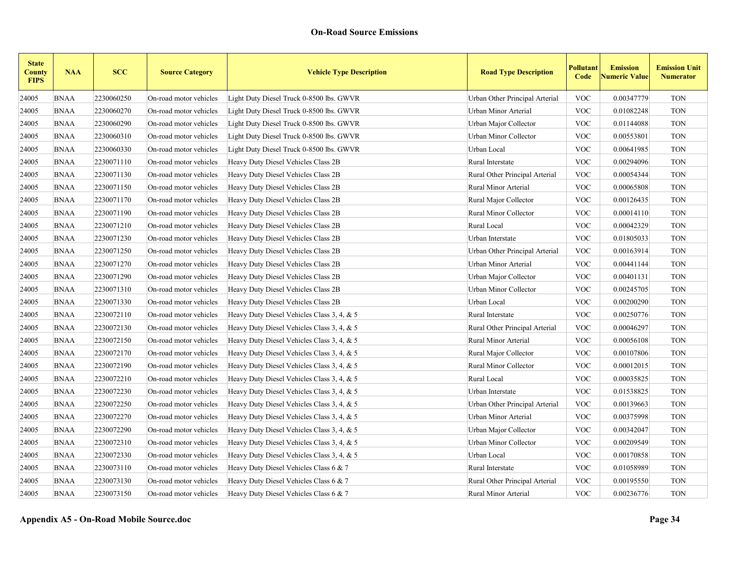| <b>State</b><br><b>County</b><br><b>FIPS</b> | <b>NAA</b>  | <b>SCC</b> | <b>Source Category</b> | <b>Vehicle Type Description</b>            | <b>Road Type Description</b>   | Pollutant<br>Code | <b>Emission</b><br><b>Numeric Value</b> | <b>Emission Unit</b><br><b>Numerator</b> |
|----------------------------------------------|-------------|------------|------------------------|--------------------------------------------|--------------------------------|-------------------|-----------------------------------------|------------------------------------------|
| 24005                                        | <b>BNAA</b> | 2230060250 | On-road motor vehicles | Light Duty Diesel Truck 0-8500 lbs. GWVR   | Urban Other Principal Arterial | <b>VOC</b>        | 0.00347779                              | <b>TON</b>                               |
| 24005                                        | <b>BNAA</b> | 2230060270 | On-road motor vehicles | Light Duty Diesel Truck 0-8500 lbs. GWVR   | Urban Minor Arterial           | <b>VOC</b>        | 0.01082248                              | <b>TON</b>                               |
| 24005                                        | <b>BNAA</b> | 2230060290 | On-road motor vehicles | Light Duty Diesel Truck 0-8500 lbs. GWVR   | Urban Major Collector          | <b>VOC</b>        | 0.01144088                              | <b>TON</b>                               |
| 24005                                        | <b>BNAA</b> | 2230060310 | On-road motor vehicles | Light Duty Diesel Truck 0-8500 lbs. GWVR   | Urban Minor Collector          | <b>VOC</b>        | 0.00553801                              | <b>TON</b>                               |
| 24005                                        | <b>BNAA</b> | 2230060330 | On-road motor vehicles | Light Duty Diesel Truck 0-8500 lbs. GWVR   | Urban Local                    | <b>VOC</b>        | 0.00641985                              | <b>TON</b>                               |
| 24005                                        | <b>BNAA</b> | 2230071110 | On-road motor vehicles | Heavy Duty Diesel Vehicles Class 2B        | Rural Interstate               | <b>VOC</b>        | 0.00294096                              | <b>TON</b>                               |
| 24005                                        | <b>BNAA</b> | 2230071130 | On-road motor vehicles | Heavy Duty Diesel Vehicles Class 2B        | Rural Other Principal Arterial | <b>VOC</b>        | 0.00054344                              | <b>TON</b>                               |
| 24005                                        | <b>BNAA</b> | 2230071150 | On-road motor vehicles | Heavy Duty Diesel Vehicles Class 2B        | Rural Minor Arterial           | <b>VOC</b>        | 0.00065808                              | <b>TON</b>                               |
| 24005                                        | <b>BNAA</b> | 2230071170 | On-road motor vehicles | Heavy Duty Diesel Vehicles Class 2B        | Rural Major Collector          | <b>VOC</b>        | 0.00126435                              | <b>TON</b>                               |
| 24005                                        | <b>BNAA</b> | 2230071190 | On-road motor vehicles | Heavy Duty Diesel Vehicles Class 2B        | <b>Rural Minor Collector</b>   | <b>VOC</b>        | 0.00014110                              | <b>TON</b>                               |
| 24005                                        | <b>BNAA</b> | 2230071210 | On-road motor vehicles | Heavy Duty Diesel Vehicles Class 2B        | Rural Local                    | <b>VOC</b>        | 0.00042329                              | <b>TON</b>                               |
| 24005                                        | <b>BNAA</b> | 2230071230 | On-road motor vehicles | Heavy Duty Diesel Vehicles Class 2B        | Urban Interstate               | <b>VOC</b>        | 0.01805033                              | <b>TON</b>                               |
| 24005                                        | <b>BNAA</b> | 2230071250 | On-road motor vehicles | Heavy Duty Diesel Vehicles Class 2B        | Urban Other Principal Arterial | <b>VOC</b>        | 0.00163914                              | <b>TON</b>                               |
| 24005                                        | <b>BNAA</b> | 2230071270 | On-road motor vehicles | Heavy Duty Diesel Vehicles Class 2B        | Urban Minor Arterial           | <b>VOC</b>        | 0.00441144                              | <b>TON</b>                               |
| 24005                                        | <b>BNAA</b> | 2230071290 | On-road motor vehicles | Heavy Duty Diesel Vehicles Class 2B        | Urban Major Collector          | <b>VOC</b>        | 0.00401131                              | <b>TON</b>                               |
| 24005                                        | <b>BNAA</b> | 2230071310 | On-road motor vehicles | Heavy Duty Diesel Vehicles Class 2B        | Urban Minor Collector          | <b>VOC</b>        | 0.00245705                              | <b>TON</b>                               |
| 24005                                        | <b>BNAA</b> | 2230071330 | On-road motor vehicles | Heavy Duty Diesel Vehicles Class 2B        | Urban Local                    | <b>VOC</b>        | 0.00200290                              | <b>TON</b>                               |
| 24005                                        | <b>BNAA</b> | 2230072110 | On-road motor vehicles | Heavy Duty Diesel Vehicles Class 3, 4, & 5 | Rural Interstate               | <b>VOC</b>        | 0.00250776                              | <b>TON</b>                               |
| 24005                                        | <b>BNAA</b> | 2230072130 | On-road motor vehicles | Heavy Duty Diesel Vehicles Class 3, 4, & 5 | Rural Other Principal Arterial | <b>VOC</b>        | 0.00046297                              | <b>TON</b>                               |
| 24005                                        | <b>BNAA</b> | 2230072150 | On-road motor vehicles | Heavy Duty Diesel Vehicles Class 3, 4, & 5 | Rural Minor Arterial           | <b>VOC</b>        | 0.00056108                              | <b>TON</b>                               |
| 24005                                        | <b>BNAA</b> | 2230072170 | On-road motor vehicles | Heavy Duty Diesel Vehicles Class 3, 4, & 5 | Rural Major Collector          | <b>VOC</b>        | 0.00107806                              | <b>TON</b>                               |
| 24005                                        | <b>BNAA</b> | 2230072190 | On-road motor vehicles | Heavy Duty Diesel Vehicles Class 3, 4, & 5 | Rural Minor Collector          | <b>VOC</b>        | 0.00012015                              | <b>TON</b>                               |
| 24005                                        | <b>BNAA</b> | 2230072210 | On-road motor vehicles | Heavy Duty Diesel Vehicles Class 3, 4, & 5 | Rural Local                    | <b>VOC</b>        | 0.00035825                              | <b>TON</b>                               |
| 24005                                        | <b>BNAA</b> | 2230072230 | On-road motor vehicles | Heavy Duty Diesel Vehicles Class 3, 4, & 5 | Urban Interstate               | <b>VOC</b>        | 0.01538825                              | <b>TON</b>                               |
| 24005                                        | <b>BNAA</b> | 2230072250 | On-road motor vehicles | Heavy Duty Diesel Vehicles Class 3, 4, & 5 | Urban Other Principal Arterial | <b>VOC</b>        | 0.00139663                              | <b>TON</b>                               |
| 24005                                        | <b>BNAA</b> | 2230072270 | On-road motor vehicles | Heavy Duty Diesel Vehicles Class 3, 4, & 5 | Urban Minor Arterial           | <b>VOC</b>        | 0.00375998                              | <b>TON</b>                               |
| 24005                                        | <b>BNAA</b> | 2230072290 | On-road motor vehicles | Heavy Duty Diesel Vehicles Class 3, 4, & 5 | Urban Major Collector          | <b>VOC</b>        | 0.00342047                              | <b>TON</b>                               |
| 24005                                        | <b>BNAA</b> | 2230072310 | On-road motor vehicles | Heavy Duty Diesel Vehicles Class 3, 4, & 5 | <b>Urban Minor Collector</b>   | <b>VOC</b>        | 0.00209549                              | <b>TON</b>                               |
| 24005                                        | <b>BNAA</b> | 2230072330 | On-road motor vehicles | Heavy Duty Diesel Vehicles Class 3, 4, & 5 | Urban Local                    | <b>VOC</b>        | 0.00170858                              | <b>TON</b>                               |
| 24005                                        | <b>BNAA</b> | 2230073110 | On-road motor vehicles | Heavy Duty Diesel Vehicles Class 6 & 7     | Rural Interstate               | <b>VOC</b>        | 0.01058989                              | <b>TON</b>                               |
| 24005                                        | <b>BNAA</b> | 2230073130 | On-road motor vehicles | Heavy Duty Diesel Vehicles Class 6 & 7     | Rural Other Principal Arterial | <b>VOC</b>        | 0.00195550                              | <b>TON</b>                               |
| 24005                                        | <b>BNAA</b> | 2230073150 | On-road motor vehicles | Heavy Duty Diesel Vehicles Class 6 & 7     | Rural Minor Arterial           | <b>VOC</b>        | 0.00236776                              | <b>TON</b>                               |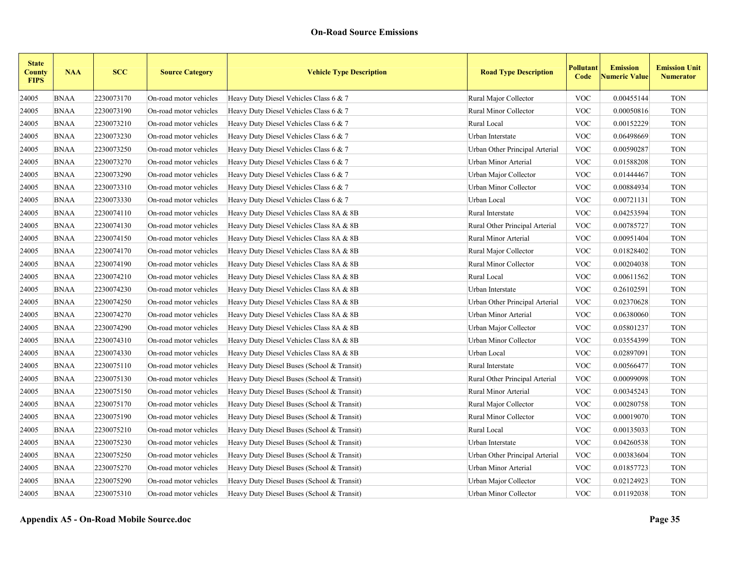| <b>State</b><br><b>County</b><br><b>FIPS</b> | <b>NAA</b>  | <b>SCC</b> | <b>Source Category</b> | <b>Vehicle Type Description</b>            | <b>Road Type Description</b>   | Pollutant<br>Code         | <b>Emission</b><br><b>Numeric Value</b> | <b>Emission Unit</b><br><b>Numerator</b> |
|----------------------------------------------|-------------|------------|------------------------|--------------------------------------------|--------------------------------|---------------------------|-----------------------------------------|------------------------------------------|
| 24005                                        | <b>BNAA</b> | 2230073170 | On-road motor vehicles | Heavy Duty Diesel Vehicles Class 6 & 7     | Rural Major Collector          | <b>VOC</b>                | 0.00455144                              | <b>TON</b>                               |
| 24005                                        | <b>BNAA</b> | 2230073190 | On-road motor vehicles | Heavy Duty Diesel Vehicles Class $6 & 7$   | Rural Minor Collector          | <b>VOC</b>                | 0.00050816                              | <b>TON</b>                               |
| 24005                                        | <b>BNAA</b> | 2230073210 | On-road motor vehicles | Heavy Duty Diesel Vehicles Class $6 & 7$   | Rural Local                    | <b>VOC</b>                | 0.00152229                              | <b>TON</b>                               |
| 24005                                        | <b>BNAA</b> | 2230073230 | On-road motor vehicles | Heavy Duty Diesel Vehicles Class 6 & 7     | Urban Interstate               | <b>VOC</b>                | 0.06498669                              | <b>TON</b>                               |
| 24005                                        | <b>BNAA</b> | 2230073250 | On-road motor vehicles | Heavy Duty Diesel Vehicles Class 6 $& 7$   | Urban Other Principal Arterial | <b>VOC</b>                | 0.00590287                              | <b>TON</b>                               |
| 24005                                        | <b>BNAA</b> | 2230073270 | On-road motor vehicles | Heavy Duty Diesel Vehicles Class 6 $& 7$   | Urban Minor Arterial           | <b>VOC</b>                | 0.01588208                              | <b>TON</b>                               |
| 24005                                        | <b>BNAA</b> | 2230073290 | On-road motor vehicles | Heavy Duty Diesel Vehicles Class 6 $& 7$   | Urban Major Collector          | <b>VOC</b>                | 0.01444467                              | <b>TON</b>                               |
| 24005                                        | <b>BNAA</b> | 2230073310 | On-road motor vehicles | Heavy Duty Diesel Vehicles Class 6 & 7     | Urban Minor Collector          | <b>VOC</b>                | 0.00884934                              | <b>TON</b>                               |
| 24005                                        | <b>BNAA</b> | 2230073330 | On-road motor vehicles | Heavy Duty Diesel Vehicles Class 6 $& 7$   | Urban Local                    | <b>VOC</b>                | 0.00721131                              | <b>TON</b>                               |
| 24005                                        | <b>BNAA</b> | 2230074110 | On-road motor vehicles | Heavy Duty Diesel Vehicles Class 8A & 8B   | Rural Interstate               | <b>VOC</b>                | 0.04253594                              | <b>TON</b>                               |
| 24005                                        | <b>BNAA</b> | 2230074130 | On-road motor vehicles | Heavy Duty Diesel Vehicles Class 8A & 8B   | Rural Other Principal Arterial | <b>VOC</b>                | 0.00785727                              | <b>TON</b>                               |
| 24005                                        | <b>BNAA</b> | 2230074150 | On-road motor vehicles | Heavy Duty Diesel Vehicles Class 8A & 8B   | Rural Minor Arterial           | <b>VOC</b>                | 0.00951404                              | <b>TON</b>                               |
| 24005                                        | <b>BNAA</b> | 2230074170 | On-road motor vehicles | Heavy Duty Diesel Vehicles Class 8A & 8B   | Rural Major Collector          | <b>VOC</b>                | 0.01828402                              | <b>TON</b>                               |
| 24005                                        | <b>BNAA</b> | 2230074190 | On-road motor vehicles | Heavy Duty Diesel Vehicles Class 8A & 8B   | Rural Minor Collector          | <b>VOC</b>                | 0.00204038                              | <b>TON</b>                               |
| 24005                                        | <b>BNAA</b> | 2230074210 | On-road motor vehicles | Heavy Duty Diesel Vehicles Class 8A & 8B   | Rural Local                    | <b>VOC</b>                | 0.00611562                              | <b>TON</b>                               |
| 24005                                        | <b>BNAA</b> | 2230074230 | On-road motor vehicles | Heavy Duty Diesel Vehicles Class 8A & 8B   | Urban Interstate               | <b>VOC</b>                | 0.26102591                              | <b>TON</b>                               |
| 24005                                        | <b>BNAA</b> | 2230074250 | On-road motor vehicles | Heavy Duty Diesel Vehicles Class 8A & 8B   | Urban Other Principal Arterial | <b>VOC</b>                | 0.02370628                              | <b>TON</b>                               |
| 24005                                        | <b>BNAA</b> | 2230074270 | On-road motor vehicles | Heavy Duty Diesel Vehicles Class 8A & 8B   | Urban Minor Arterial           | <b>VOC</b>                | 0.06380060                              | <b>TON</b>                               |
| 24005                                        | <b>BNAA</b> | 2230074290 | On-road motor vehicles | Heavy Duty Diesel Vehicles Class 8A & 8B   | Urban Major Collector          | <b>VOC</b>                | 0.05801237                              | <b>TON</b>                               |
| 24005                                        | <b>BNAA</b> | 2230074310 | On-road motor vehicles | Heavy Duty Diesel Vehicles Class 8A & 8B   | Urban Minor Collector          | <b>VOC</b>                | 0.03554399                              | <b>TON</b>                               |
| 24005                                        | <b>BNAA</b> | 2230074330 | On-road motor vehicles | Heavy Duty Diesel Vehicles Class 8A & 8B   | Urban Local                    | <b>VOC</b>                | 0.02897091                              | <b>TON</b>                               |
| 24005                                        | <b>BNAA</b> | 2230075110 | On-road motor vehicles | Heavy Duty Diesel Buses (School & Transit) | Rural Interstate               | <b>VOC</b>                | 0.00566477                              | <b>TON</b>                               |
| 24005                                        | <b>BNAA</b> | 2230075130 | On-road motor vehicles | Heavy Duty Diesel Buses (School & Transit) | Rural Other Principal Arterial | <b>VOC</b>                | 0.00099098                              | <b>TON</b>                               |
| 24005                                        | <b>BNAA</b> | 2230075150 | On-road motor vehicles | Heavy Duty Diesel Buses (School & Transit) | Rural Minor Arterial           | <b>VOC</b>                | 0.00345243                              | <b>TON</b>                               |
| 24005                                        | <b>BNAA</b> | 2230075170 | On-road motor vehicles | Heavy Duty Diesel Buses (School & Transit) | Rural Major Collector          | <b>VOC</b>                | 0.00280758                              | <b>TON</b>                               |
| 24005                                        | <b>BNAA</b> | 2230075190 | On-road motor vehicles | Heavy Duty Diesel Buses (School & Transit) | Rural Minor Collector          | $\ensuremath{\text{VOC}}$ | 0.00019070                              | <b>TON</b>                               |
| 24005                                        | <b>BNAA</b> | 2230075210 | On-road motor vehicles | Heavy Duty Diesel Buses (School & Transit) | Rural Local                    | <b>VOC</b>                | 0.00135033                              | <b>TON</b>                               |
| 24005                                        | <b>BNAA</b> | 2230075230 | On-road motor vehicles | Heavy Duty Diesel Buses (School & Transit) | Urban Interstate               | <b>VOC</b>                | 0.04260538                              | <b>TON</b>                               |
| 24005                                        | <b>BNAA</b> | 2230075250 | On-road motor vehicles | Heavy Duty Diesel Buses (School & Transit) | Urban Other Principal Arterial | <b>VOC</b>                | 0.00383604                              | <b>TON</b>                               |
| 24005                                        | <b>BNAA</b> | 2230075270 | On-road motor vehicles | Heavy Duty Diesel Buses (School & Transit) | Urban Minor Arterial           | <b>VOC</b>                | 0.01857723                              | <b>TON</b>                               |
| 24005                                        | <b>BNAA</b> | 2230075290 | On-road motor vehicles | Heavy Duty Diesel Buses (School & Transit) | Urban Major Collector          | <b>VOC</b>                | 0.02124923                              | <b>TON</b>                               |
| 24005                                        | <b>BNAA</b> | 2230075310 | On-road motor vehicles | Heavy Duty Diesel Buses (School & Transit) | Urban Minor Collector          | <b>VOC</b>                | 0.01192038                              | <b>TON</b>                               |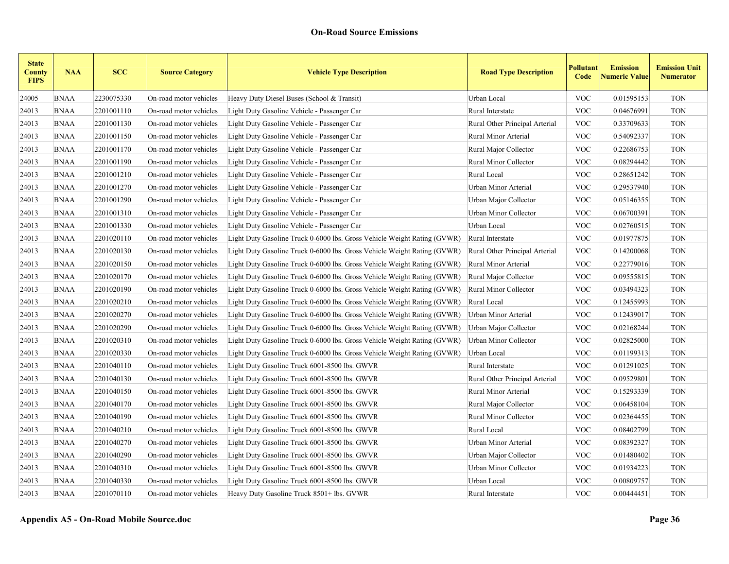| <b>State</b><br><b>County</b><br><b>FIPS</b> | <b>NAA</b>  | <b>SCC</b> | <b>Source Category</b> | <b>Vehicle Type Description</b>                                          | <b>Road Type Description</b>   | Pollutant<br>Code | <b>Emission</b><br><b>Numeric Value</b> | <b>Emission Unit</b><br><b>Numerator</b> |
|----------------------------------------------|-------------|------------|------------------------|--------------------------------------------------------------------------|--------------------------------|-------------------|-----------------------------------------|------------------------------------------|
| 24005                                        | <b>BNAA</b> | 2230075330 | On-road motor vehicles | Heavy Duty Diesel Buses (School & Transit)                               | Urban Local                    | <b>VOC</b>        | 0.01595153                              | <b>TON</b>                               |
| 24013                                        | <b>BNAA</b> | 2201001110 | On-road motor vehicles | Light Duty Gasoline Vehicle - Passenger Car                              | Rural Interstate               | <b>VOC</b>        | 0.04676991                              | <b>TON</b>                               |
| 24013                                        | <b>BNAA</b> | 2201001130 | On-road motor vehicles | Light Duty Gasoline Vehicle - Passenger Car                              | Rural Other Principal Arterial | <b>VOC</b>        | 0.33709633                              | <b>TON</b>                               |
| 24013                                        | <b>BNAA</b> | 2201001150 | On-road motor vehicles | Light Duty Gasoline Vehicle - Passenger Car                              | Rural Minor Arterial           | <b>VOC</b>        | 0.54092337                              | <b>TON</b>                               |
| 24013                                        | <b>BNAA</b> | 2201001170 | On-road motor vehicles | Light Duty Gasoline Vehicle - Passenger Car                              | Rural Major Collector          | <b>VOC</b>        | 0.22686753                              | <b>TON</b>                               |
| 24013                                        | <b>BNAA</b> | 2201001190 | On-road motor vehicles | Light Duty Gasoline Vehicle - Passenger Car                              | Rural Minor Collector          | <b>VOC</b>        | 0.08294442                              | <b>TON</b>                               |
| 24013                                        | <b>BNAA</b> | 2201001210 | On-road motor vehicles | Light Duty Gasoline Vehicle - Passenger Car                              | Rural Local                    | <b>VOC</b>        | 0.28651242                              | <b>TON</b>                               |
| 24013                                        | <b>BNAA</b> | 2201001270 | On-road motor vehicles | Light Duty Gasoline Vehicle - Passenger Car                              | Urban Minor Arterial           | <b>VOC</b>        | 0.29537940                              | <b>TON</b>                               |
| 24013                                        | <b>BNAA</b> | 2201001290 | On-road motor vehicles | Light Duty Gasoline Vehicle - Passenger Car                              | Urban Major Collector          | <b>VOC</b>        | 0.05146355                              | <b>TON</b>                               |
| 24013                                        | <b>BNAA</b> | 2201001310 | On-road motor vehicles | Light Duty Gasoline Vehicle - Passenger Car                              | Urban Minor Collector          | <b>VOC</b>        | 0.06700391                              | <b>TON</b>                               |
| 24013                                        | <b>BNAA</b> | 2201001330 | On-road motor vehicles | Light Duty Gasoline Vehicle - Passenger Car                              | Urban Local                    | <b>VOC</b>        | 0.02760515                              | <b>TON</b>                               |
| 24013                                        | <b>BNAA</b> | 2201020110 | On-road motor vehicles | Light Duty Gasoline Truck 0-6000 lbs. Gross Vehicle Weight Rating (GVWR) | Rural Interstate               | <b>VOC</b>        | 0.01977875                              | <b>TON</b>                               |
| 24013                                        | <b>BNAA</b> | 2201020130 | On-road motor vehicles | Light Duty Gasoline Truck 0-6000 lbs. Gross Vehicle Weight Rating (GVWR) | Rural Other Principal Arterial | <b>VOC</b>        | 0.14200068                              | <b>TON</b>                               |
| 24013                                        | <b>BNAA</b> | 2201020150 | On-road motor vehicles | Light Duty Gasoline Truck 0-6000 lbs. Gross Vehicle Weight Rating (GVWR) | Rural Minor Arterial           | <b>VOC</b>        | 0.22779016                              | <b>TON</b>                               |
| 24013                                        | <b>BNAA</b> | 2201020170 | On-road motor vehicles | Light Duty Gasoline Truck 0-6000 lbs. Gross Vehicle Weight Rating (GVWR) | Rural Major Collector          | <b>VOC</b>        | 0.09555815                              | <b>TON</b>                               |
| 24013                                        | <b>BNAA</b> | 2201020190 | On-road motor vehicles | Light Duty Gasoline Truck 0-6000 lbs. Gross Vehicle Weight Rating (GVWR) | Rural Minor Collector          | <b>VOC</b>        | 0.03494323                              | <b>TON</b>                               |
| 24013                                        | <b>BNAA</b> | 2201020210 | On-road motor vehicles | Light Duty Gasoline Truck 0-6000 lbs. Gross Vehicle Weight Rating (GVWR) | Rural Local                    | <b>VOC</b>        | 0.12455993                              | <b>TON</b>                               |
| 24013                                        | <b>BNAA</b> | 2201020270 | On-road motor vehicles | Light Duty Gasoline Truck 0-6000 lbs. Gross Vehicle Weight Rating (GVWR) | Urban Minor Arterial           | <b>VOC</b>        | 0.12439017                              | <b>TON</b>                               |
| 24013                                        | <b>BNAA</b> | 2201020290 | On-road motor vehicles | Light Duty Gasoline Truck 0-6000 lbs. Gross Vehicle Weight Rating (GVWR) | Urban Major Collector          | <b>VOC</b>        | 0.02168244                              | <b>TON</b>                               |
| 24013                                        | <b>BNAA</b> | 2201020310 | On-road motor vehicles | Light Duty Gasoline Truck 0-6000 lbs. Gross Vehicle Weight Rating (GVWR) | Urban Minor Collector          | <b>VOC</b>        | 0.02825000                              | <b>TON</b>                               |
| 24013                                        | <b>BNAA</b> | 2201020330 | On-road motor vehicles | Light Duty Gasoline Truck 0-6000 lbs. Gross Vehicle Weight Rating (GVWR) | Urban Local                    | <b>VOC</b>        | 0.01199313                              | <b>TON</b>                               |
| 24013                                        | <b>BNAA</b> | 2201040110 | On-road motor vehicles | Light Duty Gasoline Truck 6001-8500 lbs. GWVR                            | Rural Interstate               | <b>VOC</b>        | 0.01291025                              | <b>TON</b>                               |
| 24013                                        | <b>BNAA</b> | 2201040130 | On-road motor vehicles | Light Duty Gasoline Truck 6001-8500 lbs. GWVR                            | Rural Other Principal Arterial | <b>VOC</b>        | 0.09529801                              | <b>TON</b>                               |
| 24013                                        | <b>BNAA</b> | 2201040150 | On-road motor vehicles | Light Duty Gasoline Truck 6001-8500 lbs. GWVR                            | Rural Minor Arterial           | <b>VOC</b>        | 0.15293339                              | <b>TON</b>                               |
| 24013                                        | <b>BNAA</b> | 2201040170 | On-road motor vehicles | Light Duty Gasoline Truck 6001-8500 lbs. GWVR                            | Rural Major Collector          | <b>VOC</b>        | 0.06458104                              | <b>TON</b>                               |
| 24013                                        | <b>BNAA</b> | 2201040190 | On-road motor vehicles | Light Duty Gasoline Truck 6001-8500 lbs. GWVR                            | Rural Minor Collector          | <b>VOC</b>        | 0.02364455                              | <b>TON</b>                               |
| 24013                                        | <b>BNAA</b> | 2201040210 | On-road motor vehicles | Light Duty Gasoline Truck 6001-8500 lbs. GWVR                            | Rural Local                    | <b>VOC</b>        | 0.08402799                              | <b>TON</b>                               |
| 24013                                        | <b>BNAA</b> | 2201040270 | On-road motor vehicles | Light Duty Gasoline Truck 6001-8500 lbs. GWVR                            | Urban Minor Arterial           | <b>VOC</b>        | 0.08392327                              | <b>TON</b>                               |
| 24013                                        | <b>BNAA</b> | 2201040290 | On-road motor vehicles | Light Duty Gasoline Truck 6001-8500 lbs. GWVR                            | Urban Major Collector          | <b>VOC</b>        | 0.01480402                              | <b>TON</b>                               |
| 24013                                        | <b>BNAA</b> | 2201040310 | On-road motor vehicles | Light Duty Gasoline Truck 6001-8500 lbs. GWVR                            | Urban Minor Collector          | <b>VOC</b>        | 0.01934223                              | <b>TON</b>                               |
| 24013                                        | <b>BNAA</b> | 2201040330 | On-road motor vehicles | Light Duty Gasoline Truck 6001-8500 lbs. GWVR                            | Urban Local                    | <b>VOC</b>        | 0.00809757                              | <b>TON</b>                               |
| 24013                                        | <b>BNAA</b> | 2201070110 | On-road motor vehicles | Heavy Duty Gasoline Truck 8501+ lbs. GVWR                                | Rural Interstate               | <b>VOC</b>        | 0.00444451                              | <b>TON</b>                               |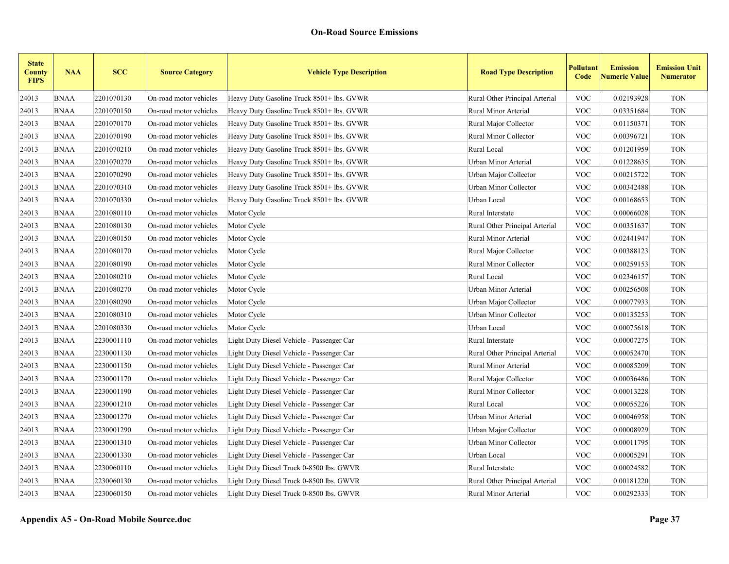| <b>State</b><br><b>County</b><br><b>FIPS</b> | <b>NAA</b>  | <b>SCC</b> | <b>Source Category</b> | <b>Vehicle Type Description</b>           | <b>Road Type Description</b>   | Pollutant<br>Code         | <b>Emission</b><br><b>Numeric Value</b> | <b>Emission Unit</b><br><b>Numerator</b> |
|----------------------------------------------|-------------|------------|------------------------|-------------------------------------------|--------------------------------|---------------------------|-----------------------------------------|------------------------------------------|
| 24013                                        | <b>BNAA</b> | 2201070130 | On-road motor vehicles | Heavy Duty Gasoline Truck 8501+ lbs. GVWR | Rural Other Principal Arterial | <b>VOC</b>                | 0.02193928                              | <b>TON</b>                               |
| 24013                                        | <b>BNAA</b> | 2201070150 | On-road motor vehicles | Heavy Duty Gasoline Truck 8501+ lbs. GVWR | Rural Minor Arterial           | <b>VOC</b>                | 0.03351684                              | <b>TON</b>                               |
| 24013                                        | <b>BNAA</b> | 2201070170 | On-road motor vehicles | Heavy Duty Gasoline Truck 8501+ lbs. GVWR | Rural Major Collector          | <b>VOC</b>                | 0.01150371                              | <b>TON</b>                               |
| 24013                                        | <b>BNAA</b> | 2201070190 | On-road motor vehicles | Heavy Duty Gasoline Truck 8501+ lbs. GVWR | <b>Rural Minor Collector</b>   | <b>VOC</b>                | 0.00396721                              | <b>TON</b>                               |
| 24013                                        | <b>BNAA</b> | 2201070210 | On-road motor vehicles | Heavy Duty Gasoline Truck 8501+ lbs. GVWR | Rural Local                    | <b>VOC</b>                | 0.01201959                              | <b>TON</b>                               |
| 24013                                        | <b>BNAA</b> | 2201070270 | On-road motor vehicles | Heavy Duty Gasoline Truck 8501+ lbs. GVWR | Urban Minor Arterial           | <b>VOC</b>                | 0.01228635                              | <b>TON</b>                               |
| 24013                                        | <b>BNAA</b> | 2201070290 | On-road motor vehicles | Heavy Duty Gasoline Truck 8501+ lbs. GVWR | Urban Major Collector          | <b>VOC</b>                | 0.00215722                              | <b>TON</b>                               |
| 24013                                        | <b>BNAA</b> | 2201070310 | On-road motor vehicles | Heavy Duty Gasoline Truck 8501+ lbs. GVWR | Urban Minor Collector          | <b>VOC</b>                | 0.00342488                              | <b>TON</b>                               |
| 24013                                        | <b>BNAA</b> | 2201070330 | On-road motor vehicles | Heavy Duty Gasoline Truck 8501+ lbs. GVWR | Urban Local                    | <b>VOC</b>                | 0.00168653                              | <b>TON</b>                               |
| 24013                                        | <b>BNAA</b> | 2201080110 | On-road motor vehicles | Motor Cycle                               | Rural Interstate               | <b>VOC</b>                | 0.00066028                              | <b>TON</b>                               |
| 24013                                        | <b>BNAA</b> | 2201080130 | On-road motor vehicles | Motor Cycle                               | Rural Other Principal Arterial | <b>VOC</b>                | 0.00351637                              | <b>TON</b>                               |
| 24013                                        | <b>BNAA</b> | 2201080150 | On-road motor vehicles | Motor Cycle                               | Rural Minor Arterial           | <b>VOC</b>                | 0.02441947                              | <b>TON</b>                               |
| 24013                                        | <b>BNAA</b> | 2201080170 | On-road motor vehicles | Motor Cycle                               | Rural Major Collector          | <b>VOC</b>                | 0.00388123                              | <b>TON</b>                               |
| 24013                                        | <b>BNAA</b> | 2201080190 | On-road motor vehicles | Motor Cycle                               | Rural Minor Collector          | <b>VOC</b>                | 0.00259153                              | <b>TON</b>                               |
| 24013                                        | <b>BNAA</b> | 2201080210 | On-road motor vehicles | Motor Cycle                               | Rural Local                    | <b>VOC</b>                | 0.02346157                              | <b>TON</b>                               |
| 24013                                        | <b>BNAA</b> | 2201080270 | On-road motor vehicles | Motor Cycle                               | Urban Minor Arterial           | <b>VOC</b>                | 0.00256508                              | <b>TON</b>                               |
| 24013                                        | <b>BNAA</b> | 2201080290 | On-road motor vehicles | Motor Cycle                               | Urban Major Collector          | <b>VOC</b>                | 0.00077933                              | <b>TON</b>                               |
| 24013                                        | <b>BNAA</b> | 2201080310 | On-road motor vehicles | Motor Cycle                               | Urban Minor Collector          | <b>VOC</b>                | 0.00135253                              | <b>TON</b>                               |
| 24013                                        | <b>BNAA</b> | 2201080330 | On-road motor vehicles | Motor Cycle                               | Urban Local                    | <b>VOC</b>                | 0.00075618                              | <b>TON</b>                               |
| 24013                                        | <b>BNAA</b> | 2230001110 | On-road motor vehicles | Light Duty Diesel Vehicle - Passenger Car | Rural Interstate               | <b>VOC</b>                | 0.00007275                              | <b>TON</b>                               |
| 24013                                        | <b>BNAA</b> | 2230001130 | On-road motor vehicles | Light Duty Diesel Vehicle - Passenger Car | Rural Other Principal Arterial | <b>VOC</b>                | 0.00052470                              | <b>TON</b>                               |
| 24013                                        | <b>BNAA</b> | 2230001150 | On-road motor vehicles | Light Duty Diesel Vehicle - Passenger Car | Rural Minor Arterial           | <b>VOC</b>                | 0.00085209                              | <b>TON</b>                               |
| 24013                                        | <b>BNAA</b> | 2230001170 | On-road motor vehicles | Light Duty Diesel Vehicle - Passenger Car | Rural Major Collector          | <b>VOC</b>                | 0.00036486                              | <b>TON</b>                               |
| 24013                                        | <b>BNAA</b> | 2230001190 | On-road motor vehicles | Light Duty Diesel Vehicle - Passenger Car | Rural Minor Collector          | $\ensuremath{\text{VOC}}$ | 0.00013228                              | <b>TON</b>                               |
| 24013                                        | <b>BNAA</b> | 2230001210 | On-road motor vehicles | Light Duty Diesel Vehicle - Passenger Car | Rural Local                    | <b>VOC</b>                | 0.00055226                              | <b>TON</b>                               |
| 24013                                        | <b>BNAA</b> | 2230001270 | On-road motor vehicles | Light Duty Diesel Vehicle - Passenger Car | Urban Minor Arterial           | $\ensuremath{\text{VOC}}$ | 0.00046958                              | <b>TON</b>                               |
| 24013                                        | <b>BNAA</b> | 2230001290 | On-road motor vehicles | Light Duty Diesel Vehicle - Passenger Car | Urban Major Collector          | <b>VOC</b>                | 0.00008929                              | <b>TON</b>                               |
| 24013                                        | <b>BNAA</b> | 2230001310 | On-road motor vehicles | Light Duty Diesel Vehicle - Passenger Car | Urban Minor Collector          | $\ensuremath{\text{VOC}}$ | 0.00011795                              | <b>TON</b>                               |
| 24013                                        | <b>BNAA</b> | 2230001330 | On-road motor vehicles | Light Duty Diesel Vehicle - Passenger Car | Urban Local                    | <b>VOC</b>                | 0.00005291                              | <b>TON</b>                               |
| 24013                                        | <b>BNAA</b> | 2230060110 | On-road motor vehicles | Light Duty Diesel Truck 0-8500 lbs. GWVR  | Rural Interstate               | <b>VOC</b>                | 0.00024582                              | <b>TON</b>                               |
| 24013                                        | <b>BNAA</b> | 2230060130 | On-road motor vehicles | Light Duty Diesel Truck 0-8500 lbs. GWVR  | Rural Other Principal Arterial | <b>VOC</b>                | 0.00181220                              | <b>TON</b>                               |
| 24013                                        | <b>BNAA</b> | 2230060150 | On-road motor vehicles | Light Duty Diesel Truck 0-8500 lbs. GWVR  | Rural Minor Arterial           | <b>VOC</b>                | 0.00292333                              | <b>TON</b>                               |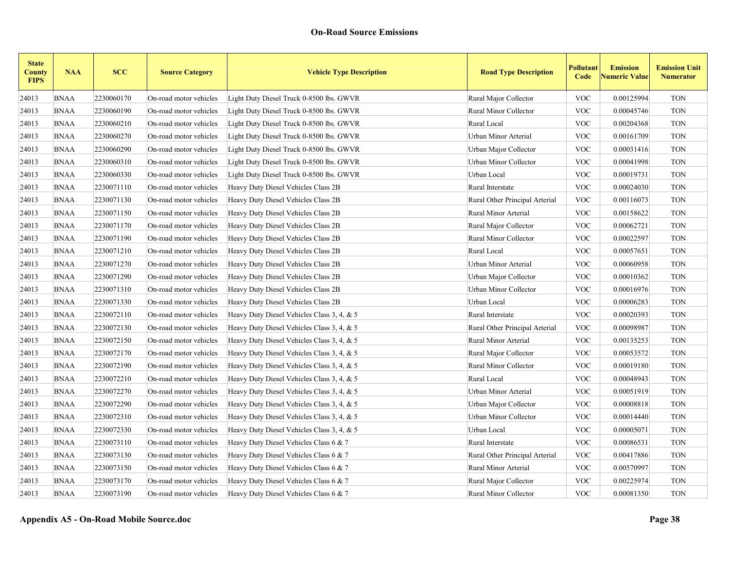| <b>State</b><br><b>County</b><br><b>FIPS</b> | <b>NAA</b>  | <b>SCC</b> | <b>Source Category</b> | <b>Vehicle Type Description</b>            | <b>Road Type Description</b>   | Pollutant<br>Code         | <b>Emission</b><br><b>Numeric Value</b> | <b>Emission Unit</b><br><b>Numerator</b> |
|----------------------------------------------|-------------|------------|------------------------|--------------------------------------------|--------------------------------|---------------------------|-----------------------------------------|------------------------------------------|
| 24013                                        | <b>BNAA</b> | 2230060170 | On-road motor vehicles | Light Duty Diesel Truck 0-8500 lbs. GWVR   | Rural Major Collector          | <b>VOC</b>                | 0.00125994                              | <b>TON</b>                               |
| 24013                                        | <b>BNAA</b> | 2230060190 | On-road motor vehicles | Light Duty Diesel Truck 0-8500 lbs. GWVR   | Rural Minor Collector          | <b>VOC</b>                | 0.00045746                              | <b>TON</b>                               |
| 24013                                        | <b>BNAA</b> | 2230060210 | On-road motor vehicles | Light Duty Diesel Truck 0-8500 lbs. GWVR   | Rural Local                    | <b>VOC</b>                | 0.00204368                              | <b>TON</b>                               |
| 24013                                        | <b>BNAA</b> | 2230060270 | On-road motor vehicles | Light Duty Diesel Truck 0-8500 lbs. GWVR   | Urban Minor Arterial           | <b>VOC</b>                | 0.00161709                              | <b>TON</b>                               |
| 24013                                        | <b>BNAA</b> | 2230060290 | On-road motor vehicles | Light Duty Diesel Truck 0-8500 lbs. GWVR   | Urban Major Collector          | <b>VOC</b>                | 0.00031416                              | <b>TON</b>                               |
| 24013                                        | <b>BNAA</b> | 2230060310 | On-road motor vehicles | Light Duty Diesel Truck 0-8500 lbs. GWVR   | Urban Minor Collector          | <b>VOC</b>                | 0.00041998                              | <b>TON</b>                               |
| 24013                                        | <b>BNAA</b> | 2230060330 | On-road motor vehicles | Light Duty Diesel Truck 0-8500 lbs. GWVR   | Urban Local                    | <b>VOC</b>                | 0.00019731                              | <b>TON</b>                               |
| 24013                                        | <b>BNAA</b> | 2230071110 | On-road motor vehicles | Heavy Duty Diesel Vehicles Class 2B        | Rural Interstate               | <b>VOC</b>                | 0.00024030                              | <b>TON</b>                               |
| 24013                                        | <b>BNAA</b> | 2230071130 | On-road motor vehicles | Heavy Duty Diesel Vehicles Class 2B        | Rural Other Principal Arterial | <b>VOC</b>                | 0.00116073                              | <b>TON</b>                               |
| 24013                                        | <b>BNAA</b> | 2230071150 | On-road motor vehicles | Heavy Duty Diesel Vehicles Class 2B        | Rural Minor Arterial           | <b>VOC</b>                | 0.00158622                              | <b>TON</b>                               |
| 24013                                        | <b>BNAA</b> | 2230071170 | On-road motor vehicles | Heavy Duty Diesel Vehicles Class 2B        | Rural Major Collector          | <b>VOC</b>                | 0.00062721                              | <b>TON</b>                               |
| 24013                                        | <b>BNAA</b> | 2230071190 | On-road motor vehicles | Heavy Duty Diesel Vehicles Class 2B        | Rural Minor Collector          | <b>VOC</b>                | 0.00022597                              | <b>TON</b>                               |
| 24013                                        | <b>BNAA</b> | 2230071210 | On-road motor vehicles | Heavy Duty Diesel Vehicles Class 2B        | Rural Local                    | <b>VOC</b>                | 0.00057651                              | <b>TON</b>                               |
| 24013                                        | <b>BNAA</b> | 2230071270 | On-road motor vehicles | Heavy Duty Diesel Vehicles Class 2B        | Urban Minor Arterial           | <b>VOC</b>                | 0.00060958                              | <b>TON</b>                               |
| 24013                                        | <b>BNAA</b> | 2230071290 | On-road motor vehicles | Heavy Duty Diesel Vehicles Class 2B        | Urban Major Collector          | <b>VOC</b>                | 0.00010362                              | <b>TON</b>                               |
| 24013                                        | <b>BNAA</b> | 2230071310 | On-road motor vehicles | Heavy Duty Diesel Vehicles Class 2B        | Urban Minor Collector          | <b>VOC</b>                | 0.00016976                              | <b>TON</b>                               |
| 24013                                        | <b>BNAA</b> | 2230071330 | On-road motor vehicles | Heavy Duty Diesel Vehicles Class 2B        | Urban Local                    | <b>VOC</b>                | 0.00006283                              | <b>TON</b>                               |
| 24013                                        | <b>BNAA</b> | 2230072110 | On-road motor vehicles | Heavy Duty Diesel Vehicles Class 3, 4, & 5 | Rural Interstate               | <b>VOC</b>                | 0.00020393                              | <b>TON</b>                               |
| 24013                                        | <b>BNAA</b> | 2230072130 | On-road motor vehicles | Heavy Duty Diesel Vehicles Class 3, 4, & 5 | Rural Other Principal Arterial | <b>VOC</b>                | 0.00098987                              | <b>TON</b>                               |
| 24013                                        | <b>BNAA</b> | 2230072150 | On-road motor vehicles | Heavy Duty Diesel Vehicles Class 3, 4, & 5 | Rural Minor Arterial           | <b>VOC</b>                | 0.00135253                              | <b>TON</b>                               |
| 24013                                        | <b>BNAA</b> | 2230072170 | On-road motor vehicles | Heavy Duty Diesel Vehicles Class 3, 4, & 5 | Rural Major Collector          | <b>VOC</b>                | 0.00053572                              | <b>TON</b>                               |
| 24013                                        | <b>BNAA</b> | 2230072190 | On-road motor vehicles | Heavy Duty Diesel Vehicles Class 3, 4, & 5 | Rural Minor Collector          | <b>VOC</b>                | 0.00019180                              | <b>TON</b>                               |
| 24013                                        | <b>BNAA</b> | 2230072210 | On-road motor vehicles | Heavy Duty Diesel Vehicles Class 3, 4, & 5 | Rural Local                    | <b>VOC</b>                | 0.00048943                              | <b>TON</b>                               |
| 24013                                        | <b>BNAA</b> | 2230072270 | On-road motor vehicles | Heavy Duty Diesel Vehicles Class 3, 4, & 5 | Urban Minor Arterial           | $\ensuremath{\text{VOC}}$ | 0.00051919                              | <b>TON</b>                               |
| 24013                                        | <b>BNAA</b> | 2230072290 | On-road motor vehicles | Heavy Duty Diesel Vehicles Class 3, 4, & 5 | Urban Major Collector          | <b>VOC</b>                | 0.00008818                              | <b>TON</b>                               |
| 24013                                        | <b>BNAA</b> | 2230072310 | On-road motor vehicles | Heavy Duty Diesel Vehicles Class 3, 4, & 5 | Urban Minor Collector          | $\ensuremath{\text{VOC}}$ | 0.00014440                              | <b>TON</b>                               |
| 24013                                        | <b>BNAA</b> | 2230072330 | On-road motor vehicles | Heavy Duty Diesel Vehicles Class 3, 4, & 5 | Urban Local                    | <b>VOC</b>                | 0.00005071                              | <b>TON</b>                               |
| 24013                                        | <b>BNAA</b> | 2230073110 | On-road motor vehicles | Heavy Duty Diesel Vehicles Class 6 & 7     | Rural Interstate               | <b>VOC</b>                | 0.00086531                              | <b>TON</b>                               |
| 24013                                        | <b>BNAA</b> | 2230073130 | On-road motor vehicles | Heavy Duty Diesel Vehicles Class 6 & 7     | Rural Other Principal Arterial | <b>VOC</b>                | 0.00417886                              | <b>TON</b>                               |
| 24013                                        | <b>BNAA</b> | 2230073150 | On-road motor vehicles | Heavy Duty Diesel Vehicles Class 6 & 7     | Rural Minor Arterial           | <b>VOC</b>                | 0.00570997                              | <b>TON</b>                               |
| 24013                                        | <b>BNAA</b> | 2230073170 | On-road motor vehicles | Heavy Duty Diesel Vehicles Class 6 & 7     | Rural Major Collector          | <b>VOC</b>                | 0.00225974                              | <b>TON</b>                               |
| 24013                                        | <b>BNAA</b> | 2230073190 | On-road motor vehicles | Heavy Duty Diesel Vehicles Class 6 & 7     | Rural Minor Collector          | <b>VOC</b>                | 0.00081350                              | <b>TON</b>                               |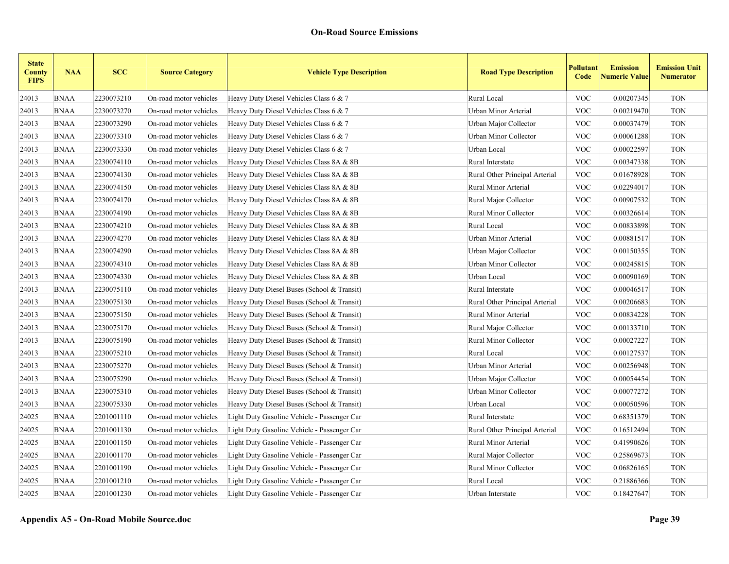| <b>State</b><br><b>County</b><br><b>FIPS</b> | <b>NAA</b>  | <b>SCC</b> | <b>Source Category</b> | <b>Vehicle Type Description</b>             | <b>Road Type Description</b>   | Pollutant<br>Code         | <b>Emission</b><br><b>Numeric Value</b> | <b>Emission Unit</b><br><b>Numerator</b> |
|----------------------------------------------|-------------|------------|------------------------|---------------------------------------------|--------------------------------|---------------------------|-----------------------------------------|------------------------------------------|
| 24013                                        | <b>BNAA</b> | 2230073210 | On-road motor vehicles | Heavy Duty Diesel Vehicles Class $6 & 7$    | Rural Local                    | <b>VOC</b>                | 0.00207345                              | <b>TON</b>                               |
| 24013                                        | <b>BNAA</b> | 2230073270 | On-road motor vehicles | Heavy Duty Diesel Vehicles Class 6 & 7      | Urban Minor Arterial           | <b>VOC</b>                | 0.00219470                              | <b>TON</b>                               |
| 24013                                        | <b>BNAA</b> | 2230073290 | On-road motor vehicles | Heavy Duty Diesel Vehicles Class $6 & 7$    | Urban Major Collector          | <b>VOC</b>                | 0.00037479                              | <b>TON</b>                               |
| 24013                                        | <b>BNAA</b> | 2230073310 | On-road motor vehicles | Heavy Duty Diesel Vehicles Class 6 & 7      | Urban Minor Collector          | <b>VOC</b>                | 0.00061288                              | <b>TON</b>                               |
| 24013                                        | <b>BNAA</b> | 2230073330 | On-road motor vehicles | Heavy Duty Diesel Vehicles Class $6 & 7$    | Urban Local                    | <b>VOC</b>                | 0.00022597                              | <b>TON</b>                               |
| 24013                                        | <b>BNAA</b> | 2230074110 | On-road motor vehicles | Heavy Duty Diesel Vehicles Class 8A & 8B    | Rural Interstate               | <b>VOC</b>                | 0.00347338                              | <b>TON</b>                               |
| 24013                                        | <b>BNAA</b> | 2230074130 | On-road motor vehicles | Heavy Duty Diesel Vehicles Class 8A & 8B    | Rural Other Principal Arterial | <b>VOC</b>                | 0.01678928                              | <b>TON</b>                               |
| 24013                                        | <b>BNAA</b> | 2230074150 | On-road motor vehicles | Heavy Duty Diesel Vehicles Class 8A & 8B    | Rural Minor Arterial           | <b>VOC</b>                | 0.02294017                              | <b>TON</b>                               |
| 24013                                        | <b>BNAA</b> | 2230074170 | On-road motor vehicles | Heavy Duty Diesel Vehicles Class 8A & 8B    | Rural Major Collector          | <b>VOC</b>                | 0.00907532                              | <b>TON</b>                               |
| 24013                                        | <b>BNAA</b> | 2230074190 | On-road motor vehicles | Heavy Duty Diesel Vehicles Class 8A & 8B    | Rural Minor Collector          | <b>VOC</b>                | 0.00326614                              | <b>TON</b>                               |
| 24013                                        | <b>BNAA</b> | 2230074210 | On-road motor vehicles | Heavy Duty Diesel Vehicles Class 8A & 8B    | Rural Local                    | <b>VOC</b>                | 0.00833898                              | <b>TON</b>                               |
| 24013                                        | <b>BNAA</b> | 2230074270 | On-road motor vehicles | Heavy Duty Diesel Vehicles Class 8A & 8B    | Urban Minor Arterial           | <b>VOC</b>                | 0.00881517                              | <b>TON</b>                               |
| 24013                                        | <b>BNAA</b> | 2230074290 | On-road motor vehicles | Heavy Duty Diesel Vehicles Class 8A & 8B    | Urban Major Collector          | <b>VOC</b>                | 0.00150355                              | <b>TON</b>                               |
| 24013                                        | <b>BNAA</b> | 2230074310 | On-road motor vehicles | Heavy Duty Diesel Vehicles Class 8A & 8B    | Urban Minor Collector          | <b>VOC</b>                | 0.00245815                              | <b>TON</b>                               |
| 24013                                        | <b>BNAA</b> | 2230074330 | On-road motor vehicles | Heavy Duty Diesel Vehicles Class 8A & 8B    | Urban Local                    | <b>VOC</b>                | 0.00090169                              | <b>TON</b>                               |
| 24013                                        | <b>BNAA</b> | 2230075110 | On-road motor vehicles | Heavy Duty Diesel Buses (School & Transit)  | Rural Interstate               | <b>VOC</b>                | 0.00046517                              | <b>TON</b>                               |
| 24013                                        | <b>BNAA</b> | 2230075130 | On-road motor vehicles | Heavy Duty Diesel Buses (School & Transit)  | Rural Other Principal Arterial | <b>VOC</b>                | 0.00206683                              | <b>TON</b>                               |
| 24013                                        | <b>BNAA</b> | 2230075150 | On-road motor vehicles | Heavy Duty Diesel Buses (School & Transit)  | Rural Minor Arterial           | <b>VOC</b>                | 0.00834228                              | <b>TON</b>                               |
| 24013                                        | <b>BNAA</b> | 2230075170 | On-road motor vehicles | Heavy Duty Diesel Buses (School & Transit)  | Rural Major Collector          | <b>VOC</b>                | 0.00133710                              | <b>TON</b>                               |
| 24013                                        | <b>BNAA</b> | 2230075190 | On-road motor vehicles | Heavy Duty Diesel Buses (School & Transit)  | Rural Minor Collector          | <b>VOC</b>                | 0.00027227                              | <b>TON</b>                               |
| 24013                                        | <b>BNAA</b> | 2230075210 | On-road motor vehicles | Heavy Duty Diesel Buses (School & Transit)  | Rural Local                    | <b>VOC</b>                | 0.00127537                              | <b>TON</b>                               |
| 24013                                        | <b>BNAA</b> | 2230075270 | On-road motor vehicles | Heavy Duty Diesel Buses (School & Transit)  | Urban Minor Arterial           | <b>VOC</b>                | 0.00256948                              | <b>TON</b>                               |
| 24013                                        | <b>BNAA</b> | 2230075290 | On-road motor vehicles | Heavy Duty Diesel Buses (School & Transit)  | Urban Major Collector          | <b>VOC</b>                | 0.00054454                              | <b>TON</b>                               |
| 24013                                        | <b>BNAA</b> | 2230075310 | On-road motor vehicles | Heavy Duty Diesel Buses (School & Transit)  | Urban Minor Collector          | $\ensuremath{\text{VOC}}$ | 0.00077272                              | <b>TON</b>                               |
| 24013                                        | <b>BNAA</b> | 2230075330 | On-road motor vehicles | Heavy Duty Diesel Buses (School & Transit)  | Urban Local                    | <b>VOC</b>                | 0.00050596                              | <b>TON</b>                               |
| 24025                                        | <b>BNAA</b> | 2201001110 | On-road motor vehicles | Light Duty Gasoline Vehicle - Passenger Car | Rural Interstate               | <b>VOC</b>                | 0.68351379                              | <b>TON</b>                               |
| 24025                                        | <b>BNAA</b> | 2201001130 | On-road motor vehicles | Light Duty Gasoline Vehicle - Passenger Car | Rural Other Principal Arterial | <b>VOC</b>                | 0.16512494                              | <b>TON</b>                               |
| 24025                                        | <b>BNAA</b> | 2201001150 | On-road motor vehicles | Light Duty Gasoline Vehicle - Passenger Car | Rural Minor Arterial           | $\ensuremath{\text{VOC}}$ | 0.41990626                              | <b>TON</b>                               |
| 24025                                        | <b>BNAA</b> | 2201001170 | On-road motor vehicles | Light Duty Gasoline Vehicle - Passenger Car | Rural Major Collector          | <b>VOC</b>                | 0.25869673                              | <b>TON</b>                               |
| 24025                                        | <b>BNAA</b> | 2201001190 | On-road motor vehicles | Light Duty Gasoline Vehicle - Passenger Car | Rural Minor Collector          | <b>VOC</b>                | 0.06826165                              | <b>TON</b>                               |
| 24025                                        | <b>BNAA</b> | 2201001210 | On-road motor vehicles | Light Duty Gasoline Vehicle - Passenger Car | Rural Local                    | <b>VOC</b>                | 0.21886366                              | <b>TON</b>                               |
| 24025                                        | <b>BNAA</b> | 2201001230 | On-road motor vehicles | Light Duty Gasoline Vehicle - Passenger Car | Urban Interstate               | <b>VOC</b>                | 0.18427647                              | <b>TON</b>                               |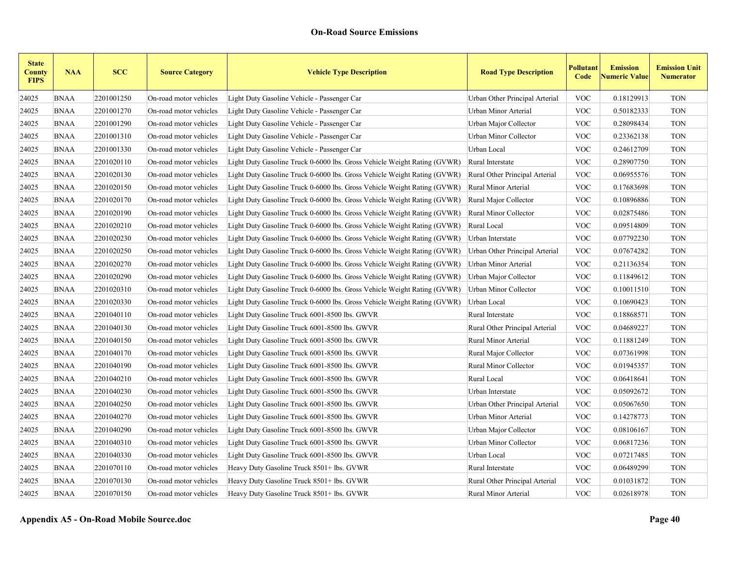| <b>State</b><br><b>County</b><br><b>FIPS</b> | <b>NAA</b>  | <b>SCC</b> | <b>Source Category</b> | <b>Vehicle Type Description</b>                                          | <b>Road Type Description</b>   | Pollutant<br>Code | <b>Emission</b><br><b>Numeric Value</b> | <b>Emission Unit</b><br><b>Numerator</b> |
|----------------------------------------------|-------------|------------|------------------------|--------------------------------------------------------------------------|--------------------------------|-------------------|-----------------------------------------|------------------------------------------|
| 24025                                        | <b>BNAA</b> | 2201001250 | On-road motor vehicles | Light Duty Gasoline Vehicle - Passenger Car                              | Urban Other Principal Arterial | <b>VOC</b>        | 0.18129913                              | <b>TON</b>                               |
| 24025                                        | <b>BNAA</b> | 2201001270 | On-road motor vehicles | Light Duty Gasoline Vehicle - Passenger Car                              | Urban Minor Arterial           | <b>VOC</b>        | 0.50182333                              | <b>TON</b>                               |
| 24025                                        | <b>BNAA</b> | 2201001290 | On-road motor vehicles | Light Duty Gasoline Vehicle - Passenger Car                              | Urban Major Collector          | <b>VOC</b>        | 0.28098434                              | <b>TON</b>                               |
| 24025                                        | <b>BNAA</b> | 2201001310 | On-road motor vehicles | Light Duty Gasoline Vehicle - Passenger Car                              | Urban Minor Collector          | <b>VOC</b>        | 0.23362138                              | <b>TON</b>                               |
| 24025                                        | <b>BNAA</b> | 2201001330 | On-road motor vehicles | Light Duty Gasoline Vehicle - Passenger Car                              | Urban Local                    | <b>VOC</b>        | 0.24612709                              | <b>TON</b>                               |
| 24025                                        | <b>BNAA</b> | 2201020110 | On-road motor vehicles | Light Duty Gasoline Truck 0-6000 lbs. Gross Vehicle Weight Rating (GVWR) | Rural Interstate               | <b>VOC</b>        | 0.28907750                              | <b>TON</b>                               |
| 24025                                        | <b>BNAA</b> | 2201020130 | On-road motor vehicles | Light Duty Gasoline Truck 0-6000 lbs. Gross Vehicle Weight Rating (GVWR) | Rural Other Principal Arterial | <b>VOC</b>        | 0.06955576                              | <b>TON</b>                               |
| 24025                                        | <b>BNAA</b> | 2201020150 | On-road motor vehicles | Light Duty Gasoline Truck 0-6000 lbs. Gross Vehicle Weight Rating (GVWR) | Rural Minor Arterial           | <b>VOC</b>        | 0.17683698                              | <b>TON</b>                               |
| 24025                                        | <b>BNAA</b> | 2201020170 | On-road motor vehicles | Light Duty Gasoline Truck 0-6000 lbs. Gross Vehicle Weight Rating (GVWR) | Rural Major Collector          | <b>VOC</b>        | 0.10896886                              | <b>TON</b>                               |
| 24025                                        | <b>BNAA</b> | 2201020190 | On-road motor vehicles | Light Duty Gasoline Truck 0-6000 lbs. Gross Vehicle Weight Rating (GVWR) | Rural Minor Collector          | <b>VOC</b>        | 0.02875486                              | <b>TON</b>                               |
| 24025                                        | <b>BNAA</b> | 2201020210 | On-road motor vehicles | Light Duty Gasoline Truck 0-6000 lbs. Gross Vehicle Weight Rating (GVWR) | Rural Local                    | <b>VOC</b>        | 0.09514809                              | <b>TON</b>                               |
| 24025                                        | <b>BNAA</b> | 2201020230 | On-road motor vehicles | Light Duty Gasoline Truck 0-6000 lbs. Gross Vehicle Weight Rating (GVWR) | Urban Interstate               | <b>VOC</b>        | 0.07792230                              | <b>TON</b>                               |
| 24025                                        | <b>BNAA</b> | 2201020250 | On-road motor vehicles | Light Duty Gasoline Truck 0-6000 lbs. Gross Vehicle Weight Rating (GVWR) | Urban Other Principal Arterial | <b>VOC</b>        | 0.07674282                              | <b>TON</b>                               |
| 24025                                        | <b>BNAA</b> | 2201020270 | On-road motor vehicles | Light Duty Gasoline Truck 0-6000 lbs. Gross Vehicle Weight Rating (GVWR) | Urban Minor Arterial           | <b>VOC</b>        | 0.21136354                              | <b>TON</b>                               |
| 24025                                        | <b>BNAA</b> | 2201020290 | On-road motor vehicles | Light Duty Gasoline Truck 0-6000 lbs. Gross Vehicle Weight Rating (GVWR) | Urban Major Collector          | <b>VOC</b>        | 0.11849612                              | <b>TON</b>                               |
| 24025                                        | <b>BNAA</b> | 2201020310 | On-road motor vehicles | Light Duty Gasoline Truck 0-6000 lbs. Gross Vehicle Weight Rating (GVWR) | Urban Minor Collector          | <b>VOC</b>        | 0.10011510                              | <b>TON</b>                               |
| 24025                                        | <b>BNAA</b> | 2201020330 | On-road motor vehicles | Light Duty Gasoline Truck 0-6000 lbs. Gross Vehicle Weight Rating (GVWR) | Urban Local                    | <b>VOC</b>        | 0.10690423                              | <b>TON</b>                               |
| 24025                                        | <b>BNAA</b> | 2201040110 | On-road motor vehicles | Light Duty Gasoline Truck 6001-8500 lbs. GWVR                            | Rural Interstate               | <b>VOC</b>        | 0.18868571                              | <b>TON</b>                               |
| 24025                                        | <b>BNAA</b> | 2201040130 | On-road motor vehicles | Light Duty Gasoline Truck 6001-8500 lbs. GWVR                            | Rural Other Principal Arterial | <b>VOC</b>        | 0.04689227                              | <b>TON</b>                               |
| 24025                                        | <b>BNAA</b> | 2201040150 | On-road motor vehicles | Light Duty Gasoline Truck 6001-8500 lbs. GWVR                            | Rural Minor Arterial           | <b>VOC</b>        | 0.11881249                              | <b>TON</b>                               |
| 24025                                        | <b>BNAA</b> | 2201040170 | On-road motor vehicles | Light Duty Gasoline Truck 6001-8500 lbs. GWVR                            | Rural Major Collector          | <b>VOC</b>        | 0.07361998                              | <b>TON</b>                               |
| 24025                                        | <b>BNAA</b> | 2201040190 | On-road motor vehicles | Light Duty Gasoline Truck 6001-8500 lbs. GWVR                            | Rural Minor Collector          | <b>VOC</b>        | 0.01945357                              | <b>TON</b>                               |
| 24025                                        | <b>BNAA</b> | 2201040210 | On-road motor vehicles | Light Duty Gasoline Truck 6001-8500 lbs. GWVR                            | Rural Local                    | <b>VOC</b>        | 0.06418641                              | <b>TON</b>                               |
| 24025                                        | <b>BNAA</b> | 2201040230 | On-road motor vehicles | Light Duty Gasoline Truck 6001-8500 lbs. GWVR                            | Urban Interstate               | <b>VOC</b>        | 0.05092672                              | <b>TON</b>                               |
| 24025                                        | <b>BNAA</b> | 2201040250 | On-road motor vehicles | Light Duty Gasoline Truck 6001-8500 lbs. GWVR                            | Urban Other Principal Arterial | <b>VOC</b>        | 0.05067650                              | <b>TON</b>                               |
| 24025                                        | <b>BNAA</b> | 2201040270 | On-road motor vehicles | Light Duty Gasoline Truck 6001-8500 lbs. GWVR                            | Urban Minor Arterial           | <b>VOC</b>        | 0.14278773                              | <b>TON</b>                               |
| 24025                                        | <b>BNAA</b> | 2201040290 | On-road motor vehicles | Light Duty Gasoline Truck 6001-8500 lbs. GWVR                            | Urban Major Collector          | <b>VOC</b>        | 0.08106167                              | <b>TON</b>                               |
| 24025                                        | <b>BNAA</b> | 2201040310 | On-road motor vehicles | Light Duty Gasoline Truck 6001-8500 lbs. GWVR                            | Urban Minor Collector          | <b>VOC</b>        | 0.06817236                              | <b>TON</b>                               |
| 24025                                        | <b>BNAA</b> | 2201040330 | On-road motor vehicles | Light Duty Gasoline Truck 6001-8500 lbs. GWVR                            | Urban Local                    | <b>VOC</b>        | 0.07217485                              | <b>TON</b>                               |
| 24025                                        | <b>BNAA</b> | 2201070110 | On-road motor vehicles | Heavy Duty Gasoline Truck 8501+ lbs. GVWR                                | Rural Interstate               | <b>VOC</b>        | 0.06489299                              | <b>TON</b>                               |
| 24025                                        | <b>BNAA</b> | 2201070130 | On-road motor vehicles | Heavy Duty Gasoline Truck 8501+ lbs. GVWR                                | Rural Other Principal Arterial | <b>VOC</b>        | 0.01031872                              | <b>TON</b>                               |
| 24025                                        | <b>BNAA</b> | 2201070150 | On-road motor vehicles | Heavy Duty Gasoline Truck 8501+ lbs. GVWR                                | Rural Minor Arterial           | <b>VOC</b>        | 0.02618978                              | <b>TON</b>                               |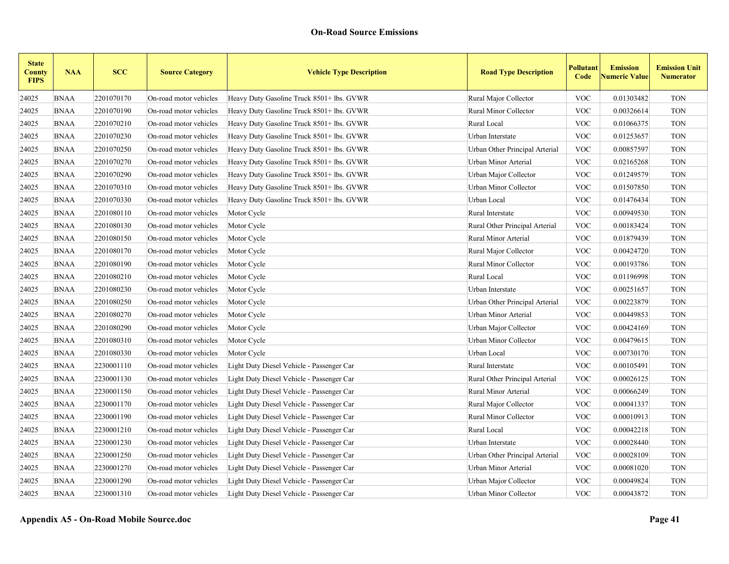| <b>State</b><br><b>County</b><br><b>FIPS</b> | <b>NAA</b>  | <b>SCC</b> | <b>Source Category</b> | <b>Vehicle Type Description</b>           | <b>Road Type Description</b>   | Pollutant<br>Code | <b>Emission</b><br><b>Numeric Value</b> | <b>Emission Unit</b><br><b>Numerator</b> |
|----------------------------------------------|-------------|------------|------------------------|-------------------------------------------|--------------------------------|-------------------|-----------------------------------------|------------------------------------------|
| 24025                                        | <b>BNAA</b> | 2201070170 | On-road motor vehicles | Heavy Duty Gasoline Truck 8501+ lbs. GVWR | Rural Major Collector          | <b>VOC</b>        | 0.01303482                              | <b>TON</b>                               |
| 24025                                        | <b>BNAA</b> | 2201070190 | On-road motor vehicles | Heavy Duty Gasoline Truck 8501+ lbs. GVWR | <b>Rural Minor Collector</b>   | <b>VOC</b>        | 0.00326614                              | <b>TON</b>                               |
| 24025                                        | <b>BNAA</b> | 2201070210 | On-road motor vehicles | Heavy Duty Gasoline Truck 8501+ lbs. GVWR | Rural Local                    | <b>VOC</b>        | 0.01066375                              | <b>TON</b>                               |
| 24025                                        | <b>BNAA</b> | 2201070230 | On-road motor vehicles | Heavy Duty Gasoline Truck 8501+ lbs. GVWR | Urban Interstate               | <b>VOC</b>        | 0.01253657                              | <b>TON</b>                               |
| 24025                                        | <b>BNAA</b> | 2201070250 | On-road motor vehicles | Heavy Duty Gasoline Truck 8501+ lbs. GVWR | Urban Other Principal Arterial | <b>VOC</b>        | 0.00857597                              | <b>TON</b>                               |
| 24025                                        | <b>BNAA</b> | 2201070270 | On-road motor vehicles | Heavy Duty Gasoline Truck 8501+ lbs. GVWR | Urban Minor Arterial           | <b>VOC</b>        | 0.02165268                              | <b>TON</b>                               |
| 24025                                        | <b>BNAA</b> | 2201070290 | On-road motor vehicles | Heavy Duty Gasoline Truck 8501+ lbs. GVWR | Urban Major Collector          | <b>VOC</b>        | 0.01249579                              | <b>TON</b>                               |
| 24025                                        | <b>BNAA</b> | 2201070310 | On-road motor vehicles | Heavy Duty Gasoline Truck 8501+ lbs. GVWR | Urban Minor Collector          | <b>VOC</b>        | 0.01507850                              | <b>TON</b>                               |
| 24025                                        | <b>BNAA</b> | 2201070330 | On-road motor vehicles | Heavy Duty Gasoline Truck 8501+ lbs. GVWR | Urban Local                    | <b>VOC</b>        | 0.01476434                              | <b>TON</b>                               |
| 24025                                        | <b>BNAA</b> | 2201080110 | On-road motor vehicles | Motor Cycle                               | Rural Interstate               | <b>VOC</b>        | 0.00949530                              | <b>TON</b>                               |
| 24025                                        | <b>BNAA</b> | 2201080130 | On-road motor vehicles | Motor Cycle                               | Rural Other Principal Arterial | <b>VOC</b>        | 0.00183424                              | <b>TON</b>                               |
| 24025                                        | <b>BNAA</b> | 2201080150 | On-road motor vehicles | Motor Cycle                               | Rural Minor Arterial           | <b>VOC</b>        | 0.01879439                              | <b>TON</b>                               |
| 24025                                        | <b>BNAA</b> | 2201080170 | On-road motor vehicles | Motor Cycle                               | Rural Major Collector          | <b>VOC</b>        | 0.00424720                              | <b>TON</b>                               |
| 24025                                        | <b>BNAA</b> | 2201080190 | On-road motor vehicles | Motor Cycle                               | <b>Rural Minor Collector</b>   | <b>VOC</b>        | 0.00193786                              | <b>TON</b>                               |
| 24025                                        | <b>BNAA</b> | 2201080210 | On-road motor vehicles | Motor Cycle                               | Rural Local                    | <b>VOC</b>        | 0.01196998                              | <b>TON</b>                               |
| 24025                                        | <b>BNAA</b> | 2201080230 | On-road motor vehicles | Motor Cycle                               | Urban Interstate               | <b>VOC</b>        | 0.00251657                              | <b>TON</b>                               |
| 24025                                        | <b>BNAA</b> | 2201080250 | On-road motor vehicles | Motor Cycle                               | Urban Other Principal Arterial | <b>VOC</b>        | 0.00223879                              | <b>TON</b>                               |
| 24025                                        | <b>BNAA</b> | 2201080270 | On-road motor vehicles | Motor Cycle                               | Urban Minor Arterial           | <b>VOC</b>        | 0.00449853                              | <b>TON</b>                               |
| 24025                                        | <b>BNAA</b> | 2201080290 | On-road motor vehicles | Motor Cycle                               | Urban Major Collector          | <b>VOC</b>        | 0.00424169                              | <b>TON</b>                               |
| 24025                                        | <b>BNAA</b> | 2201080310 | On-road motor vehicles | Motor Cycle                               | Urban Minor Collector          | <b>VOC</b>        | 0.00479615                              | <b>TON</b>                               |
| 24025                                        | <b>BNAA</b> | 2201080330 | On-road motor vehicles | Motor Cycle                               | Urban Local                    | <b>VOC</b>        | 0.00730170                              | <b>TON</b>                               |
| 24025                                        | <b>BNAA</b> | 2230001110 | On-road motor vehicles | Light Duty Diesel Vehicle - Passenger Car | Rural Interstate               | <b>VOC</b>        | 0.00105491                              | <b>TON</b>                               |
| 24025                                        | <b>BNAA</b> | 2230001130 | On-road motor vehicles | Light Duty Diesel Vehicle - Passenger Car | Rural Other Principal Arterial | <b>VOC</b>        | 0.00026125                              | <b>TON</b>                               |
| 24025                                        | <b>BNAA</b> | 2230001150 | On-road motor vehicles | Light Duty Diesel Vehicle - Passenger Car | Rural Minor Arterial           | <b>VOC</b>        | 0.00066249                              | <b>TON</b>                               |
| 24025                                        | <b>BNAA</b> | 2230001170 | On-road motor vehicles | Light Duty Diesel Vehicle - Passenger Car | Rural Major Collector          | <b>VOC</b>        | 0.00041337                              | <b>TON</b>                               |
| 24025                                        | <b>BNAA</b> | 2230001190 | On-road motor vehicles | Light Duty Diesel Vehicle - Passenger Car | Rural Minor Collector          | <b>VOC</b>        | 0.00010913                              | <b>TON</b>                               |
| 24025                                        | <b>BNAA</b> | 2230001210 | On-road motor vehicles | Light Duty Diesel Vehicle - Passenger Car | Rural Local                    | <b>VOC</b>        | 0.00042218                              | <b>TON</b>                               |
| 24025                                        | <b>BNAA</b> | 2230001230 | On-road motor vehicles | Light Duty Diesel Vehicle - Passenger Car | Urban Interstate               | <b>VOC</b>        | 0.00028440                              | <b>TON</b>                               |
| 24025                                        | <b>BNAA</b> | 2230001250 | On-road motor vehicles | Light Duty Diesel Vehicle - Passenger Car | Urban Other Principal Arterial | <b>VOC</b>        | 0.00028109                              | <b>TON</b>                               |
| 24025                                        | <b>BNAA</b> | 2230001270 | On-road motor vehicles | Light Duty Diesel Vehicle - Passenger Car | Urban Minor Arterial           | <b>VOC</b>        | 0.00081020                              | <b>TON</b>                               |
| 24025                                        | <b>BNAA</b> | 2230001290 | On-road motor vehicles | Light Duty Diesel Vehicle - Passenger Car | Urban Major Collector          | <b>VOC</b>        | 0.00049824                              | <b>TON</b>                               |
| 24025                                        | <b>BNAA</b> | 2230001310 | On-road motor vehicles | Light Duty Diesel Vehicle - Passenger Car | Urban Minor Collector          | <b>VOC</b>        | 0.00043872                              | <b>TON</b>                               |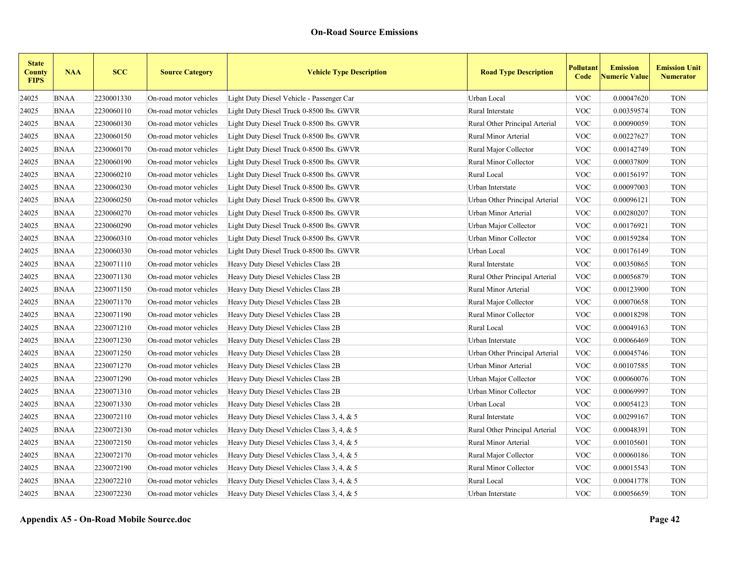| <b>State</b><br><b>County</b><br><b>FIPS</b> | <b>NAA</b>  | <b>SCC</b> | <b>Source Category</b> | <b>Vehicle Type Description</b>            | <b>Road Type Description</b>   | Pollutant<br>Code | <b>Emission</b><br><b>Numeric Value</b> | <b>Emission Unit</b><br><b>Numerator</b> |
|----------------------------------------------|-------------|------------|------------------------|--------------------------------------------|--------------------------------|-------------------|-----------------------------------------|------------------------------------------|
| 24025                                        | <b>BNAA</b> | 2230001330 | On-road motor vehicles | Light Duty Diesel Vehicle - Passenger Car  | Urban Local                    | <b>VOC</b>        | 0.00047620                              | <b>TON</b>                               |
| 24025                                        | <b>BNAA</b> | 2230060110 | On-road motor vehicles | Light Duty Diesel Truck 0-8500 lbs. GWVR   | Rural Interstate               | <b>VOC</b>        | 0.00359574                              | <b>TON</b>                               |
| 24025                                        | <b>BNAA</b> | 2230060130 | On-road motor vehicles | Light Duty Diesel Truck 0-8500 lbs. GWVR   | Rural Other Principal Arterial | <b>VOC</b>        | 0.00090059                              | <b>TON</b>                               |
| 24025                                        | <b>BNAA</b> | 2230060150 | On-road motor vehicles | Light Duty Diesel Truck 0-8500 lbs. GWVR   | Rural Minor Arterial           | <b>VOC</b>        | 0.00227627                              | <b>TON</b>                               |
| 24025                                        | <b>BNAA</b> | 2230060170 | On-road motor vehicles | Light Duty Diesel Truck 0-8500 lbs. GWVR   | Rural Major Collector          | <b>VOC</b>        | 0.00142749                              | <b>TON</b>                               |
| 24025                                        | <b>BNAA</b> | 2230060190 | On-road motor vehicles | Light Duty Diesel Truck 0-8500 lbs. GWVR   | <b>Rural Minor Collector</b>   | <b>VOC</b>        | 0.00037809                              | <b>TON</b>                               |
| 24025                                        | <b>BNAA</b> | 2230060210 | On-road motor vehicles | Light Duty Diesel Truck 0-8500 lbs. GWVR   | Rural Local                    | <b>VOC</b>        | 0.00156197                              | <b>TON</b>                               |
| 24025                                        | <b>BNAA</b> | 2230060230 | On-road motor vehicles | Light Duty Diesel Truck 0-8500 lbs. GWVR   | Urban Interstate               | <b>VOC</b>        | 0.00097003                              | <b>TON</b>                               |
| 24025                                        | <b>BNAA</b> | 2230060250 | On-road motor vehicles | Light Duty Diesel Truck 0-8500 lbs. GWVR   | Urban Other Principal Arterial | <b>VOC</b>        | 0.00096121                              | <b>TON</b>                               |
| 24025                                        | <b>BNAA</b> | 2230060270 | On-road motor vehicles | Light Duty Diesel Truck 0-8500 lbs. GWVR   | Urban Minor Arterial           | <b>VOC</b>        | 0.00280207                              | <b>TON</b>                               |
| 24025                                        | <b>BNAA</b> | 2230060290 | On-road motor vehicles | Light Duty Diesel Truck 0-8500 lbs. GWVR   | Urban Major Collector          | <b>VOC</b>        | 0.00176921                              | <b>TON</b>                               |
| 24025                                        | <b>BNAA</b> | 2230060310 | On-road motor vehicles | Light Duty Diesel Truck 0-8500 lbs. GWVR   | Urban Minor Collector          | <b>VOC</b>        | 0.00159284                              | <b>TON</b>                               |
| 24025                                        | <b>BNAA</b> | 2230060330 | On-road motor vehicles | Light Duty Diesel Truck 0-8500 lbs. GWVR   | Urban Local                    | <b>VOC</b>        | 0.00176149                              | <b>TON</b>                               |
| 24025                                        | <b>BNAA</b> | 2230071110 | On-road motor vehicles | Heavy Duty Diesel Vehicles Class 2B        | Rural Interstate               | <b>VOC</b>        | 0.00350865                              | <b>TON</b>                               |
| 24025                                        | <b>BNAA</b> | 2230071130 | On-road motor vehicles | Heavy Duty Diesel Vehicles Class 2B        | Rural Other Principal Arterial | <b>VOC</b>        | 0.00056879                              | <b>TON</b>                               |
| 24025                                        | <b>BNAA</b> | 2230071150 | On-road motor vehicles | Heavy Duty Diesel Vehicles Class 2B        | Rural Minor Arterial           | <b>VOC</b>        | 0.00123900                              | <b>TON</b>                               |
| 24025                                        | <b>BNAA</b> | 2230071170 | On-road motor vehicles | Heavy Duty Diesel Vehicles Class 2B        | Rural Major Collector          | <b>VOC</b>        | 0.00070658                              | <b>TON</b>                               |
| 24025                                        | <b>BNAA</b> | 2230071190 | On-road motor vehicles | Heavy Duty Diesel Vehicles Class 2B        | Rural Minor Collector          | <b>VOC</b>        | 0.00018298                              | <b>TON</b>                               |
| 24025                                        | <b>BNAA</b> | 2230071210 | On-road motor vehicles | Heavy Duty Diesel Vehicles Class 2B        | Rural Local                    | <b>VOC</b>        | 0.00049163                              | <b>TON</b>                               |
| 24025                                        | <b>BNAA</b> | 2230071230 | On-road motor vehicles | Heavy Duty Diesel Vehicles Class 2B        | Urban Interstate               | <b>VOC</b>        | 0.00066469                              | <b>TON</b>                               |
| 24025                                        | <b>BNAA</b> | 2230071250 | On-road motor vehicles | Heavy Duty Diesel Vehicles Class 2B        | Urban Other Principal Arterial | <b>VOC</b>        | 0.00045746                              | <b>TON</b>                               |
| 24025                                        | <b>BNAA</b> | 2230071270 | On-road motor vehicles | Heavy Duty Diesel Vehicles Class 2B        | Urban Minor Arterial           | <b>VOC</b>        | 0.00107585                              | <b>TON</b>                               |
| 24025                                        | <b>BNAA</b> | 2230071290 | On-road motor vehicles | Heavy Duty Diesel Vehicles Class 2B        | Urban Major Collector          | <b>VOC</b>        | 0.00060076                              | <b>TON</b>                               |
| 24025                                        | <b>BNAA</b> | 2230071310 | On-road motor vehicles | Heavy Duty Diesel Vehicles Class 2B        | Urban Minor Collector          | <b>VOC</b>        | 0.00069997                              | <b>TON</b>                               |
| 24025                                        | <b>BNAA</b> | 2230071330 | On-road motor vehicles | Heavy Duty Diesel Vehicles Class 2B        | Urban Local                    | <b>VOC</b>        | 0.00054123                              | <b>TON</b>                               |
| 24025                                        | <b>BNAA</b> | 2230072110 | On-road motor vehicles | Heavy Duty Diesel Vehicles Class 3, 4, & 5 | Rural Interstate               | <b>VOC</b>        | 0.00299167                              | <b>TON</b>                               |
| 24025                                        | <b>BNAA</b> | 2230072130 | On-road motor vehicles | Heavy Duty Diesel Vehicles Class 3, 4, & 5 | Rural Other Principal Arterial | <b>VOC</b>        | 0.00048391                              | <b>TON</b>                               |
| 24025                                        | <b>BNAA</b> | 2230072150 | On-road motor vehicles | Heavy Duty Diesel Vehicles Class 3, 4, & 5 | Rural Minor Arterial           | <b>VOC</b>        | 0.00105601                              | <b>TON</b>                               |
| 24025                                        | <b>BNAA</b> | 2230072170 | On-road motor vehicles | Heavy Duty Diesel Vehicles Class 3, 4, & 5 | Rural Major Collector          | <b>VOC</b>        | 0.00060186                              | <b>TON</b>                               |
| 24025                                        | <b>BNAA</b> | 2230072190 | On-road motor vehicles | Heavy Duty Diesel Vehicles Class 3, 4, & 5 | <b>Rural Minor Collector</b>   | <b>VOC</b>        | 0.00015543                              | <b>TON</b>                               |
| 24025                                        | <b>BNAA</b> | 2230072210 | On-road motor vehicles | Heavy Duty Diesel Vehicles Class 3, 4, & 5 | Rural Local                    | <b>VOC</b>        | 0.00041778                              | <b>TON</b>                               |
| 24025                                        | <b>BNAA</b> | 2230072230 | On-road motor vehicles | Heavy Duty Diesel Vehicles Class 3, 4, & 5 | Urban Interstate               | <b>VOC</b>        | 0.00056659                              | <b>TON</b>                               |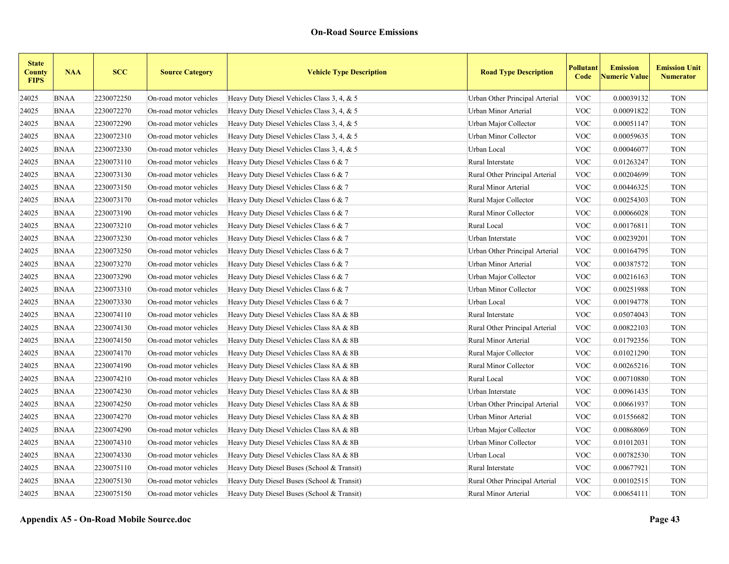| <b>State</b><br><b>County</b><br><b>FIPS</b> | <b>NAA</b>  | <b>SCC</b> | <b>Source Category</b> | <b>Vehicle Type Description</b>            | <b>Road Type Description</b>   | Pollutant<br>Code | <b>Emission</b><br><b>Numeric Value</b> | <b>Emission Unit</b><br><b>Numerator</b> |
|----------------------------------------------|-------------|------------|------------------------|--------------------------------------------|--------------------------------|-------------------|-----------------------------------------|------------------------------------------|
| 24025                                        | <b>BNAA</b> | 2230072250 | On-road motor vehicles | Heavy Duty Diesel Vehicles Class 3, 4, & 5 | Urban Other Principal Arterial | <b>VOC</b>        | 0.00039132                              | <b>TON</b>                               |
| 24025                                        | <b>BNAA</b> | 2230072270 | On-road motor vehicles | Heavy Duty Diesel Vehicles Class 3, 4, & 5 | Urban Minor Arterial           | <b>VOC</b>        | 0.00091822                              | <b>TON</b>                               |
| 24025                                        | <b>BNAA</b> | 2230072290 | On-road motor vehicles | Heavy Duty Diesel Vehicles Class 3, 4, & 5 | Urban Major Collector          | <b>VOC</b>        | 0.00051147                              | <b>TON</b>                               |
| 24025                                        | <b>BNAA</b> | 2230072310 | On-road motor vehicles | Heavy Duty Diesel Vehicles Class 3, 4, & 5 | Urban Minor Collector          | <b>VOC</b>        | 0.00059635                              | <b>TON</b>                               |
| 24025                                        | <b>BNAA</b> | 2230072330 | On-road motor vehicles | Heavy Duty Diesel Vehicles Class 3, 4, & 5 | Urban Local                    | <b>VOC</b>        | 0.00046077                              | <b>TON</b>                               |
| 24025                                        | <b>BNAA</b> | 2230073110 | On-road motor vehicles | Heavy Duty Diesel Vehicles Class $6 & 7$   | Rural Interstate               | <b>VOC</b>        | 0.01263247                              | <b>TON</b>                               |
| 24025                                        | <b>BNAA</b> | 2230073130 | On-road motor vehicles | Heavy Duty Diesel Vehicles Class $6 & 7$   | Rural Other Principal Arterial | <b>VOC</b>        | 0.00204699                              | <b>TON</b>                               |
| 24025                                        | <b>BNAA</b> | 2230073150 | On-road motor vehicles | Heavy Duty Diesel Vehicles Class 6 & 7     | Rural Minor Arterial           | <b>VOC</b>        | 0.00446325                              | <b>TON</b>                               |
| 24025                                        | <b>BNAA</b> | 2230073170 | On-road motor vehicles | Heavy Duty Diesel Vehicles Class $6 & 7$   | Rural Major Collector          | <b>VOC</b>        | 0.00254303                              | <b>TON</b>                               |
| 24025                                        | <b>BNAA</b> | 2230073190 | On-road motor vehicles | Heavy Duty Diesel Vehicles Class 6 & 7     | Rural Minor Collector          | <b>VOC</b>        | 0.00066028                              | <b>TON</b>                               |
| 24025                                        | <b>BNAA</b> | 2230073210 | On-road motor vehicles | Heavy Duty Diesel Vehicles Class 6 & 7     | Rural Local                    | <b>VOC</b>        | 0.00176811                              | <b>TON</b>                               |
| 24025                                        | <b>BNAA</b> | 2230073230 | On-road motor vehicles | Heavy Duty Diesel Vehicles Class 6 & 7     | Urban Interstate               | <b>VOC</b>        | 0.00239201                              | <b>TON</b>                               |
| 24025                                        | <b>BNAA</b> | 2230073250 | On-road motor vehicles | Heavy Duty Diesel Vehicles Class 6 & 7     | Urban Other Principal Arterial | <b>VOC</b>        | 0.00164795                              | <b>TON</b>                               |
| 24025                                        | <b>BNAA</b> | 2230073270 | On-road motor vehicles | Heavy Duty Diesel Vehicles Class 6 & 7     | Urban Minor Arterial           | <b>VOC</b>        | 0.00387572                              | <b>TON</b>                               |
| 24025                                        | <b>BNAA</b> | 2230073290 | On-road motor vehicles | Heavy Duty Diesel Vehicles Class 6 $& 7$   | Urban Major Collector          | <b>VOC</b>        | 0.00216163                              | <b>TON</b>                               |
| 24025                                        | <b>BNAA</b> | 2230073310 | On-road motor vehicles | Heavy Duty Diesel Vehicles Class 6 & 7     | Urban Minor Collector          | <b>VOC</b>        | 0.00251988                              | <b>TON</b>                               |
| 24025                                        | <b>BNAA</b> | 2230073330 | On-road motor vehicles | Heavy Duty Diesel Vehicles Class 6 & 7     | Urban Local                    | <b>VOC</b>        | 0.00194778                              | <b>TON</b>                               |
| 24025                                        | <b>BNAA</b> | 2230074110 | On-road motor vehicles | Heavy Duty Diesel Vehicles Class 8A & 8B   | Rural Interstate               | <b>VOC</b>        | 0.05074043                              | <b>TON</b>                               |
| 24025                                        | <b>BNAA</b> | 2230074130 | On-road motor vehicles | Heavy Duty Diesel Vehicles Class 8A & 8B   | Rural Other Principal Arterial | <b>VOC</b>        | 0.00822103                              | <b>TON</b>                               |
| 24025                                        | <b>BNAA</b> | 2230074150 | On-road motor vehicles | Heavy Duty Diesel Vehicles Class 8A & 8B   | Rural Minor Arterial           | <b>VOC</b>        | 0.01792356                              | <b>TON</b>                               |
| 24025                                        | <b>BNAA</b> | 2230074170 | On-road motor vehicles | Heavy Duty Diesel Vehicles Class 8A & 8B   | Rural Major Collector          | <b>VOC</b>        | 0.01021290                              | <b>TON</b>                               |
| 24025                                        | <b>BNAA</b> | 2230074190 | On-road motor vehicles | Heavy Duty Diesel Vehicles Class 8A & 8B   | Rural Minor Collector          | <b>VOC</b>        | 0.00265216                              | <b>TON</b>                               |
| 24025                                        | <b>BNAA</b> | 2230074210 | On-road motor vehicles | Heavy Duty Diesel Vehicles Class 8A & 8B   | Rural Local                    | <b>VOC</b>        | 0.00710880                              | <b>TON</b>                               |
| 24025                                        | <b>BNAA</b> | 2230074230 | On-road motor vehicles | Heavy Duty Diesel Vehicles Class 8A & 8B   | Urban Interstate               | <b>VOC</b>        | 0.00961435                              | <b>TON</b>                               |
| 24025                                        | <b>BNAA</b> | 2230074250 | On-road motor vehicles | Heavy Duty Diesel Vehicles Class 8A & 8B   | Urban Other Principal Arterial | <b>VOC</b>        | 0.00661937                              | <b>TON</b>                               |
| 24025                                        | <b>BNAA</b> | 2230074270 | On-road motor vehicles | Heavy Duty Diesel Vehicles Class 8A & 8B   | Urban Minor Arterial           | <b>VOC</b>        | 0.01556682                              | <b>TON</b>                               |
| 24025                                        | <b>BNAA</b> | 2230074290 | On-road motor vehicles | Heavy Duty Diesel Vehicles Class 8A & 8B   | Urban Major Collector          | <b>VOC</b>        | 0.00868069                              | <b>TON</b>                               |
| 24025                                        | <b>BNAA</b> | 2230074310 | On-road motor vehicles | Heavy Duty Diesel Vehicles Class 8A & 8B   | Urban Minor Collector          | <b>VOC</b>        | 0.01012031                              | <b>TON</b>                               |
| 24025                                        | <b>BNAA</b> | 2230074330 | On-road motor vehicles | Heavy Duty Diesel Vehicles Class 8A & 8B   | Urban Local                    | <b>VOC</b>        | 0.00782530                              | <b>TON</b>                               |
| 24025                                        | <b>BNAA</b> | 2230075110 | On-road motor vehicles | Heavy Duty Diesel Buses (School & Transit) | Rural Interstate               | <b>VOC</b>        | 0.00677921                              | <b>TON</b>                               |
| 24025                                        | <b>BNAA</b> | 2230075130 | On-road motor vehicles | Heavy Duty Diesel Buses (School & Transit) | Rural Other Principal Arterial | <b>VOC</b>        | 0.00102515                              | <b>TON</b>                               |
| 24025                                        | <b>BNAA</b> | 2230075150 | On-road motor vehicles | Heavy Duty Diesel Buses (School & Transit) | Rural Minor Arterial           | <b>VOC</b>        | 0.00654111                              | <b>TON</b>                               |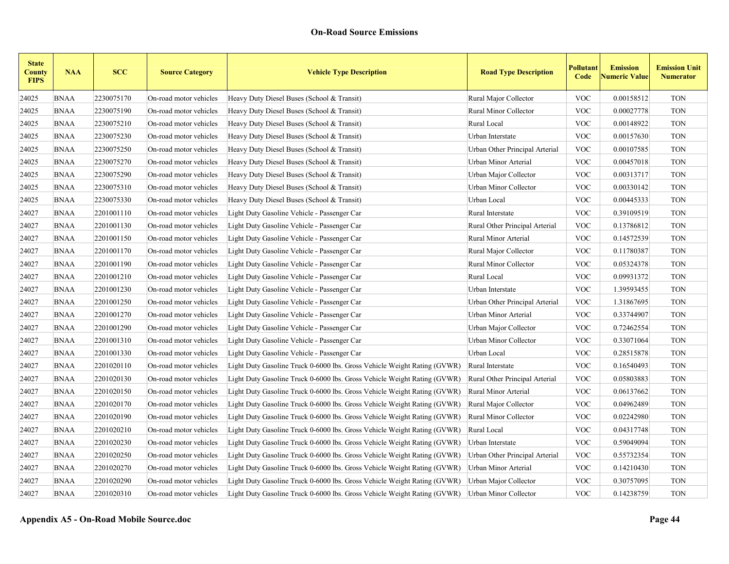| <b>State</b><br><b>County</b><br><b>FIPS</b> | <b>NAA</b>  | <b>SCC</b> | <b>Source Category</b> | <b>Vehicle Type Description</b>                                          | <b>Road Type Description</b>   | Pollutant<br>Code | <b>Emission</b><br><b>Numeric Value</b> | <b>Emission Unit</b><br><b>Numerator</b> |
|----------------------------------------------|-------------|------------|------------------------|--------------------------------------------------------------------------|--------------------------------|-------------------|-----------------------------------------|------------------------------------------|
| 24025                                        | <b>BNAA</b> | 2230075170 | On-road motor vehicles | Heavy Duty Diesel Buses (School & Transit)                               | Rural Major Collector          | <b>VOC</b>        | 0.00158512                              | <b>TON</b>                               |
| 24025                                        | <b>BNAA</b> | 2230075190 | On-road motor vehicles | Heavy Duty Diesel Buses (School & Transit)                               | <b>Rural Minor Collector</b>   | <b>VOC</b>        | 0.00027778                              | <b>TON</b>                               |
| 24025                                        | <b>BNAA</b> | 2230075210 | On-road motor vehicles | Heavy Duty Diesel Buses (School & Transit)                               | Rural Local                    | <b>VOC</b>        | 0.00148922                              | <b>TON</b>                               |
| 24025                                        | <b>BNAA</b> | 2230075230 | On-road motor vehicles | Heavy Duty Diesel Buses (School & Transit)                               | Urban Interstate               | <b>VOC</b>        | 0.00157630                              | <b>TON</b>                               |
| 24025                                        | <b>BNAA</b> | 2230075250 | On-road motor vehicles | Heavy Duty Diesel Buses (School & Transit)                               | Urban Other Principal Arterial | <b>VOC</b>        | 0.00107585                              | <b>TON</b>                               |
| 24025                                        | <b>BNAA</b> | 2230075270 | On-road motor vehicles | Heavy Duty Diesel Buses (School & Transit)                               | Urban Minor Arterial           | <b>VOC</b>        | 0.00457018                              | <b>TON</b>                               |
| 24025                                        | <b>BNAA</b> | 2230075290 | On-road motor vehicles | Heavy Duty Diesel Buses (School & Transit)                               | Urban Major Collector          | <b>VOC</b>        | 0.00313717                              | <b>TON</b>                               |
| 24025                                        | <b>BNAA</b> | 2230075310 | On-road motor vehicles | Heavy Duty Diesel Buses (School & Transit)                               | Urban Minor Collector          | <b>VOC</b>        | 0.00330142                              | <b>TON</b>                               |
| 24025                                        | <b>BNAA</b> | 2230075330 | On-road motor vehicles | Heavy Duty Diesel Buses (School & Transit)                               | Urban Local                    | <b>VOC</b>        | 0.00445333                              | <b>TON</b>                               |
| 24027                                        | <b>BNAA</b> | 2201001110 | On-road motor vehicles | Light Duty Gasoline Vehicle - Passenger Car                              | Rural Interstate               | <b>VOC</b>        | 0.39109519                              | <b>TON</b>                               |
| 24027                                        | <b>BNAA</b> | 2201001130 | On-road motor vehicles | Light Duty Gasoline Vehicle - Passenger Car                              | Rural Other Principal Arterial | <b>VOC</b>        | 0.13786812                              | <b>TON</b>                               |
| 24027                                        | <b>BNAA</b> | 2201001150 | On-road motor vehicles | Light Duty Gasoline Vehicle - Passenger Car                              | Rural Minor Arterial           | <b>VOC</b>        | 0.14572539                              | <b>TON</b>                               |
| 24027                                        | <b>BNAA</b> | 2201001170 | On-road motor vehicles | Light Duty Gasoline Vehicle - Passenger Car                              | Rural Major Collector          | <b>VOC</b>        | 0.11780387                              | <b>TON</b>                               |
| 24027                                        | <b>BNAA</b> | 2201001190 | On-road motor vehicles | Light Duty Gasoline Vehicle - Passenger Car                              | Rural Minor Collector          | <b>VOC</b>        | 0.05324378                              | <b>TON</b>                               |
| 24027                                        | <b>BNAA</b> | 2201001210 | On-road motor vehicles | Light Duty Gasoline Vehicle - Passenger Car                              | Rural Local                    | <b>VOC</b>        | 0.09931372                              | <b>TON</b>                               |
| 24027                                        | <b>BNAA</b> | 2201001230 | On-road motor vehicles | Light Duty Gasoline Vehicle - Passenger Car                              | Urban Interstate               | <b>VOC</b>        | 1.39593455                              | <b>TON</b>                               |
| 24027                                        | <b>BNAA</b> | 2201001250 | On-road motor vehicles | Light Duty Gasoline Vehicle - Passenger Car                              | Urban Other Principal Arterial | <b>VOC</b>        | 1.31867695                              | <b>TON</b>                               |
| 24027                                        | <b>BNAA</b> | 2201001270 | On-road motor vehicles | Light Duty Gasoline Vehicle - Passenger Car                              | Urban Minor Arterial           | <b>VOC</b>        | 0.33744907                              | <b>TON</b>                               |
| 24027                                        | <b>BNAA</b> | 2201001290 | On-road motor vehicles | Light Duty Gasoline Vehicle - Passenger Car                              | Urban Major Collector          | <b>VOC</b>        | 0.72462554                              | <b>TON</b>                               |
| 24027                                        | <b>BNAA</b> | 2201001310 | On-road motor vehicles | Light Duty Gasoline Vehicle - Passenger Car                              | Urban Minor Collector          | <b>VOC</b>        | 0.33071064                              | <b>TON</b>                               |
| 24027                                        | <b>BNAA</b> | 2201001330 | On-road motor vehicles | Light Duty Gasoline Vehicle - Passenger Car                              | Urban Local                    | <b>VOC</b>        | 0.28515878                              | <b>TON</b>                               |
| 24027                                        | <b>BNAA</b> | 2201020110 | On-road motor vehicles | Light Duty Gasoline Truck 0-6000 lbs. Gross Vehicle Weight Rating (GVWR) | Rural Interstate               | <b>VOC</b>        | 0.16540493                              | <b>TON</b>                               |
| 24027                                        | <b>BNAA</b> | 2201020130 | On-road motor vehicles | Light Duty Gasoline Truck 0-6000 lbs. Gross Vehicle Weight Rating (GVWR) | Rural Other Principal Arterial | <b>VOC</b>        | 0.05803883                              | <b>TON</b>                               |
| 24027                                        | <b>BNAA</b> | 2201020150 | On-road motor vehicles | Light Duty Gasoline Truck 0-6000 lbs. Gross Vehicle Weight Rating (GVWR) | Rural Minor Arterial           | <b>VOC</b>        | 0.06137662                              | <b>TON</b>                               |
| 24027                                        | <b>BNAA</b> | 2201020170 | On-road motor vehicles | Light Duty Gasoline Truck 0-6000 lbs. Gross Vehicle Weight Rating (GVWR) | Rural Major Collector          | <b>VOC</b>        | 0.04962489                              | <b>TON</b>                               |
| 24027                                        | <b>BNAA</b> | 2201020190 | On-road motor vehicles | Light Duty Gasoline Truck 0-6000 lbs. Gross Vehicle Weight Rating (GVWR) | Rural Minor Collector          | <b>VOC</b>        | 0.02242980                              | <b>TON</b>                               |
| 24027                                        | <b>BNAA</b> | 2201020210 | On-road motor vehicles | Light Duty Gasoline Truck 0-6000 lbs. Gross Vehicle Weight Rating (GVWR) | Rural Local                    | <b>VOC</b>        | 0.04317748                              | <b>TON</b>                               |
| 24027                                        | <b>BNAA</b> | 2201020230 | On-road motor vehicles | Light Duty Gasoline Truck 0-6000 lbs. Gross Vehicle Weight Rating (GVWR) | Urban Interstate               | <b>VOC</b>        | 0.59049094                              | <b>TON</b>                               |
| 24027                                        | <b>BNAA</b> | 2201020250 | On-road motor vehicles | Light Duty Gasoline Truck 0-6000 lbs. Gross Vehicle Weight Rating (GVWR) | Urban Other Principal Arterial | <b>VOC</b>        | 0.55732354                              | <b>TON</b>                               |
| 24027                                        | <b>BNAA</b> | 2201020270 | On-road motor vehicles | Light Duty Gasoline Truck 0-6000 lbs. Gross Vehicle Weight Rating (GVWR) | Urban Minor Arterial           | <b>VOC</b>        | 0.14210430                              | <b>TON</b>                               |
| 24027                                        | <b>BNAA</b> | 2201020290 | On-road motor vehicles | Light Duty Gasoline Truck 0-6000 lbs. Gross Vehicle Weight Rating (GVWR) | Urban Major Collector          | <b>VOC</b>        | 0.30757095                              | <b>TON</b>                               |
| 24027                                        | <b>BNAA</b> | 2201020310 | On-road motor vehicles | Light Duty Gasoline Truck 0-6000 lbs. Gross Vehicle Weight Rating (GVWR) | Urban Minor Collector          | <b>VOC</b>        | 0.14238759                              | <b>TON</b>                               |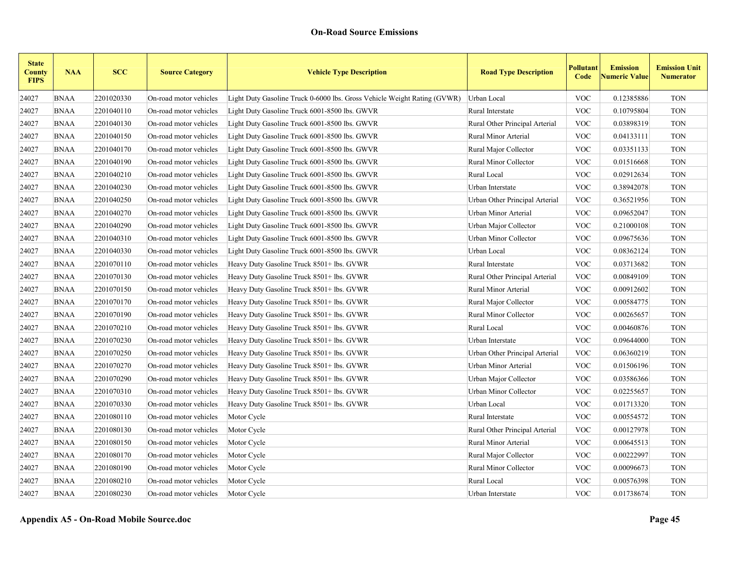| <b>State</b><br><b>County</b><br><b>FIPS</b> | <b>NAA</b>  | <b>SCC</b> | <b>Source Category</b> | <b>Vehicle Type Description</b>                                          | <b>Road Type Description</b>   | Pollutant<br>Code | <b>Emission</b><br><b>Numeric Value</b> | <b>Emission Unit</b><br><b>Numerator</b> |
|----------------------------------------------|-------------|------------|------------------------|--------------------------------------------------------------------------|--------------------------------|-------------------|-----------------------------------------|------------------------------------------|
| 24027                                        | <b>BNAA</b> | 2201020330 | On-road motor vehicles | Light Duty Gasoline Truck 0-6000 lbs. Gross Vehicle Weight Rating (GVWR) | Urban Local                    | <b>VOC</b>        | 0.12385886                              | <b>TON</b>                               |
| 24027                                        | <b>BNAA</b> | 2201040110 | On-road motor vehicles | Light Duty Gasoline Truck 6001-8500 lbs. GWVR                            | Rural Interstate               | <b>VOC</b>        | 0.10795804                              | <b>TON</b>                               |
| 24027                                        | <b>BNAA</b> | 2201040130 | On-road motor vehicles | Light Duty Gasoline Truck 6001-8500 lbs. GWVR                            | Rural Other Principal Arterial | <b>VOC</b>        | 0.03898319                              | <b>TON</b>                               |
| 24027                                        | <b>BNAA</b> | 2201040150 | On-road motor vehicles | Light Duty Gasoline Truck 6001-8500 lbs. GWVR                            | Rural Minor Arterial           | <b>VOC</b>        | 0.04133111                              | <b>TON</b>                               |
| 24027                                        | <b>BNAA</b> | 2201040170 | On-road motor vehicles | Light Duty Gasoline Truck 6001-8500 lbs. GWVR                            | Rural Major Collector          | <b>VOC</b>        | 0.03351133                              | <b>TON</b>                               |
| 24027                                        | <b>BNAA</b> | 2201040190 | On-road motor vehicles | Light Duty Gasoline Truck 6001-8500 lbs. GWVR                            | Rural Minor Collector          | <b>VOC</b>        | 0.01516668                              | <b>TON</b>                               |
| 24027                                        | <b>BNAA</b> | 2201040210 | On-road motor vehicles | Light Duty Gasoline Truck 6001-8500 lbs. GWVR                            | Rural Local                    | <b>VOC</b>        | 0.02912634                              | <b>TON</b>                               |
| 24027                                        | <b>BNAA</b> | 2201040230 | On-road motor vehicles | Light Duty Gasoline Truck 6001-8500 lbs. GWVR                            | Urban Interstate               | <b>VOC</b>        | 0.38942078                              | <b>TON</b>                               |
| 24027                                        | <b>BNAA</b> | 2201040250 | On-road motor vehicles | Light Duty Gasoline Truck 6001-8500 lbs. GWVR                            | Urban Other Principal Arterial | <b>VOC</b>        | 0.36521956                              | <b>TON</b>                               |
| 24027                                        | <b>BNAA</b> | 2201040270 | On-road motor vehicles | Light Duty Gasoline Truck 6001-8500 lbs. GWVR                            | Urban Minor Arterial           | <b>VOC</b>        | 0.09652047                              | <b>TON</b>                               |
| 24027                                        | <b>BNAA</b> | 2201040290 | On-road motor vehicles | Light Duty Gasoline Truck 6001-8500 lbs. GWVR                            | Urban Major Collector          | <b>VOC</b>        | 0.21000108                              | <b>TON</b>                               |
| 24027                                        | <b>BNAA</b> | 2201040310 | On-road motor vehicles | Light Duty Gasoline Truck 6001-8500 lbs. GWVR                            | Urban Minor Collector          | <b>VOC</b>        | 0.09675636                              | <b>TON</b>                               |
| 24027                                        | <b>BNAA</b> | 2201040330 | On-road motor vehicles | Light Duty Gasoline Truck 6001-8500 lbs. GWVR                            | Urban Local                    | <b>VOC</b>        | 0.08362124                              | <b>TON</b>                               |
| 24027                                        | <b>BNAA</b> | 2201070110 | On-road motor vehicles | Heavy Duty Gasoline Truck 8501+ lbs. GVWR                                | Rural Interstate               | <b>VOC</b>        | 0.03713682                              | <b>TON</b>                               |
| 24027                                        | <b>BNAA</b> | 2201070130 | On-road motor vehicles | Heavy Duty Gasoline Truck 8501+ lbs. GVWR                                | Rural Other Principal Arterial | <b>VOC</b>        | 0.00849109                              | <b>TON</b>                               |
| 24027                                        | <b>BNAA</b> | 2201070150 | On-road motor vehicles | Heavy Duty Gasoline Truck 8501+ lbs. GVWR                                | Rural Minor Arterial           | <b>VOC</b>        | 0.00912602                              | <b>TON</b>                               |
| 24027                                        | <b>BNAA</b> | 2201070170 | On-road motor vehicles | Heavy Duty Gasoline Truck 8501+ lbs. GVWR                                | Rural Major Collector          | <b>VOC</b>        | 0.00584775                              | <b>TON</b>                               |
| 24027                                        | <b>BNAA</b> | 2201070190 | On-road motor vehicles | Heavy Duty Gasoline Truck 8501+ lbs. GVWR                                | Rural Minor Collector          | <b>VOC</b>        | 0.00265657                              | <b>TON</b>                               |
| 24027                                        | <b>BNAA</b> | 2201070210 | On-road motor vehicles | Heavy Duty Gasoline Truck 8501+ lbs. GVWR                                | Rural Local                    | <b>VOC</b>        | 0.00460876                              | <b>TON</b>                               |
| 24027                                        | <b>BNAA</b> | 2201070230 | On-road motor vehicles | Heavy Duty Gasoline Truck 8501+ lbs. GVWR                                | Urban Interstate               | <b>VOC</b>        | 0.09644000                              | <b>TON</b>                               |
| 24027                                        | <b>BNAA</b> | 2201070250 | On-road motor vehicles | Heavy Duty Gasoline Truck 8501+ lbs. GVWR                                | Urban Other Principal Arterial | <b>VOC</b>        | 0.06360219                              | <b>TON</b>                               |
| 24027                                        | <b>BNAA</b> | 2201070270 | On-road motor vehicles | Heavy Duty Gasoline Truck 8501+ lbs. GVWR                                | Urban Minor Arterial           | <b>VOC</b>        | 0.01506196                              | <b>TON</b>                               |
| 24027                                        | <b>BNAA</b> | 2201070290 | On-road motor vehicles | Heavy Duty Gasoline Truck 8501+ lbs. GVWR                                | Urban Major Collector          | <b>VOC</b>        | 0.03586366                              | <b>TON</b>                               |
| 24027                                        | <b>BNAA</b> | 2201070310 | On-road motor vehicles | Heavy Duty Gasoline Truck 8501+ lbs. GVWR                                | Urban Minor Collector          | $\rm VOC$         | 0.02255657                              | <b>TON</b>                               |
| 24027                                        | <b>BNAA</b> | 2201070330 | On-road motor vehicles | Heavy Duty Gasoline Truck 8501+ lbs. GVWR                                | Urban Local                    | <b>VOC</b>        | 0.01713320                              | <b>TON</b>                               |
| 24027                                        | <b>BNAA</b> | 2201080110 | On-road motor vehicles | Motor Cycle                                                              | Rural Interstate               | <b>VOC</b>        | 0.00554572                              | <b>TON</b>                               |
| 24027                                        | <b>BNAA</b> | 2201080130 | On-road motor vehicles | Motor Cycle                                                              | Rural Other Principal Arterial | <b>VOC</b>        | 0.00127978                              | <b>TON</b>                               |
| 24027                                        | <b>BNAA</b> | 2201080150 | On-road motor vehicles | Motor Cycle                                                              | Rural Minor Arterial           | <b>VOC</b>        | 0.00645513                              | <b>TON</b>                               |
| 24027                                        | <b>BNAA</b> | 2201080170 | On-road motor vehicles | Motor Cycle                                                              | Rural Major Collector          | <b>VOC</b>        | 0.00222997                              | <b>TON</b>                               |
| 24027                                        | <b>BNAA</b> | 2201080190 | On-road motor vehicles | Motor Cycle                                                              | Rural Minor Collector          | <b>VOC</b>        | 0.00096673                              | <b>TON</b>                               |
| 24027                                        | <b>BNAA</b> | 2201080210 | On-road motor vehicles | Motor Cycle                                                              | Rural Local                    | <b>VOC</b>        | 0.00576398                              | <b>TON</b>                               |
| 24027                                        | <b>BNAA</b> | 2201080230 | On-road motor vehicles | Motor Cycle                                                              | Urban Interstate               | <b>VOC</b>        | 0.01738674                              | <b>TON</b>                               |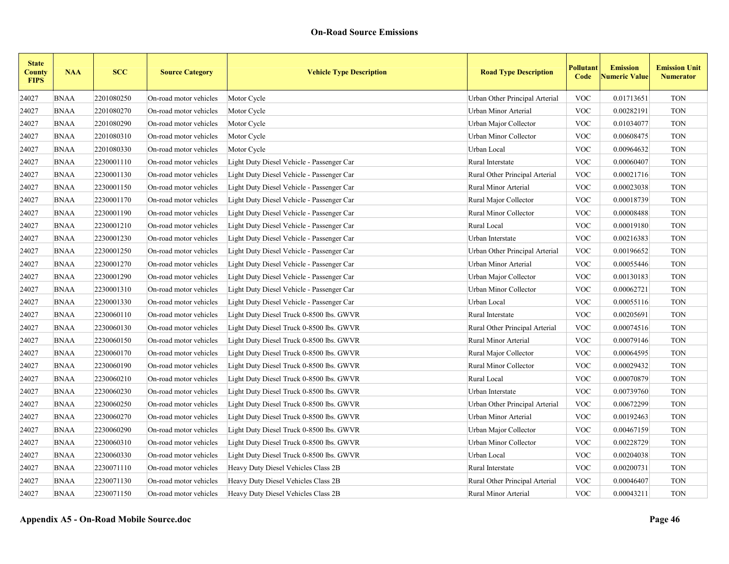| <b>State</b><br><b>County</b><br><b>FIPS</b> | <b>NAA</b>  | <b>SCC</b> | <b>Source Category</b> | <b>Vehicle Type Description</b>           | <b>Road Type Description</b>   | Pollutant<br>Code | <b>Emission</b><br><b>Numeric Value</b> | <b>Emission Unit</b><br><b>Numerator</b> |
|----------------------------------------------|-------------|------------|------------------------|-------------------------------------------|--------------------------------|-------------------|-----------------------------------------|------------------------------------------|
| 24027                                        | <b>BNAA</b> | 2201080250 | On-road motor vehicles | Motor Cycle                               | Urban Other Principal Arterial | <b>VOC</b>        | 0.01713651                              | <b>TON</b>                               |
| 24027                                        | <b>BNAA</b> | 2201080270 | On-road motor vehicles | Motor Cycle                               | Urban Minor Arterial           | <b>VOC</b>        | 0.00282191                              | <b>TON</b>                               |
| 24027                                        | <b>BNAA</b> | 2201080290 | On-road motor vehicles | Motor Cycle                               | Urban Major Collector          | <b>VOC</b>        | 0.01034077                              | <b>TON</b>                               |
| 24027                                        | BNAA        | 2201080310 | On-road motor vehicles | Motor Cycle                               | Urban Minor Collector          | <b>VOC</b>        | 0.00608475                              | <b>TON</b>                               |
| 24027                                        | <b>BNAA</b> | 2201080330 | On-road motor vehicles | Motor Cycle                               | Urban Local                    | <b>VOC</b>        | 0.00964632                              | <b>TON</b>                               |
| 24027                                        | <b>BNAA</b> | 2230001110 | On-road motor vehicles | Light Duty Diesel Vehicle - Passenger Car | Rural Interstate               | <b>VOC</b>        | 0.00060407                              | <b>TON</b>                               |
| 24027                                        | <b>BNAA</b> | 2230001130 | On-road motor vehicles | Light Duty Diesel Vehicle - Passenger Car | Rural Other Principal Arterial | <b>VOC</b>        | 0.00021716                              | <b>TON</b>                               |
| 24027                                        | <b>BNAA</b> | 2230001150 | On-road motor vehicles | Light Duty Diesel Vehicle - Passenger Car | Rural Minor Arterial           | <b>VOC</b>        | 0.00023038                              | <b>TON</b>                               |
| 24027                                        | <b>BNAA</b> | 2230001170 | On-road motor vehicles | Light Duty Diesel Vehicle - Passenger Car | Rural Major Collector          | <b>VOC</b>        | 0.00018739                              | <b>TON</b>                               |
| 24027                                        | <b>BNAA</b> | 2230001190 | On-road motor vehicles | Light Duty Diesel Vehicle - Passenger Car | Rural Minor Collector          | <b>VOC</b>        | 0.00008488                              | <b>TON</b>                               |
| 24027                                        | <b>BNAA</b> | 2230001210 | On-road motor vehicles | Light Duty Diesel Vehicle - Passenger Car | Rural Local                    | <b>VOC</b>        | 0.00019180                              | <b>TON</b>                               |
| 24027                                        | <b>BNAA</b> | 2230001230 | On-road motor vehicles | Light Duty Diesel Vehicle - Passenger Car | Urban Interstate               | <b>VOC</b>        | 0.00216383                              | <b>TON</b>                               |
| 24027                                        | <b>BNAA</b> | 2230001250 | On-road motor vehicles | Light Duty Diesel Vehicle - Passenger Car | Urban Other Principal Arterial | <b>VOC</b>        | 0.00196652                              | <b>TON</b>                               |
| 24027                                        | <b>BNAA</b> | 2230001270 | On-road motor vehicles | Light Duty Diesel Vehicle - Passenger Car | Urban Minor Arterial           | <b>VOC</b>        | 0.00055446                              | <b>TON</b>                               |
| 24027                                        | <b>BNAA</b> | 2230001290 | On-road motor vehicles | Light Duty Diesel Vehicle - Passenger Car | Urban Major Collector          | <b>VOC</b>        | 0.00130183                              | <b>TON</b>                               |
| 24027                                        | <b>BNAA</b> | 2230001310 | On-road motor vehicles | Light Duty Diesel Vehicle - Passenger Car | Urban Minor Collector          | <b>VOC</b>        | 0.00062721                              | <b>TON</b>                               |
| 24027                                        | <b>BNAA</b> | 2230001330 | On-road motor vehicles | Light Duty Diesel Vehicle - Passenger Car | Urban Local                    | <b>VOC</b>        | 0.00055116                              | <b>TON</b>                               |
| 24027                                        | <b>BNAA</b> | 2230060110 | On-road motor vehicles | Light Duty Diesel Truck 0-8500 lbs. GWVR  | Rural Interstate               | <b>VOC</b>        | 0.00205691                              | <b>TON</b>                               |
| 24027                                        | <b>BNAA</b> | 2230060130 | On-road motor vehicles | Light Duty Diesel Truck 0-8500 lbs. GWVR  | Rural Other Principal Arterial | <b>VOC</b>        | 0.00074516                              | <b>TON</b>                               |
| 24027                                        | <b>BNAA</b> | 2230060150 | On-road motor vehicles | Light Duty Diesel Truck 0-8500 lbs. GWVR  | Rural Minor Arterial           | <b>VOC</b>        | 0.00079146                              | <b>TON</b>                               |
| 24027                                        | <b>BNAA</b> | 2230060170 | On-road motor vehicles | Light Duty Diesel Truck 0-8500 lbs. GWVR  | Rural Major Collector          | <b>VOC</b>        | 0.00064595                              | <b>TON</b>                               |
| 24027                                        | <b>BNAA</b> | 2230060190 | On-road motor vehicles | Light Duty Diesel Truck 0-8500 lbs. GWVR  | Rural Minor Collector          | <b>VOC</b>        | 0.00029432                              | <b>TON</b>                               |
| 24027                                        | <b>BNAA</b> | 2230060210 | On-road motor vehicles | Light Duty Diesel Truck 0-8500 lbs. GWVR  | Rural Local                    | <b>VOC</b>        | 0.00070879                              | <b>TON</b>                               |
| 24027                                        | <b>BNAA</b> | 2230060230 | On-road motor vehicles | Light Duty Diesel Truck 0-8500 lbs. GWVR  | Urban Interstate               | <b>VOC</b>        | 0.00739760                              | <b>TON</b>                               |
| 24027                                        | <b>BNAA</b> | 2230060250 | On-road motor vehicles | Light Duty Diesel Truck 0-8500 lbs. GWVR  | Urban Other Principal Arterial | <b>VOC</b>        | 0.00672299                              | <b>TON</b>                               |
| 24027                                        | <b>BNAA</b> | 2230060270 | On-road motor vehicles | Light Duty Diesel Truck 0-8500 lbs. GWVR  | Urban Minor Arterial           | <b>VOC</b>        | 0.00192463                              | <b>TON</b>                               |
| 24027                                        | <b>BNAA</b> | 2230060290 | On-road motor vehicles | Light Duty Diesel Truck 0-8500 lbs. GWVR  | Urban Major Collector          | <b>VOC</b>        | 0.00467159                              | <b>TON</b>                               |
| 24027                                        | <b>BNAA</b> | 2230060310 | On-road motor vehicles | Light Duty Diesel Truck 0-8500 lbs. GWVR  | Urban Minor Collector          | <b>VOC</b>        | 0.00228729                              | <b>TON</b>                               |
| 24027                                        | BNAA        | 2230060330 | On-road motor vehicles | Light Duty Diesel Truck 0-8500 lbs. GWVR  | Urban Local                    | <b>VOC</b>        | 0.00204038                              | <b>TON</b>                               |
| 24027                                        | <b>BNAA</b> | 2230071110 | On-road motor vehicles | Heavy Duty Diesel Vehicles Class 2B       | Rural Interstate               | <b>VOC</b>        | 0.00200731                              | <b>TON</b>                               |
| 24027                                        | <b>BNAA</b> | 2230071130 | On-road motor vehicles | Heavy Duty Diesel Vehicles Class 2B       | Rural Other Principal Arterial | <b>VOC</b>        | 0.00046407                              | <b>TON</b>                               |
| 24027                                        | <b>BNAA</b> | 2230071150 | On-road motor vehicles | Heavy Duty Diesel Vehicles Class 2B       | Rural Minor Arterial           | <b>VOC</b>        | 0.00043211                              | <b>TON</b>                               |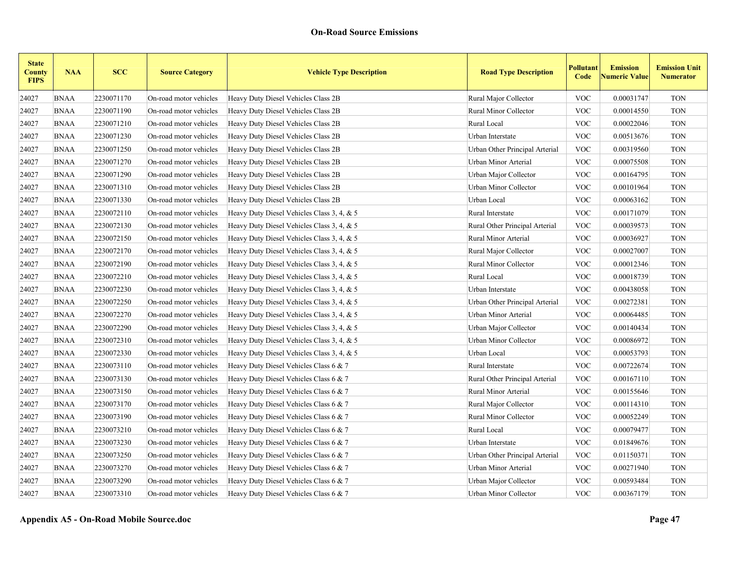| <b>State</b><br><b>County</b><br><b>FIPS</b> | <b>NAA</b>  | <b>SCC</b> | <b>Source Category</b> | <b>Vehicle Type Description</b>            | <b>Road Type Description</b>   | Pollutant<br>Code | <b>Emission</b><br><b>Numeric Value</b> | <b>Emission Unit</b><br><b>Numerator</b> |
|----------------------------------------------|-------------|------------|------------------------|--------------------------------------------|--------------------------------|-------------------|-----------------------------------------|------------------------------------------|
| 24027                                        | <b>BNAA</b> | 2230071170 | On-road motor vehicles | Heavy Duty Diesel Vehicles Class 2B        | Rural Major Collector          | <b>VOC</b>        | 0.00031747                              | <b>TON</b>                               |
| 24027                                        | <b>BNAA</b> | 2230071190 | On-road motor vehicles | Heavy Duty Diesel Vehicles Class 2B        | Rural Minor Collector          | <b>VOC</b>        | 0.00014550                              | <b>TON</b>                               |
| 24027                                        | <b>BNAA</b> | 2230071210 | On-road motor vehicles | Heavy Duty Diesel Vehicles Class 2B        | Rural Local                    | <b>VOC</b>        | 0.00022046                              | <b>TON</b>                               |
| 24027                                        | <b>BNAA</b> | 2230071230 | On-road motor vehicles | Heavy Duty Diesel Vehicles Class 2B        | Urban Interstate               | <b>VOC</b>        | 0.00513676                              | <b>TON</b>                               |
| 24027                                        | <b>BNAA</b> | 2230071250 | On-road motor vehicles | Heavy Duty Diesel Vehicles Class 2B        | Urban Other Principal Arterial | <b>VOC</b>        | 0.00319560                              | <b>TON</b>                               |
| 24027                                        | <b>BNAA</b> | 2230071270 | On-road motor vehicles | Heavy Duty Diesel Vehicles Class 2B        | Urban Minor Arterial           | <b>VOC</b>        | 0.00075508                              | <b>TON</b>                               |
| 24027                                        | <b>BNAA</b> | 2230071290 | On-road motor vehicles | Heavy Duty Diesel Vehicles Class 2B        | Urban Major Collector          | <b>VOC</b>        | 0.00164795                              | <b>TON</b>                               |
| 24027                                        | <b>BNAA</b> | 2230071310 | On-road motor vehicles | Heavy Duty Diesel Vehicles Class 2B        | Urban Minor Collector          | <b>VOC</b>        | 0.00101964                              | <b>TON</b>                               |
| 24027                                        | <b>BNAA</b> | 2230071330 | On-road motor vehicles | Heavy Duty Diesel Vehicles Class 2B        | Urban Local                    | <b>VOC</b>        | 0.00063162                              | <b>TON</b>                               |
| 24027                                        | <b>BNAA</b> | 2230072110 | On-road motor vehicles | Heavy Duty Diesel Vehicles Class 3, 4, & 5 | Rural Interstate               | <b>VOC</b>        | 0.00171079                              | <b>TON</b>                               |
| 24027                                        | <b>BNAA</b> | 2230072130 | On-road motor vehicles | Heavy Duty Diesel Vehicles Class 3, 4, & 5 | Rural Other Principal Arterial | <b>VOC</b>        | 0.00039573                              | <b>TON</b>                               |
| 24027                                        | <b>BNAA</b> | 2230072150 | On-road motor vehicles | Heavy Duty Diesel Vehicles Class 3, 4, & 5 | Rural Minor Arterial           | <b>VOC</b>        | 0.00036927                              | <b>TON</b>                               |
| 24027                                        | <b>BNAA</b> | 2230072170 | On-road motor vehicles | Heavy Duty Diesel Vehicles Class 3, 4, & 5 | Rural Major Collector          | <b>VOC</b>        | 0.00027007                              | <b>TON</b>                               |
| 24027                                        | <b>BNAA</b> | 2230072190 | On-road motor vehicles | Heavy Duty Diesel Vehicles Class 3, 4, & 5 | Rural Minor Collector          | <b>VOC</b>        | 0.00012346                              | <b>TON</b>                               |
| 24027                                        | <b>BNAA</b> | 2230072210 | On-road motor vehicles | Heavy Duty Diesel Vehicles Class 3, 4, & 5 | Rural Local                    | <b>VOC</b>        | 0.00018739                              | <b>TON</b>                               |
| 24027                                        | <b>BNAA</b> | 2230072230 | On-road motor vehicles | Heavy Duty Diesel Vehicles Class 3, 4, & 5 | Urban Interstate               | <b>VOC</b>        | 0.00438058                              | <b>TON</b>                               |
| 24027                                        | <b>BNAA</b> | 2230072250 | On-road motor vehicles | Heavy Duty Diesel Vehicles Class 3, 4, & 5 | Urban Other Principal Arterial | <b>VOC</b>        | 0.00272381                              | <b>TON</b>                               |
| 24027                                        | <b>BNAA</b> | 2230072270 | On-road motor vehicles | Heavy Duty Diesel Vehicles Class 3, 4, & 5 | Urban Minor Arterial           | <b>VOC</b>        | 0.00064485                              | <b>TON</b>                               |
| 24027                                        | <b>BNAA</b> | 2230072290 | On-road motor vehicles | Heavy Duty Diesel Vehicles Class 3, 4, & 5 | Urban Major Collector          | <b>VOC</b>        | 0.00140434                              | <b>TON</b>                               |
| 24027                                        | <b>BNAA</b> | 2230072310 | On-road motor vehicles | Heavy Duty Diesel Vehicles Class 3, 4, & 5 | Urban Minor Collector          | <b>VOC</b>        | 0.00086972                              | <b>TON</b>                               |
| 24027                                        | <b>BNAA</b> | 2230072330 | On-road motor vehicles | Heavy Duty Diesel Vehicles Class 3, 4, & 5 | Urban Local                    | <b>VOC</b>        | 0.00053793                              | <b>TON</b>                               |
| 24027                                        | <b>BNAA</b> | 2230073110 | On-road motor vehicles | Heavy Duty Diesel Vehicles Class 6 & 7     | Rural Interstate               | <b>VOC</b>        | 0.00722674                              | <b>TON</b>                               |
| 24027                                        | <b>BNAA</b> | 2230073130 | On-road motor vehicles | Heavy Duty Diesel Vehicles Class 6 & 7     | Rural Other Principal Arterial | <b>VOC</b>        | 0.00167110                              | <b>TON</b>                               |
| 24027                                        | <b>BNAA</b> | 2230073150 | On-road motor vehicles | Heavy Duty Diesel Vehicles Class 6 & 7     | Rural Minor Arterial           | <b>VOC</b>        | 0.00155646                              | <b>TON</b>                               |
| 24027                                        | <b>BNAA</b> | 2230073170 | On-road motor vehicles | Heavy Duty Diesel Vehicles Class 6 & 7     | Rural Major Collector          | <b>VOC</b>        | 0.00114310                              | <b>TON</b>                               |
| 24027                                        | <b>BNAA</b> | 2230073190 | On-road motor vehicles | Heavy Duty Diesel Vehicles Class 6 & 7     | Rural Minor Collector          | $\rm VOC$         | 0.00052249                              | <b>TON</b>                               |
| 24027                                        | <b>BNAA</b> | 2230073210 | On-road motor vehicles | Heavy Duty Diesel Vehicles Class 6 & 7     | Rural Local                    | <b>VOC</b>        | 0.00079477                              | <b>TON</b>                               |
| 24027                                        | <b>BNAA</b> | 2230073230 | On-road motor vehicles | Heavy Duty Diesel Vehicles Class 6 & 7     | Urban Interstate               | <b>VOC</b>        | 0.01849676                              | <b>TON</b>                               |
| 24027                                        | <b>BNAA</b> | 2230073250 | On-road motor vehicles | Heavy Duty Diesel Vehicles Class 6 & 7     | Urban Other Principal Arterial | <b>VOC</b>        | 0.01150371                              | <b>TON</b>                               |
| 24027                                        | <b>BNAA</b> | 2230073270 | On-road motor vehicles | Heavy Duty Diesel Vehicles Class 6 & 7     | Urban Minor Arterial           | <b>VOC</b>        | 0.00271940                              | <b>TON</b>                               |
| 24027                                        | <b>BNAA</b> | 2230073290 | On-road motor vehicles | Heavy Duty Diesel Vehicles Class 6 & 7     | Urban Major Collector          | <b>VOC</b>        | 0.00593484                              | <b>TON</b>                               |
| 24027                                        | <b>BNAA</b> | 2230073310 | On-road motor vehicles | Heavy Duty Diesel Vehicles Class 6 & 7     | Urban Minor Collector          | <b>VOC</b>        | 0.00367179                              | <b>TON</b>                               |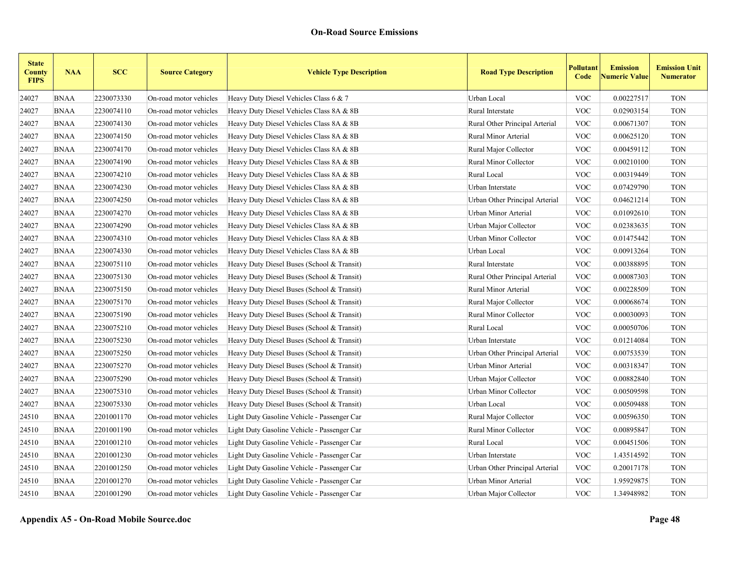| <b>State</b><br><b>County</b><br><b>FIPS</b> | <b>NAA</b>  | <b>SCC</b> | <b>Source Category</b> | <b>Vehicle Type Description</b>             | <b>Road Type Description</b>   | Pollutant<br>Code | <b>Emission</b><br><b>Numeric Value</b> | <b>Emission Unit</b><br><b>Numerator</b> |
|----------------------------------------------|-------------|------------|------------------------|---------------------------------------------|--------------------------------|-------------------|-----------------------------------------|------------------------------------------|
| 24027                                        | <b>BNAA</b> | 2230073330 | On-road motor vehicles | Heavy Duty Diesel Vehicles Class 6 & 7      | Urban Local                    | <b>VOC</b>        | 0.00227517                              | <b>TON</b>                               |
| 24027                                        | <b>BNAA</b> | 2230074110 | On-road motor vehicles | Heavy Duty Diesel Vehicles Class 8A & 8B    | Rural Interstate               | <b>VOC</b>        | 0.02903154                              | <b>TON</b>                               |
| 24027                                        | <b>BNAA</b> | 2230074130 | On-road motor vehicles | Heavy Duty Diesel Vehicles Class 8A & 8B    | Rural Other Principal Arterial | <b>VOC</b>        | 0.00671307                              | <b>TON</b>                               |
| 24027                                        | <b>BNAA</b> | 2230074150 | On-road motor vehicles | Heavy Duty Diesel Vehicles Class 8A & 8B    | Rural Minor Arterial           | <b>VOC</b>        | 0.00625120                              | <b>TON</b>                               |
| 24027                                        | <b>BNAA</b> | 2230074170 | On-road motor vehicles | Heavy Duty Diesel Vehicles Class 8A & 8B    | Rural Major Collector          | <b>VOC</b>        | 0.00459112                              | <b>TON</b>                               |
| 24027                                        | <b>BNAA</b> | 2230074190 | On-road motor vehicles | Heavy Duty Diesel Vehicles Class 8A & 8B    | Rural Minor Collector          | <b>VOC</b>        | 0.00210100                              | <b>TON</b>                               |
| 24027                                        | <b>BNAA</b> | 2230074210 | On-road motor vehicles | Heavy Duty Diesel Vehicles Class 8A & 8B    | Rural Local                    | <b>VOC</b>        | 0.00319449                              | <b>TON</b>                               |
| 24027                                        | <b>BNAA</b> | 2230074230 | On-road motor vehicles | Heavy Duty Diesel Vehicles Class 8A & 8B    | Urban Interstate               | <b>VOC</b>        | 0.07429790                              | <b>TON</b>                               |
| 24027                                        | <b>BNAA</b> | 2230074250 | On-road motor vehicles | Heavy Duty Diesel Vehicles Class 8A & 8B    | Urban Other Principal Arterial | <b>VOC</b>        | 0.04621214                              | <b>TON</b>                               |
| 24027                                        | <b>BNAA</b> | 2230074270 | On-road motor vehicles | Heavy Duty Diesel Vehicles Class 8A & 8B    | Urban Minor Arterial           | <b>VOC</b>        | 0.01092610                              | <b>TON</b>                               |
| 24027                                        | <b>BNAA</b> | 2230074290 | On-road motor vehicles | Heavy Duty Diesel Vehicles Class 8A & 8B    | Urban Major Collector          | <b>VOC</b>        | 0.02383635                              | <b>TON</b>                               |
| 24027                                        | <b>BNAA</b> | 2230074310 | On-road motor vehicles | Heavy Duty Diesel Vehicles Class 8A & 8B    | Urban Minor Collector          | <b>VOC</b>        | 0.01475442                              | <b>TON</b>                               |
| 24027                                        | <b>BNAA</b> | 2230074330 | On-road motor vehicles | Heavy Duty Diesel Vehicles Class 8A & 8B    | Urban Local                    | <b>VOC</b>        | 0.00913264                              | <b>TON</b>                               |
| 24027                                        | <b>BNAA</b> | 2230075110 | On-road motor vehicles | Heavy Duty Diesel Buses (School & Transit)  | Rural Interstate               | <b>VOC</b>        | 0.00388895                              | <b>TON</b>                               |
| 24027                                        | <b>BNAA</b> | 2230075130 | On-road motor vehicles | Heavy Duty Diesel Buses (School & Transit)  | Rural Other Principal Arterial | <b>VOC</b>        | 0.00087303                              | <b>TON</b>                               |
| 24027                                        | <b>BNAA</b> | 2230075150 | On-road motor vehicles | Heavy Duty Diesel Buses (School & Transit)  | Rural Minor Arterial           | <b>VOC</b>        | 0.00228509                              | <b>TON</b>                               |
| 24027                                        | <b>BNAA</b> | 2230075170 | On-road motor vehicles | Heavy Duty Diesel Buses (School & Transit)  | Rural Major Collector          | <b>VOC</b>        | 0.00068674                              | <b>TON</b>                               |
| 24027                                        | <b>BNAA</b> | 2230075190 | On-road motor vehicles | Heavy Duty Diesel Buses (School & Transit)  | Rural Minor Collector          | <b>VOC</b>        | 0.00030093                              | <b>TON</b>                               |
| 24027                                        | <b>BNAA</b> | 2230075210 | On-road motor vehicles | Heavy Duty Diesel Buses (School & Transit)  | Rural Local                    | <b>VOC</b>        | 0.00050706                              | <b>TON</b>                               |
| 24027                                        | <b>BNAA</b> | 2230075230 | On-road motor vehicles | Heavy Duty Diesel Buses (School & Transit)  | Urban Interstate               | <b>VOC</b>        | 0.01214084                              | <b>TON</b>                               |
| 24027                                        | <b>BNAA</b> | 2230075250 | On-road motor vehicles | Heavy Duty Diesel Buses (School & Transit)  | Urban Other Principal Arterial | <b>VOC</b>        | 0.00753539                              | <b>TON</b>                               |
| 24027                                        | <b>BNAA</b> | 2230075270 | On-road motor vehicles | Heavy Duty Diesel Buses (School & Transit)  | Urban Minor Arterial           | <b>VOC</b>        | 0.00318347                              | <b>TON</b>                               |
| 24027                                        | <b>BNAA</b> | 2230075290 | On-road motor vehicles | Heavy Duty Diesel Buses (School & Transit)  | Urban Major Collector          | <b>VOC</b>        | 0.00882840                              | <b>TON</b>                               |
| 24027                                        | <b>BNAA</b> | 2230075310 | On-road motor vehicles | Heavy Duty Diesel Buses (School & Transit)  | Urban Minor Collector          | $\rm VOC$         | 0.00509598                              | <b>TON</b>                               |
| 24027                                        | <b>BNAA</b> | 2230075330 | On-road motor vehicles | Heavy Duty Diesel Buses (School & Transit)  | Urban Local                    | $\rm VOC$         | 0.00509488                              | <b>TON</b>                               |
| 24510                                        | <b>BNAA</b> | 2201001170 | On-road motor vehicles | Light Duty Gasoline Vehicle - Passenger Car | Rural Major Collector          | $\rm VOC$         | 0.00596350                              | <b>TON</b>                               |
| 24510                                        | <b>BNAA</b> | 2201001190 | On-road motor vehicles | Light Duty Gasoline Vehicle - Passenger Car | <b>Rural Minor Collector</b>   | <b>VOC</b>        | 0.00895847                              | <b>TON</b>                               |
| 24510                                        | <b>BNAA</b> | 2201001210 | On-road motor vehicles | Light Duty Gasoline Vehicle - Passenger Car | Rural Local                    | $\rm VOC$         | 0.00451506                              | <b>TON</b>                               |
| 24510                                        | <b>BNAA</b> | 2201001230 | On-road motor vehicles | Light Duty Gasoline Vehicle - Passenger Car | Urban Interstate               | <b>VOC</b>        | 1.43514592                              | <b>TON</b>                               |
| 24510                                        | <b>BNAA</b> | 2201001250 | On-road motor vehicles | Light Duty Gasoline Vehicle - Passenger Car | Urban Other Principal Arterial | <b>VOC</b>        | 0.20017178                              | <b>TON</b>                               |
| 24510                                        | <b>BNAA</b> | 2201001270 | On-road motor vehicles | Light Duty Gasoline Vehicle - Passenger Car | Urban Minor Arterial           | <b>VOC</b>        | 1.95929875                              | <b>TON</b>                               |
| 24510                                        | <b>BNAA</b> | 2201001290 | On-road motor vehicles | Light Duty Gasoline Vehicle - Passenger Car | Urban Major Collector          | <b>VOC</b>        | 1.34948982                              | <b>TON</b>                               |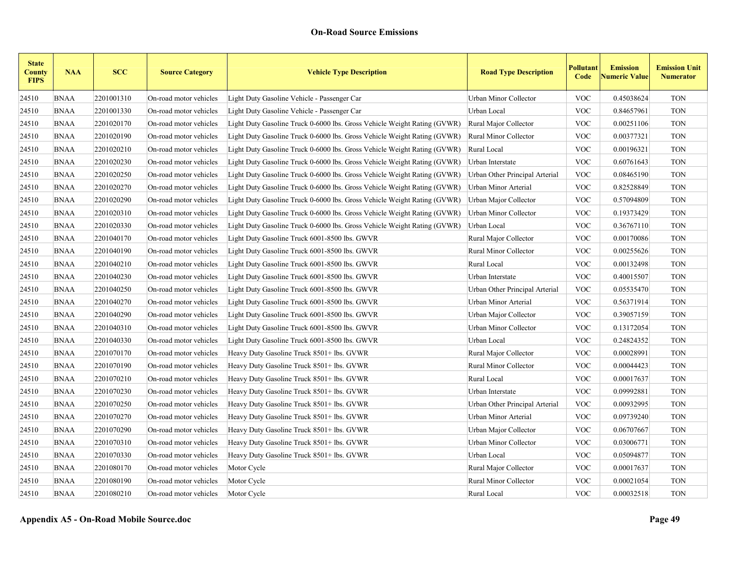| <b>State</b><br><b>County</b><br><b>FIPS</b> | <b>NAA</b>  | <b>SCC</b> | <b>Source Category</b> | <b>Vehicle Type Description</b>                                          | <b>Road Type Description</b>   | Pollutant<br>Code | <b>Emission</b><br><b>Numeric Value</b> | <b>Emission Unit</b><br><b>Numerator</b> |
|----------------------------------------------|-------------|------------|------------------------|--------------------------------------------------------------------------|--------------------------------|-------------------|-----------------------------------------|------------------------------------------|
| 24510                                        | <b>BNAA</b> | 2201001310 | On-road motor vehicles | Light Duty Gasoline Vehicle - Passenger Car                              | Urban Minor Collector          | <b>VOC</b>        | 0.45038624                              | <b>TON</b>                               |
| 24510                                        | <b>BNAA</b> | 2201001330 | On-road motor vehicles | Light Duty Gasoline Vehicle - Passenger Car                              | Urban Local                    | <b>VOC</b>        | 0.84657961                              | <b>TON</b>                               |
| 24510                                        | <b>BNAA</b> | 2201020170 | On-road motor vehicles | Light Duty Gasoline Truck 0-6000 lbs. Gross Vehicle Weight Rating (GVWR) | Rural Major Collector          | <b>VOC</b>        | 0.00251106                              | <b>TON</b>                               |
| 24510                                        | <b>BNAA</b> | 2201020190 | On-road motor vehicles | Light Duty Gasoline Truck 0-6000 lbs. Gross Vehicle Weight Rating (GVWR) | Rural Minor Collector          | <b>VOC</b>        | 0.00377321                              | <b>TON</b>                               |
| 24510                                        | <b>BNAA</b> | 2201020210 | On-road motor vehicles | Light Duty Gasoline Truck 0-6000 lbs. Gross Vehicle Weight Rating (GVWR) | Rural Local                    | <b>VOC</b>        | 0.00196321                              | <b>TON</b>                               |
| 24510                                        | <b>BNAA</b> | 2201020230 | On-road motor vehicles | Light Duty Gasoline Truck 0-6000 lbs. Gross Vehicle Weight Rating (GVWR) | Urban Interstate               | <b>VOC</b>        | 0.60761643                              | <b>TON</b>                               |
| 24510                                        | <b>BNAA</b> | 2201020250 | On-road motor vehicles | Light Duty Gasoline Truck 0-6000 lbs. Gross Vehicle Weight Rating (GVWR) | Urban Other Principal Arterial | <b>VOC</b>        | 0.08465190                              | <b>TON</b>                               |
| 24510                                        | <b>BNAA</b> | 2201020270 | On-road motor vehicles | Light Duty Gasoline Truck 0-6000 lbs. Gross Vehicle Weight Rating (GVWR) | Urban Minor Arterial           | <b>VOC</b>        | 0.82528849                              | <b>TON</b>                               |
| 24510                                        | <b>BNAA</b> | 2201020290 | On-road motor vehicles | Light Duty Gasoline Truck 0-6000 lbs. Gross Vehicle Weight Rating (GVWR) | Urban Major Collector          | <b>VOC</b>        | 0.57094809                              | <b>TON</b>                               |
| 24510                                        | <b>BNAA</b> | 2201020310 | On-road motor vehicles | Light Duty Gasoline Truck 0-6000 lbs. Gross Vehicle Weight Rating (GVWR) | Urban Minor Collector          | <b>VOC</b>        | 0.19373429                              | <b>TON</b>                               |
| 24510                                        | <b>BNAA</b> | 2201020330 | On-road motor vehicles | Light Duty Gasoline Truck 0-6000 lbs. Gross Vehicle Weight Rating (GVWR) | Urban Local                    | <b>VOC</b>        | 0.36767110                              | <b>TON</b>                               |
| 24510                                        | <b>BNAA</b> | 2201040170 | On-road motor vehicles | Light Duty Gasoline Truck 6001-8500 lbs. GWVR                            | Rural Major Collector          | <b>VOC</b>        | 0.00170086                              | <b>TON</b>                               |
| 24510                                        | <b>BNAA</b> | 2201040190 | On-road motor vehicles | Light Duty Gasoline Truck 6001-8500 lbs. GWVR                            | Rural Minor Collector          | <b>VOC</b>        | 0.00255626                              | <b>TON</b>                               |
| 24510                                        | <b>BNAA</b> | 2201040210 | On-road motor vehicles | Light Duty Gasoline Truck 6001-8500 lbs. GWVR                            | Rural Local                    | <b>VOC</b>        | 0.00132498                              | <b>TON</b>                               |
| 24510                                        | <b>BNAA</b> | 2201040230 | On-road motor vehicles | Light Duty Gasoline Truck 6001-8500 lbs. GWVR                            | Urban Interstate               | <b>VOC</b>        | 0.40015507                              | <b>TON</b>                               |
| 24510                                        | <b>BNAA</b> | 2201040250 | On-road motor vehicles | Light Duty Gasoline Truck 6001-8500 lbs. GWVR                            | Urban Other Principal Arterial | <b>VOC</b>        | 0.05535470                              | <b>TON</b>                               |
| 24510                                        | <b>BNAA</b> | 2201040270 | On-road motor vehicles | Light Duty Gasoline Truck 6001-8500 lbs. GWVR                            | Urban Minor Arterial           | <b>VOC</b>        | 0.56371914                              | <b>TON</b>                               |
| 24510                                        | <b>BNAA</b> | 2201040290 | On-road motor vehicles | Light Duty Gasoline Truck 6001-8500 lbs. GWVR                            | Urban Major Collector          | <b>VOC</b>        | 0.39057159                              | <b>TON</b>                               |
| 24510                                        | <b>BNAA</b> | 2201040310 | On-road motor vehicles | Light Duty Gasoline Truck 6001-8500 lbs. GWVR                            | Urban Minor Collector          | <b>VOC</b>        | 0.13172054                              | <b>TON</b>                               |
| 24510                                        | <b>BNAA</b> | 2201040330 | On-road motor vehicles | Light Duty Gasoline Truck 6001-8500 lbs. GWVR                            | Urban Local                    | <b>VOC</b>        | 0.24824352                              | <b>TON</b>                               |
| 24510                                        | <b>BNAA</b> | 2201070170 | On-road motor vehicles | Heavy Duty Gasoline Truck 8501+ lbs. GVWR                                | Rural Major Collector          | <b>VOC</b>        | 0.00028991                              | <b>TON</b>                               |
| 24510                                        | <b>BNAA</b> | 2201070190 | On-road motor vehicles | Heavy Duty Gasoline Truck 8501+ lbs. GVWR                                | Rural Minor Collector          | <b>VOC</b>        | 0.00044423                              | <b>TON</b>                               |
| 24510                                        | <b>BNAA</b> | 2201070210 | On-road motor vehicles | Heavy Duty Gasoline Truck 8501+ lbs. GVWR                                | Rural Local                    | <b>VOC</b>        | 0.00017637                              | <b>TON</b>                               |
| 24510                                        | <b>BNAA</b> | 2201070230 | On-road motor vehicles | Heavy Duty Gasoline Truck 8501+ lbs. GVWR                                | Urban Interstate               | <b>VOC</b>        | 0.09992881                              | <b>TON</b>                               |
| 24510                                        | <b>BNAA</b> | 2201070250 | On-road motor vehicles | Heavy Duty Gasoline Truck 8501+ lbs. GVWR                                | Urban Other Principal Arterial | <b>VOC</b>        | 0.00932995                              | <b>TON</b>                               |
| 24510                                        | <b>BNAA</b> | 2201070270 | On-road motor vehicles | Heavy Duty Gasoline Truck 8501+ lbs. GVWR                                | Urban Minor Arterial           | <b>VOC</b>        | 0.09739240                              | <b>TON</b>                               |
| 24510                                        | <b>BNAA</b> | 2201070290 | On-road motor vehicles | Heavy Duty Gasoline Truck 8501+ lbs. GVWR                                | Urban Major Collector          | <b>VOC</b>        | 0.06707667                              | <b>TON</b>                               |
| 24510                                        | <b>BNAA</b> | 2201070310 | On-road motor vehicles | Heavy Duty Gasoline Truck 8501+ lbs. GVWR                                | Urban Minor Collector          | <b>VOC</b>        | 0.03006771                              | <b>TON</b>                               |
| 24510                                        | <b>BNAA</b> | 2201070330 | On-road motor vehicles | Heavy Duty Gasoline Truck 8501+ lbs. GVWR                                | Urban Local                    | <b>VOC</b>        | 0.05094877                              | <b>TON</b>                               |
| 24510                                        | <b>BNAA</b> | 2201080170 | On-road motor vehicles | Motor Cycle                                                              | Rural Major Collector          | <b>VOC</b>        | 0.00017637                              | <b>TON</b>                               |
| 24510                                        | <b>BNAA</b> | 2201080190 | On-road motor vehicles | Motor Cycle                                                              | <b>Rural Minor Collector</b>   | <b>VOC</b>        | 0.00021054                              | <b>TON</b>                               |
| 24510                                        | <b>BNAA</b> | 2201080210 | On-road motor vehicles | Motor Cycle                                                              | Rural Local                    | <b>VOC</b>        | 0.00032518                              | <b>TON</b>                               |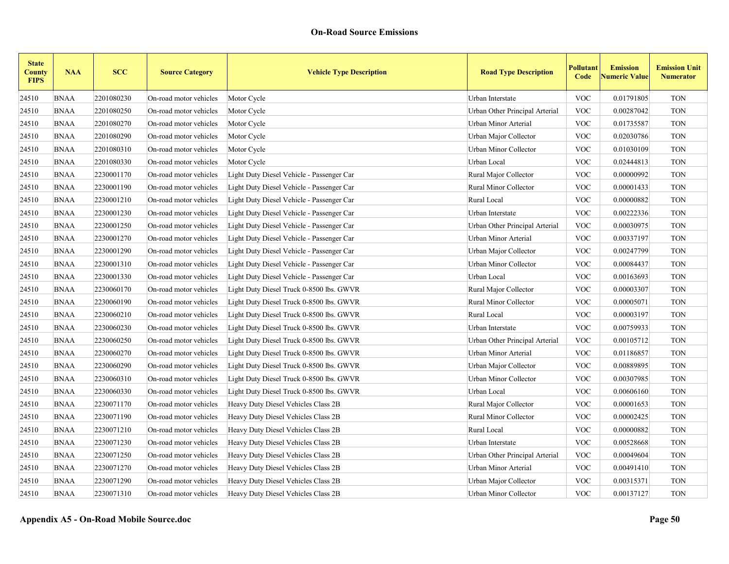| <b>State</b><br><b>County</b><br><b>FIPS</b> | <b>NAA</b>  | <b>SCC</b> | <b>Source Category</b> | <b>Vehicle Type Description</b>           | <b>Road Type Description</b>   | Pollutant<br>Code | <b>Emission</b><br><b>Numeric Value</b> | <b>Emission Unit</b><br><b>Numerator</b> |
|----------------------------------------------|-------------|------------|------------------------|-------------------------------------------|--------------------------------|-------------------|-----------------------------------------|------------------------------------------|
| 24510                                        | <b>BNAA</b> | 2201080230 | On-road motor vehicles | Motor Cycle                               | Urban Interstate               | <b>VOC</b>        | 0.01791805                              | <b>TON</b>                               |
| 24510                                        | <b>BNAA</b> | 2201080250 | On-road motor vehicles | Motor Cycle                               | Urban Other Principal Arterial | <b>VOC</b>        | 0.00287042                              | <b>TON</b>                               |
| 24510                                        | <b>BNAA</b> | 2201080270 | On-road motor vehicles | Motor Cycle                               | Urban Minor Arterial           | <b>VOC</b>        | 0.01735587                              | <b>TON</b>                               |
| 24510                                        | BNAA        | 2201080290 | On-road motor vehicles | Motor Cycle                               | Urban Major Collector          | <b>VOC</b>        | 0.02030786                              | <b>TON</b>                               |
| 24510                                        | <b>BNAA</b> | 2201080310 | On-road motor vehicles | Motor Cycle                               | Urban Minor Collector          | <b>VOC</b>        | 0.01030109                              | <b>TON</b>                               |
| 24510                                        | BNAA        | 2201080330 | On-road motor vehicles | Motor Cycle                               | Urban Local                    | <b>VOC</b>        | 0.02444813                              | <b>TON</b>                               |
| 24510                                        | <b>BNAA</b> | 2230001170 | On-road motor vehicles | Light Duty Diesel Vehicle - Passenger Car | Rural Major Collector          | <b>VOC</b>        | 0.00000992                              | <b>TON</b>                               |
| 24510                                        | <b>BNAA</b> | 2230001190 | On-road motor vehicles | Light Duty Diesel Vehicle - Passenger Car | Rural Minor Collector          | <b>VOC</b>        | 0.00001433                              | <b>TON</b>                               |
| 24510                                        | <b>BNAA</b> | 2230001210 | On-road motor vehicles | Light Duty Diesel Vehicle - Passenger Car | Rural Local                    | <b>VOC</b>        | 0.00000882                              | <b>TON</b>                               |
| 24510                                        | <b>BNAA</b> | 2230001230 | On-road motor vehicles | Light Duty Diesel Vehicle - Passenger Car | Urban Interstate               | <b>VOC</b>        | 0.00222336                              | <b>TON</b>                               |
| 24510                                        | <b>BNAA</b> | 2230001250 | On-road motor vehicles | Light Duty Diesel Vehicle - Passenger Car | Urban Other Principal Arterial | <b>VOC</b>        | 0.00030975                              | <b>TON</b>                               |
| 24510                                        | <b>BNAA</b> | 2230001270 | On-road motor vehicles | Light Duty Diesel Vehicle - Passenger Car | Urban Minor Arterial           | <b>VOC</b>        | 0.00337197                              | <b>TON</b>                               |
| 24510                                        | <b>BNAA</b> | 2230001290 | On-road motor vehicles | Light Duty Diesel Vehicle - Passenger Car | Urban Major Collector          | <b>VOC</b>        | 0.00247799                              | <b>TON</b>                               |
| 24510                                        | <b>BNAA</b> | 2230001310 | On-road motor vehicles | Light Duty Diesel Vehicle - Passenger Car | Urban Minor Collector          | <b>VOC</b>        | 0.00084437                              | <b>TON</b>                               |
| 24510                                        | <b>BNAA</b> | 2230001330 | On-road motor vehicles | Light Duty Diesel Vehicle - Passenger Car | Urban Local                    | <b>VOC</b>        | 0.00163693                              | <b>TON</b>                               |
| 24510                                        | <b>BNAA</b> | 2230060170 | On-road motor vehicles | Light Duty Diesel Truck 0-8500 lbs. GWVR  | Rural Major Collector          | <b>VOC</b>        | 0.00003307                              | <b>TON</b>                               |
| 24510                                        | BNAA        | 2230060190 | On-road motor vehicles | Light Duty Diesel Truck 0-8500 lbs. GWVR  | Rural Minor Collector          | <b>VOC</b>        | 0.00005071                              | <b>TON</b>                               |
| 24510                                        | <b>BNAA</b> | 2230060210 | On-road motor vehicles | Light Duty Diesel Truck 0-8500 lbs. GWVR  | Rural Local                    | <b>VOC</b>        | 0.00003197                              | <b>TON</b>                               |
| 24510                                        | <b>BNAA</b> | 2230060230 | On-road motor vehicles | Light Duty Diesel Truck 0-8500 lbs. GWVR  | Urban Interstate               | <b>VOC</b>        | 0.00759933                              | <b>TON</b>                               |
| 24510                                        | <b>BNAA</b> | 2230060250 | On-road motor vehicles | Light Duty Diesel Truck 0-8500 lbs. GWVR  | Urban Other Principal Arterial | <b>VOC</b>        | 0.00105712                              | <b>TON</b>                               |
| 24510                                        | <b>BNAA</b> | 2230060270 | On-road motor vehicles | Light Duty Diesel Truck 0-8500 lbs. GWVR  | Urban Minor Arterial           | <b>VOC</b>        | 0.01186857                              | <b>TON</b>                               |
| 24510                                        | <b>BNAA</b> | 2230060290 | On-road motor vehicles | Light Duty Diesel Truck 0-8500 lbs. GWVR  | Urban Major Collector          | <b>VOC</b>        | 0.00889895                              | <b>TON</b>                               |
| 24510                                        | <b>BNAA</b> | 2230060310 | On-road motor vehicles | Light Duty Diesel Truck 0-8500 lbs. GWVR  | Urban Minor Collector          | <b>VOC</b>        | 0.00307985                              | <b>TON</b>                               |
| 24510                                        | <b>BNAA</b> | 2230060330 | On-road motor vehicles | Light Duty Diesel Truck 0-8500 lbs. GWVR  | Urban Local                    | <b>VOC</b>        | 0.00606160                              | <b>TON</b>                               |
| 24510                                        | <b>BNAA</b> | 2230071170 | On-road motor vehicles | Heavy Duty Diesel Vehicles Class 2B       | Rural Major Collector          | <b>VOC</b>        | 0.00001653                              | <b>TON</b>                               |
| 24510                                        | <b>BNAA</b> | 2230071190 | On-road motor vehicles | Heavy Duty Diesel Vehicles Class 2B       | Rural Minor Collector          | <b>VOC</b>        | 0.00002425                              | <b>TON</b>                               |
| 24510                                        | <b>BNAA</b> | 2230071210 | On-road motor vehicles | Heavy Duty Diesel Vehicles Class 2B       | Rural Local                    | <b>VOC</b>        | 0.00000882                              | <b>TON</b>                               |
| 24510                                        | <b>BNAA</b> | 2230071230 | On-road motor vehicles | Heavy Duty Diesel Vehicles Class 2B       | Urban Interstate               | <b>VOC</b>        | 0.00528668                              | <b>TON</b>                               |
| 24510                                        | <b>BNAA</b> | 2230071250 | On-road motor vehicles | Heavy Duty Diesel Vehicles Class 2B       | Urban Other Principal Arterial | <b>VOC</b>        | 0.00049604                              | <b>TON</b>                               |
| 24510                                        | BNAA        | 2230071270 | On-road motor vehicles | Heavy Duty Diesel Vehicles Class 2B       | Urban Minor Arterial           | <b>VOC</b>        | 0.00491410                              | <b>TON</b>                               |
| 24510                                        | BNAA        | 2230071290 | On-road motor vehicles | Heavy Duty Diesel Vehicles Class 2B       | Urban Major Collector          | <b>VOC</b>        | 0.00315371                              | <b>TON</b>                               |
| 24510                                        | <b>BNAA</b> | 2230071310 | On-road motor vehicles | Heavy Duty Diesel Vehicles Class 2B       | Urban Minor Collector          | <b>VOC</b>        | 0.00137127                              | <b>TON</b>                               |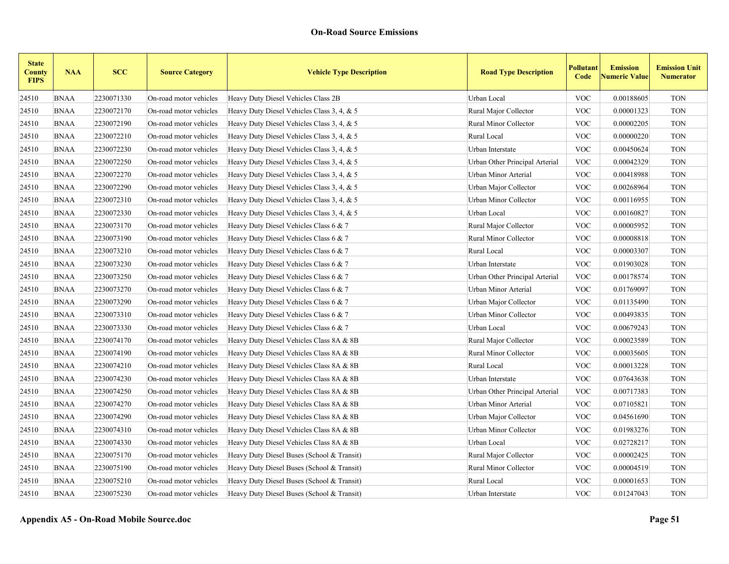| <b>State</b><br><b>County</b><br><b>FIPS</b> | <b>NAA</b>  | <b>SCC</b> | <b>Source Category</b> | <b>Vehicle Type Description</b>            | <b>Road Type Description</b>   | Pollutant<br>Code | <b>Emission</b><br><b>Numeric Value</b> | <b>Emission Unit</b><br><b>Numerator</b> |
|----------------------------------------------|-------------|------------|------------------------|--------------------------------------------|--------------------------------|-------------------|-----------------------------------------|------------------------------------------|
| 24510                                        | <b>BNAA</b> | 2230071330 | On-road motor vehicles | Heavy Duty Diesel Vehicles Class 2B        | Urban Local                    | <b>VOC</b>        | 0.00188605                              | <b>TON</b>                               |
| 24510                                        | <b>BNAA</b> | 2230072170 | On-road motor vehicles | Heavy Duty Diesel Vehicles Class 3, 4, & 5 | Rural Major Collector          | <b>VOC</b>        | 0.00001323                              | <b>TON</b>                               |
| 24510                                        | <b>BNAA</b> | 2230072190 | On-road motor vehicles | Heavy Duty Diesel Vehicles Class 3, 4, & 5 | Rural Minor Collector          | <b>VOC</b>        | 0.00002205                              | <b>TON</b>                               |
| 24510                                        | <b>BNAA</b> | 2230072210 | On-road motor vehicles | Heavy Duty Diesel Vehicles Class 3, 4, & 5 | Rural Local                    | <b>VOC</b>        | 0.00000220                              | <b>TON</b>                               |
| 24510                                        | <b>BNAA</b> | 2230072230 | On-road motor vehicles | Heavy Duty Diesel Vehicles Class 3, 4, & 5 | Urban Interstate               | <b>VOC</b>        | 0.00450624                              | <b>TON</b>                               |
| 24510                                        | <b>BNAA</b> | 2230072250 | On-road motor vehicles | Heavy Duty Diesel Vehicles Class 3, 4, & 5 | Urban Other Principal Arterial | <b>VOC</b>        | 0.00042329                              | <b>TON</b>                               |
| 24510                                        | <b>BNAA</b> | 2230072270 | On-road motor vehicles | Heavy Duty Diesel Vehicles Class 3, 4, & 5 | Urban Minor Arterial           | <b>VOC</b>        | 0.00418988                              | <b>TON</b>                               |
| 24510                                        | <b>BNAA</b> | 2230072290 | On-road motor vehicles | Heavy Duty Diesel Vehicles Class 3, 4, & 5 | Urban Major Collector          | <b>VOC</b>        | 0.00268964                              | <b>TON</b>                               |
| 24510                                        | <b>BNAA</b> | 2230072310 | On-road motor vehicles | Heavy Duty Diesel Vehicles Class 3, 4, & 5 | Urban Minor Collector          | <b>VOC</b>        | 0.00116955                              | <b>TON</b>                               |
| 24510                                        | <b>BNAA</b> | 2230072330 | On-road motor vehicles | Heavy Duty Diesel Vehicles Class 3, 4, & 5 | Urban Local                    | <b>VOC</b>        | 0.00160827                              | <b>TON</b>                               |
| 24510                                        | <b>BNAA</b> | 2230073170 | On-road motor vehicles | Heavy Duty Diesel Vehicles Class 6 & 7     | Rural Major Collector          | <b>VOC</b>        | 0.00005952                              | <b>TON</b>                               |
| 24510                                        | <b>BNAA</b> | 2230073190 | On-road motor vehicles | Heavy Duty Diesel Vehicles Class 6 & 7     | Rural Minor Collector          | <b>VOC</b>        | 0.00008818                              | <b>TON</b>                               |
| 24510                                        | <b>BNAA</b> | 2230073210 | On-road motor vehicles | Heavy Duty Diesel Vehicles Class 6 & 7     | Rural Local                    | <b>VOC</b>        | 0.00003307                              | <b>TON</b>                               |
| 24510                                        | <b>BNAA</b> | 2230073230 | On-road motor vehicles | Heavy Duty Diesel Vehicles Class 6 & 7     | Urban Interstate               | <b>VOC</b>        | 0.01903028                              | <b>TON</b>                               |
| 24510                                        | <b>BNAA</b> | 2230073250 | On-road motor vehicles | Heavy Duty Diesel Vehicles Class 6 $& 7$   | Urban Other Principal Arterial | <b>VOC</b>        | 0.00178574                              | <b>TON</b>                               |
| 24510                                        | <b>BNAA</b> | 2230073270 | On-road motor vehicles | Heavy Duty Diesel Vehicles Class 6 & 7     | Urban Minor Arterial           | <b>VOC</b>        | 0.01769097                              | <b>TON</b>                               |
| 24510                                        | <b>BNAA</b> | 2230073290 | On-road motor vehicles | Heavy Duty Diesel Vehicles Class 6 & 7     | Urban Major Collector          | <b>VOC</b>        | 0.01135490                              | <b>TON</b>                               |
| 24510                                        | <b>BNAA</b> | 2230073310 | On-road motor vehicles | Heavy Duty Diesel Vehicles Class 6 $& 7$   | Urban Minor Collector          | <b>VOC</b>        | 0.00493835                              | <b>TON</b>                               |
| 24510                                        | <b>BNAA</b> | 2230073330 | On-road motor vehicles | Heavy Duty Diesel Vehicles Class $6 & 7$   | Urban Local                    | <b>VOC</b>        | 0.00679243                              | <b>TON</b>                               |
| 24510                                        | <b>BNAA</b> | 2230074170 | On-road motor vehicles | Heavy Duty Diesel Vehicles Class 8A & 8B   | Rural Major Collector          | <b>VOC</b>        | 0.00023589                              | <b>TON</b>                               |
| 24510                                        | <b>BNAA</b> | 2230074190 | On-road motor vehicles | Heavy Duty Diesel Vehicles Class 8A & 8B   | <b>Rural Minor Collector</b>   | <b>VOC</b>        | 0.00035605                              | <b>TON</b>                               |
| 24510                                        | <b>BNAA</b> | 2230074210 | On-road motor vehicles | Heavy Duty Diesel Vehicles Class 8A & 8B   | Rural Local                    | <b>VOC</b>        | 0.00013228                              | <b>TON</b>                               |
| 24510                                        | <b>BNAA</b> | 2230074230 | On-road motor vehicles | Heavy Duty Diesel Vehicles Class 8A & 8B   | Urban Interstate               | <b>VOC</b>        | 0.07643638                              | <b>TON</b>                               |
| 24510                                        | <b>BNAA</b> | 2230074250 | On-road motor vehicles | Heavy Duty Diesel Vehicles Class 8A & 8B   | Urban Other Principal Arterial | <b>VOC</b>        | 0.00717383                              | <b>TON</b>                               |
| 24510                                        | <b>BNAA</b> | 2230074270 | On-road motor vehicles | Heavy Duty Diesel Vehicles Class 8A & 8B   | Urban Minor Arterial           | <b>VOC</b>        | 0.07105821                              | <b>TON</b>                               |
| 24510                                        | <b>BNAA</b> | 2230074290 | On-road motor vehicles | Heavy Duty Diesel Vehicles Class 8A & 8B   | Urban Major Collector          | <b>VOC</b>        | 0.04561690                              | <b>TON</b>                               |
| 24510                                        | <b>BNAA</b> | 2230074310 | On-road motor vehicles | Heavy Duty Diesel Vehicles Class 8A & 8B   | Urban Minor Collector          | <b>VOC</b>        | 0.01983276                              | <b>TON</b>                               |
| 24510                                        | <b>BNAA</b> | 2230074330 | On-road motor vehicles | Heavy Duty Diesel Vehicles Class 8A & 8B   | Urban Local                    | <b>VOC</b>        | 0.02728217                              | <b>TON</b>                               |
| 24510                                        | <b>BNAA</b> | 2230075170 | On-road motor vehicles | Heavy Duty Diesel Buses (School & Transit) | Rural Major Collector          | <b>VOC</b>        | 0.00002425                              | <b>TON</b>                               |
| 24510                                        | <b>BNAA</b> | 2230075190 | On-road motor vehicles | Heavy Duty Diesel Buses (School & Transit) | Rural Minor Collector          | <b>VOC</b>        | 0.00004519                              | <b>TON</b>                               |
| 24510                                        | <b>BNAA</b> | 2230075210 | On-road motor vehicles | Heavy Duty Diesel Buses (School & Transit) | Rural Local                    | <b>VOC</b>        | 0.00001653                              | <b>TON</b>                               |
| 24510                                        | <b>BNAA</b> | 2230075230 | On-road motor vehicles | Heavy Duty Diesel Buses (School & Transit) | Urban Interstate               | <b>VOC</b>        | 0.01247043                              | <b>TON</b>                               |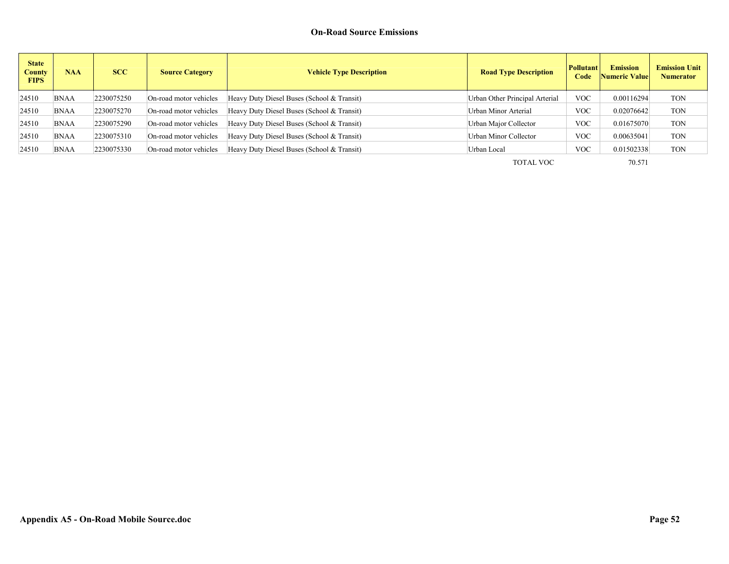| <b>State</b><br><b>County</b><br><b>FIPS</b> | <b>NAA</b>  | <b>SCC</b> | <b>Source Category</b> | <b>Vehicle Type Description</b>            | <b>Road Type Description</b>   | <b>Pollutant</b><br>Code | <b>Emission</b><br><b>Numeric Value</b> | <b>Emission Unit</b><br><b>Numerator</b> |
|----------------------------------------------|-------------|------------|------------------------|--------------------------------------------|--------------------------------|--------------------------|-----------------------------------------|------------------------------------------|
| 24510                                        | <b>BNAA</b> | 2230075250 | On-road motor vehicles | Heavy Duty Diesel Buses (School & Transit) | Urban Other Principal Arterial | <b>VOC</b>               | 0.00116294                              | <b>TON</b>                               |
| 24510                                        | <b>BNAA</b> | 2230075270 | On-road motor vehicles | Heavy Duty Diesel Buses (School & Transit) | Urban Minor Arterial           | <b>VOC</b>               | 0.02076642                              | <b>TON</b>                               |
| 24510                                        | <b>BNAA</b> | 2230075290 | On-road motor vehicles | Heavy Duty Diesel Buses (School & Transit) | Urban Major Collector          | <b>VOC</b>               | 0.01675070                              | <b>TON</b>                               |
| 24510                                        | <b>BNAA</b> | 2230075310 | On-road motor vehicles | Heavy Duty Diesel Buses (School & Transit) | Urban Minor Collector          | <b>VOC</b>               | 0.00635041                              | <b>TON</b>                               |
| 24510                                        | <b>BNAA</b> | 2230075330 | On-road motor vehicles | Heavy Duty Diesel Buses (School & Transit) | Urban Local                    | VOC                      | 0.01502338                              | <b>TON</b>                               |
|                                              |             |            |                        |                                            | <b>TOTAL VOC</b>               |                          | 70.571                                  |                                          |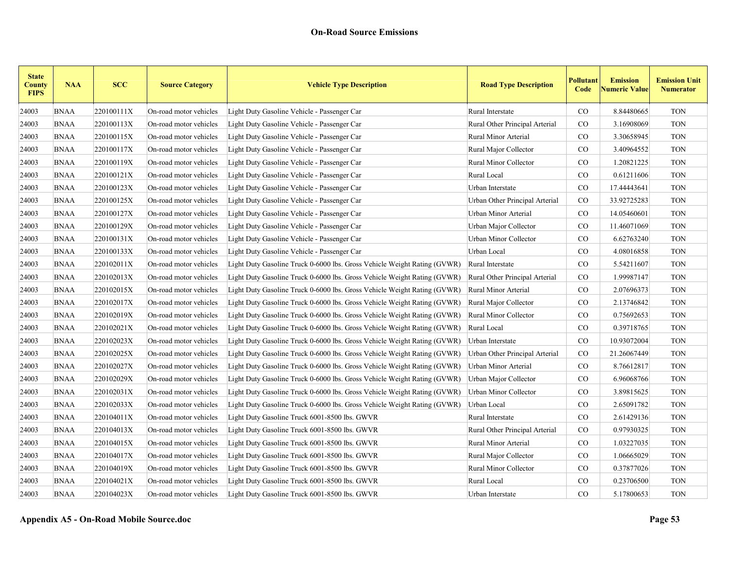| <b>State</b><br><b>County</b><br><b>FIPS</b> | <b>NAA</b>  | <b>SCC</b> | <b>Source Category</b> | <b>Vehicle Type Description</b>                                          | <b>Road Type Description</b>   | <b>Pollutant</b><br>Code | <b>Emission</b><br><b>Jumeric Value</b> | <b>Emission Unit</b><br><b>Numerator</b> |
|----------------------------------------------|-------------|------------|------------------------|--------------------------------------------------------------------------|--------------------------------|--------------------------|-----------------------------------------|------------------------------------------|
| 24003                                        | <b>BNAA</b> | 220100111X | On-road motor vehicles | Light Duty Gasoline Vehicle - Passenger Car                              | Rural Interstate               | $\rm CO$                 | 8.84480665                              | <b>TON</b>                               |
| 24003                                        | <b>BNAA</b> | 220100113X | On-road motor vehicles | Light Duty Gasoline Vehicle - Passenger Car                              | Rural Other Principal Arterial | CO                       | 3.16908069                              | <b>TON</b>                               |
| 24003                                        | <b>BNAA</b> | 220100115X | On-road motor vehicles | Light Duty Gasoline Vehicle - Passenger Car                              | Rural Minor Arterial           | $\rm CO$                 | 3.30658945                              | <b>TON</b>                               |
| 24003                                        | <b>BNAA</b> | 220100117X | On-road motor vehicles | Light Duty Gasoline Vehicle - Passenger Car                              | Rural Major Collector          | $\rm CO$                 | 3.40964552                              | <b>TON</b>                               |
| 24003                                        | <b>BNAA</b> | 220100119X | On-road motor vehicles | Light Duty Gasoline Vehicle - Passenger Car                              | Rural Minor Collector          | CO.                      | 1.20821225                              | <b>TON</b>                               |
| 24003                                        | <b>BNAA</b> | 220100121X | On-road motor vehicles | Light Duty Gasoline Vehicle - Passenger Car                              | Rural Local                    | CO                       | 0.61211606                              | <b>TON</b>                               |
| 24003                                        | <b>BNAA</b> | 220100123X | On-road motor vehicles | Light Duty Gasoline Vehicle - Passenger Car                              | Urban Interstate               | CO                       | 17.44443641                             | <b>TON</b>                               |
| 24003                                        | <b>BNAA</b> | 220100125X | On-road motor vehicles | Light Duty Gasoline Vehicle - Passenger Car                              | Urban Other Principal Arterial | $\rm CO$                 | 33.92725283                             | <b>TON</b>                               |
| 24003                                        | <b>BNAA</b> | 220100127X | On-road motor vehicles | Light Duty Gasoline Vehicle - Passenger Car                              | Urban Minor Arterial           | $\rm CO$                 | 14.05460601                             | <b>TON</b>                               |
| 24003                                        | <b>BNAA</b> | 220100129X | On-road motor vehicles | Light Duty Gasoline Vehicle - Passenger Car                              | Urban Major Collector          | $\rm CO$                 | 11.46071069                             | <b>TON</b>                               |
| 24003                                        | <b>BNAA</b> | 220100131X | On-road motor vehicles | Light Duty Gasoline Vehicle - Passenger Car                              | Urban Minor Collector          | CO                       | 6.62763240                              | <b>TON</b>                               |
| 24003                                        | <b>BNAA</b> | 220100133X | On-road motor vehicles | Light Duty Gasoline Vehicle - Passenger Car                              | Urban Local                    | $\rm CO$                 | 4.08016858                              | <b>TON</b>                               |
| 24003                                        | <b>BNAA</b> | 220102011X | On-road motor vehicles | Light Duty Gasoline Truck 0-6000 lbs. Gross Vehicle Weight Rating (GVWR) | Rural Interstate               | CO                       | 5.54211607                              | <b>TON</b>                               |
| 24003                                        | <b>BNAA</b> | 220102013X | On-road motor vehicles | Light Duty Gasoline Truck 0-6000 lbs. Gross Vehicle Weight Rating (GVWR) | Rural Other Principal Arterial | $\rm CO$                 | 1.99987147                              | <b>TON</b>                               |
| 24003                                        | <b>BNAA</b> | 220102015X | On-road motor vehicles | Light Duty Gasoline Truck 0-6000 lbs. Gross Vehicle Weight Rating (GVWR) | Rural Minor Arterial           | $\rm CO$                 | 2.07696373                              | <b>TON</b>                               |
| 24003                                        | <b>BNAA</b> | 220102017X | On-road motor vehicles | Light Duty Gasoline Truck 0-6000 lbs. Gross Vehicle Weight Rating (GVWR) | Rural Major Collector          | $\rm CO$                 | 2.13746842                              | <b>TON</b>                               |
| 24003                                        | <b>BNAA</b> | 220102019X | On-road motor vehicles | Light Duty Gasoline Truck 0-6000 lbs. Gross Vehicle Weight Rating (GVWR) | Rural Minor Collector          | CO                       | 0.75692653                              | <b>TON</b>                               |
| 24003                                        | <b>BNAA</b> | 220102021X | On-road motor vehicles | Light Duty Gasoline Truck 0-6000 lbs. Gross Vehicle Weight Rating (GVWR) | Rural Local                    | CO                       | 0.39718765                              | <b>TON</b>                               |
| 24003                                        | <b>BNAA</b> | 220102023X | On-road motor vehicles | Light Duty Gasoline Truck 0-6000 lbs. Gross Vehicle Weight Rating (GVWR) | Urban Interstate               | $\rm CO$                 | 10.93072004                             | <b>TON</b>                               |
| 24003                                        | <b>BNAA</b> | 220102025X | On-road motor vehicles | Light Duty Gasoline Truck 0-6000 lbs. Gross Vehicle Weight Rating (GVWR) | Urban Other Principal Arterial | $\rm CO$                 | 21.26067449                             | <b>TON</b>                               |
| 24003                                        | <b>BNAA</b> | 220102027X | On-road motor vehicles | Light Duty Gasoline Truck 0-6000 lbs. Gross Vehicle Weight Rating (GVWR) | Urban Minor Arterial           | $\rm CO$                 | 8.76612817                              | <b>TON</b>                               |
| 24003                                        | <b>BNAA</b> | 220102029X | On-road motor vehicles | Light Duty Gasoline Truck 0-6000 lbs. Gross Vehicle Weight Rating (GVWR) | Urban Major Collector          | $\rm CO$                 | 6.96068766                              | <b>TON</b>                               |
| 24003                                        | <b>BNAA</b> | 220102031X | On-road motor vehicles | Light Duty Gasoline Truck 0-6000 lbs. Gross Vehicle Weight Rating (GVWR) | Urban Minor Collector          | $\rm CO$                 | 3.89815625                              | <b>TON</b>                               |
| 24003                                        | <b>BNAA</b> | 220102033X | On-road motor vehicles | Light Duty Gasoline Truck 0-6000 lbs. Gross Vehicle Weight Rating (GVWR) | Urban Local                    | $\rm CO$                 | 2.65091782                              | <b>TON</b>                               |
| 24003                                        | <b>BNAA</b> | 220104011X | On-road motor vehicles | Light Duty Gasoline Truck 6001-8500 lbs. GWVR                            | Rural Interstate               | $\rm CO$                 | 2.61429136                              | <b>TON</b>                               |
| 24003                                        | <b>BNAA</b> | 220104013X | On-road motor vehicles | Light Duty Gasoline Truck 6001-8500 lbs. GWVR                            | Rural Other Principal Arterial | $\rm CO$                 | 0.97930325                              | <b>TON</b>                               |
| 24003                                        | <b>BNAA</b> | 220104015X | On-road motor vehicles | Light Duty Gasoline Truck 6001-8500 lbs. GWVR                            | Rural Minor Arterial           | $\rm CO$                 | 1.03227035                              | <b>TON</b>                               |
| 24003                                        | <b>BNAA</b> | 220104017X | On-road motor vehicles | Light Duty Gasoline Truck 6001-8500 lbs. GWVR                            | Rural Major Collector          | $\rm CO$                 | 1.06665029                              | <b>TON</b>                               |
| 24003                                        | <b>BNAA</b> | 220104019X | On-road motor vehicles | Light Duty Gasoline Truck 6001-8500 lbs. GWVR                            | Rural Minor Collector          | $\rm CO$                 | 0.37877026                              | <b>TON</b>                               |
| 24003                                        | <b>BNAA</b> | 220104021X | On-road motor vehicles | Light Duty Gasoline Truck 6001-8500 lbs. GWVR                            | Rural Local                    | $\rm CO$                 | 0.23706500                              | <b>TON</b>                               |
| 24003                                        | <b>BNAA</b> | 220104023X | On-road motor vehicles | Light Duty Gasoline Truck 6001-8500 lbs. GWVR                            | Urban Interstate               | CO                       | 5.17800653                              | <b>TON</b>                               |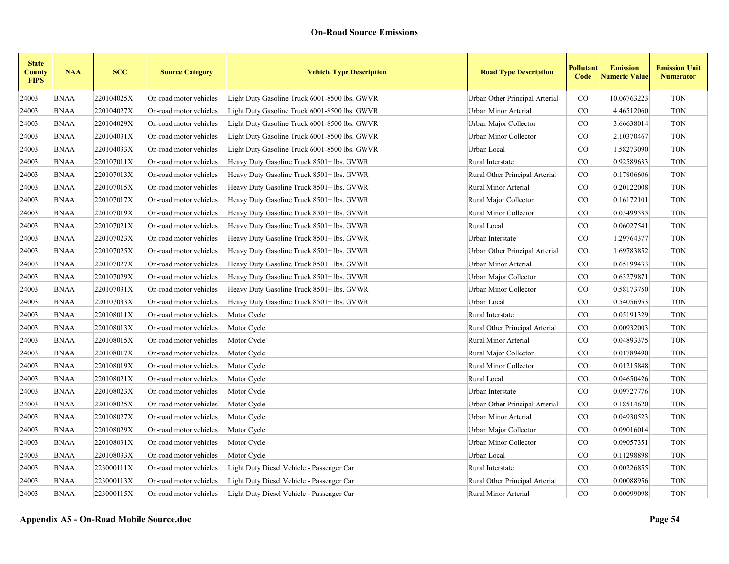| <b>State</b><br><b>County</b><br><b>FIPS</b> | <b>NAA</b>  | <b>SCC</b> | <b>Source Category</b> | <b>Vehicle Type Description</b>               | <b>Road Type Description</b>   | Pollutant<br>Code | <b>Emission</b><br><b>Numeric Value</b> | <b>Emission Unit</b><br><b>Numerator</b> |
|----------------------------------------------|-------------|------------|------------------------|-----------------------------------------------|--------------------------------|-------------------|-----------------------------------------|------------------------------------------|
| 24003                                        | <b>BNAA</b> | 220104025X | On-road motor vehicles | Light Duty Gasoline Truck 6001-8500 lbs. GWVR | Urban Other Principal Arterial | $\rm CO$          | 10.06763223                             | <b>TON</b>                               |
| 24003                                        | <b>BNAA</b> | 220104027X | On-road motor vehicles | Light Duty Gasoline Truck 6001-8500 lbs. GWVR | Urban Minor Arterial           | $\rm CO$          | 4.46512060                              | <b>TON</b>                               |
| 24003                                        | <b>BNAA</b> | 220104029X | On-road motor vehicles | Light Duty Gasoline Truck 6001-8500 lbs. GWVR | Urban Major Collector          | $\rm CO$          | 3.66638014                              | <b>TON</b>                               |
| 24003                                        | <b>BNAA</b> | 220104031X | On-road motor vehicles | Light Duty Gasoline Truck 6001-8500 lbs. GWVR | Urban Minor Collector          | $\rm CO$          | 2.10370467                              | <b>TON</b>                               |
| 24003                                        | <b>BNAA</b> | 220104033X | On-road motor vehicles | Light Duty Gasoline Truck 6001-8500 lbs. GWVR | Urban Local                    | CO                | 1.58273090                              | <b>TON</b>                               |
| 24003                                        | <b>BNAA</b> | 220107011X | On-road motor vehicles | Heavy Duty Gasoline Truck 8501+ lbs. GVWR     | Rural Interstate               | CO                | 0.92589633                              | <b>TON</b>                               |
| 24003                                        | <b>BNAA</b> | 220107013X | On-road motor vehicles | Heavy Duty Gasoline Truck 8501+ lbs. GVWR     | Rural Other Principal Arterial | CO                | 0.17806606                              | <b>TON</b>                               |
| 24003                                        | <b>BNAA</b> | 220107015X | On-road motor vehicles | Heavy Duty Gasoline Truck 8501+ lbs. GVWR     | Rural Minor Arterial           | CO                | 0.20122008                              | <b>TON</b>                               |
| 24003                                        | <b>BNAA</b> | 220107017X | On-road motor vehicles | Heavy Duty Gasoline Truck 8501+ lbs. GVWR     | Rural Major Collector          | CO                | 0.16172101                              | <b>TON</b>                               |
| 24003                                        | <b>BNAA</b> | 220107019X | On-road motor vehicles | Heavy Duty Gasoline Truck 8501+ lbs. GVWR     | Rural Minor Collector          | $\rm CO$          | 0.05499535                              | <b>TON</b>                               |
| 24003                                        | <b>BNAA</b> | 220107021X | On-road motor vehicles | Heavy Duty Gasoline Truck 8501+ lbs. GVWR     | Rural Local                    | CO                | 0.06027541                              | <b>TON</b>                               |
| 24003                                        | <b>BNAA</b> | 220107023X | On-road motor vehicles | Heavy Duty Gasoline Truck 8501+ lbs. GVWR     | Urban Interstate               | $\rm CO$          | 1.29764377                              | <b>TON</b>                               |
| 24003                                        | <b>BNAA</b> | 220107025X | On-road motor vehicles | Heavy Duty Gasoline Truck 8501+ lbs. GVWR     | Urban Other Principal Arterial | $\rm CO$          | 1.69783852                              | <b>TON</b>                               |
| 24003                                        | <b>BNAA</b> | 220107027X | On-road motor vehicles | Heavy Duty Gasoline Truck 8501+ lbs. GVWR     | Urban Minor Arterial           | $\rm CO$          | 0.65199433                              | <b>TON</b>                               |
| 24003                                        | <b>BNAA</b> | 220107029X | On-road motor vehicles | Heavy Duty Gasoline Truck 8501+ lbs. GVWR     | Urban Major Collector          | $\rm CO$          | 0.63279871                              | <b>TON</b>                               |
| 24003                                        | <b>BNAA</b> | 220107031X | On-road motor vehicles | Heavy Duty Gasoline Truck 8501+ lbs. GVWR     | Urban Minor Collector          | $\rm CO$          | 0.58173750                              | <b>TON</b>                               |
| 24003                                        | <b>BNAA</b> | 220107033X | On-road motor vehicles | Heavy Duty Gasoline Truck 8501+ lbs. GVWR     | Urban Local                    | CO                | 0.54056953                              | <b>TON</b>                               |
| 24003                                        | <b>BNAA</b> | 220108011X | On-road motor vehicles | Motor Cycle                                   | Rural Interstate               | CO                | 0.05191329                              | <b>TON</b>                               |
| 24003                                        | <b>BNAA</b> | 220108013X | On-road motor vehicles | Motor Cycle                                   | Rural Other Principal Arterial | $\rm CO$          | 0.00932003                              | <b>TON</b>                               |
| 24003                                        | <b>BNAA</b> | 220108015X | On-road motor vehicles | Motor Cycle                                   | Rural Minor Arterial           | $\rm CO$          | 0.04893375                              | <b>TON</b>                               |
| 24003                                        | <b>BNAA</b> | 220108017X | On-road motor vehicles | Motor Cycle                                   | Rural Major Collector          | $\rm CO$          | 0.01789490                              | <b>TON</b>                               |
| 24003                                        | <b>BNAA</b> | 220108019X | On-road motor vehicles | Motor Cycle                                   | Rural Minor Collector          | $\rm CO$          | 0.01215848                              | <b>TON</b>                               |
| 24003                                        | <b>BNAA</b> | 220108021X | On-road motor vehicles | Motor Cycle                                   | Rural Local                    | $\rm CO$          | 0.04650426                              | <b>TON</b>                               |
| 24003                                        | <b>BNAA</b> | 220108023X | On-road motor vehicles | Motor Cycle                                   | Urban Interstate               | $\rm CO$          | 0.09727776                              | <b>TON</b>                               |
| 24003                                        | <b>BNAA</b> | 220108025X | On-road motor vehicles | Motor Cycle                                   | Urban Other Principal Arterial | $\rm CO$          | 0.18514620                              | <b>TON</b>                               |
| 24003                                        | <b>BNAA</b> | 220108027X | On-road motor vehicles | Motor Cycle                                   | Urban Minor Arterial           | $\rm CO$          | 0.04930523                              | <b>TON</b>                               |
| 24003                                        | <b>BNAA</b> | 220108029X | On-road motor vehicles | Motor Cycle                                   | Urban Major Collector          | $\rm CO$          | 0.09016014                              | <b>TON</b>                               |
| 24003                                        | <b>BNAA</b> | 220108031X | On-road motor vehicles | Motor Cycle                                   | Urban Minor Collector          | $\rm CO$          | 0.09057351                              | <b>TON</b>                               |
| 24003                                        | <b>BNAA</b> | 220108033X | On-road motor vehicles | Motor Cycle                                   | Urban Local                    | $\rm CO$          | 0.11298898                              | <b>TON</b>                               |
| 24003                                        | <b>BNAA</b> | 223000111X | On-road motor vehicles | Light Duty Diesel Vehicle - Passenger Car     | Rural Interstate               | $\rm CO$          | 0.00226855                              | <b>TON</b>                               |
| 24003                                        | <b>BNAA</b> | 223000113X | On-road motor vehicles | Light Duty Diesel Vehicle - Passenger Car     | Rural Other Principal Arterial | $\rm CO$          | 0.00088956                              | <b>TON</b>                               |
| 24003                                        | <b>BNAA</b> | 223000115X | On-road motor vehicles | Light Duty Diesel Vehicle - Passenger Car     | Rural Minor Arterial           | CO                | 0.00099098                              | <b>TON</b>                               |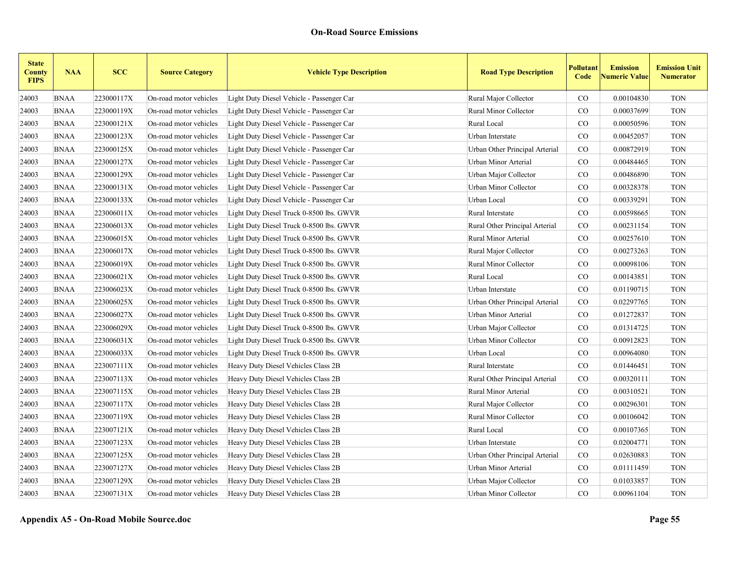| <b>State</b><br><b>County</b><br><b>FIPS</b> | <b>NAA</b>  | <b>SCC</b> | <b>Source Category</b> | <b>Vehicle Type Description</b>           | <b>Road Type Description</b>   | Pollutant<br>Code | <b>Emission</b><br><b>Numeric Value</b> | <b>Emission Unit</b><br><b>Numerator</b> |
|----------------------------------------------|-------------|------------|------------------------|-------------------------------------------|--------------------------------|-------------------|-----------------------------------------|------------------------------------------|
| 24003                                        | <b>BNAA</b> | 223000117X | On-road motor vehicles | Light Duty Diesel Vehicle - Passenger Car | Rural Major Collector          | $\rm CO$          | 0.00104830                              | <b>TON</b>                               |
| 24003                                        | <b>BNAA</b> | 223000119X | On-road motor vehicles | Light Duty Diesel Vehicle - Passenger Car | Rural Minor Collector          | $_{\rm CO}$       | 0.00037699                              | <b>TON</b>                               |
| 24003                                        | <b>BNAA</b> | 223000121X | On-road motor vehicles | Light Duty Diesel Vehicle - Passenger Car | Rural Local                    | $_{\rm CO}$       | 0.00050596                              | <b>TON</b>                               |
| 24003                                        | <b>BNAA</b> | 223000123X | On-road motor vehicles | Light Duty Diesel Vehicle - Passenger Car | Urban Interstate               | $\rm CO$          | 0.00452057                              | <b>TON</b>                               |
| 24003                                        | <b>BNAA</b> | 223000125X | On-road motor vehicles | Light Duty Diesel Vehicle - Passenger Car | Urban Other Principal Arterial | CO                | 0.00872919                              | <b>TON</b>                               |
| 24003                                        | <b>BNAA</b> | 223000127X | On-road motor vehicles | Light Duty Diesel Vehicle - Passenger Car | Urban Minor Arterial           | $\rm CO$          | 0.00484465                              | <b>TON</b>                               |
| 24003                                        | <b>BNAA</b> | 223000129X | On-road motor vehicles | Light Duty Diesel Vehicle - Passenger Car | Urban Major Collector          | $\rm CO$          | 0.00486890                              | <b>TON</b>                               |
| 24003                                        | <b>BNAA</b> | 223000131X | On-road motor vehicles | Light Duty Diesel Vehicle - Passenger Car | Urban Minor Collector          | CO                | 0.00328378                              | <b>TON</b>                               |
| 24003                                        | <b>BNAA</b> | 223000133X | On-road motor vehicles | Light Duty Diesel Vehicle - Passenger Car | Urban Local                    | CO                | 0.00339291                              | <b>TON</b>                               |
| 24003                                        | <b>BNAA</b> | 223006011X | On-road motor vehicles | Light Duty Diesel Truck 0-8500 lbs. GWVR  | Rural Interstate               | $\rm CO$          | 0.00598665                              | <b>TON</b>                               |
| 24003                                        | <b>BNAA</b> | 223006013X | On-road motor vehicles | Light Duty Diesel Truck 0-8500 lbs. GWVR  | Rural Other Principal Arterial | $_{\rm CO}$       | 0.00231154                              | <b>TON</b>                               |
| 24003                                        | <b>BNAA</b> | 223006015X | On-road motor vehicles | Light Duty Diesel Truck 0-8500 lbs. GWVR  | Rural Minor Arterial           | $\rm CO$          | 0.00257610                              | <b>TON</b>                               |
| 24003                                        | <b>BNAA</b> | 223006017X | On-road motor vehicles | Light Duty Diesel Truck 0-8500 lbs. GWVR  | Rural Major Collector          | CO                | 0.00273263                              | <b>TON</b>                               |
| 24003                                        | <b>BNAA</b> | 223006019X | On-road motor vehicles | Light Duty Diesel Truck 0-8500 lbs. GWVR  | Rural Minor Collector          | $\rm CO$          | 0.00098106                              | <b>TON</b>                               |
| 24003                                        | <b>BNAA</b> | 223006021X | On-road motor vehicles | Light Duty Diesel Truck 0-8500 lbs. GWVR  | Rural Local                    | $\rm CO$          | 0.00143851                              | <b>TON</b>                               |
| 24003                                        | <b>BNAA</b> | 223006023X | On-road motor vehicles | Light Duty Diesel Truck 0-8500 lbs. GWVR  | Urban Interstate               | CO                | 0.01190715                              | <b>TON</b>                               |
| 24003                                        | <b>BNAA</b> | 223006025X | On-road motor vehicles | Light Duty Diesel Truck 0-8500 lbs. GWVR  | Urban Other Principal Arterial | $\rm CO$          | 0.02297765                              | <b>TON</b>                               |
| 24003                                        | <b>BNAA</b> | 223006027X | On-road motor vehicles | Light Duty Diesel Truck 0-8500 lbs. GWVR  | Urban Minor Arterial           | CO                | 0.01272837                              | <b>TON</b>                               |
| 24003                                        | <b>BNAA</b> | 223006029X | On-road motor vehicles | Light Duty Diesel Truck 0-8500 lbs. GWVR  | Urban Major Collector          | $\rm CO$          | 0.01314725                              | <b>TON</b>                               |
| 24003                                        | <b>BNAA</b> | 223006031X | On-road motor vehicles | Light Duty Diesel Truck 0-8500 lbs. GWVR  | <b>Urban Minor Collector</b>   | $\rm CO$          | 0.00912823                              | <b>TON</b>                               |
| 24003                                        | <b>BNAA</b> | 223006033X | On-road motor vehicles | Light Duty Diesel Truck 0-8500 lbs. GWVR  | Urban Local                    | CO                | 0.00964080                              | <b>TON</b>                               |
| 24003                                        | <b>BNAA</b> | 223007111X | On-road motor vehicles | Heavy Duty Diesel Vehicles Class 2B       | Rural Interstate               | CO                | 0.01446451                              | <b>TON</b>                               |
| 24003                                        | <b>BNAA</b> | 223007113X | On-road motor vehicles | Heavy Duty Diesel Vehicles Class 2B       | Rural Other Principal Arterial | $\rm CO$          | 0.00320111                              | <b>TON</b>                               |
| 24003                                        | <b>BNAA</b> | 223007115X | On-road motor vehicles | Heavy Duty Diesel Vehicles Class 2B       | Rural Minor Arterial           | CO                | 0.00310521                              | <b>TON</b>                               |
| 24003                                        | <b>BNAA</b> | 223007117X | On-road motor vehicles | Heavy Duty Diesel Vehicles Class 2B       | Rural Major Collector          | $\rm CO$          | 0.00296301                              | <b>TON</b>                               |
| 24003                                        | <b>BNAA</b> | 223007119X | On-road motor vehicles | Heavy Duty Diesel Vehicles Class 2B       | <b>Rural Minor Collector</b>   | CO                | 0.00106042                              | <b>TON</b>                               |
| 24003                                        | <b>BNAA</b> | 223007121X | On-road motor vehicles | Heavy Duty Diesel Vehicles Class 2B       | Rural Local                    | $\rm CO$          | 0.00107365                              | <b>TON</b>                               |
| 24003                                        | <b>BNAA</b> | 223007123X | On-road motor vehicles | Heavy Duty Diesel Vehicles Class 2B       | Urban Interstate               | CO                | 0.02004771                              | <b>TON</b>                               |
| 24003                                        | <b>BNAA</b> | 223007125X | On-road motor vehicles | Heavy Duty Diesel Vehicles Class 2B       | Urban Other Principal Arterial | $\rm CO$          | 0.02630883                              | <b>TON</b>                               |
| 24003                                        | <b>BNAA</b> | 223007127X | On-road motor vehicles | Heavy Duty Diesel Vehicles Class 2B       | Urban Minor Arterial           | $\rm CO$          | 0.01111459                              | <b>TON</b>                               |
| 24003                                        | <b>BNAA</b> | 223007129X | On-road motor vehicles | Heavy Duty Diesel Vehicles Class 2B       | Urban Major Collector          | CO                | 0.01033857                              | <b>TON</b>                               |
| 24003                                        | <b>BNAA</b> | 223007131X | On-road motor vehicles | Heavy Duty Diesel Vehicles Class 2B       | Urban Minor Collector          | CO                | 0.00961104                              | <b>TON</b>                               |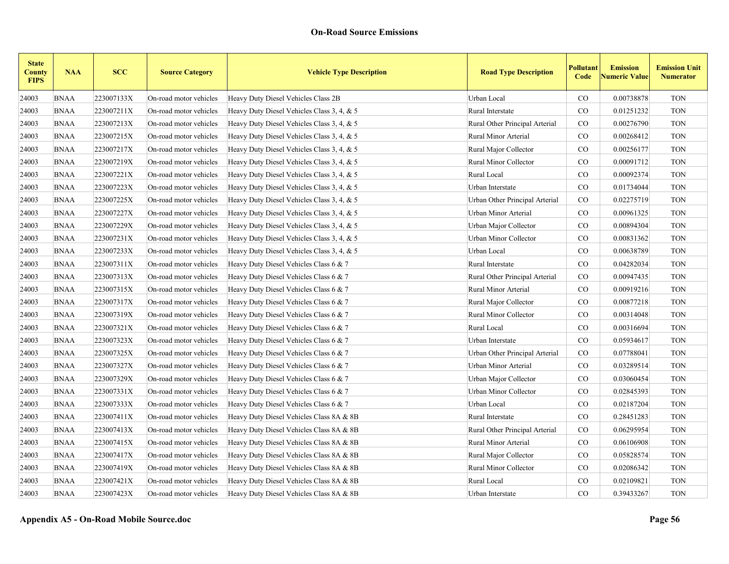| <b>State</b><br><b>County</b><br><b>FIPS</b> | <b>NAA</b>  | <b>SCC</b> | <b>Source Category</b> | <b>Vehicle Type Description</b>            | <b>Road Type Description</b>   | Pollutant<br>Code | <b>Emission</b><br><b>Numeric Value</b> | <b>Emission Unit</b><br><b>Numerator</b> |
|----------------------------------------------|-------------|------------|------------------------|--------------------------------------------|--------------------------------|-------------------|-----------------------------------------|------------------------------------------|
| 24003                                        | <b>BNAA</b> | 223007133X | On-road motor vehicles | Heavy Duty Diesel Vehicles Class 2B        | Urban Local                    | $\rm CO$          | 0.00738878                              | <b>TON</b>                               |
| 24003                                        | <b>BNAA</b> | 223007211X | On-road motor vehicles | Heavy Duty Diesel Vehicles Class 3, 4, & 5 | Rural Interstate               | $_{\rm CO}$       | 0.01251232                              | <b>TON</b>                               |
| 24003                                        | <b>BNAA</b> | 223007213X | On-road motor vehicles | Heavy Duty Diesel Vehicles Class 3, 4, & 5 | Rural Other Principal Arterial | $_{\rm CO}$       | 0.00276790                              | <b>TON</b>                               |
| 24003                                        | <b>BNAA</b> | 223007215X | On-road motor vehicles | Heavy Duty Diesel Vehicles Class 3, 4, & 5 | Rural Minor Arterial           | $\rm CO$          | 0.00268412                              | <b>TON</b>                               |
| 24003                                        | <b>BNAA</b> | 223007217X | On-road motor vehicles | Heavy Duty Diesel Vehicles Class 3, 4, & 5 | Rural Major Collector          | $\rm CO$          | 0.00256177                              | <b>TON</b>                               |
| 24003                                        | <b>BNAA</b> | 223007219X | On-road motor vehicles | Heavy Duty Diesel Vehicles Class 3, 4, & 5 | Rural Minor Collector          | $\rm CO$          | 0.00091712                              | <b>TON</b>                               |
| 24003                                        | <b>BNAA</b> | 223007221X | On-road motor vehicles | Heavy Duty Diesel Vehicles Class 3, 4, & 5 | Rural Local                    | $_{\rm CO}$       | 0.00092374                              | <b>TON</b>                               |
| 24003                                        | <b>BNAA</b> | 223007223X | On-road motor vehicles | Heavy Duty Diesel Vehicles Class 3, 4, & 5 | Urban Interstate               | $\rm CO$          | 0.01734044                              | <b>TON</b>                               |
| 24003                                        | <b>BNAA</b> | 223007225X | On-road motor vehicles | Heavy Duty Diesel Vehicles Class 3, 4, & 5 | Urban Other Principal Arterial | $\rm CO$          | 0.02275719                              | <b>TON</b>                               |
| 24003                                        | <b>BNAA</b> | 223007227X | On-road motor vehicles | Heavy Duty Diesel Vehicles Class 3, 4, & 5 | Urban Minor Arterial           | $\rm CO$          | 0.00961325                              | <b>TON</b>                               |
| 24003                                        | <b>BNAA</b> | 223007229X | On-road motor vehicles | Heavy Duty Diesel Vehicles Class 3, 4, & 5 | Urban Major Collector          | $_{\rm CO}$       | 0.00894304                              | <b>TON</b>                               |
| 24003                                        | <b>BNAA</b> | 223007231X | On-road motor vehicles | Heavy Duty Diesel Vehicles Class 3, 4, & 5 | Urban Minor Collector          | CO                | 0.00831362                              | <b>TON</b>                               |
| 24003                                        | <b>BNAA</b> | 223007233X | On-road motor vehicles | Heavy Duty Diesel Vehicles Class 3, 4, & 5 | Urban Local                    | CO                | 0.00638789                              | <b>TON</b>                               |
| 24003                                        | <b>BNAA</b> | 223007311X | On-road motor vehicles | Heavy Duty Diesel Vehicles Class 6 & 7     | Rural Interstate               | $\rm CO$          | 0.04282034                              | <b>TON</b>                               |
| 24003                                        | <b>BNAA</b> | 223007313X | On-road motor vehicles | Heavy Duty Diesel Vehicles Class 6 $& 7$   | Rural Other Principal Arterial | $_{\rm CO}$       | 0.00947435                              | <b>TON</b>                               |
| 24003                                        | <b>BNAA</b> | 223007315X | On-road motor vehicles | Heavy Duty Diesel Vehicles Class 6 & 7     | Rural Minor Arterial           | $\rm CO$          | 0.00919216                              | <b>TON</b>                               |
| 24003                                        | <b>BNAA</b> | 223007317X | On-road motor vehicles | Heavy Duty Diesel Vehicles Class 6 & 7     | Rural Major Collector          | CO                | 0.00877218                              | <b>TON</b>                               |
| 24003                                        | <b>BNAA</b> | 223007319X | On-road motor vehicles | Heavy Duty Diesel Vehicles Class 6 $& 7$   | Rural Minor Collector          | $_{\rm CO}$       | 0.00314048                              | <b>TON</b>                               |
| 24003                                        | <b>BNAA</b> | 223007321X | On-road motor vehicles | Heavy Duty Diesel Vehicles Class $6 & 7$   | Rural Local                    | $\rm CO$          | 0.00316694                              | <b>TON</b>                               |
| 24003                                        | <b>BNAA</b> | 223007323X | On-road motor vehicles | Heavy Duty Diesel Vehicles Class 6 & 7     | Urban Interstate               | $\rm CO$          | 0.05934617                              | <b>TON</b>                               |
| 24003                                        | <b>BNAA</b> | 223007325X | On-road motor vehicles | Heavy Duty Diesel Vehicles Class 6 & 7     | Urban Other Principal Arterial | $\rm CO$          | 0.07788041                              | <b>TON</b>                               |
| 24003                                        | <b>BNAA</b> | 223007327X | On-road motor vehicles | Heavy Duty Diesel Vehicles Class 6 & 7     | Urban Minor Arterial           | $\rm CO$          | 0.03289514                              | <b>TON</b>                               |
| 24003                                        | <b>BNAA</b> | 223007329X | On-road motor vehicles | Heavy Duty Diesel Vehicles Class 6 & 7     | Urban Major Collector          | $\rm CO$          | 0.03060454                              | <b>TON</b>                               |
| 24003                                        | <b>BNAA</b> | 223007331X | On-road motor vehicles | Heavy Duty Diesel Vehicles Class 6 & 7     | Urban Minor Collector          | CO                | 0.02845393                              | <b>TON</b>                               |
| 24003                                        | <b>BNAA</b> | 223007333X | On-road motor vehicles | Heavy Duty Diesel Vehicles Class 6 & 7     | Urban Local                    | CO                | 0.02187204                              | <b>TON</b>                               |
| 24003                                        | <b>BNAA</b> | 223007411X | On-road motor vehicles | Heavy Duty Diesel Vehicles Class 8A & 8B   | Rural Interstate               | $\rm CO$          | 0.28451283                              | <b>TON</b>                               |
| 24003                                        | <b>BNAA</b> | 223007413X | On-road motor vehicles | Heavy Duty Diesel Vehicles Class 8A & 8B   | Rural Other Principal Arterial | $_{\rm CO}$       | 0.06295954                              | <b>TON</b>                               |
| 24003                                        | <b>BNAA</b> | 223007415X | On-road motor vehicles | Heavy Duty Diesel Vehicles Class 8A & 8B   | Rural Minor Arterial           | $_{\rm CO}$       | 0.06106908                              | <b>TON</b>                               |
| 24003                                        | <b>BNAA</b> | 223007417X | On-road motor vehicles | Heavy Duty Diesel Vehicles Class 8A & 8B   | Rural Major Collector          | $\rm CO$          | 0.05828574                              | <b>TON</b>                               |
| 24003                                        | <b>BNAA</b> | 223007419X | On-road motor vehicles | Heavy Duty Diesel Vehicles Class 8A & 8B   | Rural Minor Collector          | $\rm CO$          | 0.02086342                              | <b>TON</b>                               |
| 24003                                        | <b>BNAA</b> | 223007421X | On-road motor vehicles | Heavy Duty Diesel Vehicles Class 8A & 8B   | Rural Local                    | CO                | 0.02109821                              | <b>TON</b>                               |
| 24003                                        | <b>BNAA</b> | 223007423X | On-road motor vehicles | Heavy Duty Diesel Vehicles Class 8A & 8B   | Urban Interstate               | CO                | 0.39433267                              | <b>TON</b>                               |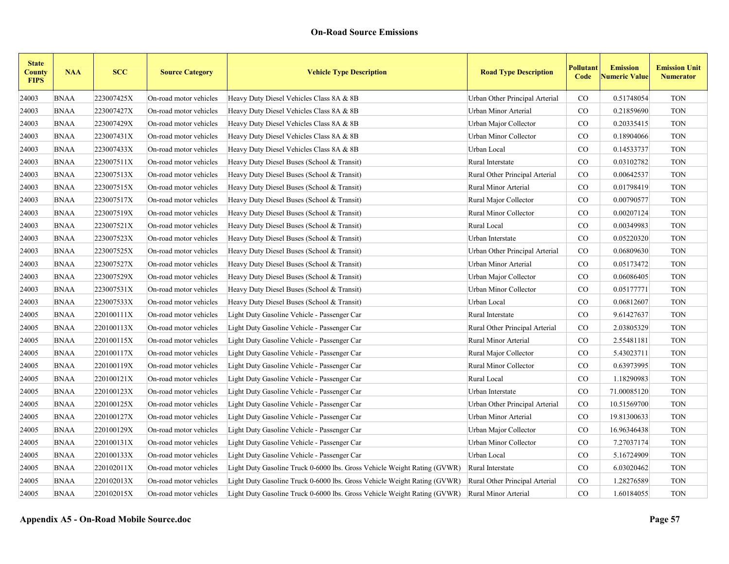| <b>State</b><br><b>County</b><br><b>FIPS</b> | <b>NAA</b>  | <b>SCC</b> | <b>Source Category</b> | <b>Vehicle Type Description</b>                                          | <b>Road Type Description</b>   | Pollutant<br>Code | <b>Emission</b><br><b>Numeric Value</b> | <b>Emission Unit</b><br><b>Numerator</b> |
|----------------------------------------------|-------------|------------|------------------------|--------------------------------------------------------------------------|--------------------------------|-------------------|-----------------------------------------|------------------------------------------|
| 24003                                        | <b>BNAA</b> | 223007425X | On-road motor vehicles | Heavy Duty Diesel Vehicles Class 8A & 8B                                 | Urban Other Principal Arterial | $\rm CO$          | 0.51748054                              | <b>TON</b>                               |
| 24003                                        | <b>BNAA</b> | 223007427X | On-road motor vehicles | Heavy Duty Diesel Vehicles Class 8A & 8B                                 | Urban Minor Arterial           | $\rm CO$          | 0.21859690                              | <b>TON</b>                               |
| 24003                                        | <b>BNAA</b> | 223007429X | On-road motor vehicles | Heavy Duty Diesel Vehicles Class 8A & 8B                                 | Urban Major Collector          | $\rm CO$          | 0.20335415                              | <b>TON</b>                               |
| 24003                                        | <b>BNAA</b> | 223007431X | On-road motor vehicles | Heavy Duty Diesel Vehicles Class 8A & 8B                                 | Urban Minor Collector          | $\rm CO$          | 0.18904066                              | <b>TON</b>                               |
| 24003                                        | <b>BNAA</b> | 223007433X | On-road motor vehicles | Heavy Duty Diesel Vehicles Class 8A & 8B                                 | Urban Local                    | CO                | 0.14533737                              | <b>TON</b>                               |
| 24003                                        | <b>BNAA</b> | 223007511X | On-road motor vehicles | Heavy Duty Diesel Buses (School & Transit)                               | Rural Interstate               | $\rm CO$          | 0.03102782                              | <b>TON</b>                               |
| 24003                                        | <b>BNAA</b> | 223007513X | On-road motor vehicles | Heavy Duty Diesel Buses (School & Transit)                               | Rural Other Principal Arterial | CO                | 0.00642537                              | <b>TON</b>                               |
| 24003                                        | <b>BNAA</b> | 223007515X | On-road motor vehicles | Heavy Duty Diesel Buses (School & Transit)                               | Rural Minor Arterial           | $\rm CO$          | 0.01798419                              | <b>TON</b>                               |
| 24003                                        | <b>BNAA</b> | 223007517X | On-road motor vehicles | Heavy Duty Diesel Buses (School & Transit)                               | Rural Major Collector          | CO                | 0.00790577                              | <b>TON</b>                               |
| 24003                                        | <b>BNAA</b> | 223007519X | On-road motor vehicles | Heavy Duty Diesel Buses (School & Transit)                               | Rural Minor Collector          | $\rm CO$          | 0.00207124                              | <b>TON</b>                               |
| 24003                                        | <b>BNAA</b> | 223007521X | On-road motor vehicles | Heavy Duty Diesel Buses (School & Transit)                               | Rural Local                    | CO                | 0.00349983                              | <b>TON</b>                               |
| 24003                                        | <b>BNAA</b> | 223007523X | On-road motor vehicles | Heavy Duty Diesel Buses (School & Transit)                               | Urban Interstate               | $\rm CO$          | 0.05220320                              | <b>TON</b>                               |
| 24003                                        | <b>BNAA</b> | 223007525X | On-road motor vehicles | Heavy Duty Diesel Buses (School & Transit)                               | Urban Other Principal Arterial | $\rm CO$          | 0.06809630                              | <b>TON</b>                               |
| 24003                                        | <b>BNAA</b> | 223007527X | On-road motor vehicles | Heavy Duty Diesel Buses (School & Transit)                               | Urban Minor Arterial           | $\rm CO$          | 0.05173472                              | <b>TON</b>                               |
| 24003                                        | <b>BNAA</b> | 223007529X | On-road motor vehicles | Heavy Duty Diesel Buses (School & Transit)                               | Urban Major Collector          | $\rm CO$          | 0.06086405                              | <b>TON</b>                               |
| 24003                                        | <b>BNAA</b> | 223007531X | On-road motor vehicles | Heavy Duty Diesel Buses (School & Transit)                               | Urban Minor Collector          | $\rm CO$          | 0.05177771                              | <b>TON</b>                               |
| 24003                                        | <b>BNAA</b> | 223007533X | On-road motor vehicles | Heavy Duty Diesel Buses (School & Transit)                               | Urban Local                    | CO                | 0.06812607                              | <b>TON</b>                               |
| 24005                                        | <b>BNAA</b> | 220100111X | On-road motor vehicles | Light Duty Gasoline Vehicle - Passenger Car                              | Rural Interstate               | CO                | 9.61427637                              | <b>TON</b>                               |
| 24005                                        | <b>BNAA</b> | 220100113X | On-road motor vehicles | Light Duty Gasoline Vehicle - Passenger Car                              | Rural Other Principal Arterial | $\rm CO$          | 2.03805329                              | <b>TON</b>                               |
| 24005                                        | <b>BNAA</b> | 220100115X | On-road motor vehicles | Light Duty Gasoline Vehicle - Passenger Car                              | Rural Minor Arterial           | $\rm CO$          | 2.55481181                              | <b>TON</b>                               |
| 24005                                        | <b>BNAA</b> | 220100117X | On-road motor vehicles | Light Duty Gasoline Vehicle - Passenger Car                              | Rural Major Collector          | $\rm CO$          | 5.43023711                              | <b>TON</b>                               |
| 24005                                        | <b>BNAA</b> | 220100119X | On-road motor vehicles | Light Duty Gasoline Vehicle - Passenger Car                              | Rural Minor Collector          | $\rm CO$          | 0.63973995                              | <b>TON</b>                               |
| 24005                                        | <b>BNAA</b> | 220100121X | On-road motor vehicles | Light Duty Gasoline Vehicle - Passenger Car                              | Rural Local                    | $\rm CO$          | 1.18290983                              | <b>TON</b>                               |
| 24005                                        | <b>BNAA</b> | 220100123X | On-road motor vehicles | Light Duty Gasoline Vehicle - Passenger Car                              | Urban Interstate               | $\rm CO$          | 71.00085120                             | <b>TON</b>                               |
| 24005                                        | <b>BNAA</b> | 220100125X | On-road motor vehicles | Light Duty Gasoline Vehicle - Passenger Car                              | Urban Other Principal Arterial | $\rm CO$          | 10.51569700                             | <b>TON</b>                               |
| 24005                                        | <b>BNAA</b> | 220100127X | On-road motor vehicles | Light Duty Gasoline Vehicle - Passenger Car                              | Urban Minor Arterial           | CO                | 19.81300633                             | <b>TON</b>                               |
| 24005                                        | <b>BNAA</b> | 220100129X | On-road motor vehicles | Light Duty Gasoline Vehicle - Passenger Car                              | Urban Major Collector          | $\rm CO$          | 16.96346438                             | <b>TON</b>                               |
| 24005                                        | <b>BNAA</b> | 220100131X | On-road motor vehicles | Light Duty Gasoline Vehicle - Passenger Car                              | Urban Minor Collector          | $\rm CO$          | 7.27037174                              | <b>TON</b>                               |
| 24005                                        | <b>BNAA</b> | 220100133X | On-road motor vehicles | Light Duty Gasoline Vehicle - Passenger Car                              | Urban Local                    | $\rm CO$          | 5.16724909                              | <b>TON</b>                               |
| 24005                                        | <b>BNAA</b> | 220102011X | On-road motor vehicles | Light Duty Gasoline Truck 0-6000 lbs. Gross Vehicle Weight Rating (GVWR) | Rural Interstate               | $\rm CO$          | 6.03020462                              | <b>TON</b>                               |
| 24005                                        | <b>BNAA</b> | 220102013X | On-road motor vehicles | Light Duty Gasoline Truck 0-6000 lbs. Gross Vehicle Weight Rating (GVWR) | Rural Other Principal Arterial | $\rm CO$          | 1.28276589                              | <b>TON</b>                               |
| 24005                                        | <b>BNAA</b> | 220102015X | On-road motor vehicles | Light Duty Gasoline Truck 0-6000 lbs. Gross Vehicle Weight Rating (GVWR) | Rural Minor Arterial           | CO                | 1.60184055                              | <b>TON</b>                               |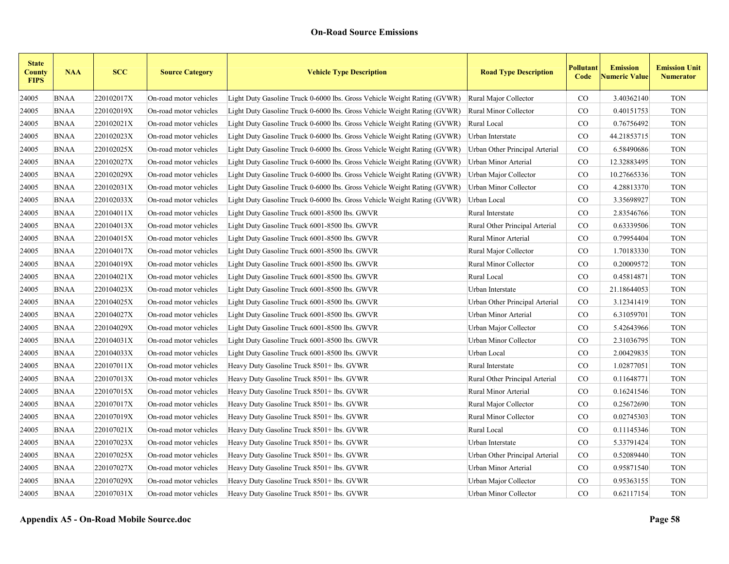| <b>State</b><br><b>County</b><br><b>FIPS</b> | <b>NAA</b>  | <b>SCC</b> | <b>Source Category</b> | <b>Vehicle Type Description</b>                                          | <b>Road Type Description</b>   | Pollutant<br>Code | <b>Emission</b><br><b>Numeric Value</b> | <b>Emission Unit</b><br><b>Numerator</b> |
|----------------------------------------------|-------------|------------|------------------------|--------------------------------------------------------------------------|--------------------------------|-------------------|-----------------------------------------|------------------------------------------|
| 24005                                        | <b>BNAA</b> | 220102017X | On-road motor vehicles | Light Duty Gasoline Truck 0-6000 lbs. Gross Vehicle Weight Rating (GVWR) | Rural Major Collector          | $_{\rm CO}$       | 3.40362140                              | <b>TON</b>                               |
| 24005                                        | <b>BNAA</b> | 220102019X | On-road motor vehicles | Light Duty Gasoline Truck 0-6000 lbs. Gross Vehicle Weight Rating (GVWR) | Rural Minor Collector          | $_{\rm CO}$       | 0.40151753                              | <b>TON</b>                               |
| 24005                                        | <b>BNAA</b> | 220102021X | On-road motor vehicles | Light Duty Gasoline Truck 0-6000 lbs. Gross Vehicle Weight Rating (GVWR) | Rural Local                    | $_{\rm CO}$       | 0.76756492                              | <b>TON</b>                               |
| 24005                                        | <b>BNAA</b> | 220102023X | On-road motor vehicles | Light Duty Gasoline Truck 0-6000 lbs. Gross Vehicle Weight Rating (GVWR) | Urban Interstate               | $\rm CO$          | 44.21853715                             | <b>TON</b>                               |
| 24005                                        | <b>BNAA</b> | 220102025X | On-road motor vehicles | Light Duty Gasoline Truck 0-6000 lbs. Gross Vehicle Weight Rating (GVWR) | Urban Other Principal Arterial | CO                | 6.58490686                              | <b>TON</b>                               |
| 24005                                        | <b>BNAA</b> | 220102027X | On-road motor vehicles | Light Duty Gasoline Truck 0-6000 lbs. Gross Vehicle Weight Rating (GVWR) | Urban Minor Arterial           | $\rm CO$          | 12.32883495                             | <b>TON</b>                               |
| 24005                                        | <b>BNAA</b> | 220102029X | On-road motor vehicles | Light Duty Gasoline Truck 0-6000 lbs. Gross Vehicle Weight Rating (GVWR) | Urban Major Collector          | $_{\rm CO}$       | 10.27665336                             | <b>TON</b>                               |
| 24005                                        | <b>BNAA</b> | 220102031X | On-road motor vehicles | Light Duty Gasoline Truck 0-6000 lbs. Gross Vehicle Weight Rating (GVWR) | Urban Minor Collector          | $\rm CO$          | 4.28813370                              | <b>TON</b>                               |
| 24005                                        | <b>BNAA</b> | 220102033X | On-road motor vehicles | Light Duty Gasoline Truck 0-6000 lbs. Gross Vehicle Weight Rating (GVWR) | Urban Local                    | CO                | 3.35698927                              | <b>TON</b>                               |
| 24005                                        | <b>BNAA</b> | 220104011X | On-road motor vehicles | Light Duty Gasoline Truck 6001-8500 lbs. GWVR                            | Rural Interstate               | $\rm CO$          | 2.83546766                              | <b>TON</b>                               |
| 24005                                        | <b>BNAA</b> | 220104013X | On-road motor vehicles | Light Duty Gasoline Truck 6001-8500 lbs. GWVR                            | Rural Other Principal Arterial | $_{\rm CO}$       | 0.63339506                              | <b>TON</b>                               |
| 24005                                        | <b>BNAA</b> | 220104015X | On-road motor vehicles | Light Duty Gasoline Truck 6001-8500 lbs. GWVR                            | Rural Minor Arterial           | CO.               | 0.79954404                              | <b>TON</b>                               |
| 24005                                        | <b>BNAA</b> | 220104017X | On-road motor vehicles | Light Duty Gasoline Truck 6001-8500 lbs. GWVR                            | Rural Major Collector          | CO                | 1.70183330                              | <b>TON</b>                               |
| 24005                                        | <b>BNAA</b> | 220104019X | On-road motor vehicles | Light Duty Gasoline Truck 6001-8500 lbs. GWVR                            | Rural Minor Collector          | $\rm CO$          | 0.20009572                              | <b>TON</b>                               |
| 24005                                        | <b>BNAA</b> | 220104021X | On-road motor vehicles | Light Duty Gasoline Truck 6001-8500 lbs. GWVR                            | Rural Local                    | $\rm CO$          | 0.45814871                              | <b>TON</b>                               |
| 24005                                        | <b>BNAA</b> | 220104023X | On-road motor vehicles | Light Duty Gasoline Truck 6001-8500 lbs. GWVR                            | Urban Interstate               | CO                | 21.18644053                             | <b>TON</b>                               |
| 24005                                        | <b>BNAA</b> | 220104025X | On-road motor vehicles | Light Duty Gasoline Truck 6001-8500 lbs. GWVR                            | Urban Other Principal Arterial | $\rm CO$          | 3.12341419                              | <b>TON</b>                               |
| 24005                                        | <b>BNAA</b> | 220104027X | On-road motor vehicles | Light Duty Gasoline Truck 6001-8500 lbs. GWVR                            | Urban Minor Arterial           | CO                | 6.31059701                              | <b>TON</b>                               |
| 24005                                        | <b>BNAA</b> | 220104029X | On-road motor vehicles | Light Duty Gasoline Truck 6001-8500 lbs. GWVR                            | Urban Major Collector          | $\rm CO$          | 5.42643966                              | <b>TON</b>                               |
| 24005                                        | <b>BNAA</b> | 220104031X | On-road motor vehicles | Light Duty Gasoline Truck 6001-8500 lbs. GWVR                            | Urban Minor Collector          | $\rm CO$          | 2.31036795                              | <b>TON</b>                               |
| 24005                                        | <b>BNAA</b> | 220104033X | On-road motor vehicles | Light Duty Gasoline Truck 6001-8500 lbs. GWVR                            | Urban Local                    | CO                | 2.00429835                              | <b>TON</b>                               |
| 24005                                        | <b>BNAA</b> | 220107011X | On-road motor vehicles | Heavy Duty Gasoline Truck 8501+ lbs. GVWR                                | Rural Interstate               | CO                | 1.02877051                              | <b>TON</b>                               |
| 24005                                        | <b>BNAA</b> | 220107013X | On-road motor vehicles | Heavy Duty Gasoline Truck 8501+ lbs. GVWR                                | Rural Other Principal Arterial | $\rm CO$          | 0.11648771                              | <b>TON</b>                               |
| 24005                                        | <b>BNAA</b> | 220107015X | On-road motor vehicles | Heavy Duty Gasoline Truck 8501+ lbs. GVWR                                | Rural Minor Arterial           | CO                | 0.16241546                              | <b>TON</b>                               |
| 24005                                        | <b>BNAA</b> | 220107017X | On-road motor vehicles | Heavy Duty Gasoline Truck 8501+ lbs. GVWR                                | Rural Major Collector          | $\rm CO$          | 0.25672690                              | <b>TON</b>                               |
| 24005                                        | <b>BNAA</b> | 220107019X | On-road motor vehicles | Heavy Duty Gasoline Truck 8501+ lbs. GVWR                                | Rural Minor Collector          | $\rm CO$          | 0.02745303                              | <b>TON</b>                               |
| 24005                                        | <b>BNAA</b> | 220107021X | On-road motor vehicles | Heavy Duty Gasoline Truck 8501+ lbs. GVWR                                | Rural Local                    | $\rm CO$          | 0.11145346                              | <b>TON</b>                               |
| 24005                                        | <b>BNAA</b> | 220107023X | On-road motor vehicles | Heavy Duty Gasoline Truck 8501+ lbs. GVWR                                | Urban Interstate               | CO                | 5.33791424                              | <b>TON</b>                               |
| 24005                                        | <b>BNAA</b> | 220107025X | On-road motor vehicles | Heavy Duty Gasoline Truck 8501+ lbs. GVWR                                | Urban Other Principal Arterial | $\rm CO$          | 0.52089440                              | <b>TON</b>                               |
| 24005                                        | <b>BNAA</b> | 220107027X | On-road motor vehicles | Heavy Duty Gasoline Truck 8501+ lbs. GVWR                                | Urban Minor Arterial           | $\rm CO$          | 0.95871540                              | <b>TON</b>                               |
| 24005                                        | <b>BNAA</b> | 220107029X | On-road motor vehicles | Heavy Duty Gasoline Truck 8501+ lbs. GVWR                                | Urban Major Collector          | $_{\rm CO}$       | 0.95363155                              | <b>TON</b>                               |
| 24005                                        | <b>BNAA</b> | 220107031X | On-road motor vehicles | Heavy Duty Gasoline Truck 8501+ lbs. GVWR                                | Urban Minor Collector          | CO                | 0.62117154                              | <b>TON</b>                               |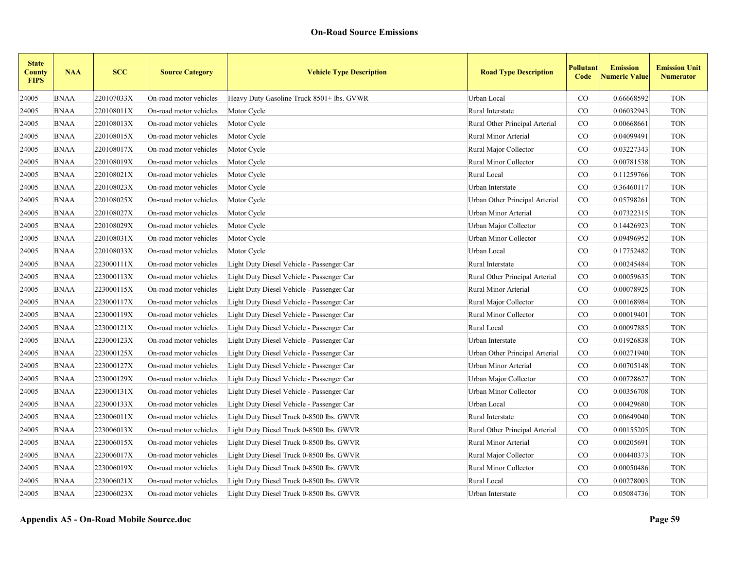| <b>State</b><br><b>County</b><br><b>FIPS</b> | <b>NAA</b>  | <b>SCC</b> | <b>Source Category</b> | <b>Vehicle Type Description</b>           | <b>Road Type Description</b>   | Pollutant<br>Code | <b>Emission</b><br><b>Numeric Value</b> | <b>Emission Unit</b><br><b>Numerator</b> |
|----------------------------------------------|-------------|------------|------------------------|-------------------------------------------|--------------------------------|-------------------|-----------------------------------------|------------------------------------------|
| 24005                                        | <b>BNAA</b> | 220107033X | On-road motor vehicles | Heavy Duty Gasoline Truck 8501+ lbs. GVWR | Urban Local                    | $\rm CO$          | 0.66668592                              | <b>TON</b>                               |
| 24005                                        | <b>BNAA</b> | 220108011X | On-road motor vehicles | Motor Cycle                               | Rural Interstate               | $\rm CO$          | 0.06032943                              | <b>TON</b>                               |
| 24005                                        | BNAA        | 220108013X | On-road motor vehicles | Motor Cycle                               | Rural Other Principal Arterial | CO.               | 0.00668661                              | <b>TON</b>                               |
| 24005                                        | BNAA        | 220108015X | On-road motor vehicles | Motor Cycle                               | Rural Minor Arterial           | $\rm CO$          | 0.04099491                              | <b>TON</b>                               |
| 24005                                        | <b>BNAA</b> | 220108017X | On-road motor vehicles | Motor Cycle                               | Rural Major Collector          | $\rm CO$          | 0.03227343                              | <b>TON</b>                               |
| 24005                                        | BNAA        | 220108019X | On-road motor vehicles | Motor Cycle                               | Rural Minor Collector          | $\rm CO$          | 0.00781538                              | <b>TON</b>                               |
| 24005                                        | <b>BNAA</b> | 220108021X | On-road motor vehicles | Motor Cycle                               | Rural Local                    | $\rm CO$          | 0.11259766                              | <b>TON</b>                               |
| 24005                                        | <b>BNAA</b> | 220108023X | On-road motor vehicles | Motor Cycle                               | Urban Interstate               | $\rm CO$          | 0.36460117                              | <b>TON</b>                               |
| 24005                                        | <b>BNAA</b> | 220108025X | On-road motor vehicles | Motor Cycle                               | Urban Other Principal Arterial | $\rm CO$          | 0.05798261                              | <b>TON</b>                               |
| 24005                                        | <b>BNAA</b> | 220108027X | On-road motor vehicles | Motor Cycle                               | Urban Minor Arterial           | $\rm CO$          | 0.07322315                              | <b>TON</b>                               |
| 24005                                        | <b>BNAA</b> | 220108029X | On-road motor vehicles | Motor Cycle                               | Urban Major Collector          | $\rm CO$          | 0.14426923                              | <b>TON</b>                               |
| 24005                                        | <b>BNAA</b> | 220108031X | On-road motor vehicles | Motor Cycle                               | Urban Minor Collector          | CO.               | 0.09496952                              | <b>TON</b>                               |
| 24005                                        | <b>BNAA</b> | 220108033X | On-road motor vehicles | Motor Cycle                               | Urban Local                    | $\rm CO$          | 0.17752482                              | <b>TON</b>                               |
| 24005                                        | <b>BNAA</b> | 223000111X | On-road motor vehicles | Light Duty Diesel Vehicle - Passenger Car | Rural Interstate               | CO.               | 0.00245484                              | <b>TON</b>                               |
| 24005                                        | <b>BNAA</b> | 223000113X | On-road motor vehicles | Light Duty Diesel Vehicle - Passenger Car | Rural Other Principal Arterial | $\rm CO$          | 0.00059635                              | <b>TON</b>                               |
| 24005                                        | <b>BNAA</b> | 223000115X | On-road motor vehicles | Light Duty Diesel Vehicle - Passenger Car | Rural Minor Arterial           | $\rm CO$          | 0.00078925                              | <b>TON</b>                               |
| 24005                                        | <b>BNAA</b> | 223000117X | On-road motor vehicles | Light Duty Diesel Vehicle - Passenger Car | Rural Major Collector          | $\rm CO$          | 0.00168984                              | <b>TON</b>                               |
| 24005                                        | <b>BNAA</b> | 223000119X | On-road motor vehicles | Light Duty Diesel Vehicle - Passenger Car | Rural Minor Collector          | CO.               | 0.00019401                              | <b>TON</b>                               |
| 24005                                        | <b>BNAA</b> | 223000121X | On-road motor vehicles | Light Duty Diesel Vehicle - Passenger Car | Rural Local                    | $\rm CO$          | 0.00097885                              | <b>TON</b>                               |
| 24005                                        | <b>BNAA</b> | 223000123X | On-road motor vehicles | Light Duty Diesel Vehicle - Passenger Car | Urban Interstate               | $\rm CO$          | 0.01926838                              | <b>TON</b>                               |
| 24005                                        | <b>BNAA</b> | 223000125X | On-road motor vehicles | Light Duty Diesel Vehicle - Passenger Car | Urban Other Principal Arterial | CO.               | 0.00271940                              | <b>TON</b>                               |
| 24005                                        | <b>BNAA</b> | 223000127X | On-road motor vehicles | Light Duty Diesel Vehicle - Passenger Car | Urban Minor Arterial           | $\rm CO$          | 0.00705148                              | <b>TON</b>                               |
| 24005                                        | <b>BNAA</b> | 223000129X | On-road motor vehicles | Light Duty Diesel Vehicle - Passenger Car | Urban Major Collector          | $\rm CO$          | 0.00728627                              | <b>TON</b>                               |
| 24005                                        | <b>BNAA</b> | 223000131X | On-road motor vehicles | Light Duty Diesel Vehicle - Passenger Car | Urban Minor Collector          | $\rm CO$          | 0.00356708                              | <b>TON</b>                               |
| 24005                                        | <b>BNAA</b> | 223000133X | On-road motor vehicles | Light Duty Diesel Vehicle - Passenger Car | Urban Local                    | $\rm CO$          | 0.00429680                              | <b>TON</b>                               |
| 24005                                        | <b>BNAA</b> | 223006011X | On-road motor vehicles | Light Duty Diesel Truck 0-8500 lbs. GWVR  | Rural Interstate               | CO.               | 0.00649040                              | <b>TON</b>                               |
| 24005                                        | <b>BNAA</b> | 223006013X | On-road motor vehicles | Light Duty Diesel Truck 0-8500 lbs. GWVR  | Rural Other Principal Arterial | CO.               | 0.00155205                              | <b>TON</b>                               |
| 24005                                        | <b>BNAA</b> | 223006015X | On-road motor vehicles | Light Duty Diesel Truck 0-8500 lbs. GWVR  | Rural Minor Arterial           | CO.               | 0.00205691                              | <b>TON</b>                               |
| 24005                                        | <b>BNAA</b> | 223006017X | On-road motor vehicles | Light Duty Diesel Truck 0-8500 lbs. GWVR  | Rural Major Collector          | CO.               | 0.00440373                              | <b>TON</b>                               |
| 24005                                        | <b>BNAA</b> | 223006019X | On-road motor vehicles | Light Duty Diesel Truck 0-8500 lbs. GWVR  | Rural Minor Collector          | CO.               | 0.00050486                              | <b>TON</b>                               |
| 24005                                        | BNAA        | 223006021X | On-road motor vehicles | Light Duty Diesel Truck 0-8500 lbs. GWVR  | Rural Local                    | CO                | 0.00278003                              | <b>TON</b>                               |
| 24005                                        | <b>BNAA</b> | 223006023X | On-road motor vehicles | Light Duty Diesel Truck 0-8500 lbs. GWVR  | Urban Interstate               | CO                | 0.05084736                              | <b>TON</b>                               |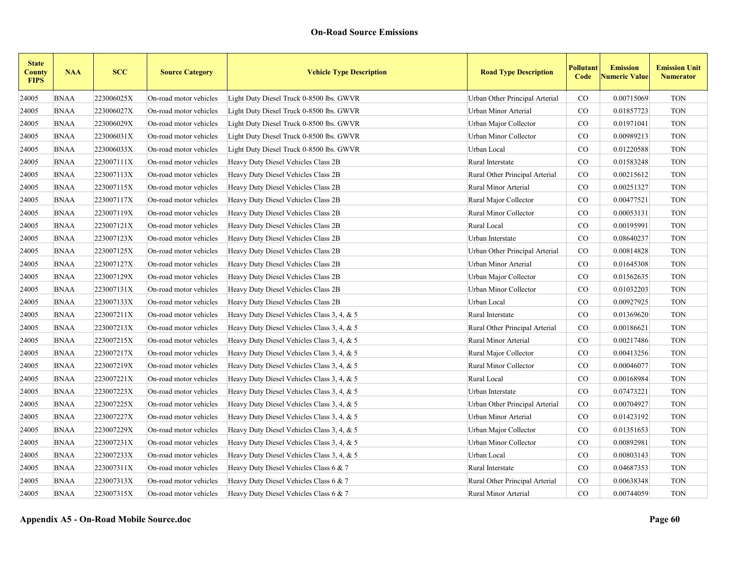| <b>State</b><br><b>County</b><br><b>FIPS</b> | <b>NAA</b>  | <b>SCC</b> | <b>Source Category</b> | <b>Vehicle Type Description</b>            | <b>Road Type Description</b>   | Pollutant<br>Code | <b>Emission</b><br><b>Numeric Value</b> | <b>Emission Unit</b><br><b>Numerator</b> |
|----------------------------------------------|-------------|------------|------------------------|--------------------------------------------|--------------------------------|-------------------|-----------------------------------------|------------------------------------------|
| 24005                                        | <b>BNAA</b> | 223006025X | On-road motor vehicles | Light Duty Diesel Truck 0-8500 lbs. GWVR   | Urban Other Principal Arterial | $\rm CO$          | 0.00715069                              | <b>TON</b>                               |
| 24005                                        | <b>BNAA</b> | 223006027X | On-road motor vehicles | Light Duty Diesel Truck 0-8500 lbs. GWVR   | Urban Minor Arterial           | $\rm CO$          | 0.01857723                              | <b>TON</b>                               |
| 24005                                        | <b>BNAA</b> | 223006029X | On-road motor vehicles | Light Duty Diesel Truck 0-8500 lbs. GWVR   | Urban Major Collector          | $\rm CO$          | 0.01971041                              | <b>TON</b>                               |
| 24005                                        | <b>BNAA</b> | 223006031X | On-road motor vehicles | Light Duty Diesel Truck 0-8500 lbs. GWVR   | Urban Minor Collector          | $\rm CO$          | 0.00989213                              | <b>TON</b>                               |
| 24005                                        | <b>BNAA</b> | 223006033X | On-road motor vehicles | Light Duty Diesel Truck 0-8500 lbs. GWVR   | Urban Local                    | CO                | 0.01220588                              | <b>TON</b>                               |
| 24005                                        | <b>BNAA</b> | 223007111X | On-road motor vehicles | Heavy Duty Diesel Vehicles Class 2B        | Rural Interstate               | CO                | 0.01583248                              | <b>TON</b>                               |
| 24005                                        | <b>BNAA</b> | 223007113X | On-road motor vehicles | Heavy Duty Diesel Vehicles Class 2B        | Rural Other Principal Arterial | CO                | 0.00215612                              | <b>TON</b>                               |
| 24005                                        | <b>BNAA</b> | 223007115X | On-road motor vehicles | Heavy Duty Diesel Vehicles Class 2B        | Rural Minor Arterial           | CO                | 0.00251327                              | <b>TON</b>                               |
| 24005                                        | <b>BNAA</b> | 223007117X | On-road motor vehicles | Heavy Duty Diesel Vehicles Class 2B        | Rural Major Collector          | CO                | 0.00477521                              | <b>TON</b>                               |
| 24005                                        | <b>BNAA</b> | 223007119X | On-road motor vehicles | Heavy Duty Diesel Vehicles Class 2B        | Rural Minor Collector          | $\rm CO$          | 0.00053131                              | <b>TON</b>                               |
| 24005                                        | <b>BNAA</b> | 223007121X | On-road motor vehicles | Heavy Duty Diesel Vehicles Class 2B        | Rural Local                    | CO                | 0.00195991                              | <b>TON</b>                               |
| 24005                                        | <b>BNAA</b> | 223007123X | On-road motor vehicles | Heavy Duty Diesel Vehicles Class 2B        | Urban Interstate               | $\rm CO$          | 0.08640237                              | <b>TON</b>                               |
| 24005                                        | <b>BNAA</b> | 223007125X | On-road motor vehicles | Heavy Duty Diesel Vehicles Class 2B        | Urban Other Principal Arterial | CO.               | 0.00814828                              | <b>TON</b>                               |
| 24005                                        | <b>BNAA</b> | 223007127X | On-road motor vehicles | Heavy Duty Diesel Vehicles Class 2B        | Urban Minor Arterial           | $\rm CO$          | 0.01645308                              | <b>TON</b>                               |
| 24005                                        | <b>BNAA</b> | 223007129X | On-road motor vehicles | Heavy Duty Diesel Vehicles Class 2B        | Urban Major Collector          | $\rm CO$          | 0.01562635                              | <b>TON</b>                               |
| 24005                                        | <b>BNAA</b> | 223007131X | On-road motor vehicles | Heavy Duty Diesel Vehicles Class 2B        | Urban Minor Collector          | $\rm CO$          | 0.01032203                              | <b>TON</b>                               |
| 24005                                        | <b>BNAA</b> | 223007133X | On-road motor vehicles | Heavy Duty Diesel Vehicles Class 2B        | Urban Local                    | CO                | 0.00927925                              | <b>TON</b>                               |
| 24005                                        | <b>BNAA</b> | 223007211X | On-road motor vehicles | Heavy Duty Diesel Vehicles Class 3, 4, & 5 | Rural Interstate               | CO                | 0.01369620                              | <b>TON</b>                               |
| 24005                                        | <b>BNAA</b> | 223007213X | On-road motor vehicles | Heavy Duty Diesel Vehicles Class 3, 4, & 5 | Rural Other Principal Arterial | $\rm CO$          | 0.00186621                              | <b>TON</b>                               |
| 24005                                        | <b>BNAA</b> | 223007215X | On-road motor vehicles | Heavy Duty Diesel Vehicles Class 3, 4, & 5 | Rural Minor Arterial           | $\rm CO$          | 0.00217486                              | <b>TON</b>                               |
| 24005                                        | <b>BNAA</b> | 223007217X | On-road motor vehicles | Heavy Duty Diesel Vehicles Class 3, 4, & 5 | Rural Major Collector          | $\rm CO$          | 0.00413256                              | <b>TON</b>                               |
| 24005                                        | <b>BNAA</b> | 223007219X | On-road motor vehicles | Heavy Duty Diesel Vehicles Class 3, 4, & 5 | Rural Minor Collector          | $\rm CO$          | 0.00046077                              | <b>TON</b>                               |
| 24005                                        | <b>BNAA</b> | 223007221X | On-road motor vehicles | Heavy Duty Diesel Vehicles Class 3, 4, & 5 | Rural Local                    | $\rm CO$          | 0.00168984                              | <b>TON</b>                               |
| 24005                                        | <b>BNAA</b> | 223007223X | On-road motor vehicles | Heavy Duty Diesel Vehicles Class 3, 4, & 5 | Urban Interstate               | $\rm CO$          | 0.07473221                              | <b>TON</b>                               |
| 24005                                        | <b>BNAA</b> | 223007225X | On-road motor vehicles | Heavy Duty Diesel Vehicles Class 3, 4, & 5 | Urban Other Principal Arterial | $\rm CO$          | 0.00704927                              | <b>TON</b>                               |
| 24005                                        | <b>BNAA</b> | 223007227X | On-road motor vehicles | Heavy Duty Diesel Vehicles Class 3, 4, & 5 | Urban Minor Arterial           | $\rm CO$          | 0.01423192                              | <b>TON</b>                               |
| 24005                                        | <b>BNAA</b> | 223007229X | On-road motor vehicles | Heavy Duty Diesel Vehicles Class 3, 4, & 5 | Urban Major Collector          | $\rm CO$          | 0.01351653                              | <b>TON</b>                               |
| 24005                                        | <b>BNAA</b> | 223007231X | On-road motor vehicles | Heavy Duty Diesel Vehicles Class 3, 4, & 5 | Urban Minor Collector          | $\rm CO$          | 0.00892981                              | <b>TON</b>                               |
| 24005                                        | <b>BNAA</b> | 223007233X | On-road motor vehicles | Heavy Duty Diesel Vehicles Class 3, 4, & 5 | Urban Local                    | $\rm CO$          | 0.00803143                              | <b>TON</b>                               |
| 24005                                        | <b>BNAA</b> | 223007311X | On-road motor vehicles | Heavy Duty Diesel Vehicles Class 6 & 7     | Rural Interstate               | $\rm CO$          | 0.04687353                              | <b>TON</b>                               |
| 24005                                        | <b>BNAA</b> | 223007313X | On-road motor vehicles | Heavy Duty Diesel Vehicles Class 6 & 7     | Rural Other Principal Arterial | $\rm CO$          | 0.00638348                              | <b>TON</b>                               |
| 24005                                        | <b>BNAA</b> | 223007315X | On-road motor vehicles | Heavy Duty Diesel Vehicles Class 6 & 7     | Rural Minor Arterial           | CO                | 0.00744059                              | <b>TON</b>                               |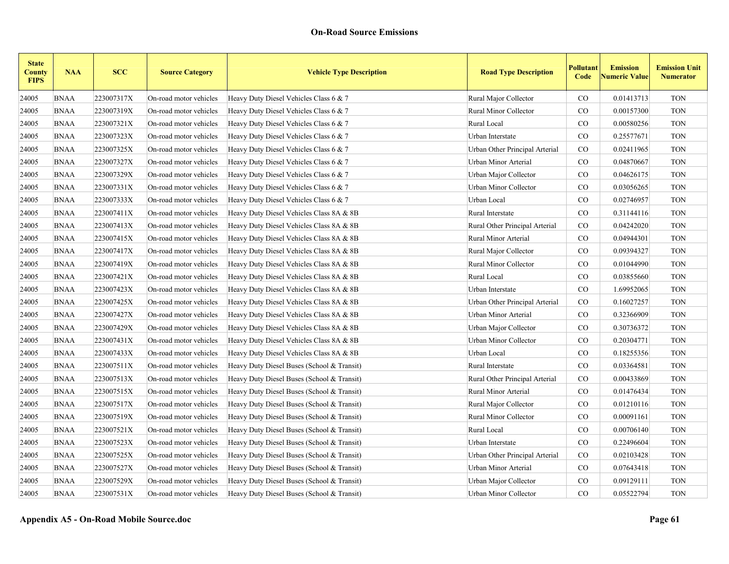| <b>State</b><br><b>County</b><br><b>FIPS</b> | <b>NAA</b>  | <b>SCC</b> | <b>Source Category</b> | <b>Vehicle Type Description</b>            | <b>Road Type Description</b>   | Pollutant<br>Code | <b>Emission</b><br><b>Numeric Value</b> | <b>Emission Unit</b><br><b>Numerator</b> |
|----------------------------------------------|-------------|------------|------------------------|--------------------------------------------|--------------------------------|-------------------|-----------------------------------------|------------------------------------------|
| 24005                                        | <b>BNAA</b> | 223007317X | On-road motor vehicles | Heavy Duty Diesel Vehicles Class 6 & 7     | Rural Major Collector          | CO                | 0.01413713                              | <b>TON</b>                               |
| 24005                                        | <b>BNAA</b> | 223007319X | On-road motor vehicles | Heavy Duty Diesel Vehicles Class 6 & 7     | <b>Rural Minor Collector</b>   | $\rm CO$          | 0.00157300                              | <b>TON</b>                               |
| 24005                                        | <b>BNAA</b> | 223007321X | On-road motor vehicles | Heavy Duty Diesel Vehicles Class 6 & 7     | Rural Local                    | $\rm CO$          | 0.00580256                              | <b>TON</b>                               |
| 24005                                        | <b>BNAA</b> | 223007323X | On-road motor vehicles | Heavy Duty Diesel Vehicles Class 6 & 7     | Urban Interstate               | CO.               | 0.25577671                              | <b>TON</b>                               |
| 24005                                        | <b>BNAA</b> | 223007325X | On-road motor vehicles | Heavy Duty Diesel Vehicles Class 6 & 7     | Urban Other Principal Arterial | $\rm CO$          | 0.02411965                              | <b>TON</b>                               |
| 24005                                        | <b>BNAA</b> | 223007327X | On-road motor vehicles | Heavy Duty Diesel Vehicles Class 6 & 7     | Urban Minor Arterial           | $\rm CO$          | 0.04870667                              | <b>TON</b>                               |
| 24005                                        | <b>BNAA</b> | 223007329X | On-road motor vehicles | Heavy Duty Diesel Vehicles Class 6 & 7     | Urban Major Collector          | $\rm CO$          | 0.04626175                              | <b>TON</b>                               |
| 24005                                        | <b>BNAA</b> | 223007331X | On-road motor vehicles | Heavy Duty Diesel Vehicles Class 6 & 7     | Urban Minor Collector          | CO.               | 0.03056265                              | <b>TON</b>                               |
| 24005                                        | <b>BNAA</b> | 223007333X | On-road motor vehicles | Heavy Duty Diesel Vehicles Class 6 & 7     | Urban Local                    | CO                | 0.02746957                              | <b>TON</b>                               |
| 24005                                        | <b>BNAA</b> | 223007411X | On-road motor vehicles | Heavy Duty Diesel Vehicles Class 8A & 8B   | Rural Interstate               | $\rm CO$          | 0.31144116                              | <b>TON</b>                               |
| 24005                                        | <b>BNAA</b> | 223007413X | On-road motor vehicles | Heavy Duty Diesel Vehicles Class 8A & 8B   | Rural Other Principal Arterial | $\rm CO$          | 0.04242020                              | <b>TON</b>                               |
| 24005                                        | <b>BNAA</b> | 223007415X | On-road motor vehicles | Heavy Duty Diesel Vehicles Class 8A & 8B   | Rural Minor Arterial           | CO.               | 0.04944301                              | <b>TON</b>                               |
| 24005                                        | <b>BNAA</b> | 223007417X | On-road motor vehicles | Heavy Duty Diesel Vehicles Class 8A & 8B   | Rural Major Collector          | $\rm CO$          | 0.09394327                              | <b>TON</b>                               |
| 24005                                        | <b>BNAA</b> | 223007419X | On-road motor vehicles | Heavy Duty Diesel Vehicles Class 8A & 8B   | Rural Minor Collector          | $\rm CO$          | 0.01044990                              | <b>TON</b>                               |
| 24005                                        | <b>BNAA</b> | 223007421X | On-road motor vehicles | Heavy Duty Diesel Vehicles Class 8A & 8B   | Rural Local                    | CO                | 0.03855660                              | <b>TON</b>                               |
| 24005                                        | <b>BNAA</b> | 223007423X | On-road motor vehicles | Heavy Duty Diesel Vehicles Class 8A & 8B   | Urban Interstate               | CO                | 1.69952065                              | <b>TON</b>                               |
| 24005                                        | <b>BNAA</b> | 223007425X | On-road motor vehicles | Heavy Duty Diesel Vehicles Class 8A & 8B   | Urban Other Principal Arterial | CO                | 0.16027257                              | <b>TON</b>                               |
| 24005                                        | <b>BNAA</b> | 223007427X | On-road motor vehicles | Heavy Duty Diesel Vehicles Class 8A & 8B   | Urban Minor Arterial           | $\rm CO$          | 0.32366909                              | <b>TON</b>                               |
| 24005                                        | <b>BNAA</b> | 223007429X | On-road motor vehicles | Heavy Duty Diesel Vehicles Class 8A & 8B   | Urban Major Collector          | CO.               | 0.30736372                              | <b>TON</b>                               |
| 24005                                        | <b>BNAA</b> | 223007431X | On-road motor vehicles | Heavy Duty Diesel Vehicles Class 8A & 8B   | Urban Minor Collector          | CO                | 0.20304771                              | <b>TON</b>                               |
| 24005                                        | <b>BNAA</b> | 223007433X | On-road motor vehicles | Heavy Duty Diesel Vehicles Class 8A & 8B   | Urban Local                    | CO.               | 0.18255356                              | <b>TON</b>                               |
| 24005                                        | <b>BNAA</b> | 223007511X | On-road motor vehicles | Heavy Duty Diesel Buses (School & Transit) | Rural Interstate               | CO                | 0.03364581                              | <b>TON</b>                               |
| 24005                                        | <b>BNAA</b> | 223007513X | On-road motor vehicles | Heavy Duty Diesel Buses (School & Transit) | Rural Other Principal Arterial | $\rm CO$          | 0.00433869                              | <b>TON</b>                               |
| 24005                                        | <b>BNAA</b> | 223007515X | On-road motor vehicles | Heavy Duty Diesel Buses (School & Transit) | Rural Minor Arterial           | CO                | 0.01476434                              | <b>TON</b>                               |
| 24005                                        | <b>BNAA</b> | 223007517X | On-road motor vehicles | Heavy Duty Diesel Buses (School & Transit) | Rural Major Collector          | $\rm CO$          | 0.01210116                              | <b>TON</b>                               |
| 24005                                        | <b>BNAA</b> | 223007519X | On-road motor vehicles | Heavy Duty Diesel Buses (School & Transit) | Rural Minor Collector          | $\rm CO$          | 0.00091161                              | <b>TON</b>                               |
| 24005                                        | <b>BNAA</b> | 223007521X | On-road motor vehicles | Heavy Duty Diesel Buses (School & Transit) | Rural Local                    | $\rm CO$          | 0.00706140                              | <b>TON</b>                               |
| 24005                                        | <b>BNAA</b> | 223007523X | On-road motor vehicles | Heavy Duty Diesel Buses (School & Transit) | Urban Interstate               | $\rm CO$          | 0.22496604                              | <b>TON</b>                               |
| 24005                                        | <b>BNAA</b> | 223007525X | On-road motor vehicles | Heavy Duty Diesel Buses (School & Transit) | Urban Other Principal Arterial | CO.               | 0.02103428                              | <b>TON</b>                               |
| 24005                                        | <b>BNAA</b> | 223007527X | On-road motor vehicles | Heavy Duty Diesel Buses (School & Transit) | Urban Minor Arterial           | CO                | 0.07643418                              | <b>TON</b>                               |
| 24005                                        | <b>BNAA</b> | 223007529X | On-road motor vehicles | Heavy Duty Diesel Buses (School & Transit) | Urban Major Collector          | CO                | 0.09129111                              | <b>TON</b>                               |
| 24005                                        | <b>BNAA</b> | 223007531X | On-road motor vehicles | Heavy Duty Diesel Buses (School & Transit) | Urban Minor Collector          | CO                | 0.05522794                              | <b>TON</b>                               |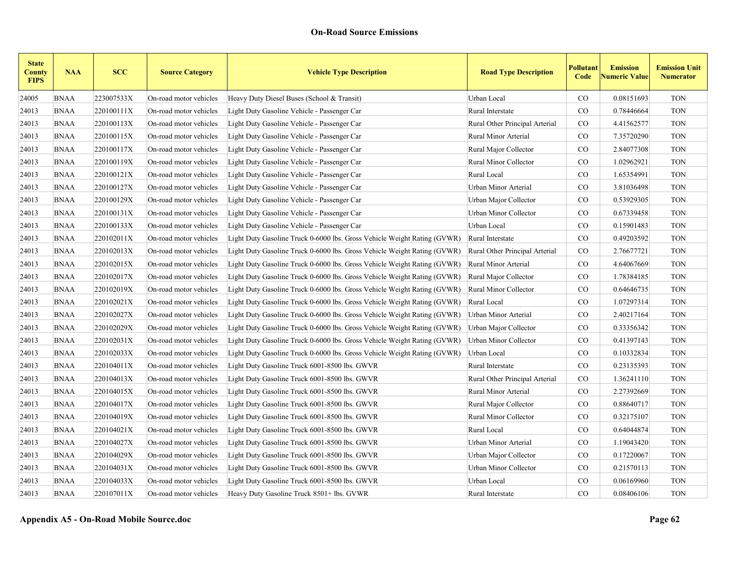| <b>State</b><br><b>County</b><br><b>FIPS</b> | <b>NAA</b>  | <b>SCC</b> | <b>Source Category</b> | <b>Vehicle Type Description</b>                                          | <b>Road Type Description</b>   | Pollutant<br>Code | <b>Emission</b><br><b>Numeric Value</b> | <b>Emission Unit</b><br><b>Numerator</b> |
|----------------------------------------------|-------------|------------|------------------------|--------------------------------------------------------------------------|--------------------------------|-------------------|-----------------------------------------|------------------------------------------|
| 24005                                        | <b>BNAA</b> | 223007533X | On-road motor vehicles | Heavy Duty Diesel Buses (School & Transit)                               | Urban Local                    | CO                | 0.08151693                              | <b>TON</b>                               |
| 24013                                        | <b>BNAA</b> | 220100111X | On-road motor vehicles | Light Duty Gasoline Vehicle - Passenger Car                              | Rural Interstate               | $\rm CO$          | 0.78446664                              | <b>TON</b>                               |
| 24013                                        | <b>BNAA</b> | 220100113X | On-road motor vehicles | Light Duty Gasoline Vehicle - Passenger Car                              | Rural Other Principal Arterial | $_{\rm CO}$       | 4.41562577                              | <b>TON</b>                               |
| 24013                                        | <b>BNAA</b> | 220100115X | On-road motor vehicles | Light Duty Gasoline Vehicle - Passenger Car                              | Rural Minor Arterial           | $\rm CO$          | 7.35720290                              | <b>TON</b>                               |
| 24013                                        | <b>BNAA</b> | 220100117X | On-road motor vehicles | Light Duty Gasoline Vehicle - Passenger Car                              | Rural Major Collector          | CO                | 2.84077308                              | <b>TON</b>                               |
| 24013                                        | <b>BNAA</b> | 220100119X | On-road motor vehicles | Light Duty Gasoline Vehicle - Passenger Car                              | Rural Minor Collector          | $\rm CO$          | 1.02962921                              | <b>TON</b>                               |
| 24013                                        | <b>BNAA</b> | 220100121X | On-road motor vehicles | Light Duty Gasoline Vehicle - Passenger Car                              | Rural Local                    | $\rm CO$          | 1.65354991                              | <b>TON</b>                               |
| 24013                                        | <b>BNAA</b> | 220100127X | On-road motor vehicles | Light Duty Gasoline Vehicle - Passenger Car                              | Urban Minor Arterial           | CO                | 3.81036498                              | <b>TON</b>                               |
| 24013                                        | <b>BNAA</b> | 220100129X | On-road motor vehicles | Light Duty Gasoline Vehicle - Passenger Car                              | Urban Major Collector          | $\rm CO$          | 0.53929305                              | <b>TON</b>                               |
| 24013                                        | <b>BNAA</b> | 220100131X | On-road motor vehicles | Light Duty Gasoline Vehicle - Passenger Car                              | Urban Minor Collector          | $\rm CO$          | 0.67339458                              | <b>TON</b>                               |
| 24013                                        | <b>BNAA</b> | 220100133X | On-road motor vehicles | Light Duty Gasoline Vehicle - Passenger Car                              | Urban Local                    | $\rm CO$          | 0.15901483                              | <b>TON</b>                               |
| 24013                                        | <b>BNAA</b> | 220102011X | On-road motor vehicles | Light Duty Gasoline Truck 0-6000 lbs. Gross Vehicle Weight Rating (GVWR) | Rural Interstate               | CO.               | 0.49203592                              | <b>TON</b>                               |
| 24013                                        | <b>BNAA</b> | 220102013X | On-road motor vehicles | Light Duty Gasoline Truck 0-6000 lbs. Gross Vehicle Weight Rating (GVWR) | Rural Other Principal Arterial | $\rm CO$          | 2.76677721                              | <b>TON</b>                               |
| 24013                                        | <b>BNAA</b> | 220102015X | On-road motor vehicles | Light Duty Gasoline Truck 0-6000 lbs. Gross Vehicle Weight Rating (GVWR) | Rural Minor Arterial           | $\rm CO$          | 4.64067669                              | <b>TON</b>                               |
| 24013                                        | <b>BNAA</b> | 220102017X | On-road motor vehicles | Light Duty Gasoline Truck 0-6000 lbs. Gross Vehicle Weight Rating (GVWR) | Rural Major Collector          | $\rm CO$          | 1.78384185                              | <b>TON</b>                               |
| 24013                                        | <b>BNAA</b> | 220102019X | On-road motor vehicles | Light Duty Gasoline Truck 0-6000 lbs. Gross Vehicle Weight Rating (GVWR) | Rural Minor Collector          | CO                | 0.64646735                              | <b>TON</b>                               |
| 24013                                        | <b>BNAA</b> | 220102021X | On-road motor vehicles | Light Duty Gasoline Truck 0-6000 lbs. Gross Vehicle Weight Rating (GVWR) | Rural Local                    | CO                | 1.07297314                              | <b>TON</b>                               |
| 24013                                        | <b>BNAA</b> | 220102027X | On-road motor vehicles | Light Duty Gasoline Truck 0-6000 lbs. Gross Vehicle Weight Rating (GVWR) | Urban Minor Arterial           | CO                | 2.40217164                              | <b>TON</b>                               |
| 24013                                        | <b>BNAA</b> | 220102029X | On-road motor vehicles | Light Duty Gasoline Truck 0-6000 lbs. Gross Vehicle Weight Rating (GVWR) | Urban Major Collector          | $\rm CO$          | 0.33356342                              | <b>TON</b>                               |
| 24013                                        | <b>BNAA</b> | 220102031X | On-road motor vehicles | Light Duty Gasoline Truck 0-6000 lbs. Gross Vehicle Weight Rating (GVWR) | Urban Minor Collector          | CO                | 0.41397143                              | <b>TON</b>                               |
| 24013                                        | <b>BNAA</b> | 220102033X | On-road motor vehicles | Light Duty Gasoline Truck 0-6000 lbs. Gross Vehicle Weight Rating (GVWR) | Urban Local                    | $\rm CO$          | 0.10332834                              | <b>TON</b>                               |
| 24013                                        | <b>BNAA</b> | 220104011X | On-road motor vehicles | Light Duty Gasoline Truck 6001-8500 lbs. GWVR                            | Rural Interstate               | CO                | 0.23135393                              | <b>TON</b>                               |
| 24013                                        | <b>BNAA</b> | 220104013X | On-road motor vehicles | Light Duty Gasoline Truck 6001-8500 lbs. GWVR                            | Rural Other Principal Arterial | $\rm CO$          | 1.36241110                              | <b>TON</b>                               |
| 24013                                        | <b>BNAA</b> | 220104015X | On-road motor vehicles | Light Duty Gasoline Truck 6001-8500 lbs. GWVR                            | Rural Minor Arterial           | CO                | 2.27392669                              | <b>TON</b>                               |
| 24013                                        | <b>BNAA</b> | 220104017X | On-road motor vehicles | Light Duty Gasoline Truck 6001-8500 lbs. GWVR                            | Rural Major Collector          | CO                | 0.88640717                              | <b>TON</b>                               |
| 24013                                        | <b>BNAA</b> | 220104019X | On-road motor vehicles | Light Duty Gasoline Truck 6001-8500 lbs. GWVR                            | Rural Minor Collector          | CO                | 0.32175107                              | <b>TON</b>                               |
| 24013                                        | <b>BNAA</b> | 220104021X | On-road motor vehicles | Light Duty Gasoline Truck 6001-8500 lbs. GWVR                            | Rural Local                    | $\rm CO$          | 0.64044874                              | <b>TON</b>                               |
| 24013                                        | <b>BNAA</b> | 220104027X | On-road motor vehicles | Light Duty Gasoline Truck 6001-8500 lbs. GWVR                            | Urban Minor Arterial           | CO                | 1.19043420                              | <b>TON</b>                               |
| 24013                                        | <b>BNAA</b> | 220104029X | On-road motor vehicles | Light Duty Gasoline Truck 6001-8500 lbs. GWVR                            | Urban Major Collector          | $\rm CO$          | 0.17220067                              | <b>TON</b>                               |
| 24013                                        | <b>BNAA</b> | 220104031X | On-road motor vehicles | Light Duty Gasoline Truck 6001-8500 lbs. GWVR                            | <b>Urban Minor Collector</b>   | CO                | 0.21570113                              | <b>TON</b>                               |
| 24013                                        | <b>BNAA</b> | 220104033X | On-road motor vehicles | Light Duty Gasoline Truck 6001-8500 lbs. GWVR                            | Urban Local                    | CO                | 0.06169960                              | <b>TON</b>                               |
| 24013                                        | <b>BNAA</b> | 220107011X | On-road motor vehicles | Heavy Duty Gasoline Truck 8501+ lbs. GVWR                                | Rural Interstate               | CO                | 0.08406106                              | <b>TON</b>                               |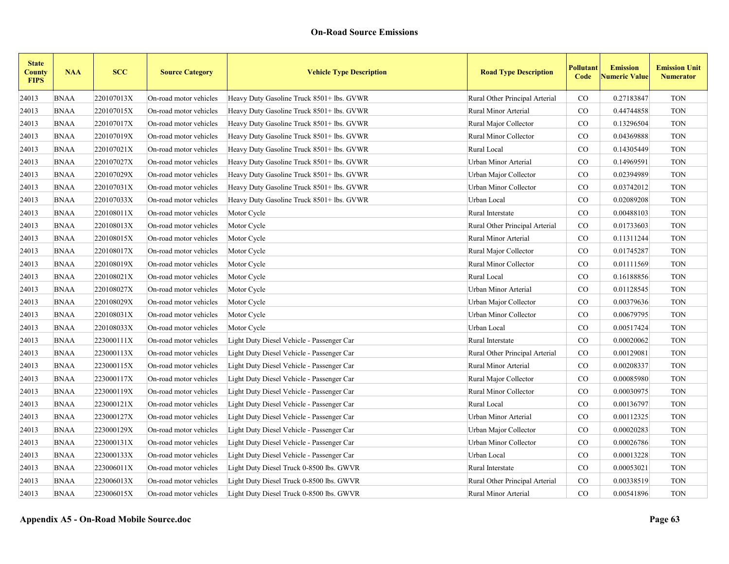| <b>State</b><br><b>County</b><br><b>FIPS</b> | <b>NAA</b>  | <b>SCC</b> | <b>Source Category</b> | <b>Vehicle Type Description</b>           | <b>Road Type Description</b>   | Pollutant<br>Code | <b>Emission</b><br><b>Numeric Value</b> | <b>Emission Unit</b><br><b>Numerator</b> |
|----------------------------------------------|-------------|------------|------------------------|-------------------------------------------|--------------------------------|-------------------|-----------------------------------------|------------------------------------------|
| 24013                                        | <b>BNAA</b> | 220107013X | On-road motor vehicles | Heavy Duty Gasoline Truck 8501+ lbs. GVWR | Rural Other Principal Arterial | $_{\rm CO}$       | 0.27183847                              | <b>TON</b>                               |
| 24013                                        | <b>BNAA</b> | 220107015X | On-road motor vehicles | Heavy Duty Gasoline Truck 8501+ lbs. GVWR | Rural Minor Arterial           | $\rm CO$          | 0.44744858                              | <b>TON</b>                               |
| 24013                                        | <b>BNAA</b> | 220107017X | On-road motor vehicles | Heavy Duty Gasoline Truck 8501+ lbs. GVWR | Rural Major Collector          | $_{\rm CO}$       | 0.13296504                              | <b>TON</b>                               |
| 24013                                        | <b>BNAA</b> | 220107019X | On-road motor vehicles | Heavy Duty Gasoline Truck 8501+ lbs. GVWR | <b>Rural Minor Collector</b>   | CO                | 0.04369888                              | <b>TON</b>                               |
| 24013                                        | <b>BNAA</b> | 220107021X | On-road motor vehicles | Heavy Duty Gasoline Truck 8501+ lbs. GVWR | Rural Local                    | CO                | 0.14305449                              | <b>TON</b>                               |
| 24013                                        | <b>BNAA</b> | 220107027X | On-road motor vehicles | Heavy Duty Gasoline Truck 8501+ lbs. GVWR | Urban Minor Arterial           | $\rm CO$          | 0.14969591                              | <b>TON</b>                               |
| 24013                                        | <b>BNAA</b> | 220107029X | On-road motor vehicles | Heavy Duty Gasoline Truck 8501+ lbs. GVWR | Urban Major Collector          | $_{\rm CO}$       | 0.02394989                              | <b>TON</b>                               |
| 24013                                        | <b>BNAA</b> | 220107031X | On-road motor vehicles | Heavy Duty Gasoline Truck 8501+ lbs. GVWR | Urban Minor Collector          | $\rm CO$          | 0.03742012                              | <b>TON</b>                               |
| 24013                                        | <b>BNAA</b> | 220107033X | On-road motor vehicles | Heavy Duty Gasoline Truck 8501+ lbs. GVWR | Urban Local                    | CO                | 0.02089208                              | <b>TON</b>                               |
| 24013                                        | <b>BNAA</b> | 220108011X | On-road motor vehicles | Motor Cycle                               | Rural Interstate               | $\rm CO$          | 0.00488103                              | <b>TON</b>                               |
| 24013                                        | <b>BNAA</b> | 220108013X | On-road motor vehicles | Motor Cycle                               | Rural Other Principal Arterial | $_{\rm CO}$       | 0.01733603                              | <b>TON</b>                               |
| 24013                                        | <b>BNAA</b> | 220108015X | On-road motor vehicles | Motor Cycle                               | Rural Minor Arterial           | $\rm CO$          | 0.11311244                              | <b>TON</b>                               |
| 24013                                        | <b>BNAA</b> | 220108017X | On-road motor vehicles | Motor Cycle                               | Rural Major Collector          | $\rm CO$          | 0.01745287                              | <b>TON</b>                               |
| 24013                                        | <b>BNAA</b> | 220108019X | On-road motor vehicles | Motor Cycle                               | Rural Minor Collector          | $\rm CO$          | 0.01111569                              | <b>TON</b>                               |
| 24013                                        | <b>BNAA</b> | 220108021X | On-road motor vehicles | Motor Cycle                               | Rural Local                    | $\rm CO$          | 0.16188856                              | <b>TON</b>                               |
| 24013                                        | <b>BNAA</b> | 220108027X | On-road motor vehicles | Motor Cycle                               | Urban Minor Arterial           | CO                | 0.01128545                              | <b>TON</b>                               |
| 24013                                        | <b>BNAA</b> | 220108029X | On-road motor vehicles | Motor Cycle                               | Urban Major Collector          | $\rm CO$          | 0.00379636                              | <b>TON</b>                               |
| 24013                                        | <b>BNAA</b> | 220108031X | On-road motor vehicles | Motor Cycle                               | Urban Minor Collector          | $_{\rm CO}$       | 0.00679795                              | <b>TON</b>                               |
| 24013                                        | <b>BNAA</b> | 220108033X | On-road motor vehicles | Motor Cycle                               | Urban Local                    | $\rm CO$          | 0.00517424                              | <b>TON</b>                               |
| 24013                                        | <b>BNAA</b> | 223000111X | On-road motor vehicles | Light Duty Diesel Vehicle - Passenger Car | Rural Interstate               | $\rm CO$          | 0.00020062                              | <b>TON</b>                               |
| 24013                                        | <b>BNAA</b> | 223000113X | On-road motor vehicles | Light Duty Diesel Vehicle - Passenger Car | Rural Other Principal Arterial | CO                | 0.00129081                              | <b>TON</b>                               |
| 24013                                        | <b>BNAA</b> | 223000115X | On-road motor vehicles | Light Duty Diesel Vehicle - Passenger Car | Rural Minor Arterial           | CO                | 0.00208337                              | <b>TON</b>                               |
| 24013                                        | <b>BNAA</b> | 223000117X | On-road motor vehicles | Light Duty Diesel Vehicle - Passenger Car | Rural Major Collector          | $\rm CO$          | 0.00085980                              | <b>TON</b>                               |
| 24013                                        | <b>BNAA</b> | 223000119X | On-road motor vehicles | Light Duty Diesel Vehicle - Passenger Car | Rural Minor Collector          | CO                | 0.00030975                              | <b>TON</b>                               |
| 24013                                        | <b>BNAA</b> | 223000121X | On-road motor vehicles | Light Duty Diesel Vehicle - Passenger Car | Rural Local                    | CO                | 0.00136797                              | <b>TON</b>                               |
| 24013                                        | <b>BNAA</b> | 223000127X | On-road motor vehicles | Light Duty Diesel Vehicle - Passenger Car | Urban Minor Arterial           | CO                | 0.00112325                              | <b>TON</b>                               |
| 24013                                        | <b>BNAA</b> | 223000129X | On-road motor vehicles | Light Duty Diesel Vehicle - Passenger Car | Urban Major Collector          | $_{\rm CO}$       | 0.00020283                              | <b>TON</b>                               |
| 24013                                        | <b>BNAA</b> | 223000131X | On-road motor vehicles | Light Duty Diesel Vehicle - Passenger Car | Urban Minor Collector          | CO                | 0.00026786                              | <b>TON</b>                               |
| 24013                                        | <b>BNAA</b> | 223000133X | On-road motor vehicles | Light Duty Diesel Vehicle - Passenger Car | Urban Local                    | CO                | 0.00013228                              | <b>TON</b>                               |
| 24013                                        | <b>BNAA</b> | 223006011X | On-road motor vehicles | Light Duty Diesel Truck 0-8500 lbs. GWVR  | Rural Interstate               | CO                | 0.00053021                              | <b>TON</b>                               |
| 24013                                        | <b>BNAA</b> | 223006013X | On-road motor vehicles | Light Duty Diesel Truck 0-8500 lbs. GWVR  | Rural Other Principal Arterial | $_{\rm CO}$       | 0.00338519                              | <b>TON</b>                               |
| 24013                                        | <b>BNAA</b> | 223006015X | On-road motor vehicles | Light Duty Diesel Truck 0-8500 lbs. GWVR  | Rural Minor Arterial           | CO                | 0.00541896                              | <b>TON</b>                               |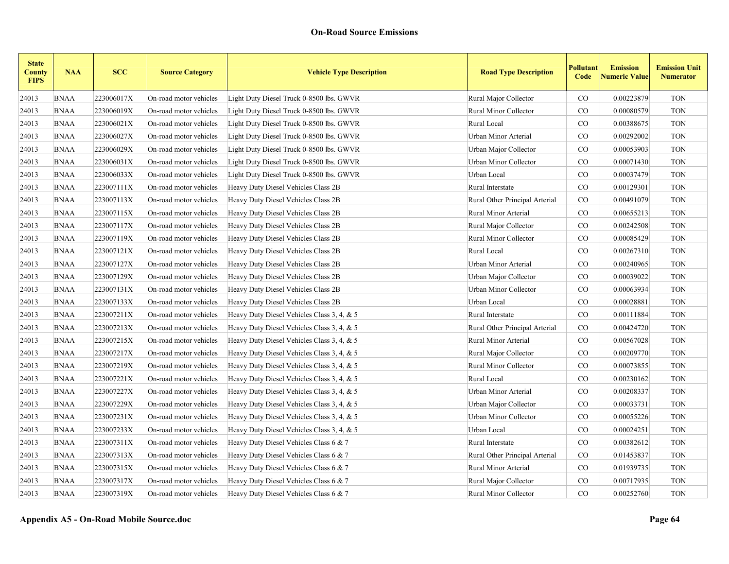| <b>State</b><br><b>County</b><br><b>FIPS</b> | <b>NAA</b>  | <b>SCC</b> | <b>Source Category</b> | <b>Vehicle Type Description</b>            | <b>Road Type Description</b>   | Pollutant<br>Code | <b>Emission</b><br><b>Numeric Value</b> | <b>Emission Unit</b><br><b>Numerator</b> |
|----------------------------------------------|-------------|------------|------------------------|--------------------------------------------|--------------------------------|-------------------|-----------------------------------------|------------------------------------------|
| 24013                                        | <b>BNAA</b> | 223006017X | On-road motor vehicles | Light Duty Diesel Truck 0-8500 lbs. GWVR   | Rural Major Collector          | CO                | 0.00223879                              | <b>TON</b>                               |
| 24013                                        | <b>BNAA</b> | 223006019X | On-road motor vehicles | Light Duty Diesel Truck 0-8500 lbs. GWVR   | <b>Rural Minor Collector</b>   | $\rm CO$          | 0.00080579                              | <b>TON</b>                               |
| 24013                                        | <b>BNAA</b> | 223006021X | On-road motor vehicles | Light Duty Diesel Truck 0-8500 lbs. GWVR   | Rural Local                    | $\rm CO$          | 0.00388675                              | <b>TON</b>                               |
| 24013                                        | <b>BNAA</b> | 223006027X | On-road motor vehicles | Light Duty Diesel Truck 0-8500 lbs. GWVR   | Urban Minor Arterial           | CO.               | 0.00292002                              | <b>TON</b>                               |
| 24013                                        | <b>BNAA</b> | 223006029X | On-road motor vehicles | Light Duty Diesel Truck 0-8500 lbs. GWVR   | Urban Major Collector          | $\rm CO$          | 0.00053903                              | <b>TON</b>                               |
| 24013                                        | <b>BNAA</b> | 223006031X | On-road motor vehicles | Light Duty Diesel Truck 0-8500 lbs. GWVR   | Urban Minor Collector          | $\rm CO$          | 0.00071430                              | <b>TON</b>                               |
| 24013                                        | <b>BNAA</b> | 223006033X | On-road motor vehicles | Light Duty Diesel Truck 0-8500 lbs. GWVR   | Urban Local                    | $\rm CO$          | 0.00037479                              | <b>TON</b>                               |
| 24013                                        | <b>BNAA</b> | 223007111X | On-road motor vehicles | Heavy Duty Diesel Vehicles Class 2B        | Rural Interstate               | $\rm CO$          | 0.00129301                              | <b>TON</b>                               |
| 24013                                        | <b>BNAA</b> | 223007113X | On-road motor vehicles | Heavy Duty Diesel Vehicles Class 2B        | Rural Other Principal Arterial | $\rm CO$          | 0.00491079                              | <b>TON</b>                               |
| 24013                                        | <b>BNAA</b> | 223007115X | On-road motor vehicles | Heavy Duty Diesel Vehicles Class 2B        | Rural Minor Arterial           | $\rm CO$          | 0.00655213                              | <b>TON</b>                               |
| 24013                                        | <b>BNAA</b> | 223007117X | On-road motor vehicles | Heavy Duty Diesel Vehicles Class 2B        | Rural Major Collector          | $\rm CO$          | 0.00242508                              | <b>TON</b>                               |
| 24013                                        | <b>BNAA</b> | 223007119X | On-road motor vehicles | Heavy Duty Diesel Vehicles Class 2B        | <b>Rural Minor Collector</b>   | $\rm CO$          | 0.00085429                              | <b>TON</b>                               |
| 24013                                        | <b>BNAA</b> | 223007121X | On-road motor vehicles | Heavy Duty Diesel Vehicles Class 2B        | Rural Local                    | $\rm CO$          | 0.00267310                              | <b>TON</b>                               |
| 24013                                        | <b>BNAA</b> | 223007127X | On-road motor vehicles | Heavy Duty Diesel Vehicles Class 2B        | Urban Minor Arterial           | CO                | 0.00240965                              | <b>TON</b>                               |
| 24013                                        | <b>BNAA</b> | 223007129X | On-road motor vehicles | Heavy Duty Diesel Vehicles Class 2B        | Urban Major Collector          | $\rm CO$          | 0.00039022                              | <b>TON</b>                               |
| 24013                                        | <b>BNAA</b> | 223007131X | On-road motor vehicles | Heavy Duty Diesel Vehicles Class 2B        | Urban Minor Collector          | CO                | 0.00063934                              | <b>TON</b>                               |
| 24013                                        | <b>BNAA</b> | 223007133X | On-road motor vehicles | Heavy Duty Diesel Vehicles Class 2B        | Urban Local                    | $\rm CO$          | 0.00028881                              | <b>TON</b>                               |
| 24013                                        | <b>BNAA</b> | 223007211X | On-road motor vehicles | Heavy Duty Diesel Vehicles Class 3, 4, & 5 | Rural Interstate               | CO                | 0.00111884                              | <b>TON</b>                               |
| 24013                                        | <b>BNAA</b> | 223007213X | On-road motor vehicles | Heavy Duty Diesel Vehicles Class 3, 4, & 5 | Rural Other Principal Arterial | $\rm CO$          | 0.00424720                              | <b>TON</b>                               |
| 24013                                        | <b>BNAA</b> | 223007215X | On-road motor vehicles | Heavy Duty Diesel Vehicles Class 3, 4, & 5 | Rural Minor Arterial           | $\rm CO$          | 0.00567028                              | <b>TON</b>                               |
| 24013                                        | <b>BNAA</b> | 223007217X | On-road motor vehicles | Heavy Duty Diesel Vehicles Class 3, 4, & 5 | Rural Major Collector          | $\rm CO$          | 0.00209770                              | <b>TON</b>                               |
| 24013                                        | <b>BNAA</b> | 223007219X | On-road motor vehicles | Heavy Duty Diesel Vehicles Class 3, 4, & 5 | Rural Minor Collector          | $\rm CO$          | 0.00073855                              | <b>TON</b>                               |
| 24013                                        | <b>BNAA</b> | 223007221X | On-road motor vehicles | Heavy Duty Diesel Vehicles Class 3, 4, & 5 | Rural Local                    | $\rm CO$          | 0.00230162                              | <b>TON</b>                               |
| 24013                                        | <b>BNAA</b> | 223007227X | On-road motor vehicles | Heavy Duty Diesel Vehicles Class 3, 4, & 5 | Urban Minor Arterial           | CO                | 0.00208337                              | <b>TON</b>                               |
| 24013                                        | <b>BNAA</b> | 223007229X | On-road motor vehicles | Heavy Duty Diesel Vehicles Class 3, 4, & 5 | Urban Major Collector          | $\rm CO$          | 0.00033731                              | <b>TON</b>                               |
| 24013                                        | <b>BNAA</b> | 223007231X | On-road motor vehicles | Heavy Duty Diesel Vehicles Class 3, 4, & 5 | Urban Minor Collector          | CO                | 0.00055226                              | <b>TON</b>                               |
| 24013                                        | <b>BNAA</b> | 223007233X | On-road motor vehicles | Heavy Duty Diesel Vehicles Class 3, 4, & 5 | Urban Local                    | $\rm CO$          | 0.00024251                              | <b>TON</b>                               |
| 24013                                        | <b>BNAA</b> | 223007311X | On-road motor vehicles | Heavy Duty Diesel Vehicles Class 6 & 7     | Rural Interstate               | CO                | 0.00382612                              | <b>TON</b>                               |
| 24013                                        | <b>BNAA</b> | 223007313X | On-road motor vehicles | Heavy Duty Diesel Vehicles Class 6 & 7     | Rural Other Principal Arterial | $\rm CO$          | 0.01453837                              | <b>TON</b>                               |
| 24013                                        | <b>BNAA</b> | 223007315X | On-road motor vehicles | Heavy Duty Diesel Vehicles Class 6 & 7     | Rural Minor Arterial           | CO                | 0.01939735                              | <b>TON</b>                               |
| 24013                                        | <b>BNAA</b> | 223007317X | On-road motor vehicles | Heavy Duty Diesel Vehicles Class 6 & 7     | Rural Major Collector          | $\rm CO$          | 0.00717935                              | <b>TON</b>                               |
| 24013                                        | <b>BNAA</b> | 223007319X | On-road motor vehicles | Heavy Duty Diesel Vehicles Class 6 & 7     | Rural Minor Collector          | CO                | 0.00252760                              | <b>TON</b>                               |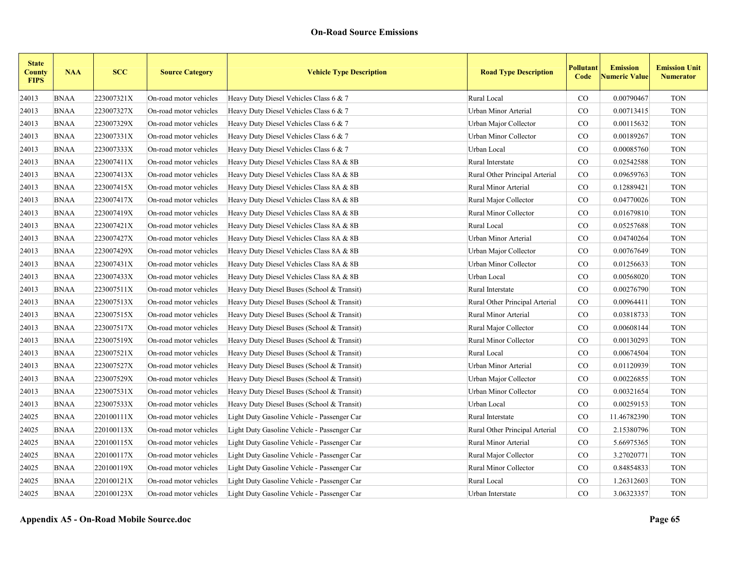| <b>State</b><br><b>County</b><br><b>FIPS</b> | <b>NAA</b>  | <b>SCC</b> | <b>Source Category</b> | <b>Vehicle Type Description</b>             | <b>Road Type Description</b>   | Pollutant<br>Code | <b>Emission</b><br><b>Numeric Value</b> | <b>Emission Unit</b><br><b>Numerator</b> |
|----------------------------------------------|-------------|------------|------------------------|---------------------------------------------|--------------------------------|-------------------|-----------------------------------------|------------------------------------------|
| 24013                                        | <b>BNAA</b> | 223007321X | On-road motor vehicles | Heavy Duty Diesel Vehicles Class 6 & 7      | Rural Local                    | CO                | 0.00790467                              | <b>TON</b>                               |
| 24013                                        | <b>BNAA</b> | 223007327X | On-road motor vehicles | Heavy Duty Diesel Vehicles Class 6 & 7      | Urban Minor Arterial           | $_{\rm CO}$       | 0.00713415                              | <b>TON</b>                               |
| 24013                                        | <b>BNAA</b> | 223007329X | On-road motor vehicles | Heavy Duty Diesel Vehicles Class $6 & 7$    | Urban Major Collector          | $_{\rm CO}$       | 0.00115632                              | <b>TON</b>                               |
| 24013                                        | <b>BNAA</b> | 223007331X | On-road motor vehicles | Heavy Duty Diesel Vehicles Class 6 & 7      | Urban Minor Collector          | $\rm CO$          | 0.00189267                              | <b>TON</b>                               |
| 24013                                        | <b>BNAA</b> | 223007333X | On-road motor vehicles | Heavy Duty Diesel Vehicles Class 6 $& 7$    | Urban Local                    | CO                | 0.00085760                              | <b>TON</b>                               |
| 24013                                        | <b>BNAA</b> | 223007411X | On-road motor vehicles | Heavy Duty Diesel Vehicles Class 8A & 8B    | Rural Interstate               | $\rm CO$          | 0.02542588                              | <b>TON</b>                               |
| 24013                                        | <b>BNAA</b> | 223007413X | On-road motor vehicles | Heavy Duty Diesel Vehicles Class 8A & 8B    | Rural Other Principal Arterial | $\rm CO$          | 0.09659763                              | <b>TON</b>                               |
| 24013                                        | <b>BNAA</b> | 223007415X | On-road motor vehicles | Heavy Duty Diesel Vehicles Class 8A & 8B    | Rural Minor Arterial           | $\rm CO$          | 0.12889421                              | <b>TON</b>                               |
| 24013                                        | <b>BNAA</b> | 223007417X | On-road motor vehicles | Heavy Duty Diesel Vehicles Class 8A & 8B    | Rural Major Collector          | CO                | 0.04770026                              | <b>TON</b>                               |
| 24013                                        | <b>BNAA</b> | 223007419X | On-road motor vehicles | Heavy Duty Diesel Vehicles Class 8A & 8B    | Rural Minor Collector          | $\rm CO$          | 0.01679810                              | <b>TON</b>                               |
| 24013                                        | <b>BNAA</b> | 223007421X | On-road motor vehicles | Heavy Duty Diesel Vehicles Class 8A & 8B    | Rural Local                    | $_{\rm CO}$       | 0.05257688                              | <b>TON</b>                               |
| 24013                                        | <b>BNAA</b> | 223007427X | On-road motor vehicles | Heavy Duty Diesel Vehicles Class 8A & 8B    | Urban Minor Arterial           | $_{\rm CO}$       | 0.04740264                              | <b>TON</b>                               |
| 24013                                        | <b>BNAA</b> | 223007429X | On-road motor vehicles | Heavy Duty Diesel Vehicles Class 8A & 8B    | Urban Major Collector          | CO                | 0.00767649                              | <b>TON</b>                               |
| 24013                                        | <b>BNAA</b> | 223007431X | On-road motor vehicles | Heavy Duty Diesel Vehicles Class 8A & 8B    | Urban Minor Collector          | $\rm CO$          | 0.01256633                              | <b>TON</b>                               |
| 24013                                        | <b>BNAA</b> | 223007433X | On-road motor vehicles | Heavy Duty Diesel Vehicles Class 8A & 8B    | Urban Local                    | $\rm CO$          | 0.00568020                              | <b>TON</b>                               |
| 24013                                        | <b>BNAA</b> | 223007511X | On-road motor vehicles | Heavy Duty Diesel Buses (School & Transit)  | Rural Interstate               | CO                | 0.00276790                              | <b>TON</b>                               |
| 24013                                        | <b>BNAA</b> | 223007513X | On-road motor vehicles | Heavy Duty Diesel Buses (School & Transit)  | Rural Other Principal Arterial | $\rm CO$          | 0.00964411                              | <b>TON</b>                               |
| 24013                                        | <b>BNAA</b> | 223007515X | On-road motor vehicles | Heavy Duty Diesel Buses (School & Transit)  | Rural Minor Arterial           | $\rm CO$          | 0.03818733                              | <b>TON</b>                               |
| 24013                                        | <b>BNAA</b> | 223007517X | On-road motor vehicles | Heavy Duty Diesel Buses (School & Transit)  | Rural Major Collector          | $_{\rm CO}$       | 0.00608144                              | <b>TON</b>                               |
| 24013                                        | <b>BNAA</b> | 223007519X | On-road motor vehicles | Heavy Duty Diesel Buses (School & Transit)  | Rural Minor Collector          | $_{\rm CO}$       | 0.00130293                              | <b>TON</b>                               |
| 24013                                        | <b>BNAA</b> | 223007521X | On-road motor vehicles | Heavy Duty Diesel Buses (School & Transit)  | Rural Local                    | CO                | 0.00674504                              | <b>TON</b>                               |
| 24013                                        | <b>BNAA</b> | 223007527X | On-road motor vehicles | Heavy Duty Diesel Buses (School & Transit)  | Urban Minor Arterial           | $\rm CO$          | 0.01120939                              | <b>TON</b>                               |
| 24013                                        | <b>BNAA</b> | 223007529X | On-road motor vehicles | Heavy Duty Diesel Buses (School & Transit)  | Urban Major Collector          | $\rm CO$          | 0.00226855                              | <b>TON</b>                               |
| 24013                                        | <b>BNAA</b> | 223007531X | On-road motor vehicles | Heavy Duty Diesel Buses (School & Transit)  | Urban Minor Collector          | CO                | 0.00321654                              | <b>TON</b>                               |
| 24013                                        | <b>BNAA</b> | 223007533X | On-road motor vehicles | Heavy Duty Diesel Buses (School & Transit)  | Urban Local                    | CO                | 0.00259153                              | <b>TON</b>                               |
| 24025                                        | <b>BNAA</b> | 220100111X | On-road motor vehicles | Light Duty Gasoline Vehicle - Passenger Car | Rural Interstate               | CO                | 11.46782390                             | <b>TON</b>                               |
| 24025                                        | <b>BNAA</b> | 220100113X | On-road motor vehicles | Light Duty Gasoline Vehicle - Passenger Car | Rural Other Principal Arterial | $\rm CO$          | 2.15380796                              | <b>TON</b>                               |
| 24025                                        | <b>BNAA</b> | 220100115X | On-road motor vehicles | Light Duty Gasoline Vehicle - Passenger Car | Rural Minor Arterial           | CO                | 5.66975365                              | <b>TON</b>                               |
| 24025                                        | <b>BNAA</b> | 220100117X | On-road motor vehicles | Light Duty Gasoline Vehicle - Passenger Car | Rural Major Collector          | $\rm CO$          | 3.27020771                              | <b>TON</b>                               |
| 24025                                        | <b>BNAA</b> | 220100119X | On-road motor vehicles | Light Duty Gasoline Vehicle - Passenger Car | Rural Minor Collector          | $\rm CO$          | 0.84854833                              | <b>TON</b>                               |
| 24025                                        | <b>BNAA</b> | 220100121X | On-road motor vehicles | Light Duty Gasoline Vehicle - Passenger Car | Rural Local                    | $\rm CO$          | 1.26312603                              | <b>TON</b>                               |
| 24025                                        | <b>BNAA</b> | 220100123X | On-road motor vehicles | Light Duty Gasoline Vehicle - Passenger Car | Urban Interstate               | CO                | 3.06323357                              | <b>TON</b>                               |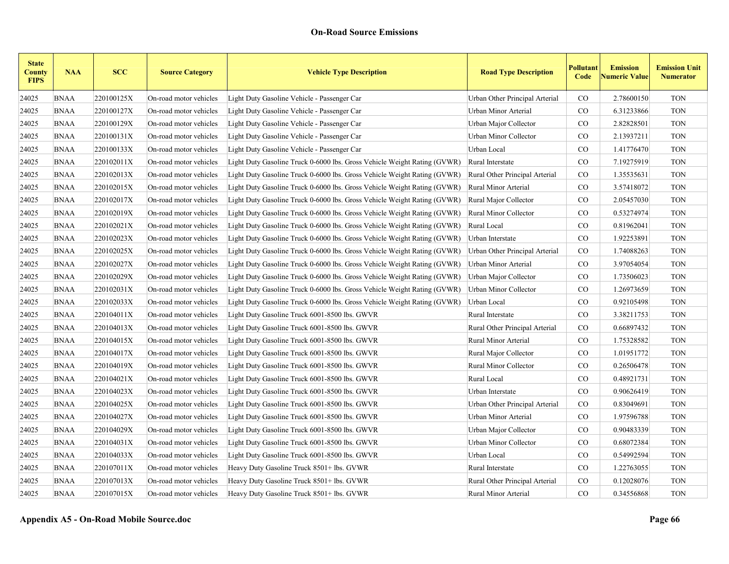| <b>State</b><br><b>County</b><br><b>FIPS</b> | <b>NAA</b>  | <b>SCC</b> | <b>Source Category</b> | <b>Vehicle Type Description</b>                                          | <b>Road Type Description</b>   | Pollutant<br>Code | <b>Emission</b><br><b>Numeric Value</b> | <b>Emission Unit</b><br><b>Numerator</b> |
|----------------------------------------------|-------------|------------|------------------------|--------------------------------------------------------------------------|--------------------------------|-------------------|-----------------------------------------|------------------------------------------|
| 24025                                        | <b>BNAA</b> | 220100125X | On-road motor vehicles | Light Duty Gasoline Vehicle - Passenger Car                              | Urban Other Principal Arterial | CO                | 2.78600150                              | <b>TON</b>                               |
| 24025                                        | <b>BNAA</b> | 220100127X | On-road motor vehicles | Light Duty Gasoline Vehicle - Passenger Car                              | Urban Minor Arterial           | CO                | 6.31233866                              | <b>TON</b>                               |
| 24025                                        | <b>BNAA</b> | 220100129X | On-road motor vehicles | Light Duty Gasoline Vehicle - Passenger Car                              | Urban Major Collector          | CO                | 2.82828501                              | <b>TON</b>                               |
| 24025                                        | <b>BNAA</b> | 220100131X | On-road motor vehicles | Light Duty Gasoline Vehicle - Passenger Car                              | Urban Minor Collector          | $\rm CO$          | 2.13937211                              | <b>TON</b>                               |
| 24025                                        | <b>BNAA</b> | 220100133X | On-road motor vehicles | Light Duty Gasoline Vehicle - Passenger Car                              | Urban Local                    | CO                | 1.41776470                              | <b>TON</b>                               |
| 24025                                        | <b>BNAA</b> | 220102011X | On-road motor vehicles | Light Duty Gasoline Truck 0-6000 lbs. Gross Vehicle Weight Rating (GVWR) | Rural Interstate               | $\rm CO$          | 7.19275919                              | <b>TON</b>                               |
| 24025                                        | <b>BNAA</b> | 220102013X | On-road motor vehicles | Light Duty Gasoline Truck 0-6000 lbs. Gross Vehicle Weight Rating (GVWR) | Rural Other Principal Arterial | $_{\rm CO}$       | 1.35535631                              | <b>TON</b>                               |
| 24025                                        | <b>BNAA</b> | 220102015X | On-road motor vehicles | Light Duty Gasoline Truck 0-6000 lbs. Gross Vehicle Weight Rating (GVWR) | Rural Minor Arterial           | CO                | 3.57418072                              | <b>TON</b>                               |
| 24025                                        | <b>BNAA</b> | 220102017X | On-road motor vehicles | Light Duty Gasoline Truck 0-6000 lbs. Gross Vehicle Weight Rating (GVWR) | Rural Major Collector          | $\rm CO$          | 2.05457030                              | <b>TON</b>                               |
| 24025                                        | <b>BNAA</b> | 220102019X | On-road motor vehicles | Light Duty Gasoline Truck 0-6000 lbs. Gross Vehicle Weight Rating (GVWR) | Rural Minor Collector          | CO.               | 0.53274974                              | <b>TON</b>                               |
| 24025                                        | <b>BNAA</b> | 220102021X | On-road motor vehicles | Light Duty Gasoline Truck 0-6000 lbs. Gross Vehicle Weight Rating (GVWR) | Rural Local                    | CO                | 0.81962041                              | <b>TON</b>                               |
| 24025                                        | <b>BNAA</b> | 220102023X | On-road motor vehicles | Light Duty Gasoline Truck 0-6000 lbs. Gross Vehicle Weight Rating (GVWR) | Urban Interstate               | CO.               | 1.92253891                              | <b>TON</b>                               |
| 24025                                        | <b>BNAA</b> | 220102025X | On-road motor vehicles | Light Duty Gasoline Truck 0-6000 lbs. Gross Vehicle Weight Rating (GVWR) | Urban Other Principal Arterial | CO.               | 1.74088263                              | <b>TON</b>                               |
| 24025                                        | <b>BNAA</b> | 220102027X | On-road motor vehicles | Light Duty Gasoline Truck 0-6000 lbs. Gross Vehicle Weight Rating (GVWR) | Urban Minor Arterial           | $\rm CO$          | 3.97054054                              | <b>TON</b>                               |
| 24025                                        | <b>BNAA</b> | 220102029X | On-road motor vehicles | Light Duty Gasoline Truck 0-6000 lbs. Gross Vehicle Weight Rating (GVWR) | Urban Major Collector          | $\rm CO$          | 1.73506023                              | <b>TON</b>                               |
| 24025                                        | <b>BNAA</b> | 220102031X | On-road motor vehicles | Light Duty Gasoline Truck 0-6000 lbs. Gross Vehicle Weight Rating (GVWR) | Urban Minor Collector          | CO                | 1.26973659                              | <b>TON</b>                               |
| 24025                                        | <b>BNAA</b> | 220102033X | On-road motor vehicles | Light Duty Gasoline Truck 0-6000 lbs. Gross Vehicle Weight Rating (GVWR) | Urban Local                    | CO                | 0.92105498                              | <b>TON</b>                               |
| 24025                                        | <b>BNAA</b> | 220104011X | On-road motor vehicles | Light Duty Gasoline Truck 6001-8500 lbs. GWVR                            | Rural Interstate               | CO                | 3.38211753                              | <b>TON</b>                               |
| 24025                                        | <b>BNAA</b> | 220104013X | On-road motor vehicles | Light Duty Gasoline Truck 6001-8500 lbs. GWVR                            | Rural Other Principal Arterial | CO                | 0.66897432                              | <b>TON</b>                               |
| 24025                                        | <b>BNAA</b> | 220104015X | On-road motor vehicles | Light Duty Gasoline Truck 6001-8500 lbs. GWVR                            | Rural Minor Arterial           | CO                | 1.75328582                              | <b>TON</b>                               |
| 24025                                        | <b>BNAA</b> | 220104017X | On-road motor vehicles | Light Duty Gasoline Truck 6001-8500 lbs. GWVR                            | Rural Major Collector          | CO                | 1.01951772                              | <b>TON</b>                               |
| 24025                                        | <b>BNAA</b> | 220104019X | On-road motor vehicles | Light Duty Gasoline Truck 6001-8500 lbs. GWVR                            | Rural Minor Collector          | CO                | 0.26506478                              | <b>TON</b>                               |
| 24025                                        | <b>BNAA</b> | 220104021X | On-road motor vehicles | Light Duty Gasoline Truck 6001-8500 lbs. GWVR                            | Rural Local                    | CO                | 0.48921731                              | <b>TON</b>                               |
| 24025                                        | <b>BNAA</b> | 220104023X | On-road motor vehicles | Light Duty Gasoline Truck 6001-8500 lbs. GWVR                            | Urban Interstate               | CO                | 0.90626419                              | <b>TON</b>                               |
| 24025                                        | <b>BNAA</b> | 220104025X | On-road motor vehicles | Light Duty Gasoline Truck 6001-8500 lbs. GWVR                            | Urban Other Principal Arterial | CO                | 0.83049691                              | <b>TON</b>                               |
| 24025                                        | <b>BNAA</b> | 220104027X | On-road motor vehicles | Light Duty Gasoline Truck 6001-8500 lbs. GWVR                            | Urban Minor Arterial           | CO                | 1.97596788                              | <b>TON</b>                               |
| 24025                                        | <b>BNAA</b> | 220104029X | On-road motor vehicles | Light Duty Gasoline Truck 6001-8500 lbs. GWVR                            | Urban Major Collector          | $\rm CO$          | 0.90483339                              | <b>TON</b>                               |
| 24025                                        | <b>BNAA</b> | 220104031X | On-road motor vehicles | Light Duty Gasoline Truck 6001-8500 lbs. GWVR                            | Urban Minor Collector          | $\rm CO$          | 0.68072384                              | <b>TON</b>                               |
| 24025                                        | <b>BNAA</b> | 220104033X | On-road motor vehicles | Light Duty Gasoline Truck 6001-8500 lbs. GWVR                            | Urban Local                    | CO                | 0.54992594                              | <b>TON</b>                               |
| 24025                                        | <b>BNAA</b> | 220107011X | On-road motor vehicles | Heavy Duty Gasoline Truck 8501+ lbs. GVWR                                | Rural Interstate               | CO                | 1.22763055                              | <b>TON</b>                               |
| 24025                                        | <b>BNAA</b> | 220107013X | On-road motor vehicles | Heavy Duty Gasoline Truck 8501+ lbs. GVWR                                | Rural Other Principal Arterial | CO                | 0.12028076                              | <b>TON</b>                               |
| 24025                                        | <b>BNAA</b> | 220107015X | On-road motor vehicles | Heavy Duty Gasoline Truck 8501+ lbs. GVWR                                | Rural Minor Arterial           | CO                | 0.34556868                              | <b>TON</b>                               |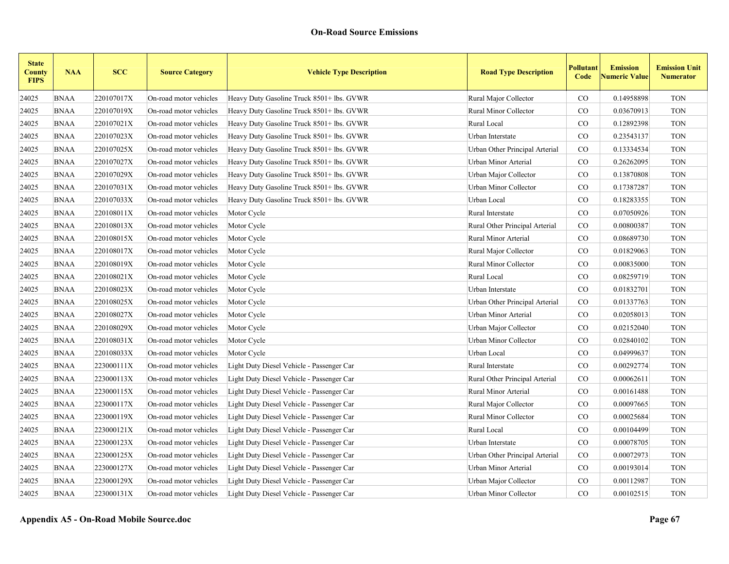| <b>State</b><br><b>County</b><br><b>FIPS</b> | <b>NAA</b>  | <b>SCC</b> | <b>Source Category</b> | <b>Vehicle Type Description</b>           | <b>Road Type Description</b>   | Pollutant<br>Code | <b>Emission</b><br><b>Numeric Value</b> | <b>Emission Unit</b><br><b>Numerator</b> |
|----------------------------------------------|-------------|------------|------------------------|-------------------------------------------|--------------------------------|-------------------|-----------------------------------------|------------------------------------------|
| 24025                                        | <b>BNAA</b> | 220107017X | On-road motor vehicles | Heavy Duty Gasoline Truck 8501+ lbs. GVWR | Rural Major Collector          | $\rm CO$          | 0.14958898                              | <b>TON</b>                               |
| 24025                                        | <b>BNAA</b> | 220107019X | On-road motor vehicles | Heavy Duty Gasoline Truck 8501+ lbs. GVWR | Rural Minor Collector          | $_{\rm CO}$       | 0.03670913                              | <b>TON</b>                               |
| 24025                                        | <b>BNAA</b> | 220107021X | On-road motor vehicles | Heavy Duty Gasoline Truck 8501+ lbs. GVWR | Rural Local                    | $_{\rm CO}$       | 0.12892398                              | <b>TON</b>                               |
| 24025                                        | <b>BNAA</b> | 220107023X | On-road motor vehicles | Heavy Duty Gasoline Truck 8501+ lbs. GVWR | Urban Interstate               | $\rm CO$          | 0.23543137                              | <b>TON</b>                               |
| 24025                                        | <b>BNAA</b> | 220107025X | On-road motor vehicles | Heavy Duty Gasoline Truck 8501+ lbs. GVWR | Urban Other Principal Arterial | $\rm CO$          | 0.13334534                              | <b>TON</b>                               |
| 24025                                        | <b>BNAA</b> | 220107027X | On-road motor vehicles | Heavy Duty Gasoline Truck 8501+ lbs. GVWR | Urban Minor Arterial           | $\rm CO$          | 0.26262095                              | <b>TON</b>                               |
| 24025                                        | <b>BNAA</b> | 220107029X | On-road motor vehicles | Heavy Duty Gasoline Truck 8501+ lbs. GVWR | Urban Major Collector          | $\rm CO$          | 0.13870808                              | <b>TON</b>                               |
| 24025                                        | <b>BNAA</b> | 220107031X | On-road motor vehicles | Heavy Duty Gasoline Truck 8501+ lbs. GVWR | Urban Minor Collector          | $\rm CO$          | 0.17387287                              | <b>TON</b>                               |
| 24025                                        | <b>BNAA</b> | 220107033X | On-road motor vehicles | Heavy Duty Gasoline Truck 8501+ lbs. GVWR | Urban Local                    | CO                | 0.18283355                              | <b>TON</b>                               |
| 24025                                        | <b>BNAA</b> | 220108011X | On-road motor vehicles | Motor Cycle                               | Rural Interstate               | $\rm CO$          | 0.07050926                              | <b>TON</b>                               |
| 24025                                        | <b>BNAA</b> | 220108013X | On-road motor vehicles | Motor Cycle                               | Rural Other Principal Arterial | $_{\rm CO}$       | 0.00800387                              | <b>TON</b>                               |
| 24025                                        | <b>BNAA</b> | 220108015X | On-road motor vehicles | Motor Cycle                               | Rural Minor Arterial           | $\rm CO$          | 0.08689730                              | <b>TON</b>                               |
| 24025                                        | <b>BNAA</b> | 220108017X | On-road motor vehicles | Motor Cycle                               | Rural Major Collector          | $\rm CO$          | 0.01829063                              | <b>TON</b>                               |
| 24025                                        | <b>BNAA</b> | 220108019X | On-road motor vehicles | Motor Cycle                               | Rural Minor Collector          | $\rm CO$          | 0.00835000                              | <b>TON</b>                               |
| 24025                                        | <b>BNAA</b> | 220108021X | On-road motor vehicles | Motor Cycle                               | Rural Local                    | CO                | 0.08259719                              | <b>TON</b>                               |
| 24025                                        | <b>BNAA</b> | 220108023X | On-road motor vehicles | Motor Cycle                               | Urban Interstate               | CO                | 0.01832701                              | <b>TON</b>                               |
| 24025                                        | <b>BNAA</b> | 220108025X | On-road motor vehicles | Motor Cycle                               | Urban Other Principal Arterial | $\rm CO$          | 0.01337763                              | <b>TON</b>                               |
| 24025                                        | <b>BNAA</b> | 220108027X | On-road motor vehicles | Motor Cycle                               | Urban Minor Arterial           | CO                | 0.02058013                              | <b>TON</b>                               |
| 24025                                        | <b>BNAA</b> | 220108029X | On-road motor vehicles | Motor Cycle                               | Urban Major Collector          | $\rm CO$          | 0.02152040                              | <b>TON</b>                               |
| 24025                                        | <b>BNAA</b> | 220108031X | On-road motor vehicles | Motor Cycle                               | <b>Urban Minor Collector</b>   | $\rm CO$          | 0.02840102                              | <b>TON</b>                               |
| 24025                                        | <b>BNAA</b> | 220108033X | On-road motor vehicles | Motor Cycle                               | Urban Local                    | CO                | 0.04999637                              | <b>TON</b>                               |
| 24025                                        | <b>BNAA</b> | 223000111X | On-road motor vehicles | Light Duty Diesel Vehicle - Passenger Car | Rural Interstate               | CO                | 0.00292774                              | <b>TON</b>                               |
| 24025                                        | <b>BNAA</b> | 223000113X | On-road motor vehicles | Light Duty Diesel Vehicle - Passenger Car | Rural Other Principal Arterial | $\rm CO$          | 0.00062611                              | <b>TON</b>                               |
| 24025                                        | <b>BNAA</b> | 223000115X | On-road motor vehicles | Light Duty Diesel Vehicle - Passenger Car | Rural Minor Arterial           | CO                | 0.00161488                              | <b>TON</b>                               |
| 24025                                        | <b>BNAA</b> | 223000117X | On-road motor vehicles | Light Duty Diesel Vehicle - Passenger Car | Rural Major Collector          | $\rm CO$          | 0.00097665                              | <b>TON</b>                               |
| 24025                                        | <b>BNAA</b> | 223000119X | On-road motor vehicles | Light Duty Diesel Vehicle - Passenger Car | Rural Minor Collector          | CO                | 0.00025684                              | <b>TON</b>                               |
| 24025                                        | <b>BNAA</b> | 223000121X | On-road motor vehicles | Light Duty Diesel Vehicle - Passenger Car | Rural Local                    | CO                | 0.00104499                              | <b>TON</b>                               |
| 24025                                        | <b>BNAA</b> | 223000123X | On-road motor vehicles | Light Duty Diesel Vehicle - Passenger Car | Urban Interstate               | CO                | 0.00078705                              | <b>TON</b>                               |
| 24025                                        | <b>BNAA</b> | 223000125X | On-road motor vehicles | Light Duty Diesel Vehicle - Passenger Car | Urban Other Principal Arterial | $\rm CO$          | 0.00072973                              | <b>TON</b>                               |
| 24025                                        | <b>BNAA</b> | 223000127X | On-road motor vehicles | Light Duty Diesel Vehicle - Passenger Car | Urban Minor Arterial           | $\rm CO$          | 0.00193014                              | <b>TON</b>                               |
| 24025                                        | <b>BNAA</b> | 223000129X | On-road motor vehicles | Light Duty Diesel Vehicle - Passenger Car | Urban Major Collector          | $_{\rm CO}$       | 0.00112987                              | <b>TON</b>                               |
| 24025                                        | <b>BNAA</b> | 223000131X | On-road motor vehicles | Light Duty Diesel Vehicle - Passenger Car | Urban Minor Collector          | CO                | 0.00102515                              | <b>TON</b>                               |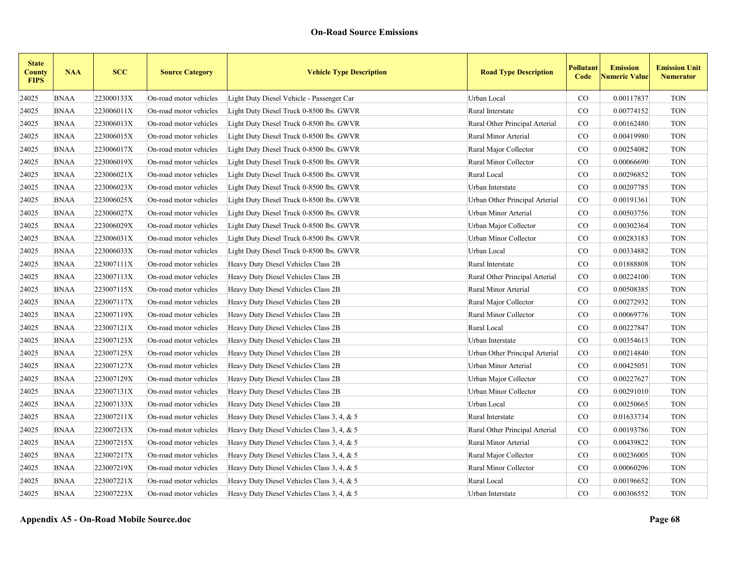| <b>State</b><br><b>County</b><br><b>FIPS</b> | <b>NAA</b>  | <b>SCC</b> | <b>Source Category</b> | <b>Vehicle Type Description</b>            | <b>Road Type Description</b>   | Pollutant<br>Code | <b>Emission</b><br><b>Numeric Value</b> | <b>Emission Unit</b><br><b>Numerator</b> |
|----------------------------------------------|-------------|------------|------------------------|--------------------------------------------|--------------------------------|-------------------|-----------------------------------------|------------------------------------------|
| 24025                                        | <b>BNAA</b> | 223000133X | On-road motor vehicles | Light Duty Diesel Vehicle - Passenger Car  | Urban Local                    | CO                | 0.00117837                              | <b>TON</b>                               |
| 24025                                        | <b>BNAA</b> | 223006011X | On-road motor vehicles | Light Duty Diesel Truck 0-8500 lbs. GWVR   | Rural Interstate               | $\rm CO$          | 0.00774152                              | <b>TON</b>                               |
| 24025                                        | <b>BNAA</b> | 223006013X | On-road motor vehicles | Light Duty Diesel Truck 0-8500 lbs. GWVR   | Rural Other Principal Arterial | $_{\rm CO}$       | 0.00162480                              | <b>TON</b>                               |
| 24025                                        | <b>BNAA</b> | 223006015X | On-road motor vehicles | Light Duty Diesel Truck 0-8500 lbs. GWVR   | Rural Minor Arterial           | $\rm CO$          | 0.00419980                              | <b>TON</b>                               |
| 24025                                        | <b>BNAA</b> | 223006017X | On-road motor vehicles | Light Duty Diesel Truck 0-8500 lbs. GWVR   | Rural Major Collector          | $\rm CO$          | 0.00254082                              | <b>TON</b>                               |
| 24025                                        | <b>BNAA</b> | 223006019X | On-road motor vehicles | Light Duty Diesel Truck 0-8500 lbs. GWVR   | Rural Minor Collector          | $\rm CO$          | 0.00066690                              | <b>TON</b>                               |
| 24025                                        | <b>BNAA</b> | 223006021X | On-road motor vehicles | Light Duty Diesel Truck 0-8500 lbs. GWVR   | Rural Local                    | $\rm CO$          | 0.00296852                              | <b>TON</b>                               |
| 24025                                        | <b>BNAA</b> | 223006023X | On-road motor vehicles | Light Duty Diesel Truck 0-8500 lbs. GWVR   | Urban Interstate               | CO                | 0.00207785                              | <b>TON</b>                               |
| 24025                                        | <b>BNAA</b> | 223006025X | On-road motor vehicles | Light Duty Diesel Truck 0-8500 lbs. GWVR   | Urban Other Principal Arterial | $\rm CO$          | 0.00191361                              | <b>TON</b>                               |
| 24025                                        | <b>BNAA</b> | 223006027X | On-road motor vehicles | Light Duty Diesel Truck 0-8500 lbs. GWVR   | Urban Minor Arterial           | $\rm CO$          | 0.00503756                              | <b>TON</b>                               |
| 24025                                        | <b>BNAA</b> | 223006029X | On-road motor vehicles | Light Duty Diesel Truck 0-8500 lbs. GWVR   | Urban Major Collector          | $_{\rm CO}$       | 0.00302364                              | <b>TON</b>                               |
| 24025                                        | <b>BNAA</b> | 223006031X | On-road motor vehicles | Light Duty Diesel Truck 0-8500 lbs. GWVR   | Urban Minor Collector          | $\rm CO$          | 0.00283183                              | <b>TON</b>                               |
| 24025                                        | <b>BNAA</b> | 223006033X | On-road motor vehicles | Light Duty Diesel Truck 0-8500 lbs. GWVR   | Urban Local                    | CO                | 0.00334882                              | <b>TON</b>                               |
| 24025                                        | <b>BNAA</b> | 223007111X | On-road motor vehicles | Heavy Duty Diesel Vehicles Class 2B        | Rural Interstate               | $\rm CO$          | 0.01888808                              | <b>TON</b>                               |
| 24025                                        | <b>BNAA</b> | 223007113X | On-road motor vehicles | Heavy Duty Diesel Vehicles Class 2B        | Rural Other Principal Arterial | $_{\rm CO}$       | 0.00224100                              | <b>TON</b>                               |
| 24025                                        | <b>BNAA</b> | 223007115X | On-road motor vehicles | Heavy Duty Diesel Vehicles Class 2B        | Rural Minor Arterial           | CO                | 0.00508385                              | <b>TON</b>                               |
| 24025                                        | <b>BNAA</b> | 223007117X | On-road motor vehicles | Heavy Duty Diesel Vehicles Class 2B        | Rural Major Collector          | CO                | 0.00272932                              | <b>TON</b>                               |
| 24025                                        | <b>BNAA</b> | 223007119X | On-road motor vehicles | Heavy Duty Diesel Vehicles Class 2B        | Rural Minor Collector          | $_{\rm CO}$       | 0.00069776                              | <b>TON</b>                               |
| 24025                                        | <b>BNAA</b> | 223007121X | On-road motor vehicles | Heavy Duty Diesel Vehicles Class 2B        | Rural Local                    | $\rm CO$          | 0.00227847                              | <b>TON</b>                               |
| 24025                                        | <b>BNAA</b> | 223007123X | On-road motor vehicles | Heavy Duty Diesel Vehicles Class 2B        | Urban Interstate               | $\rm CO$          | 0.00354613                              | <b>TON</b>                               |
| 24025                                        | <b>BNAA</b> | 223007125X | On-road motor vehicles | Heavy Duty Diesel Vehicles Class 2B        | Urban Other Principal Arterial | CO                | 0.00214840                              | <b>TON</b>                               |
| 24025                                        | <b>BNAA</b> | 223007127X | On-road motor vehicles | Heavy Duty Diesel Vehicles Class 2B        | Urban Minor Arterial           | CO                | 0.00425051                              | <b>TON</b>                               |
| 24025                                        | <b>BNAA</b> | 223007129X | On-road motor vehicles | Heavy Duty Diesel Vehicles Class 2B        | Urban Major Collector          | $\rm CO$          | 0.00227627                              | <b>TON</b>                               |
| 24025                                        | <b>BNAA</b> | 223007131X | On-road motor vehicles | Heavy Duty Diesel Vehicles Class 2B        | Urban Minor Collector          | CO                | 0.00291010                              | <b>TON</b>                               |
| 24025                                        | <b>BNAA</b> | 223007133X | On-road motor vehicles | Heavy Duty Diesel Vehicles Class 2B        | Urban Local                    | $\rm CO$          | 0.00250665                              | <b>TON</b>                               |
| 24025                                        | <b>BNAA</b> | 223007211X | On-road motor vehicles | Heavy Duty Diesel Vehicles Class 3, 4, & 5 | Rural Interstate               | CO                | 0.01633734                              | <b>TON</b>                               |
| 24025                                        | <b>BNAA</b> | 223007213X | On-road motor vehicles | Heavy Duty Diesel Vehicles Class 3, 4, & 5 | Rural Other Principal Arterial | $\rm CO$          | 0.00193786                              | <b>TON</b>                               |
| 24025                                        | <b>BNAA</b> | 223007215X | On-road motor vehicles | Heavy Duty Diesel Vehicles Class 3, 4, & 5 | Rural Minor Arterial           | CO                | 0.00439822                              | <b>TON</b>                               |
| 24025                                        | <b>BNAA</b> | 223007217X | On-road motor vehicles | Heavy Duty Diesel Vehicles Class 3, 4, & 5 | Rural Major Collector          | $\rm CO$          | 0.00236005                              | <b>TON</b>                               |
| 24025                                        | <b>BNAA</b> | 223007219X | On-road motor vehicles | Heavy Duty Diesel Vehicles Class 3, 4, & 5 | Rural Minor Collector          | CO                | 0.00060296                              | <b>TON</b>                               |
| 24025                                        | <b>BNAA</b> | 223007221X | On-road motor vehicles | Heavy Duty Diesel Vehicles Class 3, 4, & 5 | Rural Local                    | CO                | 0.00196652                              | <b>TON</b>                               |
| 24025                                        | <b>BNAA</b> | 223007223X | On-road motor vehicles | Heavy Duty Diesel Vehicles Class 3, 4, & 5 | Urban Interstate               | CO                | 0.00306552                              | <b>TON</b>                               |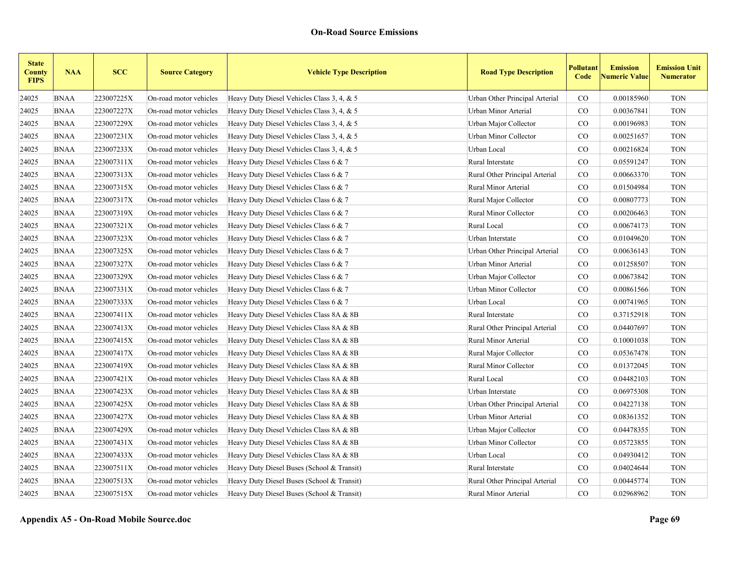| <b>State</b><br><b>County</b><br><b>FIPS</b> | <b>NAA</b>  | <b>SCC</b> | <b>Source Category</b> | <b>Vehicle Type Description</b>            | <b>Road Type Description</b>   | Pollutant<br>Code | <b>Emission</b><br><b>Numeric Value</b> | <b>Emission Unit</b><br><b>Numerator</b> |
|----------------------------------------------|-------------|------------|------------------------|--------------------------------------------|--------------------------------|-------------------|-----------------------------------------|------------------------------------------|
| 24025                                        | <b>BNAA</b> | 223007225X | On-road motor vehicles | Heavy Duty Diesel Vehicles Class 3, 4, & 5 | Urban Other Principal Arterial | CO                | 0.00185960                              | <b>TON</b>                               |
| 24025                                        | <b>BNAA</b> | 223007227X | On-road motor vehicles | Heavy Duty Diesel Vehicles Class 3, 4, & 5 | Urban Minor Arterial           | $_{\rm CO}$       | 0.00367841                              | <b>TON</b>                               |
| 24025                                        | <b>BNAA</b> | 223007229X | On-road motor vehicles | Heavy Duty Diesel Vehicles Class 3, 4, & 5 | Urban Major Collector          | $_{\rm CO}$       | 0.00196983                              | <b>TON</b>                               |
| 24025                                        | <b>BNAA</b> | 223007231X | On-road motor vehicles | Heavy Duty Diesel Vehicles Class 3, 4, & 5 | Urban Minor Collector          | $\rm CO$          | 0.00251657                              | <b>TON</b>                               |
| 24025                                        | <b>BNAA</b> | 223007233X | On-road motor vehicles | Heavy Duty Diesel Vehicles Class 3, 4, & 5 | Urban Local                    | $\rm CO$          | 0.00216824                              | <b>TON</b>                               |
| 24025                                        | <b>BNAA</b> | 223007311X | On-road motor vehicles | Heavy Duty Diesel Vehicles Class 6 $& 7$   | Rural Interstate               | $\rm CO$          | 0.05591247                              | <b>TON</b>                               |
| 24025                                        | <b>BNAA</b> | 223007313X | On-road motor vehicles | Heavy Duty Diesel Vehicles Class 6 $& 7$   | Rural Other Principal Arterial | $_{\rm CO}$       | 0.00663370                              | <b>TON</b>                               |
| 24025                                        | <b>BNAA</b> | 223007315X | On-road motor vehicles | Heavy Duty Diesel Vehicles Class 6 & 7     | Rural Minor Arterial           | $\rm CO$          | 0.01504984                              | <b>TON</b>                               |
| 24025                                        | <b>BNAA</b> | 223007317X | On-road motor vehicles | Heavy Duty Diesel Vehicles Class 6 $& 7$   | Rural Major Collector          | CO                | 0.00807773                              | <b>TON</b>                               |
| 24025                                        | <b>BNAA</b> | 223007319X | On-road motor vehicles | Heavy Duty Diesel Vehicles Class 6 & 7     | Rural Minor Collector          | $\rm CO$          | 0.00206463                              | <b>TON</b>                               |
| 24025                                        | <b>BNAA</b> | 223007321X | On-road motor vehicles | Heavy Duty Diesel Vehicles Class 6 & 7     | Rural Local                    | $_{\rm CO}$       | 0.00674173                              | <b>TON</b>                               |
| 24025                                        | <b>BNAA</b> | 223007323X | On-road motor vehicles | Heavy Duty Diesel Vehicles Class 6 & 7     | Urban Interstate               | $\rm CO$          | 0.01049620                              | <b>TON</b>                               |
| 24025                                        | <b>BNAA</b> | 223007325X | On-road motor vehicles | Heavy Duty Diesel Vehicles Class 6 & 7     | Urban Other Principal Arterial | $\rm CO$          | 0.00636143                              | <b>TON</b>                               |
| 24025                                        | <b>BNAA</b> | 223007327X | On-road motor vehicles | Heavy Duty Diesel Vehicles Class 6 & 7     | Urban Minor Arterial           | $\rm CO$          | 0.01258507                              | <b>TON</b>                               |
| 24025                                        | <b>BNAA</b> | 223007329X | On-road motor vehicles | Heavy Duty Diesel Vehicles Class 6 $& 7$   | Urban Major Collector          | $_{\rm CO}$       | 0.00673842                              | <b>TON</b>                               |
| 24025                                        | <b>BNAA</b> | 223007331X | On-road motor vehicles | Heavy Duty Diesel Vehicles Class 6 & 7     | Urban Minor Collector          | $_{\rm CO}$       | 0.00861566                              | <b>TON</b>                               |
| 24025                                        | <b>BNAA</b> | 223007333X | On-road motor vehicles | Heavy Duty Diesel Vehicles Class 6 & 7     | Urban Local                    | CO                | 0.00741965                              | <b>TON</b>                               |
| 24025                                        | <b>BNAA</b> | 223007411X | On-road motor vehicles | Heavy Duty Diesel Vehicles Class 8A & 8B   | Rural Interstate               | $\rm CO$          | 0.37152918                              | <b>TON</b>                               |
| 24025                                        | <b>BNAA</b> | 223007413X | On-road motor vehicles | Heavy Duty Diesel Vehicles Class 8A & 8B   | Rural Other Principal Arterial | $_{\rm CO}$       | 0.04407697                              | <b>TON</b>                               |
| 24025                                        | <b>BNAA</b> | 223007415X | On-road motor vehicles | Heavy Duty Diesel Vehicles Class 8A & 8B   | Rural Minor Arterial           | $\rm CO$          | 0.10001038                              | <b>TON</b>                               |
| 24025                                        | <b>BNAA</b> | 223007417X | On-road motor vehicles | Heavy Duty Diesel Vehicles Class 8A & 8B   | Rural Major Collector          | CO                | 0.05367478                              | <b>TON</b>                               |
| 24025                                        | <b>BNAA</b> | 223007419X | On-road motor vehicles | Heavy Duty Diesel Vehicles Class 8A & 8B   | Rural Minor Collector          | $\rm CO$          | 0.01372045                              | <b>TON</b>                               |
| 24025                                        | <b>BNAA</b> | 223007421X | On-road motor vehicles | Heavy Duty Diesel Vehicles Class 8A & 8B   | Rural Local                    | CO                | 0.04482103                              | <b>TON</b>                               |
| 24025                                        | <b>BNAA</b> | 223007423X | On-road motor vehicles | Heavy Duty Diesel Vehicles Class 8A & 8B   | Urban Interstate               | CO                | 0.06975308                              | <b>TON</b>                               |
| 24025                                        | <b>BNAA</b> | 223007425X | On-road motor vehicles | Heavy Duty Diesel Vehicles Class 8A & 8B   | Urban Other Principal Arterial | $\rm CO$          | 0.04227138                              | <b>TON</b>                               |
| 24025                                        | <b>BNAA</b> | 223007427X | On-road motor vehicles | Heavy Duty Diesel Vehicles Class 8A & 8B   | Urban Minor Arterial           | $_{\rm CO}$       | 0.08361352                              | <b>TON</b>                               |
| 24025                                        | <b>BNAA</b> | 223007429X | On-road motor vehicles | Heavy Duty Diesel Vehicles Class 8A & 8B   | Urban Major Collector          | $_{\rm CO}$       | 0.04478355                              | <b>TON</b>                               |
| 24025                                        | <b>BNAA</b> | 223007431X | On-road motor vehicles | Heavy Duty Diesel Vehicles Class 8A & 8B   | Urban Minor Collector          | $_{\rm CO}$       | 0.05723855                              | <b>TON</b>                               |
| 24025                                        | <b>BNAA</b> | 223007433X | On-road motor vehicles | Heavy Duty Diesel Vehicles Class 8A & 8B   | Urban Local                    | $\rm CO$          | 0.04930412                              | <b>TON</b>                               |
| 24025                                        | <b>BNAA</b> | 223007511X | On-road motor vehicles | Heavy Duty Diesel Buses (School & Transit) | Rural Interstate               | $\rm CO$          | 0.04024644                              | <b>TON</b>                               |
| 24025                                        | <b>BNAA</b> | 223007513X | On-road motor vehicles | Heavy Duty Diesel Buses (School & Transit) | Rural Other Principal Arterial | $\rm CO$          | 0.00445774                              | <b>TON</b>                               |
| 24025                                        | <b>BNAA</b> | 223007515X | On-road motor vehicles | Heavy Duty Diesel Buses (School & Transit) | Rural Minor Arterial           | CO                | 0.02968962                              | <b>TON</b>                               |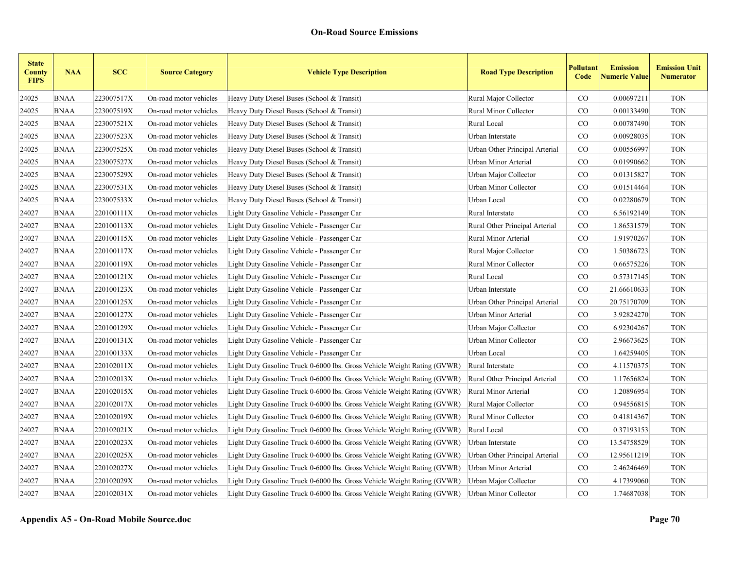| <b>State</b><br><b>County</b><br><b>FIPS</b> | <b>NAA</b>  | <b>SCC</b> | <b>Source Category</b> | <b>Vehicle Type Description</b>                                          | <b>Road Type Description</b>   | Pollutant<br>Code | <b>Emission</b><br><b>Numeric Value</b> | <b>Emission Unit</b><br><b>Numerator</b> |
|----------------------------------------------|-------------|------------|------------------------|--------------------------------------------------------------------------|--------------------------------|-------------------|-----------------------------------------|------------------------------------------|
| 24025                                        | <b>BNAA</b> | 223007517X | On-road motor vehicles | Heavy Duty Diesel Buses (School & Transit)                               | Rural Major Collector          | $\rm CO$          | 0.00697211                              | <b>TON</b>                               |
| 24025                                        | <b>BNAA</b> | 223007519X | On-road motor vehicles | Heavy Duty Diesel Buses (School & Transit)                               | Rural Minor Collector          | $\rm CO$          | 0.00133490                              | <b>TON</b>                               |
| 24025                                        | <b>BNAA</b> | 223007521X | On-road motor vehicles | Heavy Duty Diesel Buses (School & Transit)                               | Rural Local                    | $\rm CO$          | 0.00787490                              | <b>TON</b>                               |
| 24025                                        | <b>BNAA</b> | 223007523X | On-road motor vehicles | Heavy Duty Diesel Buses (School & Transit)                               | Urban Interstate               | $\rm CO$          | 0.00928035                              | <b>TON</b>                               |
| 24025                                        | <b>BNAA</b> | 223007525X | On-road motor vehicles | Heavy Duty Diesel Buses (School & Transit)                               | Urban Other Principal Arterial | $\rm CO$          | 0.00556997                              | <b>TON</b>                               |
| 24025                                        | <b>BNAA</b> | 223007527X | On-road motor vehicles | Heavy Duty Diesel Buses (School & Transit)                               | Urban Minor Arterial           | $\rm CO$          | 0.01990662                              | <b>TON</b>                               |
| 24025                                        | <b>BNAA</b> | 223007529X | On-road motor vehicles | Heavy Duty Diesel Buses (School & Transit)                               | Urban Major Collector          | $\rm CO$          | 0.01315827                              | <b>TON</b>                               |
| 24025                                        | <b>BNAA</b> | 223007531X | On-road motor vehicles | Heavy Duty Diesel Buses (School & Transit)                               | Urban Minor Collector          | $\rm CO$          | 0.01514464                              | <b>TON</b>                               |
| 24025                                        | <b>BNAA</b> | 223007533X | On-road motor vehicles | Heavy Duty Diesel Buses (School & Transit)                               | Urban Local                    | $\rm CO$          | 0.02280679                              | <b>TON</b>                               |
| 24027                                        | <b>BNAA</b> | 220100111X | On-road motor vehicles | Light Duty Gasoline Vehicle - Passenger Car                              | Rural Interstate               | $\rm CO$          | 6.56192149                              | <b>TON</b>                               |
| 24027                                        | <b>BNAA</b> | 220100113X | On-road motor vehicles | Light Duty Gasoline Vehicle - Passenger Car                              | Rural Other Principal Arterial | $\rm CO$          | 1.86531579                              | <b>TON</b>                               |
| 24027                                        | <b>BNAA</b> | 220100115X | On-road motor vehicles | Light Duty Gasoline Vehicle - Passenger Car                              | Rural Minor Arterial           | $\rm CO$          | 1.91970267                              | <b>TON</b>                               |
| 24027                                        | <b>BNAA</b> | 220100117X | On-road motor vehicles | Light Duty Gasoline Vehicle - Passenger Car                              | Rural Major Collector          | CO                | 1.50386723                              | <b>TON</b>                               |
| 24027                                        | <b>BNAA</b> | 220100119X | On-road motor vehicles | Light Duty Gasoline Vehicle - Passenger Car                              | Rural Minor Collector          | $\rm CO$          | 0.66575226                              | <b>TON</b>                               |
| 24027                                        | <b>BNAA</b> | 220100121X | On-road motor vehicles | Light Duty Gasoline Vehicle - Passenger Car                              | Rural Local                    | $\rm CO$          | 0.57317145                              | <b>TON</b>                               |
| 24027                                        | <b>BNAA</b> | 220100123X | On-road motor vehicles | Light Duty Gasoline Vehicle - Passenger Car                              | Urban Interstate               | $\rm CO$          | 21.66610633                             | <b>TON</b>                               |
| 24027                                        | <b>BNAA</b> | 220100125X | On-road motor vehicles | Light Duty Gasoline Vehicle - Passenger Car                              | Urban Other Principal Arterial | CO                | 20.75170709                             | <b>TON</b>                               |
| 24027                                        | <b>BNAA</b> | 220100127X | On-road motor vehicles | Light Duty Gasoline Vehicle - Passenger Car                              | Urban Minor Arterial           | CO                | 3.92824270                              | <b>TON</b>                               |
| 24027                                        | <b>BNAA</b> | 220100129X | On-road motor vehicles | Light Duty Gasoline Vehicle - Passenger Car                              | Urban Major Collector          | $\rm CO$          | 6.92304267                              | <b>TON</b>                               |
| 24027                                        | <b>BNAA</b> | 220100131X | On-road motor vehicles | Light Duty Gasoline Vehicle - Passenger Car                              | Urban Minor Collector          | $\rm CO$          | 2.96673625                              | <b>TON</b>                               |
| 24027                                        | <b>BNAA</b> | 220100133X | On-road motor vehicles | Light Duty Gasoline Vehicle - Passenger Car                              | Urban Local                    | $\rm CO$          | 1.64259405                              | <b>TON</b>                               |
| 24027                                        | <b>BNAA</b> | 220102011X | On-road motor vehicles | Light Duty Gasoline Truck 0-6000 lbs. Gross Vehicle Weight Rating (GVWR) | Rural Interstate               | $\rm CO$          | 4.11570375                              | <b>TON</b>                               |
| 24027                                        | <b>BNAA</b> | 220102013X | On-road motor vehicles | Light Duty Gasoline Truck 0-6000 lbs. Gross Vehicle Weight Rating (GVWR) | Rural Other Principal Arterial | $\rm CO$          | 1.17656824                              | <b>TON</b>                               |
| 24027                                        | <b>BNAA</b> | 220102015X | On-road motor vehicles | Light Duty Gasoline Truck 0-6000 lbs. Gross Vehicle Weight Rating (GVWR) | Rural Minor Arterial           | $\rm CO$          | 1.20896954                              | <b>TON</b>                               |
| 24027                                        | <b>BNAA</b> | 220102017X | On-road motor vehicles | Light Duty Gasoline Truck 0-6000 lbs. Gross Vehicle Weight Rating (GVWR) | Rural Major Collector          | CO                | 0.94556815                              | <b>TON</b>                               |
| 24027                                        | <b>BNAA</b> | 220102019X | On-road motor vehicles | Light Duty Gasoline Truck 0-6000 lbs. Gross Vehicle Weight Rating (GVWR) | Rural Minor Collector          | CO                | 0.41814367                              | <b>TON</b>                               |
| 24027                                        | <b>BNAA</b> | 220102021X | On-road motor vehicles | Light Duty Gasoline Truck 0-6000 lbs. Gross Vehicle Weight Rating (GVWR) | Rural Local                    | $\rm CO$          | 0.37193153                              | <b>TON</b>                               |
| 24027                                        | <b>BNAA</b> | 220102023X | On-road motor vehicles | Light Duty Gasoline Truck 0-6000 lbs. Gross Vehicle Weight Rating (GVWR) | Urban Interstate               | CO                | 13.54758529                             | <b>TON</b>                               |
| 24027                                        | <b>BNAA</b> | 220102025X | On-road motor vehicles | Light Duty Gasoline Truck 0-6000 lbs. Gross Vehicle Weight Rating (GVWR) | Urban Other Principal Arterial | $\rm CO$          | 12.95611219                             | <b>TON</b>                               |
| 24027                                        | <b>BNAA</b> | 220102027X | On-road motor vehicles | Light Duty Gasoline Truck 0-6000 lbs. Gross Vehicle Weight Rating (GVWR) | Urban Minor Arterial           | $\rm CO$          | 2.46246469                              | <b>TON</b>                               |
| 24027                                        | <b>BNAA</b> | 220102029X | On-road motor vehicles | Light Duty Gasoline Truck 0-6000 lbs. Gross Vehicle Weight Rating (GVWR) | Urban Major Collector          | $\rm CO$          | 4.17399060                              | <b>TON</b>                               |
| 24027                                        | <b>BNAA</b> | 220102031X | On-road motor vehicles | Light Duty Gasoline Truck 0-6000 lbs. Gross Vehicle Weight Rating (GVWR) | Urban Minor Collector          | $\rm CO$          | 1.74687038                              | <b>TON</b>                               |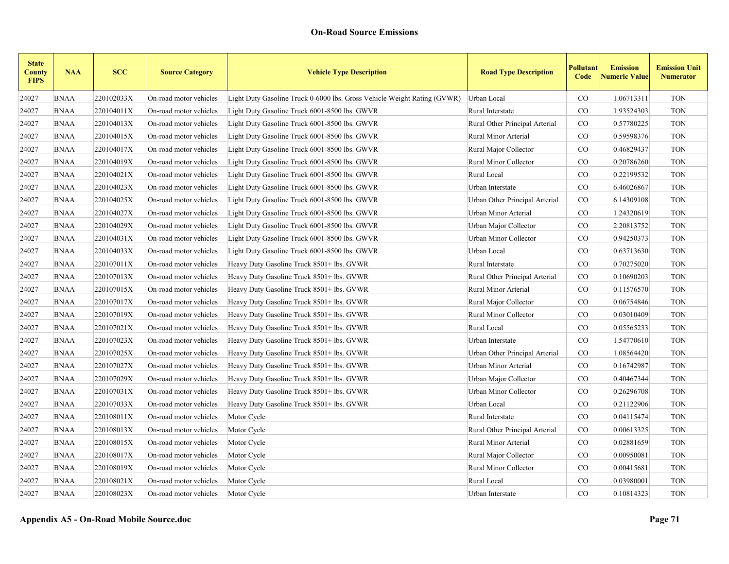| <b>State</b><br><b>County</b><br><b>FIPS</b> | <b>NAA</b>  | <b>SCC</b> | <b>Source Category</b> | <b>Vehicle Type Description</b>                                          | <b>Road Type Description</b>   | Pollutant<br>Code | <b>Emission</b><br><b>Numeric Value</b> | <b>Emission Unit</b><br><b>Numerator</b> |
|----------------------------------------------|-------------|------------|------------------------|--------------------------------------------------------------------------|--------------------------------|-------------------|-----------------------------------------|------------------------------------------|
| 24027                                        | <b>BNAA</b> | 220102033X | On-road motor vehicles | Light Duty Gasoline Truck 0-6000 lbs. Gross Vehicle Weight Rating (GVWR) | Urban Local                    | CO                | 1.06713311                              | <b>TON</b>                               |
| 24027                                        | <b>BNAA</b> | 220104011X | On-road motor vehicles | Light Duty Gasoline Truck 6001-8500 lbs. GWVR                            | Rural Interstate               | CO                | 1.93524303                              | <b>TON</b>                               |
| 24027                                        | <b>BNAA</b> | 220104013X | On-road motor vehicles | Light Duty Gasoline Truck 6001-8500 lbs. GWVR                            | Rural Other Principal Arterial | $_{\rm CO}$       | 0.57780225                              | <b>TON</b>                               |
| 24027                                        | <b>BNAA</b> | 220104015X | On-road motor vehicles | Light Duty Gasoline Truck 6001-8500 lbs. GWVR                            | Rural Minor Arterial           | $\rm CO$          | 0.59598376                              | <b>TON</b>                               |
| 24027                                        | <b>BNAA</b> | 220104017X | On-road motor vehicles | Light Duty Gasoline Truck 6001-8500 lbs. GWVR                            | Rural Major Collector          | CO                | 0.46829437                              | <b>TON</b>                               |
| 24027                                        | <b>BNAA</b> | 220104019X | On-road motor vehicles | Light Duty Gasoline Truck 6001-8500 lbs. GWVR                            | Rural Minor Collector          | $\rm CO$          | 0.20786260                              | <b>TON</b>                               |
| 24027                                        | <b>BNAA</b> | 220104021X | On-road motor vehicles | Light Duty Gasoline Truck 6001-8500 lbs. GWVR                            | Rural Local                    | $\rm CO$          | 0.22199532                              | <b>TON</b>                               |
| 24027                                        | <b>BNAA</b> | 220104023X | On-road motor vehicles | Light Duty Gasoline Truck 6001-8500 lbs. GWVR                            | Urban Interstate               | CO                | 6.46026867                              | <b>TON</b>                               |
| 24027                                        | <b>BNAA</b> | 220104025X | On-road motor vehicles | Light Duty Gasoline Truck 6001-8500 lbs. GWVR                            | Urban Other Principal Arterial | CO                | 6.14309108                              | <b>TON</b>                               |
| 24027                                        | <b>BNAA</b> | 220104027X | On-road motor vehicles | Light Duty Gasoline Truck 6001-8500 lbs. GWVR                            | Urban Minor Arterial           | CO                | 1.24320619                              | <b>TON</b>                               |
| 24027                                        | <b>BNAA</b> | 220104029X | On-road motor vehicles | Light Duty Gasoline Truck 6001-8500 lbs. GWVR                            | Urban Major Collector          | $\rm CO$          | 2.20813752                              | <b>TON</b>                               |
| 24027                                        | <b>BNAA</b> | 220104031X | On-road motor vehicles | Light Duty Gasoline Truck 6001-8500 lbs. GWVR                            | Urban Minor Collector          | $\rm CO$          | 0.94250373                              | <b>TON</b>                               |
| 24027                                        | <b>BNAA</b> | 220104033X | On-road motor vehicles | Light Duty Gasoline Truck 6001-8500 lbs. GWVR                            | Urban Local                    | CO                | 0.63713630                              | <b>TON</b>                               |
| 24027                                        | <b>BNAA</b> | 220107011X | On-road motor vehicles | Heavy Duty Gasoline Truck 8501+ lbs. GVWR                                | Rural Interstate               | CO                | 0.70275020                              | <b>TON</b>                               |
| 24027                                        | <b>BNAA</b> | 220107013X | On-road motor vehicles | Heavy Duty Gasoline Truck 8501+ lbs. GVWR                                | Rural Other Principal Arterial | $\rm CO$          | 0.10690203                              | <b>TON</b>                               |
| 24027                                        | <b>BNAA</b> | 220107015X | On-road motor vehicles | Heavy Duty Gasoline Truck 8501+ lbs. GVWR                                | Rural Minor Arterial           | $\rm CO$          | 0.11576570                              | <b>TON</b>                               |
| 24027                                        | <b>BNAA</b> | 220107017X | On-road motor vehicles | Heavy Duty Gasoline Truck 8501+ lbs. GVWR                                | Rural Major Collector          | $\rm CO$          | 0.06754846                              | <b>TON</b>                               |
| 24027                                        | <b>BNAA</b> | 220107019X | On-road motor vehicles | Heavy Duty Gasoline Truck 8501+ lbs. GVWR                                | Rural Minor Collector          | $\rm CO$          | 0.03010409                              | <b>TON</b>                               |
| 24027                                        | <b>BNAA</b> | 220107021X | On-road motor vehicles | Heavy Duty Gasoline Truck 8501+ lbs. GVWR                                | Rural Local                    | $\rm CO$          | 0.05565233                              | <b>TON</b>                               |
| 24027                                        | <b>BNAA</b> | 220107023X | On-road motor vehicles | Heavy Duty Gasoline Truck 8501+ lbs. GVWR                                | Urban Interstate               | $\rm CO$          | 1.54770610                              | <b>TON</b>                               |
| 24027                                        | <b>BNAA</b> | 220107025X | On-road motor vehicles | Heavy Duty Gasoline Truck 8501+ lbs. GVWR                                | Urban Other Principal Arterial | CO                | 1.08564420                              | <b>TON</b>                               |
| 24027                                        | <b>BNAA</b> | 220107027X | On-road motor vehicles | Heavy Duty Gasoline Truck 8501+ lbs. GVWR                                | Urban Minor Arterial           | CO                | 0.16742987                              | <b>TON</b>                               |
| 24027                                        | <b>BNAA</b> | 220107029X | On-road motor vehicles | Heavy Duty Gasoline Truck 8501+ lbs. GVWR                                | Urban Major Collector          | $\rm CO$          | 0.40467344                              | <b>TON</b>                               |
| 24027                                        | <b>BNAA</b> | 220107031X | On-road motor vehicles | Heavy Duty Gasoline Truck 8501+ lbs. GVWR                                | Urban Minor Collector          | CO                | 0.26296708                              | <b>TON</b>                               |
| 24027                                        | <b>BNAA</b> | 220107033X | On-road motor vehicles | Heavy Duty Gasoline Truck 8501+ lbs. GVWR                                | Urban Local                    | $\rm CO$          | 0.21122906                              | <b>TON</b>                               |
| 24027                                        | <b>BNAA</b> | 220108011X | On-road motor vehicles | Motor Cycle                                                              | Rural Interstate               | CO                | 0.04115474                              | <b>TON</b>                               |
| 24027                                        | <b>BNAA</b> | 220108013X | On-road motor vehicles | Motor Cycle                                                              | Rural Other Principal Arterial | $_{\rm CO}$       | 0.00613325                              | <b>TON</b>                               |
| 24027                                        | <b>BNAA</b> | 220108015X | On-road motor vehicles | Motor Cycle                                                              | Rural Minor Arterial           | CO                | 0.02881659                              | <b>TON</b>                               |
| 24027                                        | <b>BNAA</b> | 220108017X | On-road motor vehicles | Motor Cycle                                                              | Rural Major Collector          | $\rm CO$          | 0.00950081                              | <b>TON</b>                               |
| 24027                                        | <b>BNAA</b> | 220108019X | On-road motor vehicles | Motor Cycle                                                              | Rural Minor Collector          | $\rm CO$          | 0.00415681                              | <b>TON</b>                               |
| 24027                                        | <b>BNAA</b> | 220108021X | On-road motor vehicles | Motor Cycle                                                              | Rural Local                    | $\rm CO$          | 0.03980001                              | <b>TON</b>                               |
| 24027                                        | <b>BNAA</b> | 220108023X | On-road motor vehicles | Motor Cycle                                                              | Urban Interstate               | CO                | 0.10814323                              | <b>TON</b>                               |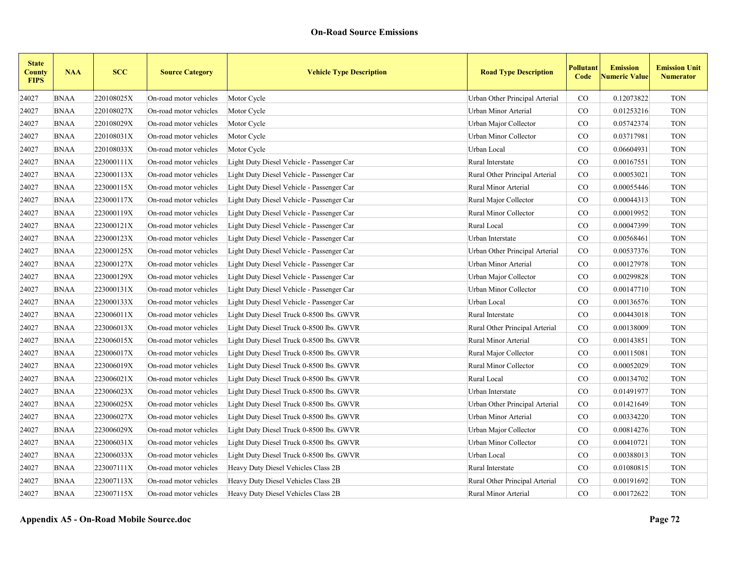| <b>State</b><br><b>County</b><br><b>FIPS</b> | <b>NAA</b>  | <b>SCC</b> | <b>Source Category</b> | <b>Vehicle Type Description</b>           | <b>Road Type Description</b>   | Pollutant<br>Code | <b>Emission</b><br><b>Numeric Value</b> | <b>Emission Unit</b><br><b>Numerator</b> |
|----------------------------------------------|-------------|------------|------------------------|-------------------------------------------|--------------------------------|-------------------|-----------------------------------------|------------------------------------------|
| 24027                                        | <b>BNAA</b> | 220108025X | On-road motor vehicles | Motor Cycle                               | Urban Other Principal Arterial | $\rm CO$          | 0.12073822                              | <b>TON</b>                               |
| 24027                                        | <b>BNAA</b> | 220108027X | On-road motor vehicles | Motor Cycle                               | Urban Minor Arterial           | $\rm CO$          | 0.01253216                              | <b>TON</b>                               |
| 24027                                        | <b>BNAA</b> | 220108029X | On-road motor vehicles | Motor Cycle                               | Urban Major Collector          | $\rm CO$          | 0.05742374                              | <b>TON</b>                               |
| 24027                                        | BNAA        | 220108031X | On-road motor vehicles | Motor Cycle                               | Urban Minor Collector          | $\rm CO$          | 0.03717981                              | <b>TON</b>                               |
| 24027                                        | <b>BNAA</b> | 220108033X | On-road motor vehicles | Motor Cycle                               | Urban Local                    | $\rm CO$          | 0.06604931                              | <b>TON</b>                               |
| 24027                                        | BNAA        | 223000111X | On-road motor vehicles | Light Duty Diesel Vehicle - Passenger Car | Rural Interstate               | $\rm CO$          | 0.00167551                              | <b>TON</b>                               |
| 24027                                        | <b>BNAA</b> | 223000113X | On-road motor vehicles | Light Duty Diesel Vehicle - Passenger Car | Rural Other Principal Arterial | $\rm CO$          | 0.00053021                              | <b>TON</b>                               |
| 24027                                        | <b>BNAA</b> | 223000115X | On-road motor vehicles | Light Duty Diesel Vehicle - Passenger Car | Rural Minor Arterial           | $\rm CO$          | 0.00055446                              | <b>TON</b>                               |
| 24027                                        | <b>BNAA</b> | 223000117X | On-road motor vehicles | Light Duty Diesel Vehicle - Passenger Car | Rural Major Collector          | $\rm CO$          | 0.00044313                              | <b>TON</b>                               |
| 24027                                        | <b>BNAA</b> | 223000119X | On-road motor vehicles | Light Duty Diesel Vehicle - Passenger Car | Rural Minor Collector          | $\rm CO$          | 0.00019952                              | <b>TON</b>                               |
| 24027                                        | <b>BNAA</b> | 223000121X | On-road motor vehicles | Light Duty Diesel Vehicle - Passenger Car | Rural Local                    | $\rm CO$          | 0.00047399                              | <b>TON</b>                               |
| 24027                                        | <b>BNAA</b> | 223000123X | On-road motor vehicles | Light Duty Diesel Vehicle - Passenger Car | Urban Interstate               | $\rm CO$          | 0.00568461                              | <b>TON</b>                               |
| 24027                                        | <b>BNAA</b> | 223000125X | On-road motor vehicles | Light Duty Diesel Vehicle - Passenger Car | Urban Other Principal Arterial | $\rm CO$          | 0.00537376                              | <b>TON</b>                               |
| 24027                                        | <b>BNAA</b> | 223000127X | On-road motor vehicles | Light Duty Diesel Vehicle - Passenger Car | Urban Minor Arterial           | CO.               | 0.00127978                              | <b>TON</b>                               |
| 24027                                        | <b>BNAA</b> | 223000129X | On-road motor vehicles | Light Duty Diesel Vehicle - Passenger Car | Urban Major Collector          | $\rm CO$          | 0.00299828                              | <b>TON</b>                               |
| 24027                                        | <b>BNAA</b> | 223000131X | On-road motor vehicles | Light Duty Diesel Vehicle - Passenger Car | Urban Minor Collector          | $\rm CO$          | 0.00147710                              | <b>TON</b>                               |
| 24027                                        | <b>BNAA</b> | 223000133X | On-road motor vehicles | Light Duty Diesel Vehicle - Passenger Car | Urban Local                    | CO                | 0.00136576                              | <b>TON</b>                               |
| 24027                                        | <b>BNAA</b> | 223006011X | On-road motor vehicles | Light Duty Diesel Truck 0-8500 lbs. GWVR  | Rural Interstate               | $\rm CO$          | 0.00443018                              | <b>TON</b>                               |
| 24027                                        | <b>BNAA</b> | 223006013X | On-road motor vehicles | Light Duty Diesel Truck 0-8500 lbs. GWVR  | Rural Other Principal Arterial | CO.               | 0.00138009                              | <b>TON</b>                               |
| 24027                                        | <b>BNAA</b> | 223006015X | On-road motor vehicles | Light Duty Diesel Truck 0-8500 lbs. GWVR  | Rural Minor Arterial           | $\rm CO$          | 0.00143851                              | <b>TON</b>                               |
| 24027                                        | <b>BNAA</b> | 223006017X | On-road motor vehicles | Light Duty Diesel Truck 0-8500 lbs. GWVR  | Rural Major Collector          | $\rm CO$          | 0.00115081                              | <b>TON</b>                               |
| 24027                                        | <b>BNAA</b> | 223006019X | On-road motor vehicles | Light Duty Diesel Truck 0-8500 lbs. GWVR  | Rural Minor Collector          | CO.               | 0.00052029                              | <b>TON</b>                               |
| 24027                                        | <b>BNAA</b> | 223006021X | On-road motor vehicles | Light Duty Diesel Truck 0-8500 lbs. GWVR  | Rural Local                    | $\rm CO$          | 0.00134702                              | <b>TON</b>                               |
| 24027                                        | <b>BNAA</b> | 223006023X | On-road motor vehicles | Light Duty Diesel Truck 0-8500 lbs. GWVR  | Urban Interstate               | $\rm CO$          | 0.01491977                              | <b>TON</b>                               |
| 24027                                        | BNAA        | 223006025X | On-road motor vehicles | Light Duty Diesel Truck 0-8500 lbs. GWVR  | Urban Other Principal Arterial | $\rm CO$          | 0.01421649                              | <b>TON</b>                               |
| 24027                                        | <b>BNAA</b> | 223006027X | On-road motor vehicles | Light Duty Diesel Truck 0-8500 lbs. GWVR  | Urban Minor Arterial           | CO.               | 0.00334220                              | <b>TON</b>                               |
| 24027                                        | BNAA        | 223006029X | On-road motor vehicles | Light Duty Diesel Truck 0-8500 lbs. GWVR  | Urban Major Collector          | $\rm CO$          | 0.00814276                              | <b>TON</b>                               |
| 24027                                        | <b>BNAA</b> | 223006031X | On-road motor vehicles | Light Duty Diesel Truck 0-8500 lbs. GWVR  | Urban Minor Collector          | CO.               | 0.00410721                              | <b>TON</b>                               |
| 24027                                        | <b>BNAA</b> | 223006033X | On-road motor vehicles | Light Duty Diesel Truck 0-8500 lbs. GWVR  | Urban Local                    | CO.               | 0.00388013                              | <b>TON</b>                               |
| 24027                                        | <b>BNAA</b> | 223007111X | On-road motor vehicles | Heavy Duty Diesel Vehicles Class 2B       | Rural Interstate               | CO.               | 0.01080815                              | <b>TON</b>                               |
| 24027                                        | BNAA        | 223007113X | On-road motor vehicles | Heavy Duty Diesel Vehicles Class 2B       | Rural Other Principal Arterial | $\rm CO$          | 0.00191692                              | <b>TON</b>                               |
| 24027                                        | <b>BNAA</b> | 223007115X | On-road motor vehicles | Heavy Duty Diesel Vehicles Class 2B       | Rural Minor Arterial           | CO                | 0.00172622                              | <b>TON</b>                               |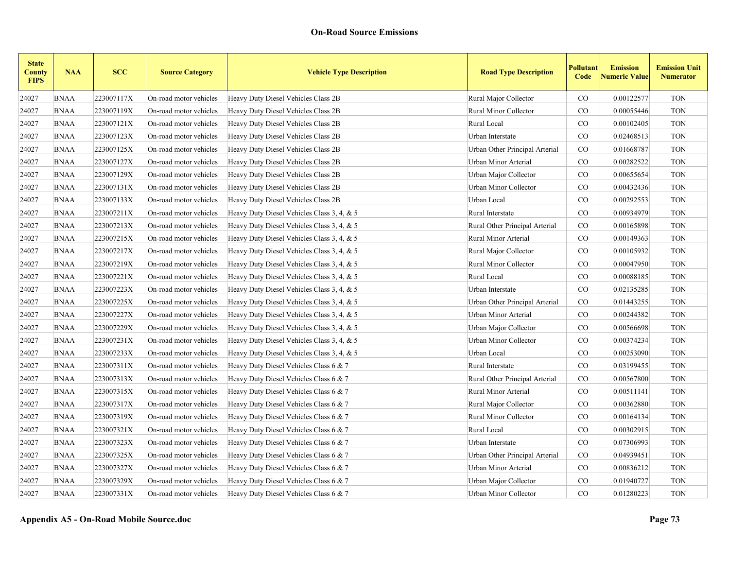| <b>State</b><br><b>County</b><br><b>FIPS</b> | <b>NAA</b>  | <b>SCC</b> | <b>Source Category</b> | <b>Vehicle Type Description</b>            | <b>Road Type Description</b>   | Pollutant<br>Code | <b>Emission</b><br><b>Vumeric Value</b> | <b>Emission Unit</b><br><b>Numerator</b> |
|----------------------------------------------|-------------|------------|------------------------|--------------------------------------------|--------------------------------|-------------------|-----------------------------------------|------------------------------------------|
| 24027                                        | <b>BNAA</b> | 223007117X | On-road motor vehicles | Heavy Duty Diesel Vehicles Class 2B        | Rural Major Collector          | CO                | 0.00122577                              | <b>TON</b>                               |
| 24027                                        | <b>BNAA</b> | 223007119X | On-road motor vehicles | Heavy Duty Diesel Vehicles Class 2B        | Rural Minor Collector          | CO                | 0.00055446                              | <b>TON</b>                               |
| 24027                                        | <b>BNAA</b> | 223007121X | On-road motor vehicles | Heavy Duty Diesel Vehicles Class 2B        | Rural Local                    | CO                | 0.00102405                              | <b>TON</b>                               |
| 24027                                        | <b>BNAA</b> | 223007123X | On-road motor vehicles | Heavy Duty Diesel Vehicles Class 2B        | Urban Interstate               | CO                | 0.02468513                              | <b>TON</b>                               |
| 24027                                        | <b>BNAA</b> | 223007125X | On-road motor vehicles | Heavy Duty Diesel Vehicles Class 2B        | Urban Other Principal Arterial | $\rm CO$          | 0.01668787                              | <b>TON</b>                               |
| 24027                                        | <b>BNAA</b> | 223007127X | On-road motor vehicles | Heavy Duty Diesel Vehicles Class 2B        | Urban Minor Arterial           | CO                | 0.00282522                              | <b>TON</b>                               |
| 24027                                        | <b>BNAA</b> | 223007129X | On-road motor vehicles | Heavy Duty Diesel Vehicles Class 2B        | Urban Major Collector          | CO                | 0.00655654                              | <b>TON</b>                               |
| 24027                                        | <b>BNAA</b> | 223007131X | On-road motor vehicles | Heavy Duty Diesel Vehicles Class 2B        | Urban Minor Collector          | CO                | 0.00432436                              | <b>TON</b>                               |
| 24027                                        | <b>BNAA</b> | 223007133X | On-road motor vehicles | Heavy Duty Diesel Vehicles Class 2B        | Urban Local                    | CO                | 0.00292553                              | <b>TON</b>                               |
| 24027                                        | <b>BNAA</b> | 223007211X | On-road motor vehicles | Heavy Duty Diesel Vehicles Class 3, 4, & 5 | Rural Interstate               | CO                | 0.00934979                              | <b>TON</b>                               |
| 24027                                        | <b>BNAA</b> | 223007213X | On-road motor vehicles | Heavy Duty Diesel Vehicles Class 3, 4, & 5 | Rural Other Principal Arterial | $\rm CO$          | 0.00165898                              | <b>TON</b>                               |
| 24027                                        | <b>BNAA</b> | 223007215X | On-road motor vehicles | Heavy Duty Diesel Vehicles Class 3, 4, & 5 | Rural Minor Arterial           | CO                | 0.00149363                              | <b>TON</b>                               |
| 24027                                        | <b>BNAA</b> | 223007217X | On-road motor vehicles | Heavy Duty Diesel Vehicles Class 3, 4, & 5 | Rural Major Collector          | $\rm CO$          | 0.00105932                              | <b>TON</b>                               |
| 24027                                        | <b>BNAA</b> | 223007219X | On-road motor vehicles | Heavy Duty Diesel Vehicles Class 3, 4, & 5 | Rural Minor Collector          | $\rm CO$          | 0.00047950                              | <b>TON</b>                               |
| 24027                                        | <b>BNAA</b> | 223007221X | On-road motor vehicles | Heavy Duty Diesel Vehicles Class 3, 4, & 5 | Rural Local                    | $\rm CO$          | 0.00088185                              | <b>TON</b>                               |
| 24027                                        | <b>BNAA</b> | 223007223X | On-road motor vehicles | Heavy Duty Diesel Vehicles Class 3, 4, & 5 | Urban Interstate               | CO                | 0.02135285                              | <b>TON</b>                               |
| 24027                                        | <b>BNAA</b> | 223007225X | On-road motor vehicles | Heavy Duty Diesel Vehicles Class 3, 4, & 5 | Urban Other Principal Arterial | $\rm CO$          | 0.01443255                              | <b>TON</b>                               |
| 24027                                        | <b>BNAA</b> | 223007227X | On-road motor vehicles | Heavy Duty Diesel Vehicles Class 3, 4, & 5 | Urban Minor Arterial           | CO                | 0.00244382                              | <b>TON</b>                               |
| 24027                                        | <b>BNAA</b> | 223007229X | On-road motor vehicles | Heavy Duty Diesel Vehicles Class 3, 4, & 5 | Urban Major Collector          | $\rm CO$          | 0.00566698                              | <b>TON</b>                               |
| 24027                                        | <b>BNAA</b> | 223007231X | On-road motor vehicles | Heavy Duty Diesel Vehicles Class 3, 4, & 5 | Urban Minor Collector          | $\rm CO$          | 0.00374234                              | <b>TON</b>                               |
| 24027                                        | <b>BNAA</b> | 223007233X | On-road motor vehicles | Heavy Duty Diesel Vehicles Class 3, 4, & 5 | Urban Local                    | $\rm CO$          | 0.00253090                              | <b>TON</b>                               |
| 24027                                        | <b>BNAA</b> | 223007311X | On-road motor vehicles | Heavy Duty Diesel Vehicles Class 6 & 7     | Rural Interstate               | $\rm CO$          | 0.03199455                              | <b>TON</b>                               |
| 24027                                        | <b>BNAA</b> | 223007313X | On-road motor vehicles | Heavy Duty Diesel Vehicles Class 6 & 7     | Rural Other Principal Arterial | $\rm CO$          | 0.00567800                              | <b>TON</b>                               |
| 24027                                        | <b>BNAA</b> | 223007315X | On-road motor vehicles | Heavy Duty Diesel Vehicles Class 6 & 7     | Rural Minor Arterial           | $\rm CO$          | 0.00511141                              | <b>TON</b>                               |
| 24027                                        | <b>BNAA</b> | 223007317X | On-road motor vehicles | Heavy Duty Diesel Vehicles Class 6 & 7     | Rural Major Collector          | $\rm CO$          | 0.00362880                              | <b>TON</b>                               |
| 24027                                        | <b>BNAA</b> | 223007319X | On-road motor vehicles | Heavy Duty Diesel Vehicles Class 6 & 7     | Rural Minor Collector          | $\rm CO$          | 0.00164134                              | <b>TON</b>                               |
| 24027                                        | <b>BNAA</b> | 223007321X | On-road motor vehicles | Heavy Duty Diesel Vehicles Class 6 & 7     | Rural Local                    | $\rm CO$          | 0.00302915                              | <b>TON</b>                               |
| 24027                                        | <b>BNAA</b> | 223007323X | On-road motor vehicles | Heavy Duty Diesel Vehicles Class 6 & 7     | Urban Interstate               | $\rm CO$          | 0.07306993                              | <b>TON</b>                               |
| 24027                                        | <b>BNAA</b> | 223007325X | On-road motor vehicles | Heavy Duty Diesel Vehicles Class 6 & 7     | Urban Other Principal Arterial | CO.               | 0.04939451                              | <b>TON</b>                               |
| 24027                                        | <b>BNAA</b> | 223007327X | On-road motor vehicles | Heavy Duty Diesel Vehicles Class 6 & 7     | Urban Minor Arterial           | CO                | 0.00836212                              | <b>TON</b>                               |
| 24027                                        | <b>BNAA</b> | 223007329X | On-road motor vehicles | Heavy Duty Diesel Vehicles Class 6 & 7     | Urban Major Collector          | CO                | 0.01940727                              | <b>TON</b>                               |
| 24027                                        | <b>BNAA</b> | 223007331X | On-road motor vehicles | Heavy Duty Diesel Vehicles Class 6 & 7     | Urban Minor Collector          | CO                | 0.01280223                              | <b>TON</b>                               |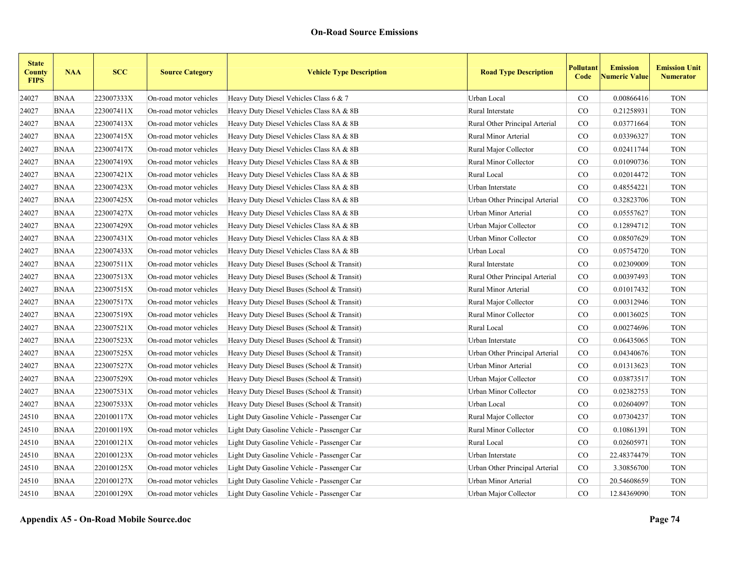| <b>State</b><br><b>County</b><br><b>FIPS</b> | <b>NAA</b>  | <b>SCC</b> | <b>Source Category</b> | <b>Vehicle Type Description</b>             | <b>Road Type Description</b>   | Pollutant<br>Code | <b>Emission</b><br><b>Numeric Value</b> | <b>Emission Unit</b><br><b>Numerator</b> |
|----------------------------------------------|-------------|------------|------------------------|---------------------------------------------|--------------------------------|-------------------|-----------------------------------------|------------------------------------------|
| 24027                                        | <b>BNAA</b> | 223007333X | On-road motor vehicles | Heavy Duty Diesel Vehicles Class $6 & 7$    | Urban Local                    | CO                | 0.00866416                              | <b>TON</b>                               |
| 24027                                        | <b>BNAA</b> | 223007411X | On-road motor vehicles | Heavy Duty Diesel Vehicles Class 8A & 8B    | Rural Interstate               | $_{\rm CO}$       | 0.21258931                              | <b>TON</b>                               |
| 24027                                        | <b>BNAA</b> | 223007413X | On-road motor vehicles | Heavy Duty Diesel Vehicles Class 8A & 8B    | Rural Other Principal Arterial | $_{\rm CO}$       | 0.03771664                              | <b>TON</b>                               |
| 24027                                        | <b>BNAA</b> | 223007415X | On-road motor vehicles | Heavy Duty Diesel Vehicles Class 8A & 8B    | Rural Minor Arterial           | $\rm CO$          | 0.03396327                              | <b>TON</b>                               |
| 24027                                        | <b>BNAA</b> | 223007417X | On-road motor vehicles | Heavy Duty Diesel Vehicles Class 8A & 8B    | Rural Major Collector          | $\rm CO$          | 0.02411744                              | <b>TON</b>                               |
| 24027                                        | <b>BNAA</b> | 223007419X | On-road motor vehicles | Heavy Duty Diesel Vehicles Class 8A & 8B    | Rural Minor Collector          | $\rm CO$          | 0.01090736                              | <b>TON</b>                               |
| 24027                                        | <b>BNAA</b> | 223007421X | On-road motor vehicles | Heavy Duty Diesel Vehicles Class 8A & 8B    | Rural Local                    | $_{\rm CO}$       | 0.02014472                              | <b>TON</b>                               |
| 24027                                        | <b>BNAA</b> | 223007423X | On-road motor vehicles | Heavy Duty Diesel Vehicles Class 8A & 8B    | Urban Interstate               | $\rm CO$          | 0.48554221                              | <b>TON</b>                               |
| 24027                                        | <b>BNAA</b> | 223007425X | On-road motor vehicles | Heavy Duty Diesel Vehicles Class 8A & 8B    | Urban Other Principal Arterial | $\rm CO$          | 0.32823706                              | <b>TON</b>                               |
| 24027                                        | <b>BNAA</b> | 223007427X | On-road motor vehicles | Heavy Duty Diesel Vehicles Class 8A & 8B    | Urban Minor Arterial           | $\rm CO$          | 0.05557627                              | <b>TON</b>                               |
| 24027                                        | <b>BNAA</b> | 223007429X | On-road motor vehicles | Heavy Duty Diesel Vehicles Class 8A & 8B    | Urban Major Collector          | $_{\rm CO}$       | 0.12894712                              | <b>TON</b>                               |
| 24027                                        | <b>BNAA</b> | 223007431X | On-road motor vehicles | Heavy Duty Diesel Vehicles Class 8A & 8B    | Urban Minor Collector          | $_{\rm CO}$       | 0.08507629                              | <b>TON</b>                               |
| 24027                                        | <b>BNAA</b> | 223007433X | On-road motor vehicles | Heavy Duty Diesel Vehicles Class 8A & 8B    | Urban Local                    | CO                | 0.05754720                              | <b>TON</b>                               |
| 24027                                        | <b>BNAA</b> | 223007511X | On-road motor vehicles | Heavy Duty Diesel Buses (School & Transit)  | Rural Interstate               | $\rm CO$          | 0.02309009                              | <b>TON</b>                               |
| 24027                                        | <b>BNAA</b> | 223007513X | On-road motor vehicles | Heavy Duty Diesel Buses (School & Transit)  | Rural Other Principal Arterial | $_{\rm CO}$       | 0.00397493                              | <b>TON</b>                               |
| 24027                                        | <b>BNAA</b> | 223007515X | On-road motor vehicles | Heavy Duty Diesel Buses (School & Transit)  | Rural Minor Arterial           | $\rm CO$          | 0.01017432                              | <b>TON</b>                               |
| 24027                                        | <b>BNAA</b> | 223007517X | On-road motor vehicles | Heavy Duty Diesel Buses (School & Transit)  | Rural Major Collector          | CO                | 0.00312946                              | <b>TON</b>                               |
| 24027                                        | <b>BNAA</b> | 223007519X | On-road motor vehicles | Heavy Duty Diesel Buses (School & Transit)  | Rural Minor Collector          | $_{\rm CO}$       | 0.00136025                              | <b>TON</b>                               |
| 24027                                        | <b>BNAA</b> | 223007521X | On-road motor vehicles | Heavy Duty Diesel Buses (School & Transit)  | Rural Local                    | $\rm CO$          | 0.00274696                              | <b>TON</b>                               |
| 24027                                        | <b>BNAA</b> | 223007523X | On-road motor vehicles | Heavy Duty Diesel Buses (School & Transit)  | Urban Interstate               | $\rm CO$          | 0.06435065                              | <b>TON</b>                               |
| 24027                                        | <b>BNAA</b> | 223007525X | On-road motor vehicles | Heavy Duty Diesel Buses (School & Transit)  | Urban Other Principal Arterial | CO                | 0.04340676                              | <b>TON</b>                               |
| 24027                                        | <b>BNAA</b> | 223007527X | On-road motor vehicles | Heavy Duty Diesel Buses (School & Transit)  | Urban Minor Arterial           | CO                | 0.01313623                              | <b>TON</b>                               |
| 24027                                        | <b>BNAA</b> | 223007529X | On-road motor vehicles | Heavy Duty Diesel Buses (School & Transit)  | Urban Major Collector          | $\rm CO$          | 0.03873517                              | <b>TON</b>                               |
| 24027                                        | <b>BNAA</b> | 223007531X | On-road motor vehicles | Heavy Duty Diesel Buses (School & Transit)  | Urban Minor Collector          | CO                | 0.02382753                              | <b>TON</b>                               |
| 24027                                        | <b>BNAA</b> | 223007533X | On-road motor vehicles | Heavy Duty Diesel Buses (School & Transit)  | Urban Local                    | CO                | 0.02604097                              | <b>TON</b>                               |
| 24510                                        | <b>BNAA</b> | 220100117X | On-road motor vehicles | Light Duty Gasoline Vehicle - Passenger Car | Rural Major Collector          | $\rm CO$          | 0.07304237                              | <b>TON</b>                               |
| 24510                                        | <b>BNAA</b> | 220100119X | On-road motor vehicles | Light Duty Gasoline Vehicle - Passenger Car | <b>Rural Minor Collector</b>   | $_{\rm CO}$       | 0.10861391                              | <b>TON</b>                               |
| 24510                                        | <b>BNAA</b> | 220100121X | On-road motor vehicles | Light Duty Gasoline Vehicle - Passenger Car | Rural Local                    | CO                | 0.02605971                              | <b>TON</b>                               |
| 24510                                        | <b>BNAA</b> | 220100123X | On-road motor vehicles | Light Duty Gasoline Vehicle - Passenger Car | Urban Interstate               | $\rm CO$          | 22.48374479                             | <b>TON</b>                               |
| 24510                                        | <b>BNAA</b> | 220100125X | On-road motor vehicles | Light Duty Gasoline Vehicle - Passenger Car | Urban Other Principal Arterial | $\rm CO$          | 3.30856700                              | <b>TON</b>                               |
| 24510                                        | <b>BNAA</b> | 220100127X | On-road motor vehicles | Light Duty Gasoline Vehicle - Passenger Car | Urban Minor Arterial           | $\rm CO$          | 20.54608659                             | <b>TON</b>                               |
| 24510                                        | <b>BNAA</b> | 220100129X | On-road motor vehicles | Light Duty Gasoline Vehicle - Passenger Car | Urban Major Collector          | CO                | 12.84369090                             | <b>TON</b>                               |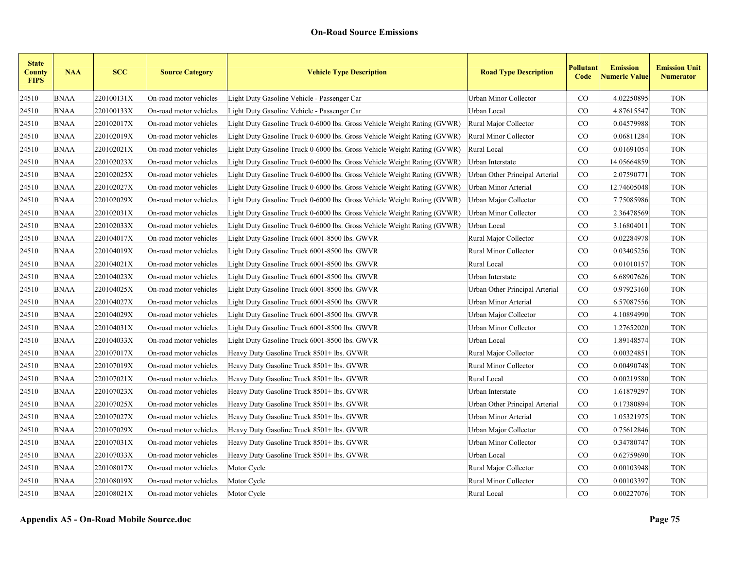| <b>State</b><br><b>County</b><br><b>FIPS</b> | <b>NAA</b>  | <b>SCC</b> | <b>Source Category</b> | <b>Vehicle Type Description</b>                                          | <b>Road Type Description</b>   | Pollutant<br>Code | <b>Emission</b><br><b>Vumeric Value</b> | <b>Emission Unit</b><br><b>Numerator</b> |
|----------------------------------------------|-------------|------------|------------------------|--------------------------------------------------------------------------|--------------------------------|-------------------|-----------------------------------------|------------------------------------------|
| 24510                                        | <b>BNAA</b> | 220100131X | On-road motor vehicles | Light Duty Gasoline Vehicle - Passenger Car                              | Urban Minor Collector          | $\rm CO$          | 4.02250895                              | <b>TON</b>                               |
| 24510                                        | <b>BNAA</b> | 220100133X | On-road motor vehicles | Light Duty Gasoline Vehicle - Passenger Car                              | Urban Local                    | $\rm CO$          | 4.87615547                              | <b>TON</b>                               |
| 24510                                        | <b>BNAA</b> | 220102017X | On-road motor vehicles | Light Duty Gasoline Truck 0-6000 lbs. Gross Vehicle Weight Rating (GVWR) | Rural Major Collector          | $\rm CO$          | 0.04579988                              | <b>TON</b>                               |
| 24510                                        | <b>BNAA</b> | 220102019X | On-road motor vehicles | Light Duty Gasoline Truck 0-6000 lbs. Gross Vehicle Weight Rating (GVWR) | Rural Minor Collector          | CO.               | 0.06811284                              | <b>TON</b>                               |
| 24510                                        | <b>BNAA</b> | 220102021X | On-road motor vehicles | Light Duty Gasoline Truck 0-6000 lbs. Gross Vehicle Weight Rating (GVWR) | Rural Local                    | CO                | 0.01691054                              | <b>TON</b>                               |
| 24510                                        | <b>BNAA</b> | 220102023X | On-road motor vehicles | Light Duty Gasoline Truck 0-6000 lbs. Gross Vehicle Weight Rating (GVWR) | Urban Interstate               | $\rm CO$          | 14.05664859                             | <b>TON</b>                               |
| 24510                                        | <b>BNAA</b> | 220102025X | On-road motor vehicles | Light Duty Gasoline Truck 0-6000 lbs. Gross Vehicle Weight Rating (GVWR) | Urban Other Principal Arterial | $\rm CO$          | 2.07590771                              | <b>TON</b>                               |
| 24510                                        | <b>BNAA</b> | 220102027X | On-road motor vehicles | Light Duty Gasoline Truck 0-6000 lbs. Gross Vehicle Weight Rating (GVWR) | Urban Minor Arterial           | $\rm CO$          | 12.74605048                             | <b>TON</b>                               |
| 24510                                        | <b>BNAA</b> | 220102029X | On-road motor vehicles | Light Duty Gasoline Truck 0-6000 lbs. Gross Vehicle Weight Rating (GVWR) | Urban Major Collector          | $\rm CO$          | 7.75085986                              | <b>TON</b>                               |
| 24510                                        | <b>BNAA</b> | 220102031X | On-road motor vehicles | Light Duty Gasoline Truck 0-6000 lbs. Gross Vehicle Weight Rating (GVWR) | Urban Minor Collector          | $\rm CO$          | 2.36478569                              | <b>TON</b>                               |
| 24510                                        | <b>BNAA</b> | 220102033X | On-road motor vehicles | Light Duty Gasoline Truck 0-6000 lbs. Gross Vehicle Weight Rating (GVWR) | Urban Local                    | $\rm CO$          | 3.16804011                              | <b>TON</b>                               |
| 24510                                        | <b>BNAA</b> | 220104017X | On-road motor vehicles | Light Duty Gasoline Truck 6001-8500 lbs. GWVR                            | Rural Major Collector          | $\rm CO$          | 0.02284978                              | <b>TON</b>                               |
| 24510                                        | <b>BNAA</b> | 220104019X | On-road motor vehicles | Light Duty Gasoline Truck 6001-8500 lbs. GWVR                            | <b>Rural Minor Collector</b>   | CO                | 0.03405256                              | <b>TON</b>                               |
| 24510                                        | <b>BNAA</b> | 220104021X | On-road motor vehicles | Light Duty Gasoline Truck 6001-8500 lbs. GWVR                            | Rural Local                    | $\rm CO$          | 0.01010157                              | <b>TON</b>                               |
| 24510                                        | <b>BNAA</b> | 220104023X | On-road motor vehicles | Light Duty Gasoline Truck 6001-8500 lbs. GWVR                            | Urban Interstate               | $\rm CO$          | 6.68907626                              | <b>TON</b>                               |
| 24510                                        | <b>BNAA</b> | 220104025X | On-road motor vehicles | Light Duty Gasoline Truck 6001-8500 lbs. GWVR                            | Urban Other Principal Arterial | CO                | 0.97923160                              | <b>TON</b>                               |
| 24510                                        | <b>BNAA</b> | 220104027X | On-road motor vehicles | Light Duty Gasoline Truck 6001-8500 lbs. GWVR                            | Urban Minor Arterial           | CO                | 6.57087556                              | <b>TON</b>                               |
| 24510                                        | <b>BNAA</b> | 220104029X | On-road motor vehicles | Light Duty Gasoline Truck 6001-8500 lbs. GWVR                            | Urban Major Collector          | $\rm CO$          | 4.10894990                              | <b>TON</b>                               |
| 24510                                        | <b>BNAA</b> | 220104031X | On-road motor vehicles | Light Duty Gasoline Truck 6001-8500 lbs. GWVR                            | Urban Minor Collector          | CO                | 1.27652020                              | <b>TON</b>                               |
| 24510                                        | <b>BNAA</b> | 220104033X | On-road motor vehicles | Light Duty Gasoline Truck 6001-8500 lbs. GWVR                            | Urban Local                    | CO                | 1.89148574                              | <b>TON</b>                               |
| 24510                                        | <b>BNAA</b> | 220107017X | On-road motor vehicles | Heavy Duty Gasoline Truck 8501+ lbs. GVWR                                | Rural Major Collector          | CO                | 0.00324851                              | <b>TON</b>                               |
| 24510                                        | <b>BNAA</b> | 220107019X | On-road motor vehicles | Heavy Duty Gasoline Truck 8501+ lbs. GVWR                                | Rural Minor Collector          | CO                | 0.00490748                              | <b>TON</b>                               |
| 24510                                        | <b>BNAA</b> | 220107021X | On-road motor vehicles | Heavy Duty Gasoline Truck 8501+ lbs. GVWR                                | Rural Local                    | $\rm CO$          | 0.00219580                              | <b>TON</b>                               |
| 24510                                        | <b>BNAA</b> | 220107023X | On-road motor vehicles | Heavy Duty Gasoline Truck 8501+ lbs. GVWR                                | Urban Interstate               | CO                | 1.61879297                              | <b>TON</b>                               |
| 24510                                        | <b>BNAA</b> | 220107025X | On-road motor vehicles | Heavy Duty Gasoline Truck 8501+ lbs. GVWR                                | Urban Other Principal Arterial | $\rm CO$          | 0.17380894                              | <b>TON</b>                               |
| 24510                                        | <b>BNAA</b> | 220107027X | On-road motor vehicles | Heavy Duty Gasoline Truck 8501+ lbs. GVWR                                | Urban Minor Arterial           | $\rm CO$          | 1.05321975                              | <b>TON</b>                               |
| 24510                                        | <b>BNAA</b> | 220107029X | On-road motor vehicles | Heavy Duty Gasoline Truck 8501+ lbs. GVWR                                | Urban Major Collector          | $\rm CO$          | 0.75612846                              | <b>TON</b>                               |
| 24510                                        | <b>BNAA</b> | 220107031X | On-road motor vehicles | Heavy Duty Gasoline Truck 8501+ lbs. GVWR                                | Urban Minor Collector          | $\rm CO$          | 0.34780747                              | <b>TON</b>                               |
| 24510                                        | <b>BNAA</b> | 220107033X | On-road motor vehicles | Heavy Duty Gasoline Truck 8501+ lbs. GVWR                                | Urban Local                    | $\rm CO$          | 0.62759690                              | <b>TON</b>                               |
| 24510                                        | <b>BNAA</b> | 220108017X | On-road motor vehicles | Motor Cycle                                                              | Rural Major Collector          | $\rm CO$          | 0.00103948                              | <b>TON</b>                               |
| 24510                                        | <b>BNAA</b> | 220108019X | On-road motor vehicles | Motor Cycle                                                              | Rural Minor Collector          | $\rm CO$          | 0.00103397                              | <b>TON</b>                               |
| 24510                                        | <b>BNAA</b> | 220108021X | On-road motor vehicles | Motor Cycle                                                              | Rural Local                    | CO                | 0.00227076                              | <b>TON</b>                               |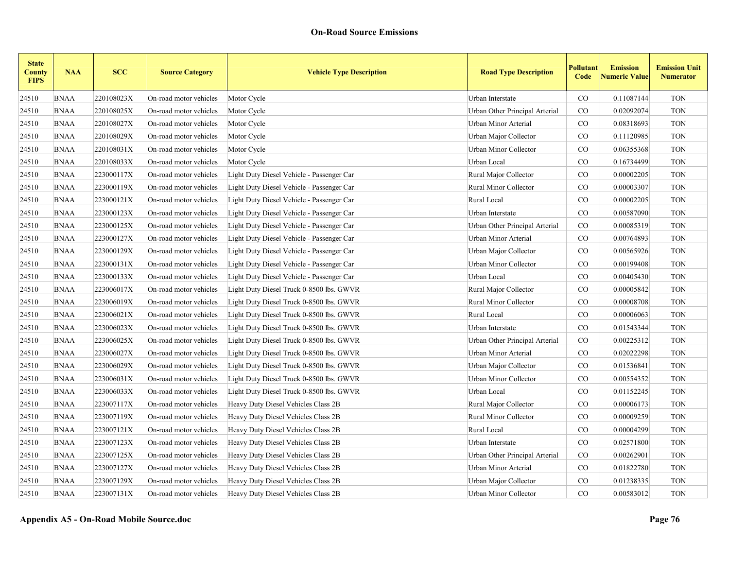| <b>State</b><br><b>County</b><br><b>FIPS</b> | <b>NAA</b>  | <b>SCC</b> | <b>Source Category</b> | <b>Vehicle Type Description</b>           | <b>Road Type Description</b>   | Pollutant<br>Code | <b>Emission</b><br><b>Numeric Value</b> | <b>Emission Unit</b><br><b>Numerator</b> |
|----------------------------------------------|-------------|------------|------------------------|-------------------------------------------|--------------------------------|-------------------|-----------------------------------------|------------------------------------------|
| 24510                                        | <b>BNAA</b> | 220108023X | On-road motor vehicles | Motor Cycle                               | Urban Interstate               | $\rm CO$          | 0.11087144                              | <b>TON</b>                               |
| 24510                                        | <b>BNAA</b> | 220108025X | On-road motor vehicles | Motor Cycle                               | Urban Other Principal Arterial | CO                | 0.02092074                              | <b>TON</b>                               |
| 24510                                        | <b>BNAA</b> | 220108027X | On-road motor vehicles | Motor Cycle                               | Urban Minor Arterial           | $\rm CO$          | 0.08318693                              | <b>TON</b>                               |
| 24510                                        | BNAA        | 220108029X | On-road motor vehicles | Motor Cycle                               | Urban Major Collector          | $\rm CO$          | 0.11120985                              | <b>TON</b>                               |
| 24510                                        | <b>BNAA</b> | 220108031X | On-road motor vehicles | Motor Cycle                               | <b>Urban Minor Collector</b>   | $\rm CO$          | 0.06355368                              | <b>TON</b>                               |
| 24510                                        | BNAA        | 220108033X | On-road motor vehicles | Motor Cycle                               | Urban Local                    | CO                | 0.16734499                              | <b>TON</b>                               |
| 24510                                        | <b>BNAA</b> | 223000117X | On-road motor vehicles | Light Duty Diesel Vehicle - Passenger Car | Rural Major Collector          | CO                | 0.00002205                              | <b>TON</b>                               |
| 24510                                        | <b>BNAA</b> | 223000119X | On-road motor vehicles | Light Duty Diesel Vehicle - Passenger Car | Rural Minor Collector          | CO                | 0.00003307                              | <b>TON</b>                               |
| 24510                                        | <b>BNAA</b> | 223000121X | On-road motor vehicles | Light Duty Diesel Vehicle - Passenger Car | Rural Local                    | CO                | 0.00002205                              | <b>TON</b>                               |
| 24510                                        | <b>BNAA</b> | 223000123X | On-road motor vehicles | Light Duty Diesel Vehicle - Passenger Car | Urban Interstate               | CO                | 0.00587090                              | <b>TON</b>                               |
| 24510                                        | <b>BNAA</b> | 223000125X | On-road motor vehicles | Light Duty Diesel Vehicle - Passenger Car | Urban Other Principal Arterial | $\rm CO$          | 0.00085319                              | <b>TON</b>                               |
| 24510                                        | <b>BNAA</b> | 223000127X | On-road motor vehicles | Light Duty Diesel Vehicle - Passenger Car | Urban Minor Arterial           | $\rm CO$          | 0.00764893                              | <b>TON</b>                               |
| 24510                                        | <b>BNAA</b> | 223000129X | On-road motor vehicles | Light Duty Diesel Vehicle - Passenger Car | Urban Major Collector          | $\rm CO$          | 0.00565926                              | <b>TON</b>                               |
| 24510                                        | <b>BNAA</b> | 223000131X | On-road motor vehicles | Light Duty Diesel Vehicle - Passenger Car | <b>Urban Minor Collector</b>   | <sub>CO</sub>     | 0.00199408                              | <b>TON</b>                               |
| 24510                                        | <b>BNAA</b> | 223000133X | On-road motor vehicles | Light Duty Diesel Vehicle - Passenger Car | Urban Local                    | CO                | 0.00405430                              | <b>TON</b>                               |
| 24510                                        | <b>BNAA</b> | 223006017X | On-road motor vehicles | Light Duty Diesel Truck 0-8500 lbs. GWVR  | Rural Major Collector          | CO                | 0.00005842                              | <b>TON</b>                               |
| 24510                                        | BNAA        | 223006019X | On-road motor vehicles | Light Duty Diesel Truck 0-8500 lbs. GWVR  | Rural Minor Collector          | $\rm CO$          | 0.00008708                              | <b>TON</b>                               |
| 24510                                        | <b>BNAA</b> | 223006021X | On-road motor vehicles | Light Duty Diesel Truck 0-8500 lbs. GWVR  | Rural Local                    | CO                | 0.00006063                              | <b>TON</b>                               |
| 24510                                        | <b>BNAA</b> | 223006023X | On-road motor vehicles | Light Duty Diesel Truck 0-8500 lbs. GWVR  | Urban Interstate               | $\rm CO$          | 0.01543344                              | <b>TON</b>                               |
| 24510                                        | <b>BNAA</b> | 223006025X | On-road motor vehicles | Light Duty Diesel Truck 0-8500 lbs. GWVR  | Urban Other Principal Arterial | $\rm CO$          | 0.00225312                              | <b>TON</b>                               |
| 24510                                        | <b>BNAA</b> | 223006027X | On-road motor vehicles | Light Duty Diesel Truck 0-8500 lbs. GWVR  | Urban Minor Arterial           | CO.               | 0.02022298                              | <b>TON</b>                               |
| 24510                                        | <b>BNAA</b> | 223006029X | On-road motor vehicles | Light Duty Diesel Truck 0-8500 lbs. GWVR  | Urban Major Collector          | CO                | 0.01536841                              | <b>TON</b>                               |
| 24510                                        | <b>BNAA</b> | 223006031X | On-road motor vehicles | Light Duty Diesel Truck 0-8500 lbs. GWVR  | Urban Minor Collector          | $\rm CO$          | 0.00554352                              | <b>TON</b>                               |
| 24510                                        | <b>BNAA</b> | 223006033X | On-road motor vehicles | Light Duty Diesel Truck 0-8500 lbs. GWVR  | Urban Local                    | CO                | 0.01152245                              | <b>TON</b>                               |
| 24510                                        | <b>BNAA</b> | 223007117X | On-road motor vehicles | Heavy Duty Diesel Vehicles Class 2B       | Rural Major Collector          | $\rm CO$          | 0.00006173                              | <b>TON</b>                               |
| 24510                                        | <b>BNAA</b> | 223007119X | On-road motor vehicles | Heavy Duty Diesel Vehicles Class 2B       | Rural Minor Collector          | CO                | 0.00009259                              | <b>TON</b>                               |
| 24510                                        | <b>BNAA</b> | 223007121X | On-road motor vehicles | Heavy Duty Diesel Vehicles Class 2B       | Rural Local                    | $\rm CO$          | 0.00004299                              | <b>TON</b>                               |
| 24510                                        | <b>BNAA</b> | 223007123X | On-road motor vehicles | Heavy Duty Diesel Vehicles Class 2B       | Urban Interstate               | $\rm CO$          | 0.02571800                              | <b>TON</b>                               |
| 24510                                        | <b>BNAA</b> | 223007125X | On-road motor vehicles | Heavy Duty Diesel Vehicles Class 2B       | Urban Other Principal Arterial | CO.               | 0.00262901                              | <b>TON</b>                               |
| 24510                                        | BNAA        | 223007127X | On-road motor vehicles | Heavy Duty Diesel Vehicles Class 2B       | Urban Minor Arterial           | <sub>CO</sub>     | 0.01822780                              | <b>TON</b>                               |
| 24510                                        | BNAA        | 223007129X | On-road motor vehicles | Heavy Duty Diesel Vehicles Class 2B       | Urban Major Collector          | CO                | 0.01238335                              | <b>TON</b>                               |
| 24510                                        | <b>BNAA</b> | 223007131X | On-road motor vehicles | Heavy Duty Diesel Vehicles Class 2B       | <b>Urban Minor Collector</b>   | CO                | 0.00583012                              | <b>TON</b>                               |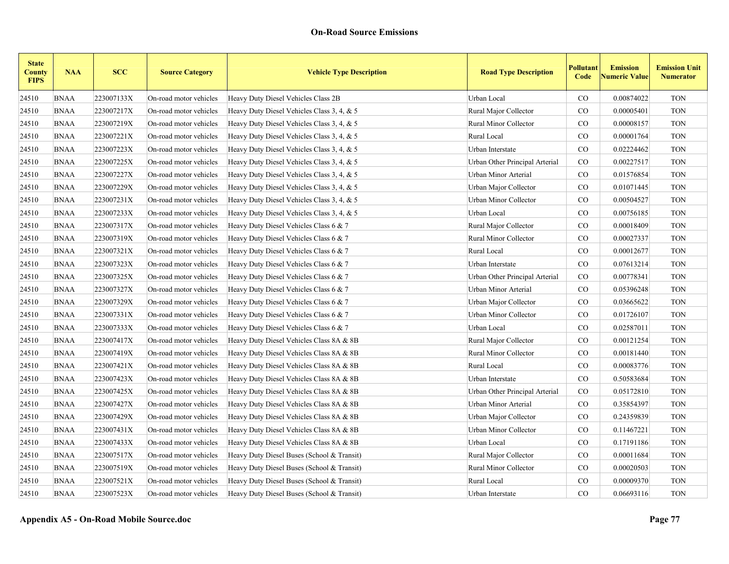| <b>State</b><br><b>County</b><br><b>FIPS</b> | <b>NAA</b>  | <b>SCC</b> | <b>Source Category</b> | <b>Vehicle Type Description</b>            | <b>Road Type Description</b>   | Pollutant<br>Code | <b>Emission</b><br><b>Vumeric Value</b> | <b>Emission Unit</b><br><b>Numerator</b> |
|----------------------------------------------|-------------|------------|------------------------|--------------------------------------------|--------------------------------|-------------------|-----------------------------------------|------------------------------------------|
| 24510                                        | <b>BNAA</b> | 223007133X | On-road motor vehicles | Heavy Duty Diesel Vehicles Class 2B        | Urban Local                    | CO                | 0.00874022                              | <b>TON</b>                               |
| 24510                                        | <b>BNAA</b> | 223007217X | On-road motor vehicles | Heavy Duty Diesel Vehicles Class 3, 4, & 5 | Rural Major Collector          | $\rm CO$          | 0.00005401                              | <b>TON</b>                               |
| 24510                                        | <b>BNAA</b> | 223007219X | On-road motor vehicles | Heavy Duty Diesel Vehicles Class 3, 4, & 5 | Rural Minor Collector          | $\rm CO$          | 0.00008157                              | <b>TON</b>                               |
| 24510                                        | <b>BNAA</b> | 223007221X | On-road motor vehicles | Heavy Duty Diesel Vehicles Class 3, 4, & 5 | Rural Local                    | CO.               | 0.00001764                              | <b>TON</b>                               |
| 24510                                        | <b>BNAA</b> | 223007223X | On-road motor vehicles | Heavy Duty Diesel Vehicles Class 3, 4, & 5 | Urban Interstate               | $\rm CO$          | 0.02224462                              | <b>TON</b>                               |
| 24510                                        | <b>BNAA</b> | 223007225X | On-road motor vehicles | Heavy Duty Diesel Vehicles Class 3, 4, & 5 | Urban Other Principal Arterial | $\rm CO$          | 0.00227517                              | <b>TON</b>                               |
| 24510                                        | <b>BNAA</b> | 223007227X | On-road motor vehicles | Heavy Duty Diesel Vehicles Class 3, 4, & 5 | Urban Minor Arterial           | $\rm CO$          | 0.01576854                              | <b>TON</b>                               |
| 24510                                        | <b>BNAA</b> | 223007229X | On-road motor vehicles | Heavy Duty Diesel Vehicles Class 3, 4, & 5 | Urban Major Collector          | $\rm CO$          | 0.01071445                              | <b>TON</b>                               |
| 24510                                        | <b>BNAA</b> | 223007231X | On-road motor vehicles | Heavy Duty Diesel Vehicles Class 3, 4, & 5 | Urban Minor Collector          | $\rm CO$          | 0.00504527                              | <b>TON</b>                               |
| 24510                                        | <b>BNAA</b> | 223007233X | On-road motor vehicles | Heavy Duty Diesel Vehicles Class 3, 4, & 5 | Urban Local                    | $\rm CO$          | 0.00756185                              | <b>TON</b>                               |
| 24510                                        | <b>BNAA</b> | 223007317X | On-road motor vehicles | Heavy Duty Diesel Vehicles Class 6 & 7     | Rural Major Collector          | $\rm CO$          | 0.00018409                              | <b>TON</b>                               |
| 24510                                        | <b>BNAA</b> | 223007319X | On-road motor vehicles | Heavy Duty Diesel Vehicles Class 6 & 7     | <b>Rural Minor Collector</b>   | CO.               | 0.00027337                              | <b>TON</b>                               |
| 24510                                        | <b>BNAA</b> | 223007321X | On-road motor vehicles | Heavy Duty Diesel Vehicles Class 6 & 7     | Rural Local                    | CO                | 0.00012677                              | <b>TON</b>                               |
| 24510                                        | <b>BNAA</b> | 223007323X | On-road motor vehicles | Heavy Duty Diesel Vehicles Class 6 & 7     | Urban Interstate               | $\rm CO$          | 0.07613214                              | <b>TON</b>                               |
| 24510                                        | <b>BNAA</b> | 223007325X | On-road motor vehicles | Heavy Duty Diesel Vehicles Class 6 & 7     | Urban Other Principal Arterial | $\rm CO$          | 0.00778341                              | <b>TON</b>                               |
| 24510                                        | <b>BNAA</b> | 223007327X | On-road motor vehicles | Heavy Duty Diesel Vehicles Class 6 & 7     | Urban Minor Arterial           | CO                | 0.05396248                              | <b>TON</b>                               |
| 24510                                        | <b>BNAA</b> | 223007329X | On-road motor vehicles | Heavy Duty Diesel Vehicles Class 6 & 7     | Urban Major Collector          | CO                | 0.03665622                              | <b>TON</b>                               |
| 24510                                        | <b>BNAA</b> | 223007331X | On-road motor vehicles | Heavy Duty Diesel Vehicles Class 6 & 7     | Urban Minor Collector          | $\rm CO$          | 0.01726107                              | <b>TON</b>                               |
| 24510                                        | <b>BNAA</b> | 223007333X | On-road motor vehicles | Heavy Duty Diesel Vehicles Class 6 & 7     | Urban Local                    | $\rm CO$          | 0.02587011                              | <b>TON</b>                               |
| 24510                                        | <b>BNAA</b> | 223007417X | On-road motor vehicles | Heavy Duty Diesel Vehicles Class 8A & 8B   | Rural Major Collector          | $\rm CO$          | 0.00121254                              | <b>TON</b>                               |
| 24510                                        | <b>BNAA</b> | 223007419X | On-road motor vehicles | Heavy Duty Diesel Vehicles Class 8A & 8B   | Rural Minor Collector          | $\rm CO$          | 0.00181440                              | <b>TON</b>                               |
| 24510                                        | <b>BNAA</b> | 223007421X | On-road motor vehicles | Heavy Duty Diesel Vehicles Class 8A & 8B   | Rural Local                    | $\rm CO$          | 0.00083776                              | <b>TON</b>                               |
| 24510                                        | <b>BNAA</b> | 223007423X | On-road motor vehicles | Heavy Duty Diesel Vehicles Class 8A & 8B   | Urban Interstate               | $\rm CO$          | 0.50583684                              | <b>TON</b>                               |
| 24510                                        | <b>BNAA</b> | 223007425X | On-road motor vehicles | Heavy Duty Diesel Vehicles Class 8A & 8B   | Urban Other Principal Arterial | $\rm CO$          | 0.05172810                              | <b>TON</b>                               |
| 24510                                        | <b>BNAA</b> | 223007427X | On-road motor vehicles | Heavy Duty Diesel Vehicles Class 8A & 8B   | Urban Minor Arterial           | $\rm CO$          | 0.35854397                              | <b>TON</b>                               |
| 24510                                        | <b>BNAA</b> | 223007429X | On-road motor vehicles | Heavy Duty Diesel Vehicles Class 8A & 8B   | Urban Major Collector          | $\rm CO$          | 0.24359839                              | <b>TON</b>                               |
| 24510                                        | <b>BNAA</b> | 223007431X | On-road motor vehicles | Heavy Duty Diesel Vehicles Class 8A & 8B   | Urban Minor Collector          | $\rm CO$          | 0.11467221                              | <b>TON</b>                               |
| 24510                                        | <b>BNAA</b> | 223007433X | On-road motor vehicles | Heavy Duty Diesel Vehicles Class 8A & 8B   | Urban Local                    | $\rm CO$          | 0.17191186                              | <b>TON</b>                               |
| 24510                                        | <b>BNAA</b> | 223007517X | On-road motor vehicles | Heavy Duty Diesel Buses (School & Transit) | Rural Major Collector          | $\rm CO$          | 0.00011684                              | <b>TON</b>                               |
| 24510                                        | <b>BNAA</b> | 223007519X | On-road motor vehicles | Heavy Duty Diesel Buses (School & Transit) | Rural Minor Collector          | $\rm CO$          | 0.00020503                              | <b>TON</b>                               |
| 24510                                        | <b>BNAA</b> | 223007521X | On-road motor vehicles | Heavy Duty Diesel Buses (School & Transit) | Rural Local                    | $\rm CO$          | 0.00009370                              | <b>TON</b>                               |
| 24510                                        | <b>BNAA</b> | 223007523X | On-road motor vehicles | Heavy Duty Diesel Buses (School & Transit) | Urban Interstate               | CO                | 0.06693116                              | <b>TON</b>                               |